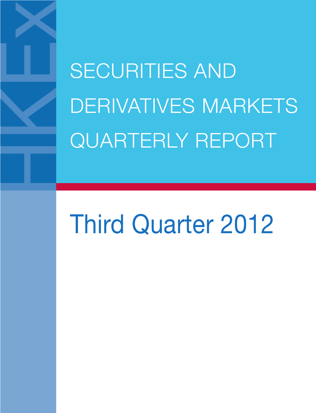SECURITIES AND DERIVATIVES MARKETS QUARTERLY REPORT

# Third Quarter 2012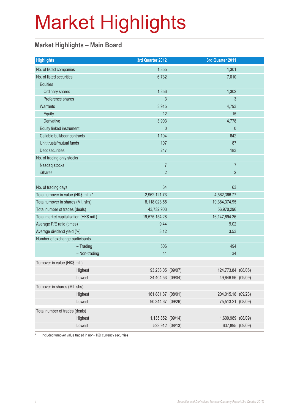#### **Market Highlights – Main Board**

| <b>Highlights</b>                       | 3rd Quarter 2012   | 3rd Quarter 2011   |  |
|-----------------------------------------|--------------------|--------------------|--|
| No. of listed companies                 | 1,355              | 1,301              |  |
| No. of listed securities                | 6,732              | 7,010              |  |
| Equities                                |                    |                    |  |
| Ordinary shares                         | 1,356              | 1,302              |  |
| Preference shares                       | 3                  | 3                  |  |
| Warrants                                | 3,915              | 4,793              |  |
| Equity                                  | 12                 | 15                 |  |
| <b>Derivative</b>                       | 3,903              | 4,778              |  |
| Equity linked instrument                | $\mathbf 0$        | $\theta$           |  |
| Callable bull/bear contracts            | 1,104              | 642                |  |
| Unit trusts/mutual funds                | 107                | 87                 |  |
| Debt securities                         | 247                | 183                |  |
| No. of trading only stocks              |                    |                    |  |
| Nasdaq stocks                           | $\overline{7}$     | $\overline{7}$     |  |
| <b>iShares</b>                          | $\overline{2}$     | $\overline{2}$     |  |
|                                         |                    |                    |  |
| No. of trading days                     | 64                 | 63                 |  |
| Total turnover in value (HK\$ mil.) *   | 2,962,121.73       | 4,562,366.77       |  |
| Total turnover in shares (Mil. shs)     | 8,118,023.55       | 10,384,374.95      |  |
| Total number of trades (deals)          | 43,732,903         | 56,970,296         |  |
| Total market capitalisation (HK\$ mil.) | 19,575,154.28      | 16, 147, 694. 26   |  |
| Average P/E ratio (times)               | 9.44               | 9.02               |  |
| Average dividend yield (%)              | 3.12               | 3.53               |  |
| Number of exchange participants         |                    |                    |  |
| $-$ Trading                             | 506                | 494                |  |
| $-$ Non-trading                         | 41                 | 34                 |  |
| Turnover in value (HK\$ mil.)           |                    |                    |  |
| Highest                                 | 93,238.05 (09/07)  | 124,773.84 (08/05) |  |
| Lowest                                  | 34,404.53 (09/04)  | 49,646.96 (09/09)  |  |
| Turnover in shares (Mil. shs)           |                    |                    |  |
| Highest                                 | 161,881.87 (08/01) | 204,015.18 (09/23) |  |
| Lowest                                  | 90,344.67 (09/26)  | 75,513.21 (08/09)  |  |
| Total number of trades (deals)          |                    |                    |  |
| Highest                                 | 1,135,852 (09/14)  | 1,609,989 (08/09)  |  |
| Lowest                                  | 523,912 (08/13)    | 637,895 (09/09)    |  |

\* Included turnover value traded in non-HKD currency securities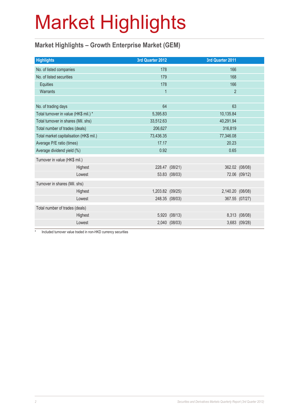#### **Market Highlights – Growth Enterprise Market (GEM)**

| <b>Highlights</b>                       |         | 3rd Quarter 2012 |                | 3rd Quarter 2011 |                |
|-----------------------------------------|---------|------------------|----------------|------------------|----------------|
|                                         |         |                  |                |                  |                |
| No. of listed companies                 |         | 178              |                | 166              |                |
| No. of listed securities                |         | 179              |                | 168              |                |
| <b>Equities</b>                         |         | 178              |                | 166              |                |
| Warrants                                |         | $\overline{1}$   |                | $\overline{2}$   |                |
|                                         |         |                  |                |                  |                |
| No. of trading days                     |         | 64               |                | 63               |                |
| Total turnover in value (HK\$ mil.) *   |         | 5,395.83         |                | 10,135.84        |                |
| Total turnover in shares (Mil. shs)     |         | 33,512.63        |                | 40,291.94        |                |
| Total number of trades (deals)          |         | 206,627          |                | 316,819          |                |
| Total market capitalisation (HK\$ mil.) |         | 73,436.35        |                | 77,346.08        |                |
| Average P/E ratio (times)               |         | 17.17            |                | 20.23            |                |
| Average dividend yield (%)              |         | 0.92             |                | 0.65             |                |
| Turnover in value (HK\$ mil.)           |         |                  |                |                  |                |
|                                         | Highest |                  | 228.47 (08/21) |                  | 362.02 (08/08) |
|                                         | Lowest  |                  | 53.83 (08/03)  |                  | 72.06 (09/12)  |
| Turnover in shares (Mil. shs)           |         |                  |                |                  |                |
|                                         | Highest | 1,203.82 (09/25) |                | 2,140.20 (08/08) |                |
|                                         | Lowest  |                  | 248.35 (08/03) |                  | 367.55 (07/27) |
| Total number of trades (deals)          |         |                  |                |                  |                |
|                                         | Highest |                  | 5,920 (08/13)  |                  | 8,313 (08/08)  |
|                                         | Lowest  |                  | 2,040 (08/03)  |                  | 3,683 (09/28)  |
|                                         |         |                  |                |                  |                |

\* Included turnover value traded in non-HKD currency securities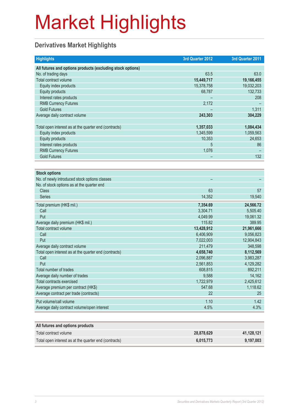#### **Derivatives Market Highlights**

| <b>Highlights</b>                                          | 3rd Quarter 2012 | 3rd Quarter 2011 |
|------------------------------------------------------------|------------------|------------------|
| All futures and options products (excluding stock options) |                  |                  |
| No. of trading days                                        | 63.5             | 63.0             |
| Total contract volume                                      | 15,449,717       | 19,166,455       |
| Equity index products                                      | 15,378,758       | 19,032,203       |
| Equity products                                            | 68,787           | 132,733          |
| Interest rates products                                    |                  | 208              |
| <b>RMB Currency Futures</b>                                | 2,172            |                  |
| <b>Gold Futures</b>                                        |                  | 1,311            |
| Average daily contract volume                              | 243,303          | 304,229          |
|                                                            |                  |                  |
| Total open interest as at the quarter end (contracts)      | 1,357,033        | 1,084,434        |
| Equity index products                                      | 1,345,599        | 1,059,563        |
| <b>Equity products</b>                                     | 10,353           | 24,653           |
| Interest rates products                                    | 5                | 86               |
| <b>RMB Currency Futures</b>                                | 1,076            |                  |
| <b>Gold Futures</b>                                        |                  | 132              |
|                                                            |                  |                  |
| <b>Stock options</b>                                       |                  |                  |
| No. of newly introduced stock options classes              |                  |                  |
| No. of stock options as at the quarter end                 |                  |                  |
| <b>Class</b>                                               | 63               | 57               |
| <b>Series</b>                                              | 14,352           | 19,540           |
| Total premium (HK\$ mil.)                                  | 7,354.69         | 24,566.72        |
| Call                                                       | 3,304.71         | 5,505.40         |
| Put                                                        | 4,049.99         | 19,061.32        |
| Average daily premium (HK\$ mil.)                          | 115.82           | 389.95           |
| Total contract volume                                      | 13,428,912       | 21,961,666       |
| Call                                                       | 6,406,909        | 9,056,823        |
| Put                                                        | 7,022,003        | 12,904,843       |
| Average daily contract volume                              | 211,479          | 348,598          |
| Total open interest as at the quarter end (contracts)      | 4,658,740        | 8,112,569        |
| Call                                                       | 2,096,887        | 3,983,287        |
| Put                                                        | 2,561,853        | 4,129,282        |
| Total number of trades                                     | 608,815          | 892,211          |
| Average daily number of trades                             | 9,588            | 14,162           |
| <b>Total contracts exercised</b>                           | 1,722,979        | 2,425,612        |
| Average premium per contract (HK\$)                        | 547.68           | 1,118.62         |
| Average contract per trade (contracts)                     | 22               | 25               |
| Put volume/call volume                                     | 1.10             | 1.42             |
| Average daily contract volume/open interest                | 4.5%             | 4.3%             |
|                                                            |                  |                  |
| All futures and options products                           |                  |                  |
| Total contract volume                                      | 28,878,629       | 41,128,121       |
| Total open interest as at the quarter end (contracts)      | 6,015,773        | 9,197,003        |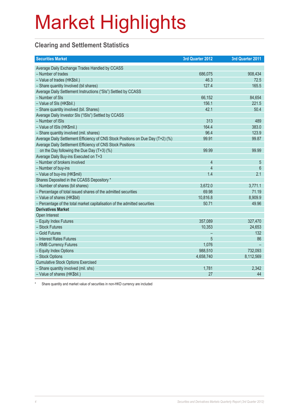#### **Clearing and Settlement Statistics**

| <b>Securities Market</b>                                                        | 3rd Quarter 2012 | 3rd Quarter 2011 |
|---------------------------------------------------------------------------------|------------------|------------------|
| Average Daily Exchange Trades Handled by CCASS                                  |                  |                  |
| - Number of trades                                                              | 686,075          | 908,434          |
| - Value of trades (HK\$bil.)                                                    | 46.3             | 72.5             |
| - Share quantity Involved (bil shares)                                          | 127.4            | 165.5            |
| Average Daily Settlement Instructions ("SIs") Settled by CCASS                  |                  |                  |
| - Number of SIs                                                                 | 66,152           | 84,654           |
| - Value of SIs (HK\$bil.)                                                       | 156.1            | 221.5            |
| - Share quantity involved (bil. Shares)                                         | 42.1             | 50.4             |
| Average Daily Investor SIs ("ISIs") Settled by CCASS                            |                  |                  |
| - Number of ISIs                                                                | 313              | 489              |
| - Value of ISIs (HK\$mil.)                                                      | 164.4            | 383.0            |
| - Share quantity involved (mil. shares)                                         | 96.4             | 123.9            |
| Average Daily Settlement Efficiency of CNS Stock Positions on Due Day (T+2) (%) | 99.91            | 99.87            |
| Average Daily Settlement Efficiency of CNS Stock Positions                      |                  |                  |
| on the Day following the Due Day $(T+3)$ (%)                                    | 99.99            | 99.99            |
| Average Daily Buy-ins Executed on T+3                                           |                  |                  |
| - Number of brokers involved                                                    | $\overline{4}$   | 5                |
| - Number of buy-ins                                                             | $\overline{4}$   | 6                |
| - Value of buy-ins (HK\$mil)                                                    | 1.4              | 2.1              |
| Shares Deposited in the CCASS Depository *                                      |                  |                  |
| - Number of shares (bil shares)                                                 | 3,672.0          | 3,771.1          |
| - Percentage of total issued shares of the admitted securities                  | 69.98            | 71.19            |
| - Value of shares (HK\$bil)                                                     | 10,816.8         | 8,909.9          |
| - Percentage of the total market capitalisation of the admitted securities      | 50.71            | 49.96            |
| <b>Derivatives Market</b>                                                       |                  |                  |
| Open Interest                                                                   |                  |                  |
| - Equity Index Futures                                                          | 357,089          | 327,470          |
| - Stock Futures                                                                 | 10,353           | 24,653           |
| - Gold Futures                                                                  |                  | 132              |
| - Interest Rates Futures                                                        | 5                | 86               |
| - RMB Currency Futures                                                          | 1,076            |                  |
| - Equity Index Options                                                          | 988,510          | 732,093          |
| - Stock Options                                                                 | 4,658,740        | 8,112,569        |
| <b>Cumulative Stock Options Exercised</b>                                       |                  |                  |
| - Share quantity involved (mil. shs)                                            | 1,781            | 2,342            |
| - Value of shares (HK\$bil.)                                                    | 27               | 44               |

Share quantity and market value of securities in non-HKD currency are included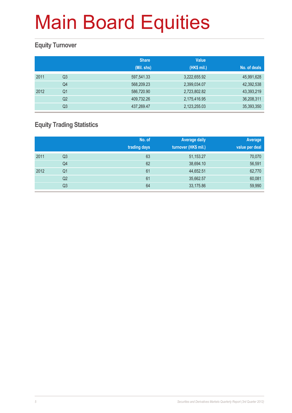#### **Equity Turnover**

|      |                | <b>Share</b><br>(Mil. shs) | <b>Value</b><br>(HK\$ mil.) | No. of deals |
|------|----------------|----------------------------|-----------------------------|--------------|
| 2011 | Q3             | 597,541.33                 | 3,222,655.92                | 45,991,628   |
|      | Q4             | 568,209.23                 | 2,399,034.07                | 42,392,538   |
| 2012 | Q1             | 586,720.90                 | 2,723,802.82                | 43,393,219   |
|      | Q <sub>2</sub> | 409,732.26                 | 2,175,416.95                | 36,208,311   |
|      | Q3             | 437,269.47                 | 2,123,255.03                | 35,393,350   |

#### **Equity Trading Statistics**

|      |                | No. of<br>trading days | <b>Average daily</b><br>turnover (HK\$ mil.) | Average<br>value per deal |
|------|----------------|------------------------|----------------------------------------------|---------------------------|
| 2011 | Q3             | 63                     | 51,153.27                                    | 70,070                    |
|      | Q4             | 62                     | 38,694.10                                    | 56,591                    |
| 2012 | Q <sub>1</sub> | 61                     | 44,652.51                                    | 62,770                    |
|      | Q <sub>2</sub> | 61                     | 35,662.57                                    | 60,081                    |
|      | Q3             | 64                     | 33,175.86                                    | 59,990                    |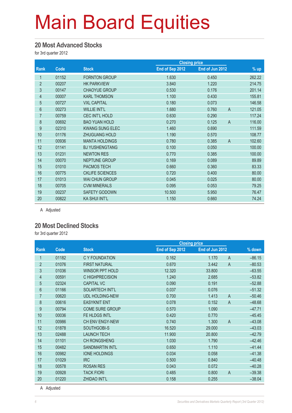#### **20 Most Advanced Stocks**

for 3rd quarter 2012

|                |       |                        |                 | <b>Closing price</b>    |        |
|----------------|-------|------------------------|-----------------|-------------------------|--------|
| <b>Rank</b>    | Code  | <b>Stock</b>           | End of Sep 2012 | End of Jun 2012         | $%$ up |
| 1              | 01152 | <b>FORNTON GROUP</b>   | 1.630           | 0.450                   | 262.22 |
| $\overline{2}$ | 00207 | <b>HK PARKVIEW</b>     | 3.840           | 1.220                   | 214.75 |
| 3              | 00147 | <b>CHAOYUE GROUP</b>   | 0.530           | 0.176                   | 201.14 |
| $\overline{4}$ | 00007 | <b>KARL THOMSON</b>    | 1.100           | 0.430                   | 155.81 |
| 5              | 00727 | <b>VXL CAPITAL</b>     | 0.180           | 0.073                   | 146.58 |
| $6\phantom{.}$ | 00273 | <b>WILLIE INT'L</b>    | 1.680           | $\overline{A}$<br>0.760 | 121.05 |
| $\overline{7}$ | 00759 | <b>CEC INT'L HOLD</b>  | 0.630           | 0.290                   | 117.24 |
| $\bf 8$        | 00692 | <b>BAO YUAN HOLD</b>   | 0.270           | 0.125<br>$\overline{A}$ | 116.00 |
| 9              | 02310 | <b>KWANG SUNG ELEC</b> | 1.460           | 0.690                   | 111.59 |
| 10             | 01176 | <b>ZHUGUANG HOLD</b>   | 1.190           | 0.570                   | 108.77 |
| 11             | 00936 | <b>MANTA HOLDINGS</b>  | 0.780           | 0.385<br>$\overline{A}$ | 102.60 |
| 12             | 01141 | <b>BJ YUSHENGTANG</b>  | 0.100           | 0.050                   | 100.00 |
| 13             | 01231 | <b>NEWTON RES</b>      | 0.770           | 0.385                   | 100.00 |
| 14             | 00070 | <b>NEPTUNE GROUP</b>   | 0.169           | 0.089                   | 89.89  |
| 15             | 01010 | <b>PACMOS TECH</b>     | 0.660           | 0.360                   | 83.33  |
| 16             | 00775 | <b>CKLIFE SCIENCES</b> | 0.720           | 0.400                   | 80.00  |
| 17             | 01013 | <b>WAI CHUN GROUP</b>  | 0.045           | 0.025                   | 80.00  |
| 18             | 00705 | <b>CVM MINERALS</b>    | 0.095           | 0.053                   | 79.25  |
| 19             | 00237 | SAFETY GODOWN          | 10.500          | 5.950                   | 76.47  |
| 20             | 00822 | KA SHUI INT'L          | 1.150           | 0.660                   | 74.24  |

A Adjusted

#### **20 Most Declined Stocks**

for 3rd quarter 2012

|                |       |                        | <b>Closing price</b> |                 |                |          |
|----------------|-------|------------------------|----------------------|-----------------|----------------|----------|
| Rank           | Code  | <b>Stock</b>           | End of Sep 2012      | End of Jun 2012 |                | % down   |
| 1              | 01182 | C Y FOUNDATION         | 0.162                | 1.170           | $\overline{A}$ | $-86.15$ |
| $\overline{2}$ | 01076 | <b>FIRST NATURAL</b>   | 0.670                | 3.442           | $\overline{A}$ | $-80.53$ |
| 3              | 01036 | <b>WINSOR PPT HOLD</b> | 12.320               | 33.800          |                | $-63.55$ |
| 4              | 00591 | C HIGHPRECISION        | 1.240                | 2.685           |                | $-53.82$ |
| 5              | 02324 | <b>CAPITAL VC</b>      | 0.090                | 0.191           |                | $-52.88$ |
| $6\phantom{1}$ | 01166 | <b>SOLARTECH INT'L</b> | 0.037                | 0.076           |                | $-51.32$ |
| $\overline{7}$ | 00620 | <b>UDL HOLDING-NEW</b> | 0.700                | 1.413           | $\overline{A}$ | $-50.46$ |
| 8              | 00616 | <b>EASYKNIT ENT</b>    | 0.078                | 0.152           | $\overline{A}$ | $-48.68$ |
| 9              | 00794 | <b>COME SURE GROUP</b> | 0.570                | 1.090           |                | $-47.71$ |
| 10             | 00036 | FE HLDGS INTL          | 0.420                | 0.770           |                | $-45.45$ |
| 11             | 00986 | CH ENV ENGY-NEW        | 0.740                | 1.300           | $\overline{A}$ | $-43.08$ |
| 12             | 01878 | SOUTHGOBI-S            | 16.520               | 29.000          |                | $-43.03$ |
| 13             | 02488 | <b>LAUNCH TECH</b>     | 11.900               | 20.800          |                | $-42.79$ |
| 14             | 01101 | <b>CH RONGSHENG</b>    | 1.030                | 1.790           |                | $-42.46$ |
| 15             | 00482 | <b>SANDMARTIN INTL</b> | 0.650                | 1.110           |                | $-41.44$ |
| 16             | 00982 | <b>IONE HOLDINGS</b>   | 0.034                | 0.058           |                | $-41.38$ |
| 17             | 01029 | <b>IRC</b>             | 0.500                | 0.840           |                | $-40.48$ |
| 18             | 00578 | <b>ROSAN RES</b>       | 0.043                | 0.072           |                | $-40.28$ |
| 19             | 00928 | <b>TACK FIORI</b>      | 0.485                | 0.800           | $\overline{A}$ | $-39.38$ |
| 20             | 01220 | <b>ZHIDAO INT'L</b>    | 0.158                | 0.255           |                | $-38.04$ |

A Adjusted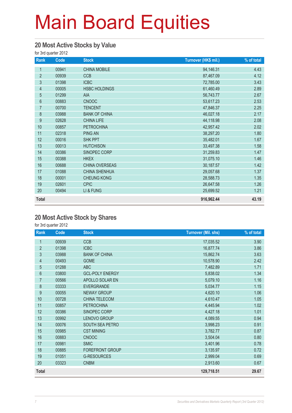#### **20 Most Active Stocks by Value**

for 3rd quarter 2012

| Rank           | Code  | <b>Stock</b>          | Turnover (HK\$ mil.) | % of total |
|----------------|-------|-----------------------|----------------------|------------|
| 1              | 00941 | <b>CHINA MOBILE</b>   | 94,146.31            | 4.43       |
| $\overline{2}$ | 00939 | <b>CCB</b>            | 87,467.09            | 4.12       |
| $\mathfrak{S}$ | 01398 | <b>ICBC</b>           | 72,785.00            | 3.43       |
| $\overline{4}$ | 00005 | <b>HSBC HOLDINGS</b>  | 61,460.49            | 2.89       |
| $\overline{5}$ | 01299 | AIA                   | 56,743.77            | 2.67       |
| $6\phantom{a}$ | 00883 | <b>CNOOC</b>          | 53,617.23            | 2.53       |
| $\overline{7}$ | 00700 | <b>TENCENT</b>        | 47,846.37            | 2.25       |
| 8              | 03988 | <b>BANK OF CHINA</b>  | 46,027.18            | 2.17       |
| 9              | 02628 | <b>CHINA LIFE</b>     | 44,118.98            | 2.08       |
| 10             | 00857 | <b>PETROCHINA</b>     | 42,957.42            | 2.02       |
| 11             | 02318 | PING AN               | 38,297.20            | 1.80       |
| 12             | 00016 | <b>SHK PPT</b>        | 35,482.01            | 1.67       |
| 13             | 00013 | <b>HUTCHISON</b>      | 33,497.38            | 1.58       |
| 14             | 00386 | SINOPEC CORP          | 31,259.83            | 1.47       |
| 15             | 00388 | <b>HKEX</b>           | 31,075.10            | 1.46       |
| 16             | 00688 | <b>CHINA OVERSEAS</b> | 30,187.57            | 1.42       |
| 17             | 01088 | <b>CHINA SHENHUA</b>  | 29,057.68            | 1.37       |
| 18             | 00001 | <b>CHEUNG KONG</b>    | 28,588.73            | 1.35       |
| 19             | 02601 | <b>CPIC</b>           | 26,647.58            | 1.26       |
| 20             | 00494 | LI & FUNG             | 25,699.52            | 1.21       |
| <b>Total</b>   |       |                       | 916,962.44           | 43.19      |

#### **20 Most Active Stock by Shares**

for 3rd quarter 2012

| Rank           | Code  | <b>Stock</b>           | <b>Turnover (Mil. shs)</b> | % of total |
|----------------|-------|------------------------|----------------------------|------------|
| 1              | 00939 | CCB                    | 17,035.52                  | 3.90       |
| $\overline{2}$ | 01398 | <b>ICBC</b>            | 16,877.74                  | 3.86       |
| 3              | 03988 | <b>BANK OF CHINA</b>   | 15,862.74                  | 3.63       |
| $\overline{4}$ | 00493 | <b>GOME</b>            | 10,578.90                  | 2.42       |
| $\overline{5}$ | 01288 | <b>ABC</b>             | 7,482.89                   | 1.71       |
| $6\phantom{1}$ | 03800 | <b>GCL-POLY ENERGY</b> | 5,838.02                   | 1.34       |
| $\overline{7}$ | 00566 | APOLLO SOLAR EN        | 5,079.10                   | 1.16       |
| 8              | 03333 | <b>EVERGRANDE</b>      | 5,034.77                   | 1.15       |
| 9              | 00055 | <b>NEWAY GROUP</b>     | 4,620.10                   | 1.06       |
| 10             | 00728 | <b>CHINA TELECOM</b>   | 4,610.47                   | 1.05       |
| 11             | 00857 | <b>PETROCHINA</b>      | 4,445.94                   | 1.02       |
| 12             | 00386 | SINOPEC CORP           | 4,427.18                   | 1.01       |
| 13             | 00992 | LENOVO GROUP           | 4,089.55                   | 0.94       |
| 14             | 00076 | SOUTH SEA PETRO        | 3,998.23                   | 0.91       |
| 15             | 00985 | <b>CST MINING</b>      | 3,782.77                   | 0.87       |
| 16             | 00883 | <b>CNOOC</b>           | 3,504.04                   | 0.80       |
| 17             | 00981 | <b>SMIC</b>            | 3,401.96                   | 0.78       |
| 18             | 00885 | <b>FOREFRONT GROUP</b> | 3,135.97                   | 0.72       |
| 19             | 01051 | <b>G-RESOURCES</b>     | 2,999.04                   | 0.69       |
| 20             | 03323 | <b>CNBM</b>            | 2,913.60                   | 0.67       |
| <b>Total</b>   |       |                        | 129,718.51                 | 29.67      |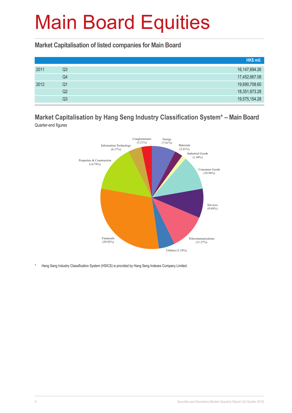**Market Capitalisation of listed companies for Main Board**

|      |    | HK\$ mil.        |
|------|----|------------------|
| 2011 | Q3 | 16, 147, 694. 26 |
|      | Q4 | 17,452,667.08    |
| 2012 | Q1 | 19,690,708.60    |
|      | Q2 | 18,351,873.28    |
|      | Q3 | 19,575,154.28    |

#### **Market Capitalisation by Hang Seng Industry Classification System\* – Main Board** Quarter-end figures



\* Hang Seng Industry Classification System (HSICS) is provided by Hang Seng Indexes Company Limited.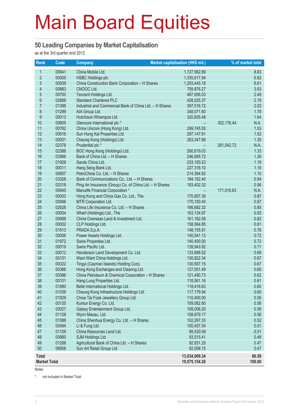#### **50 Leading Companies by Market Capitalisation**

as at the 3rd quarter end 2012

| Rank                | Code           | <b>Company</b>                                             | <b>Market capitalisation (HK\$ mil.)</b> | % of market total  |
|---------------------|----------------|------------------------------------------------------------|------------------------------------------|--------------------|
| 1                   | 00941          | China Mobile Ltd.                                          | 1,727,562.89                             | 8.83               |
| $\overline{2}$      | 00005          | <b>HSBC Holdings plc</b>                                   | 1,335,817.94                             | 6.82               |
| 3                   | 00939          | China Construction Bank Corporation - H Shares             | 1,293,445.18                             | 6.61               |
| 4                   | 00883          | CNOOC Ltd.                                                 | 709,876.27                               | 3.63               |
| 5                   | 00700          | Tencent Holdings Ltd.                                      | 487,656.03                               | 2.49               |
| $6\phantom{a}$      | 02888          | <b>Standard Chartered PLC</b>                              | 428,025.37                               | 2.19               |
| $\overline{7}$      | 01398          | Industrial and Commercial Bank of China Ltd. - H Shares    | 397,516.72                               | 2.03               |
| 8                   | 01299          | AIA Group Ltd.                                             | 348,071.60                               | 1.78               |
| 9                   | 00013          | Hutchison Whampoa Ltd.                                     | 320,605.48                               | 1.64               |
| 10                  | 00805          | Glencore International plc *                               |                                          | N.A.<br>302,176.44 |
| 11                  | 00762          | China Unicom (Hong Kong) Ltd.                              | 299,745.55                               | 1.53               |
| 12                  | 00016          | Sun Hung Kai Properties Ltd.                               | 297, 147.61                              | 1.52               |
| 13                  | 00001          | Cheung Kong (Holdings) Ltd.                                | 263,347.89                               | 1.35               |
| 14                  | 02378          | Prudential plc *                                           |                                          | N.A.<br>261,042.72 |
| 15                  | 02388          | BOC Hong Kong (Holdings) Ltd.                              | 260,619.03                               | 1.33               |
| 16                  | 03988          | Bank of China Ltd. - H Shares                              | 246,685.72                               | 1.26               |
| 17                  | 01928          | Sands China Ltd.                                           | 233,100.23                               | 1.19               |
| 18                  | 00011          | Hang Seng Bank Ltd.                                        | 227,318.10                               | 1.16               |
| 19                  | 00857          | PetroChina Co. Ltd. - H Shares                             | 214,364.82                               | 1.10               |
| 20                  | 03328          | Bank of Communications Co., Ltd. - H Shares                | 184, 162. 40                             | 0.94               |
| 21                  | 02318          | Ping An Insurance (Group) Co. of China Ltd. - H Shares     | 183,402.32                               | 0.94               |
| 22                  | 00945          | Manulife Financial Corporation *                           |                                          | N.A.<br>171,016.63 |
| 23                  | 00003          | Hong Kong and China Gas Co. Ltd., The                      | 170,857.38                               | 0.87               |
| 24                  | 00066          | MTR Corporation Ltd.                                       | 170,150.40                               | 0.87               |
| 25                  | 02628          | China Life Insurance Co. Ltd. - H Shares                   | 166,682.32                               | 0.85               |
| 26                  | 00004          | Wharf (Holdings) Ltd., The                                 | 163,124.97                               | 0.83               |
| 27                  | 00688          | China Overseas Land & Investment Ltd.                      | 161,162.08                               | 0.82               |
| 28                  | 00002          | CLP Holdings Ltd.                                          | 158,564.85                               | 0.81               |
| 29                  | 01913          | PRADA S.p.A.                                               | 148,155.91                               | 0.76               |
| 30                  | 00006          | Power Assets Holdings Ltd.                                 | 140,541.13                               | 0.72               |
| 31                  | 01972          | Swire Properties Ltd.                                      | 140,400.00                               | 0.72               |
| 32                  | 00019          | Swire Pacific Ltd.                                         | 139,943.92                               | 0.71               |
| 33                  | 00012          | Henderson Land Development Co. Ltd.                        | 133,988.52                               | 0.68               |
| 34                  | 00151          | Want Want China Holdings Ltd.                              | 130,822.34                               | 0.67               |
| 35                  | 00322          | Tingyi (Cayman Islands) Holding Corp.                      | 130,587.15                               | 0.67               |
| 36                  | 00388          | Hong Kong Exchanges and Clearing Ltd.                      | 127,051.49                               | 0.65               |
| 37                  | 00386          | China Petroleum & Chemical Corporation - H Shares          | 121,490.73                               | 0.62               |
| 38                  | 00101          | Hang Lung Properties Ltd.                                  | 118,561.16                               | 0.61               |
| 39                  | 01880          | Belle International Holdings Ltd.                          | 118,416.63                               | 0.60               |
| 40                  | 01038          | Cheung Kong Infrastructure Holdings Ltd.                   | 117,179.94                               | 0.60               |
| 41<br>42            | 01929          | Chow Tai Fook Jewellery Group Ltd.                         | 110,400.00                               | 0.56               |
|                     | 00135          | Kunlun Energy Co. Ltd.                                     | 109,082.60                               | 0.56               |
| 43<br>44            | 00027<br>01128 | Galaxy Entertainment Group Ltd.<br>Wynn Macau, Ltd.        | 109,006.20<br>108,679.17                 | 0.56<br>0.56       |
| 45                  |                |                                                            |                                          |                    |
| 46                  | 01088<br>00494 | China Shenhua Energy Co. Ltd. - H Shares<br>Li & Fung Ltd. | 102,297.33<br>100,457.04                 | 0.52<br>0.51       |
| 47                  | 01109          | China Resources Land Ltd.                                  | 99,530.09                                | 0.51               |
| 48                  | 00880          | SJM Holdings Ltd.                                          | 93,515.41                                | 0.48               |
| 49                  | 01288          | Agricultural Bank of China Ltd. - H Shares                 | 92,831.25                                | 0.47               |
| 50                  | 06808          | Sun Art Retail Group Ltd.                                  | 92,058.15                                | 0.47               |
|                     |                |                                                            |                                          |                    |
| <b>Total</b>        |                |                                                            | 13,034,009.34                            | 66.58              |
| <b>Market Total</b> |                |                                                            | 19,575,154.28                            | 100.00             |

Notes:

\* not included in Market Total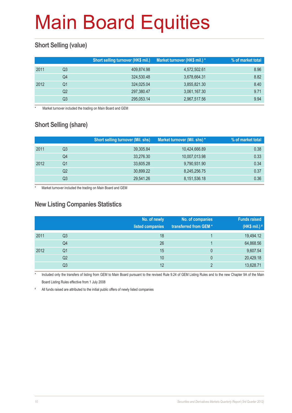#### **Short Selling (value)**

|      |    | Short selling turnover (HK\$ mil.) | Market turnover (HK\$ mil.) * | % of market total |
|------|----|------------------------------------|-------------------------------|-------------------|
| 2011 | Q3 | 409,874.98                         | 4,572,502.61                  | 8.96              |
|      | Q4 | 324,530.48                         | 3,678,664.31                  | 8.82              |
| 2012 | Q1 | 324,025.04                         | 3,855,821.30                  | 8.40              |
|      | Q2 | 297,380.47                         | 3,061,167.30                  | 9.71              |
|      | Q3 | 295,053.14                         | 2,967,517.56                  | 9.94              |

Market turnover included the trading on Main Board and GEM

#### **Short Selling (share)**

|      |    | <b>Short selling turnover (Mil. shs)</b> | Market turnover (Mil. shs) * | % of market total |
|------|----|------------------------------------------|------------------------------|-------------------|
| 2011 | Q3 | 39,305.84                                | 10,424,666.89                | 0.38              |
|      | Q4 | 33,276.30                                | 10,007,013.98                | 0.33              |
| 2012 | Q1 | 33,605.28                                | 9,790,931.90                 | 0.34              |
|      | Q2 | 30,899.22                                | 8,245,256.75                 | 0.37              |
|      | Q3 | 29,541.26                                | 8,151,536.18                 | 0.36              |

Market turnover included the trading on Main Board and GEM

#### **New Listing Companies Statistics**

|      |                | No. of newly<br>listed companies | No. of companies<br>transferred from GEM* | <b>Funds raised</b><br>(HK\$ mil.) # |
|------|----------------|----------------------------------|-------------------------------------------|--------------------------------------|
| 2011 | Q <sub>3</sub> | 18                               |                                           | 19,494.12                            |
|      | Q4             | 26                               |                                           | 64,868.56                            |
| 2012 | Q1             | 15                               | 0                                         | 9,607.54                             |
|      | Q <sub>2</sub> | 10                               | 0                                         | 20,429.18                            |
|      | Q3             | 12                               | C                                         | 13,628.71                            |

Included only the transfers of listing from GEM to Main Board pursuant to the revised Rule 9.24 of GEM Listing Rules and to the new Chapter 9A of the Main Board Listing Rules effective from 1 July 2008

# All funds raised are attributed to the initial public offers of newly listed companies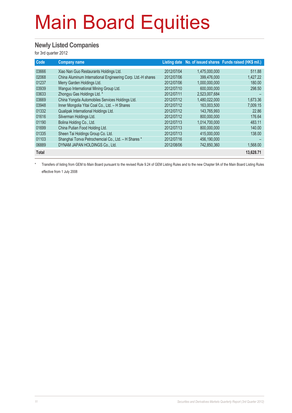#### **Newly Listed Companies**

for 3rd quarter 2012

| Code         | <b>Company name</b>                                          |            |               | Listing date No. of issued shares Funds raised (HK\$ mil.) |
|--------------|--------------------------------------------------------------|------------|---------------|------------------------------------------------------------|
| 03666        | Xiao Nan Guo Restaurants Holdings Ltd.                       | 2012/07/04 | 1,475,000,000 | 511.88                                                     |
| 02068        | China Aluminum International Engineering Corp. Ltd.-H shares | 2012/07/06 | 399.476.000   | 1,427.22                                                   |
| 01237        | Merry Garden Holdings Ltd.                                   | 2012/07/06 | 1.000.000.000 | 180.00                                                     |
| 03939        | Wanguo International Mining Group Ltd.                       | 2012/07/10 | 600.000.000   | 298.50                                                     |
| 03633        | Zhongyu Gas Holdings Ltd. *                                  | 2012/07/11 | 2.523.007.684 |                                                            |
| 03669        | China Yongda Automobiles Services Holdings Ltd.              | 2012/07/12 | 1,480,022,000 | 1,673.36                                                   |
| 03948        | Inner Mongolia Yitai Coal Co., Ltd. - H Shares               | 2012/07/12 | 163,003,500   | 7,009.15                                                   |
| 01332        | Qualipak International Holdings Ltd.                         | 2012/07/12 | 143.765.993   | 22.86                                                      |
| 01616        | Silverman Holdings Ltd.                                      | 2012/07/12 | 800,000,000   | 176.64                                                     |
| 01190        | Bolina Holding Co., Ltd.                                     | 2012/07/13 | 1,014,700,000 | 483.11                                                     |
| 01699        | China Putian Food Holding Ltd.                               | 2012/07/13 | 800.000.000   | 140.00                                                     |
| 01335        | Sheen Tai Holdings Group Co. Ltd.                            | 2012/07/13 | 415,000,000   | 138.00                                                     |
| 01103        | Shanghai Tonva Petrochemcial Co., Ltd. - H Shares *          | 2012/07/16 | 456,190,000   |                                                            |
| 06889        | DYNAM JAPAN HOLDINGS Co., Ltd.                               | 2012/08/06 | 742,850,360   | 1,568.00                                                   |
| <b>Total</b> |                                                              |            |               | 13,628.71                                                  |

\* Transfers of listing from GEM to Main Board pursuant to the revised Rule 9.24 of GEM Listing Rules and to the new Chapter 9A of the Main Board Listing Rules effective from 1 July 2008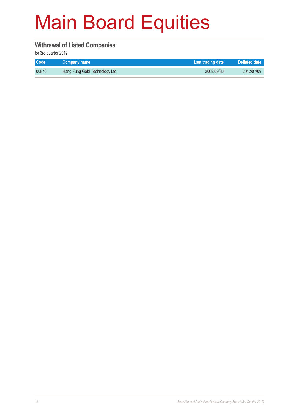#### **Withrawal of Listed Companies**

for 3rd quarter 2012

| <b>Code</b> | Company name                   | Last trading date | Delisted date |
|-------------|--------------------------------|-------------------|---------------|
| 00870       | Hang Fung Gold Technology Ltd. | 2008/09/30        | 2012/07/09    |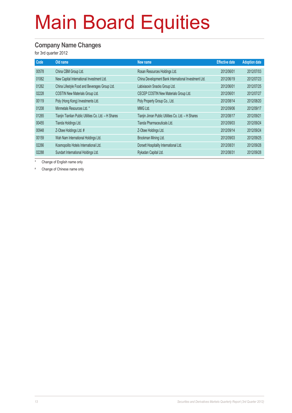#### **Company Name Changes**

for 3rd quarter 2012

| Code  | Old name                                              | New name                                             | <b>Effective date</b> | <b>Adoption date</b> |
|-------|-------------------------------------------------------|------------------------------------------------------|-----------------------|----------------------|
| 00578 | China CBM Group Ltd.                                  | Rosan Resources Holdings Ltd.                        | 2012/06/01            | 2012/07/03           |
| 01062 | New Capital International Investment Ltd.             | China Development Bank International Investment Ltd. | 2012/06/19            | 2012/07/23           |
| 01262 | China Lifestyle Food and Beverages Group Ltd.         | Labixiaoxin Snacks Group Ltd.                        | 2012/06/01            | 2012/07/25           |
| 02228 | COSTIN New Materials Group Ltd.                       | CECEP COSTIN New Materials Group Ltd.                | 2012/06/01            | 2012/07/27           |
| 00119 | Poly (Hong Kong) Investments Ltd.                     | Poly Property Group Co., Ltd.                        | 2012/08/14            | 2012/08/20           |
| 01208 | Minmetals Resources Ltd. *                            | MMG Ltd.                                             | 2012/09/06            | 2012/09/17           |
| 01265 | Tianjin Tianlian Public Utilities Co. Ltd. - H Shares | Tianjin Jinran Public Utilities Co. Ltd. - H Shares  | 2012/08/17            | 2012/09/21           |
| 00455 | Tianda Holdings Ltd.                                  | Tianda Pharmaceuticals Ltd.                          | 2012/09/03            | 2012/09/24           |
| 00948 | Z-Obee Holdings Ltd. #                                | Z-Obee Holdings Ltd.                                 | 2012/09/14            | 2012/09/24           |
| 00159 | Wah Nam International Holdings Ltd.                   | Brockman Mining Ltd.                                 | 2012/09/03            | 2012/09/25           |
| 02266 | Kosmopolito Hotels International Ltd.                 | Dorsett Hospitality International Ltd.               | 2012/08/31            | 2012/09/28           |
| 02288 | Sundart International Holdings Ltd.                   | Rykadan Capital Ltd.                                 | 2012/08/31            | 2012/09/28           |

Change of English name only

# Change of Chinese name only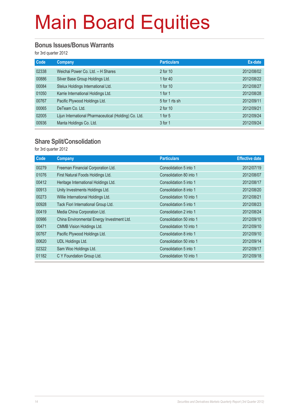#### **Bonus Issues/Bonus Warrants**

for 3rd quarter 2012

| Code  | Company                                               | <b>Particulars</b> | Ex-date    |
|-------|-------------------------------------------------------|--------------------|------------|
| 02338 | Weichai Power Co. Ltd. - H Shares                     | 2 for 10           | 2012/08/02 |
| 00886 | Silver Base Group Holdings Ltd.                       | 1 for 40           | 2012/08/22 |
| 00084 | Stelux Holdings International Ltd.                    | 1 for 10           | 2012/08/27 |
| 01050 | Karrie International Holdings Ltd.                    | 1 for $1$          | 2012/08/28 |
| 00767 | Pacific Plywood Holdings Ltd.                         | 5 for 1 rts sh     | 2012/09/11 |
| 00065 | DeTeam Co. Ltd.                                       | 2 for 10           | 2012/09/21 |
| 02005 | Lijun International Pharmaceutical (Holding) Co. Ltd. | 1 for $5$          | 2012/09/24 |
| 00936 | Manta Holdings Co. Ltd.                               | 3 for 1            | 2012/09/24 |

#### **Share Split/Consolidation**

for 3rd quarter 2012

| Code  | Company                                    | <b>Particulars</b>      | <b>Effective date</b> |
|-------|--------------------------------------------|-------------------------|-----------------------|
| 00279 | Freeman Financial Corporation Ltd.         | Consolidation 5 into 1  | 2012/07/19            |
| 01076 | First Natural Foods Holdings Ltd.          | Consolidation 80 into 1 | 2012/08/07            |
| 00412 | Heritage International Holdings Ltd.       | Consolidation 5 into 1  | 2012/08/17            |
| 00913 | Unity Investments Holdings Ltd.            | Consolidation 8 into 1  | 2012/08/20            |
| 00273 | Willie International Holdings Ltd.         | Consolidation 10 into 1 | 2012/08/21            |
| 00928 | Tack Fiori International Group Ltd.        | Consolidation 5 into 1  | 2012/08/23            |
| 00419 | Media China Corporation Ltd.               | Consolidation 2 into 1  | 2012/08/24            |
| 00986 | China Environmental Energy Investment Ltd. | Consolidation 50 into 1 | 2012/09/10            |
| 00471 | <b>CMMB Vision Holdings Ltd.</b>           | Consolidation 10 into 1 | 2012/09/10            |
| 00767 | Pacific Plywood Holdings Ltd.              | Consolidation 8 into 1  | 2012/09/10            |
| 00620 | UDL Holdings Ltd.                          | Consolidation 50 into 1 | 2012/09/14            |
| 02322 | Sam Woo Holdings Ltd.                      | Consolidation 5 into 1  | 2012/09/17            |
| 01182 | C Y Foundation Group Ltd.                  | Consolidation 10 into 1 | 2012/09/18            |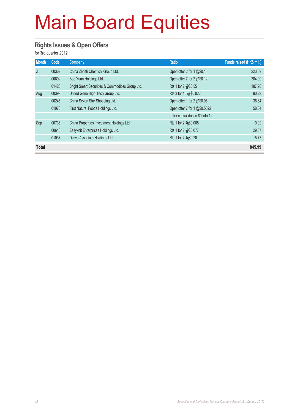#### **Rights Issues & Open Offers**

for 3rd quarter 2012

| <b>Month</b> | Code  | Company                                          | <b>Ratio</b>                    | Funds raised (HK\$ mil.) |
|--------------|-------|--------------------------------------------------|---------------------------------|--------------------------|
| Jul          | 00362 | China Zenith Chemical Group Ltd.                 | Open offer 2 for 1 @\$0.15      | 223.69                   |
|              | 00692 | Bao Yuan Holdings Ltd.                           | Open offer 7 for 2 @\$0.12      | 204.09                   |
|              | 01428 | Bright Smart Securities & Commodities Group Ltd. | Rts 1 for 2 @\$0.55             | 187.78                   |
| Aug          | 00399 | United Gene High-Tech Group Ltd.                 | Rts 3 for 10 @\$0.022           | 80.29                    |
|              | 00245 | China Seven Star Shopping Ltd.                   | Open offer 1 for 2 @\$0.05      | 36.64                    |
|              | 01076 | First Natural Foods Holdings Ltd.                | Open offer 7 for 1 @\$0.5622    | 58.34                    |
|              |       |                                                  | (after consolidation 80 into 1) |                          |
| Sep          | 00736 | China Properties Investment Holdings Ltd.        | Rts 1 for 2 @\$0.068            | 10.02                    |
|              | 00616 | Easyknit Enterprises Holdings Ltd.               | Rts 1 for 2 @\$0.077            | 29.37                    |
|              | 01037 | Daiwa Associate Holdings Ltd.                    | Rts 1 for 4 @\$0.20             | 15.77                    |
| <b>Total</b> |       |                                                  |                                 | 845.99                   |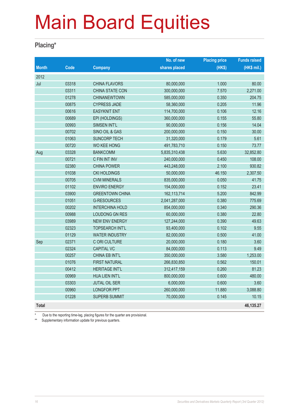#### **Placing\***

|              |       |                        | No. of new    | <b>Placing price</b> | <b>Funds raised</b> |
|--------------|-------|------------------------|---------------|----------------------|---------------------|
| <b>Month</b> | Code  | <b>Company</b>         | shares placed | (HKS)                | (HK\$ mil.)         |
| 2012         |       |                        |               |                      |                     |
| Jul          | 03318 | <b>CHINA FLAVORS</b>   | 80,000,000    | 1.000                | 80.00               |
|              | 03311 | <b>CHINA STATE CON</b> | 300,000,000   | 7.570                | 2,271.00            |
|              | 01278 | <b>CHINANEWTOWN</b>    | 585,000,000   | 0.350                | 204.75              |
|              | 00875 | <b>CYPRESS JADE</b>    | 58,360,000    | 0.205                | 11.96               |
|              | 00616 | <b>EASYKNIT ENT</b>    | 114,700,000   | 0.106                | 12.16               |
|              | 00689 | EPI (HOLDINGS)         | 360,000,000   | 0.155                | 55.80               |
|              | 00993 | SIMSEN INT'L           | 90,000,000    | 0.156                | 14.04               |
|              | 00702 | SINO OIL & GAS         | 200,000,000   | 0.150                | 30.00               |
|              | 01063 | <b>SUNCORP TECH</b>    | 31,320,000    | 0.179                | 5.61                |
|              | 00720 | <b>WO KEE HONG</b>     | 491,783,710   | 0.150                | 73.77               |
| Aug          | 03328 | <b>BANKCOMM</b>        | 5,835,310,438 | 5.630                | 32,852.80           |
|              | 00721 | C FIN INT INV          | 240,000,000   | 0.450                | 108.00              |
|              | 02380 | <b>CHINA POWER</b>     | 443,248,000   | 2.100                | 930.82              |
|              | 01038 | <b>CKI HOLDINGS</b>    | 50,000,000    | 46.150               | 2,307.50            |
|              | 00705 | <b>CVM MINERALS</b>    | 835,000,000   | 0.050                | 41.75               |
|              | 01102 | <b>ENVIRO ENERGY</b>   | 154,000,000   | 0.152                | 23.41               |
|              | 03900 | <b>GREENTOWN CHINA</b> | 162,113,714   | 5.200                | 842.99              |
|              | 01051 | <b>G-RESOURCES</b>     | 2,041,287,000 | 0.380                | 775.69              |
|              | 00202 | <b>INTERCHINA HOLD</b> | 854,000,000   | 0.340                | 290.36              |
|              | 00988 | <b>LOUDONG GN RES</b>  | 60,000,000    | 0.380                | 22.80               |
|              | 03989 | <b>NEW ENV ENERGY</b>  | 127,244,000   | 0.390                | 49.63               |
|              | 02323 | <b>TOPSEARCH INT'L</b> | 93,400,000    | 0.102                | 9.55                |
|              | 01129 | <b>WATER INDUSTRY</b>  | 82,000,000    | 0.500                | 41.00               |
| Sep          | 02371 | C ORI CULTURE          | 20,000,000    | 0.180                | 3.60                |
|              | 02324 | <b>CAPITAL VC</b>      | 84,000,000    | 0.113                | 9.49                |
|              | 00257 | <b>CHINA EB INT'L</b>  | 350,000,000   | 3.580                | 1,253.00            |
|              | 01076 | <b>FIRST NATURAL</b>   | 266,830,850   | 0.562                | 150.01              |
|              | 00412 | <b>HERITAGE INT'L</b>  | 312,417,159   | 0.260                | 81.23               |
|              | 00969 | <b>HUA LIEN INT'L</b>  | 800,000,000   | 0.600                | 480.00              |
|              | 03303 | <b>JUTAL OIL SER</b>   | 6,000,000     | 0.600                | 3.60                |
|              | 00960 | <b>LONGFOR PPT</b>     | 260,000,000   | 11.880               | 3,088.80            |
|              | 01228 | <b>SUPERB SUMMIT</b>   | 70,000,000    | 0.145                | 10.15               |
| Total        |       |                        |               |                      | 46.135.27           |

Due to the reporting time-lag, placing figures for the quarter are provisional.

\*\* Supplementary information update for previous quarters.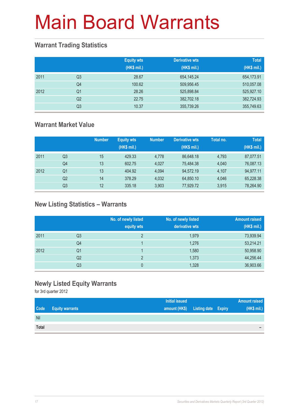#### **Warrant Trading Statistics**

|      |                | <b>Equity wts</b><br>(HK\$ mil.) | <b>Derivative wts</b><br>(HK\$ mil.) | <b>Total</b><br>(HK\$ mil.) |
|------|----------------|----------------------------------|--------------------------------------|-----------------------------|
| 2011 | Q <sub>3</sub> | 28.67                            | 654, 145.24                          | 654,173.91                  |
|      | Q4             | 100.62                           | 509,956.45                           | 510,057.08                  |
| 2012 | Q <sub>1</sub> | 28.26                            | 525,898.84                           | 525,927.10                  |
|      | Q <sub>2</sub> | 22.75                            | 382,702.18                           | 382,724.93                  |
|      | Q <sub>3</sub> | 10.37                            | 355,739.26                           | 355,749.63                  |

#### **Warrant Market Value**

|      |                | <b>Number</b> | <b>Equity wts</b><br>(HK\$ mil.) | <b>Number</b> | <b>Derivative wts</b><br>(HK\$ mil.) | Total no. | <b>Total</b><br>(HK\$ mil.) |
|------|----------------|---------------|----------------------------------|---------------|--------------------------------------|-----------|-----------------------------|
| 2011 | Q3             | 15            | 429.33                           | 4.778         | 86.648.18                            | 4,793     | 87,077.51                   |
|      | Q4             | 13            | 602.75                           | 4.027         | 75.484.38                            | 4.040     | 76,087.13                   |
| 2012 | Q1             | 13            | 404.92                           | 4.094         | 94,572.19                            | 4.107     | 94,977.11                   |
|      | Q <sub>2</sub> | 14            | 378.29                           | 4,032         | 64,850.10                            | 4,046     | 65,228.38                   |
|      | Q3             | 12            | 335.18                           | 3.903         | 77.929.72                            | 3,915     | 78,264.90                   |

#### **New Listing Statistics – Warrants**

|      |                | No. of newly listed<br>equity wts | No. of newly listed<br>derivative wts | <b>Amount raised</b><br>(HK\$ mil.) |
|------|----------------|-----------------------------------|---------------------------------------|-------------------------------------|
| 2011 | Q <sub>3</sub> | っ                                 | 1,979                                 | 73,939.94                           |
|      | Q4             |                                   | 1,276                                 | 53,214.21                           |
| 2012 | Q1             |                                   | 1,580                                 | 50,958.90                           |
|      | Q2             | っ                                 | 1,373                                 | 44,256.44                           |
|      | Q <sub>3</sub> | 0                                 | 1,328                                 | 36,903.66                           |

#### **Newly Listed Equity Warrants**

for 3rd quarter 2012

|       |                        | <b>Initial issued</b> |                                   | <b>Amount raised</b> |
|-------|------------------------|-----------------------|-----------------------------------|----------------------|
| Code  | <b>Equity warrants</b> |                       | amount (HK\$) Listing date Expiry | (HK\$ mil.)          |
| Nil   |                        |                       |                                   |                      |
| Total |                        |                       |                                   | -                    |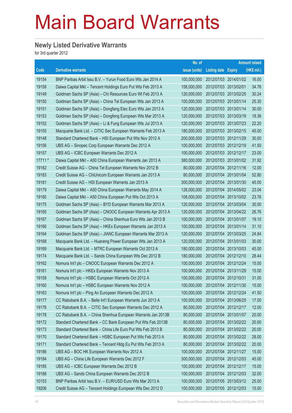#### **Newly Listed Derivative Warrants**

for 3rd quarter 2012

|         |                                                              | No. of        |                       |                       | <b>Amount raised</b> |
|---------|--------------------------------------------------------------|---------------|-----------------------|-----------------------|----------------------|
| Code    | <b>Derivative warrants</b>                                   | issue (units) | Listing date Expiry   |                       | (HK\$ mil.)          |
| 19154   | BNP Paribas Arbit Issu B.V. - Yurun Food Euro Wts Jan 2014 A | 100,000,000   | 2012/07/03 2014/01/02 |                       | 16.00                |
| 19158   | Daiwa Capital Mkt - Tencent Holdings Euro Put Wts Feb 2013 A | 158,000,000   | 2012/07/03 2013/02/01 |                       | 34.76                |
| 19149   | Goldman Sachs SP (Asia) - Chi Resources Euro Wt Feb 2013 A   | 120,000,000   | 2012/07/03 2013/02/25 |                       | 30.24                |
| 19150   | Goldman Sachs SP (Asia) - China Tel European Wts Jan 2013 A  | 100,000,000   | 2012/07/03 2013/01/14 |                       | 25.30                |
| 19151   | Goldman Sachs SP (Asia) - Dongfang Elec Euro Wts Jan 2013 A  | 120,000,000   | 2012/07/03 2013/01/14 |                       | 30.00                |
| 19153   | Goldman Sachs SP (Asia) - Dongfeng European Wts Mar 2013 A   | 120,000,000   | 2012/07/03 2013/03/19 |                       | 18.36                |
| 19152   | Goldman Sachs SP (Asia) - Li & Fung European Wts Jul 2013 A  | 120,000,000   | 2012/07/03 2013/07/23 |                       | 22.20                |
| 19155   | Macquarie Bank Ltd. - CITIC Sec European Warrants Feb 2013 A | 180,000,000   | 2012/07/03 2013/02/15 |                       | 45.00                |
| 19148   | Standard Chartered Bank - HSI European Put Wts Nov 2012 A    | 200,000,000   | 2012/07/03 2012/11/29 |                       | 30.00                |
| 19156   | UBS AG – Sinopec Corp European Warrants Dec 2012 A           | 100,000,000   | 2012/07/03 2012/12/19 |                       | 41.50                |
| 19157   | UBS AG - ICBC European Warrants Dec 2012 A                   | 100,000,000   | 2012/07/03 2012/12/17 |                       | 23.00                |
| 17711 # | Daiwa Capital Mkt - A50 China European Warrants Jan 2013 A   | 380,000,000   | 2012/07/03 2013/01/02 |                       | 31.92                |
| 19182   | Credit Suisse AG - China Tel European Warrants Nov 2012 B    | 80,000,000    | 2012/07/04 2012/11/16 |                       | 12.00                |
| 19183   | Credit Suisse AG - ChiUnicom European Warrants Jan 2013 A    | 80,000,000    | 2012/07/04 2013/01/04 |                       | 52.80                |
| 19181   | Credit Suisse AG - HSI European Warrants Jan 2013 A          | 300,000,000   |                       | 2012/07/04 2013/01/30 | 45.00                |
| 19179   | Daiwa Capital Mkt - A50 China European Warrants May 2014 A   | 128,000,000   | 2012/07/04 2014/05/02 |                       | 23.04                |
| 19180   | Daiwa Capital Mkt - A50 China European Put Wts Oct 2013 A    | 108,000,000   |                       | 2012/07/04 2013/10/02 | 23.76                |
| 19175   | Goldman Sachs SP (Asia) – BYD European Warrants Mar 2013 A   | 120,000,000   | 2012/07/04 2013/03/04 |                       | 30.00                |
| 19165   | Goldman Sachs SP (Asia) - CNOOC European Warrants Apr 2013 A | 120,000,000   |                       | 2012/07/04 2013/04/22 | 26.76                |
| 19167   | Goldman Sachs SP (Asia) – China Shenhua Euro Wts Jan 2013 B  | 100,000,000   | 2012/07/04 2013/01/07 |                       | 19.10                |
| 19166   | Goldman Sachs SP (Asia) - HKEx European Warrants Jan 2013 A  | 100,000,000   | 2012/07/04 2013/01/14 |                       | 31.10                |
| 19164   | Goldman Sachs SP (Asia) – JIANC European Warrants Mar 2013 A | 120,000,000   | 2012/07/04 2013/03/25 |                       | 24.84                |
| 19168   | Macquarie Bank Ltd. - Huaneng Power European Wts Jan 2013 A  | 120,000,000   |                       | 2012/07/04 2013/01/03 | 30.00                |
| 19169   | Macquarie Bank Ltd. - MTRC European Warrants Oct 2013 A      | 180,000,000   | 2012/07/04            | 2013/10/03            | 45.00                |
| 19174   | Macquarie Bank Ltd. - Sands China European Wts Dec 2012 B    | 180,000,000   |                       | 2012/07/04 2012/12/10 | 28.44                |
| 19162   | Nomura Int'l plc - CNOOC European Warrants Dec 2012 A        | 100,000,000   | 2012/07/04 2012/12/24 |                       | 15.00                |
| 19161   | Nomura Int'l plc - HKEx European Warrants Nov 2013 A         | 100,000,000   | 2012/07/04            | 2013/11/29            | 15.00                |
| 19159   | Nomura Int'l plc - HSBC European Warrants Oct 2012 A         | 100,000,000   | 2012/07/04 2012/10/31 |                       | 31.00                |
| 19160   | Nomura Int'l plc - HSBC European Warrants Nov 2012 A         | 100,000,000   | 2012/07/04 2012/11/30 |                       | 15.00                |
| 19163   | Nomura Int'l plc - Ping An European Warrants Dec 2012 A      | 100,000,000   | 2012/07/04            | 2012/12/24            | 41.50                |
| 19177   | CC Rabobank B.A. - Belle Int'l European Warrants Jun 2013 A  | 100,000,000   | 2012/07/04 2013/06/25 |                       | 17.00                |
| 19176   | CC Rabobank B.A. - CITIC Sec European Warrants Dec 2012 A    | 80,000,000    | 2012/07/04 2012/12/17 |                       | 12.00                |
| 19178   | CC Rabobank B.A. - China Shenhua European Warrants Jan 2013B | 80,000,000    | 2012/07/04 2013/01/07 |                       | 20.00                |
| 19172   | Standard Chartered Bank - CC Bank European Put Wts Feb 2013B | 80,000,000    | 2012/07/04            | 2013/02/22            | 20.00                |
| 19173   | Standard Chartered Bank - China Life Euro Put Wts Feb 2013 B | 80,000,000    | 2012/07/04            | 2013/02/22            | 20.00                |
| 19170   | Standard Chartered Bank - HSBC European Put Wts Feb 2013 A   | 80,000,000    | 2012/07/04 2013/02/22 |                       | 28.00                |
| 19171   | Standard Chartered Bank - Tencent Hidg Eu Put Wts Feb 2013 A | 80,000,000    | 2012/07/04 2013/02/22 |                       | 20.00                |
| 19186   | UBS AG - BOC HK European Warrants Nov 2012 A                 | 100,000,000   | 2012/07/04 2012/11/27 |                       | 15.00                |
| 19184   | UBS AG - China Life European Warrants Dec 2012 F             | 300,000,000   | 2012/07/04            | 2012/12/03            | 45.00                |
| 19185   | UBS AG - ICBC European Warrants Dec 2012 B                   | 100,000,000   | 2012/07/04 2012/12/17 |                       | 15.00                |
| 19188   | UBS AG - Sands China European Warrants Dec 2012 B            | 100,000,000   | 2012/07/04 2012/12/03 |                       | 32.00                |
| 10153   | BNP Paribas Arbit Issu B.V. - EUR/USD Euro Wts Mar 2013 A    | 100,000,000   | 2012/07/05            | 2013/03/12            | 25.00                |
| 19206   | Credit Suisse AG - Tencent Holdings European Wts Dec 2012 D  | 100,000,000   | 2012/07/05 2012/12/03 |                       | 15.00                |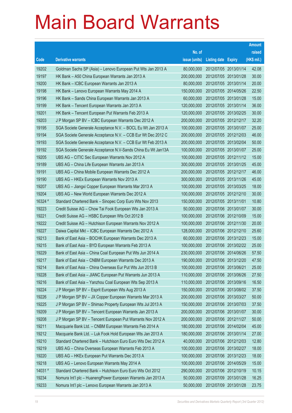|         |                                                              |               |                            | <b>Amount</b> |
|---------|--------------------------------------------------------------|---------------|----------------------------|---------------|
|         |                                                              | No. of        |                            | raised        |
| Code    | <b>Derivative warrants</b>                                   | issue (units) | <b>Listing date Expiry</b> | (HK\$ mil.)   |
| 19202   | Goldman Sachs SP (Asia) – Lenovo European Put Wts Jan 2013 A | 80,000,000    | 2012/07/05 2013/01/14      | 42.08         |
| 19197   | HK Bank - A50 China European Warrants Jan 2013 A             | 200,000,000   | 2012/07/05 2013/01/28      | 30.00         |
| 19200   | HK Bank - ICBC European Warrants Jan 2013 A                  | 80,000,000    | 2012/07/05 2013/01/14      | 20.00         |
| 19198   | HK Bank – Lenovo European Warrants May 2014 A                | 150,000,000   | 2012/07/05 2014/05/26      | 22.50         |
| 19196   | HK Bank - Sands China European Warrants Jan 2013 A           | 60,000,000    | 2012/07/05 2013/01/28      | 15.00         |
| 19199   | HK Bank - Tencent European Warrants Jan 2013 A               | 120,000,000   | 2012/07/05 2013/01/14      | 36.00         |
| 19201   | HK Bank - Tencent European Put Warrants Feb 2013 A           | 120,000,000   | 2012/07/05 2013/02/25      | 30.00         |
| 19203   | J P Morgan SP BV - ICBC European Warrants Dec 2012 A         | 200,000,000   | 2012/07/05 2012/12/17      | 32.20         |
| 19195   | SGA Societe Generale Acceptance N.V. - BOCL Eu Wt Jan 2013 A | 100,000,000   | 2012/07/05 2013/01/07      | 25.00         |
| 19194   | SGA Societe Generale Acceptance N.V. - CCB Eur Wt Dec 2012 C | 200,000,000   | 2012/07/05 2012/12/03      | 46.00         |
| 19193   | SGA Societe Generale Acceptance N.V. - CCB Eur Wt Feb 2013 A | 200,000,000   | 2012/07/05 2013/02/04      | 50.00         |
| 19192   | SGA Societe Generale Acceptance N.V-Sands China Eu Wt Jan13A | 100,000,000   | 2012/07/05 2013/01/07      | 25.00         |
| 19205   | UBS AG - CITIC Sec European Warrants Nov 2012 A              | 100,000,000   | 2012/07/05 2012/11/12      | 15.00         |
| 19189   | UBS AG - China Life European Warrants Jan 2013 A             | 300,000,000   | 2012/07/05 2013/01/25      | 45.00         |
| 19191   | UBS AG - China Mobile European Warrants Dec 2012 A           | 200,000,000   | 2012/07/05 2012/12/17      | 46.00         |
| 19190   | UBS AG - HKEx European Warrants Nov 2013 A                   | 300,000,000   | 2012/07/05 2013/11/26      | 45.00         |
| 19207   | UBS AG - Jiangxi Copper European Warrants Mar 2013 A         | 100,000,000   | 2012/07/05 2013/03/25      | 18.00         |
| 19204   | UBS AG - New World European Warrants Dec 2012 A              | 100,000,000   | 2012/07/05 2012/12/10      | 30.00         |
| 16324 # | Standard Chartered Bank - Sinopec Corp Euro Wts Nov 2013     | 150,000,000   | 2012/07/05 2013/11/01      | 10.80         |
| 19223   | Credit Suisse AG - Chow Tai Fook European Wts Jan 2013 A     | 50,000,000    | 2012/07/06 2013/01/07      | 30.00         |
| 19221   | Credit Suisse AG - HSBC European Wts Oct 2012 B              | 100,000,000   | 2012/07/06 2012/10/09      | 15.00         |
| 19222   | Credit Suisse AG - Hutchison European Warrants Nov 2012 A    | 100,000,000   | 2012/07/06 2012/11/30      | 20.00         |
| 19227   | Daiwa Capital Mkt - ICBC European Warrants Dec 2012 A        | 128,000,000   | 2012/07/06 2012/12/10      | 25.60         |
| 19213   | Bank of East Asia – BOCHK European Warrants Dec 2013 A       | 60,000,000    | 2012/07/06 2013/12/23      | 15.00         |
| 19215   | Bank of East Asia – BYD European Warrants Feb 2013 A         | 100,000,000   | 2012/07/06 2013/02/22      | 25.00         |
| 19229   | Bank of East Asia - China Coal European Put Wts Jun 2014 A   | 230,000,000   | 2012/07/06 2014/06/26      | 57.50         |
| 19217   | Bank of East Asia - CNBM European Warrants Dec 2013 A        | 190,000,000   | 2012/07/06 2013/12/20      | 47.50         |
| 19214   | Bank of East Asia - China Overseas Eur Put Wts Jun 2013 B    | 100,000,000   | 2012/07/06 2013/06/21      | 25.00         |
| 19228   | Bank of East Asia - JIANC European Put Warrants Jun 2013 A   | 110,000,000   | 2012/07/06 2013/06/26      | 27.50         |
| 19216   | Bank of East Asia - Yanzhou Coal European Wts Sep 2013 A     | 110,000,000   | 2012/07/06 2013/09/16      | 16.50         |
| 19224   | J P Morgan SP BV - Esprit European Wts Aug 2013 A            | 150,000,000   | 2012/07/06 2013/08/02      | 37.50         |
| 19226   | J P Morgan SP BV - JX Copper European Warrants Mar 2013 A    | 200,000,000   | 2012/07/06 2013/03/27      | 50.00         |
| 19225   | J P Morgan SP BV - Shimao Property European Wts Jul 2013 A   | 150,000,000   | 2012/07/06 2013/07/03      | 37.50         |
| 19209   | J P Morgan SP BV - Tencent European Warrants Jan 2013 A      | 200,000,000   | 2012/07/06 2013/01/07      | 30.00         |
| 19208   | J P Morgan SP BV - Tencent European Put Warrants Nov 2012 A  | 200,000,000   | 2012/07/06 2012/11/27      | 50.00         |
| 19211   | Macquarie Bank Ltd. - CNBM European Warrants Feb 2014 A      | 180,000,000   | 2012/07/06 2014/02/04      | 45.00         |
| 19212   | Macquarie Bank Ltd. - Luk Fook Hold European Wts Jan 2013 A  | 180,000,000   | 2012/07/06 2013/01/14      | 27.00         |
| 19210   | Standard Chartered Bank - Hutchison Euro Euro Wts Dec 2012 A | 40,000,000    | 2012/07/06 2012/12/03      | 12.80         |
| 19219   | UBS AG - China Overseas European Warrants Feb 2013 A         | 100,000,000   | 2012/07/06 2013/02/27      | 18.00         |
| 19220   | UBS AG - HKEx European Put Warrants Dec 2013 A               | 100,000,000   | 2012/07/06 2013/12/23      | 18.00         |
| 19218   | UBS AG - Lenovo European Warrants May 2014 A                 | 100,000,000   | 2012/07/06 2014/05/29      | 15.00         |
| 14031 # | Standard Chartered Bank - Hutchison Euro Euro Wts Oct 2012   | 290,000,000   | 2012/07/06 2012/10/19      | 10.15         |
| 19234   | Nomura Int'l plc - HuanengPower European Warrants Jan 2013 A | 50,000,000    | 2012/07/09 2013/01/28      | 16.25         |
| 19233   | Nomura Int'l plc - Lenovo European Warrants Jan 2013 A       | 50,000,000    | 2012/07/09 2013/01/28      | 23.75         |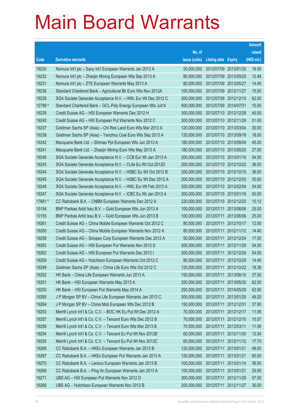|         |                                                              |               |                            |            | <b>Amount</b> |
|---------|--------------------------------------------------------------|---------------|----------------------------|------------|---------------|
|         |                                                              | No. of        |                            |            | raised        |
| Code    | <b>Derivative warrants</b>                                   | issue (units) | <b>Listing date Expiry</b> |            | (HK\$ mil.)   |
| 19230   | Nomura Int'l plc - Sany Int'l European Warrants Jan 2013 A   | 50,000,000    | 2012/07/09 2013/01/30      |            | 16.50         |
| 19232   | Nomura Int'l plc – Zhaojin Mining European Wts Sep 2013 A    | 80,000,000    | 2012/07/09 2013/09/25      |            | 12.48         |
| 19231   | Nomura Int'l plc – ZTE European Warrants May 2013 A          | 80,000,000    | 2012/07/09 2013/05/27      |            | 14.40         |
| 19236   | Standard Chartered Bank - Agricultural Bk Euro Wts Nov 2012A | 100,000,000   | 2012/07/09 2012/11/27      |            | 15.00         |
| 19235   | SGA Societe Generale Acceptance N.V. - HWL Eur Wt Dec 2012 C | 200,000,000   | 2012/07/09 2012/12/10      |            | 62.00         |
| 12798 # | Standard Chartered Bank - GCL-Poly Energy European Wts Jul14 | 500,000,000   | 2012/07/09 2014/07/31      |            | 10.00         |
| 19239   | Credit Suisse AG - HSI European Warrants Dec 2012 H          | 300,000,000   | 2012/07/10 2012/12/28      |            | 45.00         |
| 19240   | Credit Suisse AG – HSI European Put Warrants Nov 2012 C      | 300,000,000   | 2012/07/10 2012/11/29      |            | 51.00         |
| 19237   | Goldman Sachs SP (Asia) – Chi Res Land Euro Wts Mar 2013 A   | 120,000,000   | 2012/07/10 2013/03/04      |            | 30.00         |
| 19238   | Goldman Sachs SP (Asia) - Yanzhou Coal Euro Wts Sep 2013 A   | 120,000,000   | 2012/07/10 2013/09/18      |            | 18.00         |
| 19242   | Macquarie Bank Ltd. - Shimao Ppt European Wts Jun 2013 A     | 180,000,000   | 2012/07/10 2013/06/04      |            | 45.00         |
| 19241   | Macquarie Bank Ltd. - Zhaojin Mining Euro Wts May 2013 A     | 180,000,000   | 2012/07/10 2013/05/20      |            | 27.00         |
| 19246   | SGA Societe Generale Acceptance N.V. - CCB Eur Wt Jan 2013 A | 200,000,000   | 2012/07/10 2013/01/16      |            | 54.00         |
| 19243   | SGA Societe Generale Acceptance N.V. - CLife Eu Wt Oct 2012D | 200,000,000   | 2012/07/10 2012/10/22      |            | 36.00         |
| 19244   | SGA Societe Generale Acceptance N.V. - HSBC Eu Wt Oct 2012 B | 200,000,000   | 2012/07/10 2012/10/10      |            | 36.00         |
| 19245   | SGA Societe Generale Acceptance N.V. - HSBC Eu Wt Dec 2012 A | 200,000,000   | 2012/07/10 2012/12/03      |            | 30.00         |
| 19248   | SGA Societe Generale Acceptance N.V. - HWL Eur Wt Feb 2013 A | 200,000,000   | 2012/07/10 2013/02/04      |            | 54.00         |
| 19247   | SGA Societe Generale Acceptance N.V. - ICBC Eu Wt Jan 2013 A | 200,000,000   | 2012/07/10 2013/01/16      |            | 50.00         |
| 17681 # | CC Rabobank B.A. - CNBM European Warrants Dec 2012 A         | 220,000,000   | 2012/07/10 2012/12/20      |            | 10.12         |
| 10154   | BNP Paribas Arbit Issu B.V. - Gold European Wts Jun 2013 A   | 100,000,000   | 2012/07/11 2013/06/06      |            | 25.00         |
| 10155   | BNP Paribas Arbit Issu B.V. - Gold European Wts Jun 2013 B   | 100,000,000   | 2012/07/11                 | 2013/06/06 | 25.00         |
| 19261   | Credit Suisse AG - China Mobile European Warrants Oct 2012 C | 80,000,000    | 2012/07/11                 | 2012/10/17 | 12.00         |
| 19260   | Credit Suisse AG - China Mobile European Warrants Nov 2012 A | 80,000,000    | 2012/07/11                 | 2012/11/12 | 14.40         |
| 19258   | Credit Suisse AG - Sinopec Corp European Warrants Dec 2012 A | 50,000,000    | 2012/07/11 2012/12/24      |            | 17.50         |
| 19263   | Credit Suisse AG - HSI European Put Warrants Nov 2012 D      | 300,000,000   | 2012/07/11                 | 2012/11/29 | 54.00         |
| 19262   | Credit Suisse AG - HSI European Put Warrants Dec 2012 I      | 300,000,000   | 2012/07/11                 | 2012/12/28 | 54.00         |
| 19259   | Credit Suisse AG - Hutchison European Warrants Oct 2012 C    | 80,000,000    | 2012/07/11 2012/10/29      |            | 14.40         |
| 19249   | Goldman Sachs SP (Asia) – China Life Euro Wts Oct 2012 C     | 120,000,000   | 2012/07/11 2012/10/22      |            | 18.36         |
| 19252   | HK Bank - China Life European Warrants Jun 2013 A            | 150,000,000   | 2012/07/11                 | 2013/06/10 | 37.50         |
| 19251   | HK Bank - HSI European Warrants May 2013 A                   | 250,000,000   | 2012/07/11 2013/05/30      |            | 62.50         |
| 19250   | HK Bank - HSI European Put Warrants May 2014 A               | 250,000,000   | 2012/07/11                 | 2014/05/29 | 62.50         |
| 19265   | J P Morgan SP BV - China Life European Warrants Jan 2013 C   | 300,000,000   | 2012/07/11 2013/01/25      |            | 49.20         |
| 19264   | J P Morgan SP BV - China Mob European Wts Dec 2012 B         | 150,000,000   | 2012/07/11                 | 2012/12/31 | 37.95         |
| 19253   | Merrill Lynch Int'l & Co. C.V. - BOC HK Eu Put Wt Dec 2012 A | 70,000,000    | 2012/07/11 2012/12/17      |            | 11.06         |
| 19257   | Merrill Lynch Int'l & Co. C.V. - Tencent Euro Wts Dec 2012 B | 70,000,000    | 2012/07/11                 | 2012/12/10 | 10.57         |
| 19256   | Merrill Lynch Int'l & Co. C.V. - Tencent Euro Wts Mar 2013 B | 70,000,000    | 2012/07/11 2013/03/11      |            | 11.06         |
| 19254   | Merrill Lynch Int'l & Co. C.V. - Tencent Eu Put Wt Nov 2012B | 60,000,000    | 2012/07/11                 | 2012/11/30 | 12.54         |
| 19255   | Merrill Lynch Int'l & Co. C.V. - Tencent Eu Put Wt Nov 2012C | 60,000,000    | 2012/07/11 2012/11/12      |            | 17.70         |
| 19268   | CC Rabobank B.A. - HKEx European Warrants Jan 2013 B         | 120,000,000   | 2012/07/11                 | 2013/01/21 | 48.00         |
| 19267   | CC Rabobank B.A. - HKEx European Put Warrants Jan 2013 A     | 120,000,000   | 2012/07/11 2013/01/21      |            | 60.00         |
| 19270   | CC Rabobank B.A. - Lenovo European Warrants Jan 2013 B       | 100,000,000   | 2012/07/11                 | 2013/01/14 | 36.00         |
| 19269   | CC Rabobank B.A. - Ping An European Warrants Jan 2013 A      | 100,000,000   | 2012/07/11                 | 2013/01/21 | 25.00         |
| 19271   | UBS AG - HSI European Put Warrants Nov 2012 D                | 300,000,000   | 2012/07/11                 | 2012/11/29 | 57.00         |
| 19266   | UBS AG - Hutchison European Warrants Nov 2012 B              | 200,000,000   | 2012/07/11                 | 2012/11/27 | 30.00         |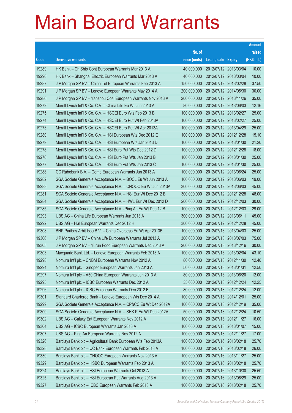|       |                                                               |               |                            |                       | <b>Amount</b> |
|-------|---------------------------------------------------------------|---------------|----------------------------|-----------------------|---------------|
|       |                                                               | No. of        |                            |                       | raised        |
| Code  | <b>Derivative warrants</b>                                    | issue (units) | <b>Listing date Expiry</b> |                       | (HK\$ mil.)   |
| 19289 | HK Bank - Ch Ship Cont European Warrants Mar 2013 A           | 40,000,000    | 2012/07/12 2013/03/04      |                       | 10.00         |
| 19290 | HK Bank - Shanghai Electric European Warrants Mar 2013 A      | 40,000,000    | 2012/07/12 2013/03/04      |                       | 10.00         |
| 19287 | J P Morgan SP BV - China Tel European Warrants Feb 2013 A     | 150,000,000   | 2012/07/12 2013/02/28      |                       | 37.50         |
| 19291 | J P Morgan SP BV - Lenovo European Warrants May 2014 A        | 200,000,000   | 2012/07/12 2014/05/30      |                       | 30.00         |
| 19286 | J P Morgan SP BV - Yanzhou Coal European Warrants Nov 2013 A  | 200,000,000   |                            | 2012/07/12 2013/11/26 | 35.00         |
| 19272 | Merrill Lynch Int'l & Co. C.V. - China Life Eu Wt Jun 2013 A  | 80,000,000    |                            | 2012/07/12 2013/06/03 | 12.16         |
| 19275 | Merrill Lynch Int'l & Co. C.V. - HSCEI Euro Wts Feb 2013 B    | 100,000,000   | 2012/07/12 2013/02/27      |                       | 25.00         |
| 19274 | Merrill Lynch Int'l & Co. C.V. - HSCEI Euro Put Wt Feb 2013A  | 100,000,000   | 2012/07/12 2013/02/27      |                       | 25.00         |
| 19273 | Merrill Lynch Int'l & Co. C.V. - HSCEI Euro Put Wt Apr 2013A  | 100,000,000   |                            | 2012/07/12 2013/04/29 | 25.00         |
| 19280 | Merrill Lynch Int'l & Co. C.V. - HSI European Wts Dec 2012 E  | 100,000,000   |                            | 2012/07/12 2012/12/28 | 15.10         |
| 19279 | Merrill Lynch Int'l & Co. C.V. - HSI European Wts Jan 2013 D  | 100,000,000   | 2012/07/12 2013/01/30      |                       | 21.20         |
| 19278 | Merrill Lynch Int'l & Co. C.V. - HSI Euro Put Wts Dec 2012 D  | 100,000,000   | 2012/07/12 2012/12/28      |                       | 18.00         |
| 19276 | Merrill Lynch Int'l & Co. C.V. - HSI Euro Put Wts Jan 2013 B  | 100,000,000   |                            | 2012/07/12 2013/01/30 | 25.00         |
| 19277 | Merrill Lynch Int'l & Co. C.V. - HSI Euro Put Wts Jan 2013 C  | 100,000,000   |                            | 2012/07/12 2013/01/30 | 25.00         |
| 19288 | CC Rabobank B.A. - Gome European Warrants Jun 2013 A          | 100,000,000   | 2012/07/12 2013/06/24      |                       | 25.00         |
| 19282 | SGA Societe Generale Acceptance N.V. - BOCL Eu Wt Jun 2013 A  | 100,000,000   | 2012/07/12 2013/06/03      |                       | 19.00         |
| 19283 | SGA Societe Generale Acceptance N.V. - CNOOC Eu Wt Jun 2013A  | 300,000,000   |                            | 2012/07/12 2013/06/03 | 45.00         |
| 19281 | SGA Societe Generale Acceptance N.V. - HSI Eur Wt Dec 2012 B  | 300,000,000   |                            | 2012/07/12 2012/12/28 | 48.00         |
| 19284 | SGA Societe Generale Acceptance N.V. - HWL Eur Wt Dec 2012 D  | 200,000,000   | 2012/07/12 2012/12/03      |                       | 30.00         |
| 19285 | SGA Societe Generale Acceptance N.V. - Ping An Eu Wt Dec 12 B | 100,000,000   | 2012/07/12 2012/12/03      |                       | 29.00         |
| 19293 | UBS AG - China Life European Warrants Jun 2013 A              | 300,000,000   | 2012/07/12 2013/06/11      |                       | 45.00         |
| 19292 | UBS AG - HSI European Warrants Dec 2012 H                     | 300,000,000   |                            | 2012/07/12 2012/12/28 | 45.00         |
| 19308 | BNP Paribas Arbit Issu B.V. - China Overseas Eu Wt Apr 2013B  | 100,000,000   | 2012/07/13 2013/04/03      |                       | 25.00         |
| 19306 | J P Morgan SP BV - China Life European Warrants Jul 2013 A    | 300,000,000   | 2012/07/13 2013/07/03      |                       | 75.00         |
| 19305 | J P Morgan SP BV - Yurun Food European Warrants Dec 2013 A    | 200,000,000   |                            | 2012/07/13 2013/12/16 | 30.00         |
| 19303 | Macquarie Bank Ltd. - Lenovo European Warrants Feb 2013 A     | 100,000,000   | 2012/07/13 2013/02/04      |                       | 43.10         |
| 19298 | Nomura Int'l plc - CNBM European Warrants Nov 2012 A          | 80,000,000    | 2012/07/13 2012/11/30      |                       | 12.40         |
| 19294 | Nomura Int'l plc - Sinopec European Warrants Jan 2013 A       | 50,000,000    | 2012/07/13 2013/01/31      |                       | 12.50         |
| 19297 | Nomura Int'l plc - A50 China European Warrants Jun 2013 A     | 80,000,000    | 2012/07/13 2013/06/20      |                       | 12.00         |
| 19295 | Nomura Int'l plc - ICBC European Warrants Dec 2012 A          | 35,000,000    | 2012/07/13 2012/12/24      |                       | 12.25         |
| 19296 | Nomura Int'l plc - ICBC European Warrants Dec 2012 B          | 80,000,000    | 2012/07/13 2012/12/24      |                       | 12.00         |
| 19301 | Standard Chartered Bank - Lenovo European Wts Dec 2014 A      | 100,000,000   | 2012/07/13 2014/12/01      |                       | 25.00         |
| 19299 | SGA Societe Generale Acceptance N.V. - CP&CC Eu Wt Dec 2012A  | 100,000,000   | 2012/07/13 2012/12/19      |                       | 35.00         |
| 19300 | SGA Societe Generale Acceptance N.V. - SHK P Eu Wt Dec 2012A  | 50,000,000    | 2012/07/13 2012/12/24      |                       | 10.50         |
| 19302 | UBS AG - Galaxy Ent European Warrants Nov 2012 A              | 100,000,000   | 2012/07/13 2012/11/27      |                       | 16.00         |
| 19304 | UBS AG - ICBC European Warrants Jan 2013 A                    | 100,000,000   | 2012/07/13 2013/01/07      |                       | 15.00         |
| 19307 | UBS AG - Ping An European Warrants Nov 2012 A                 | 100,000,000   | 2012/07/13 2012/11/27      |                       | 17.00         |
| 19326 | Barclays Bank plc - Agricultural Bank European Wts Feb 2013A  | 100,000,000   | 2012/07/16 2013/02/18      |                       | 25.70         |
| 19328 | Barclays Bank plc - CC Bank European Warrants Feb 2013 A      | 100,000,000   | 2012/07/16 2013/02/18      |                       | 26.00         |
| 19330 | Barclays Bank plc - CNOOC European Warrants Nov 2013 A        | 100,000,000   | 2012/07/16 2013/11/27      |                       | 25.00         |
| 19329 | Barclays Bank plc - HSBC European Warrants Feb 2013 A         | 100,000,000   | 2012/07/16 2013/02/18      |                       | 25.70         |
| 19324 | Barclays Bank plc - HSI European Warrants Oct 2013 A          | 100,000,000   | 2012/07/16 2013/10/30      |                       | 25.50         |
| 19325 | Barclays Bank plc - HSI European Put Warrants Aug 2013 A      | 100,000,000   | 2012/07/16 2013/08/29      |                       | 25.00         |
| 19327 | Barclays Bank plc - ICBC European Warrants Feb 2013 A         | 100,000,000   | 2012/07/16 2013/02/18      |                       | 25.70         |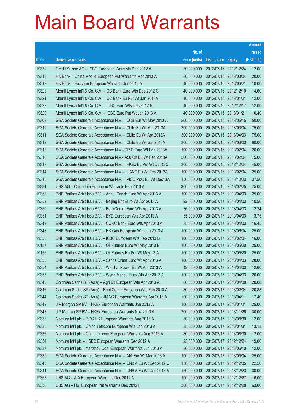|       |                                                               |               |                            | <b>Amount</b> |
|-------|---------------------------------------------------------------|---------------|----------------------------|---------------|
|       |                                                               | No. of        |                            | raised        |
| Code  | <b>Derivative warrants</b>                                    | issue (units) | <b>Listing date Expiry</b> | (HK\$ mil.)   |
| 19332 | Credit Suisse AG - ICBC European Warrants Dec 2012 A          | 80,000,000    | 2012/07/16 2012/12/24      | 12.00         |
| 19318 | HK Bank – China Mobile European Put Warrants Mar 2013 A       | 80,000,000    | 2012/07/16 2013/03/04      | 20.00         |
| 19319 | HK Bank - Foxconn European Warrants Jun 2013 A                | 40,000,000    | 2012/07/16 2013/06/21      | 10.00         |
| 19323 | Merrill Lynch Int'l & Co. C.V. - CC Bank Euro Wts Dec 2012 C  | 40,000,000    | 2012/07/16 2012/12/10      | 14.60         |
| 19321 | Merrill Lynch Int'l & Co. C.V. - CC Bank Eu Put Wt Jan 2013A  | 40,000,000    | 2012/07/16 2013/01/21      | 12.00         |
| 19322 | Merrill Lynch Int'l & Co. C.V. - ICBC Euro Wts Dec 2012 B     | 40,000,000    | 2012/07/16 2012/12/17      | 12.00         |
| 19320 | Merrill Lynch Int'l & Co. C.V. - ICBC Euro Put Wt Jan 2013 A  | 40,000,000    | 2012/07/16 2013/01/21      | 10.40         |
| 19309 | SGA Societe Generale Acceptance N.V. - CCB Eur Wt May 2013 A  | 200,000,000   | 2012/07/16 2013/05/15      | 50.00         |
| 19310 | SGA Societe Generale Acceptance N.V. - CLife Eu Wt Mar 2013A  | 300,000,000   | 2012/07/16 2013/03/04      | 75.00         |
| 19311 | SGA Societe Generale Acceptance N.V. - CLife Eu Wt Apr 2013A  | 300,000,000   | 2012/07/16 2013/04/03      | 75.00         |
| 19312 | SGA Societe Generale Acceptance N.V. - CLife Eu Wt Jun 2013A  | 300,000,000   | 2012/07/16 2013/06/03      | 60.00         |
| 19313 | SGA Societe Generale Acceptance N.V. - CPIC Euro Wt Feb 2013A | 100,000,000   | 2012/07/16 2013/02/04      | 26.00         |
| 19316 | SGA Societe Generale Acceptance N.V. - A50 Ch Eu Wt Feb 2013A | 500,000,000   | 2012/07/16 2013/02/04      | 75.00         |
| 19317 | SGA Societe Generale Acceptance N.V. - HKEx Eu Put Wt Dec12C  | 300,000,000   | 2012/07/16 2012/12/24      | 45.00         |
| 19314 | SGA Societe Generale Acceptance N.V. - JIANC Eu Wt Feb 2013A  | 100,000,000   | 2012/07/16 2013/02/04      | 25.00         |
| 19315 | SGA Societe Generale Acceptance N.V. - PICC P&C Eu Wt Dec13A  | 150,000,000   | 2012/07/16 2013/12/23      | 37.50         |
| 19331 | UBS AG - China Life European Warrants Feb 2013 A              | 300,000,000   | 2012/07/16 2013/02/25      | 75.00         |
| 19358 | BNP Paribas Arbit Issu B.V. - Anhui Conch Euro Wt Apr 2013 A  | 100,000,000   | 2012/07/17 2013/04/03      | 25.00         |
| 19352 | BNP Paribas Arbit Issu B.V. - Beijing Ent Euro Wt Apr 2013 A  | 22,000,000    | 2012/07/17 2013/04/03      | 10.56         |
| 19350 | BNP Paribas Arbit Issu B.V. - BankComm Euro Wts Apr 2013 A    | 36,000,000    | 2012/07/17 2013/04/03      | 12.24         |
| 19351 | BNP Paribas Arbit Issu B.V. - BYD European Wts Apr 2013 A     | 55,000,000    | 2012/07/17 2013/04/03      | 13.75         |
| 19349 | BNP Paribas Arbit Issu B.V. - CQRC Bank Euro Wts Apr 2013 A   | 35,000,000    | 2012/07/17 2013/04/03      | 16.45         |
| 19348 | BNP Paribas Arbit Issu B.V. - HK Gas European Wts Jun 2013 A  | 100,000,000   | 2012/07/17 2013/06/04      | 25.00         |
| 19356 | BNP Paribas Arbit Issu B.V. - ICBC European Wts Feb 2013 B    | 100,000,000   | 2012/07/17 2013/02/04      | 16.00         |
| 10157 | BNP Paribas Arbit Issu B.V. - Oil Futures Euro Wt May 2013 B  | 100,000,000   | 2012/07/17 2013/05/20      | 25.00         |
| 10156 | BNP Paribas Arbit Issu B.V. - Oil Futures Eu Put Wt May 13 A  | 100,000,000   | 2012/07/17 2013/05/20      | 25.00         |
| 19355 | BNP Paribas Arbit Issu B.V. - Sands China Euro Wt Apr 2013 A  | 100,000,000   | 2012/07/17 2013/04/03      | 28.00         |
| 19354 | BNP Paribas Arbit Issu B.V. - Weichai Power Eu Wt Apr 2013 A  | 42,000,000    | 2012/07/17 2013/04/03      | 12.60         |
| 19357 | BNP Paribas Arbit Issu B.V. - Wynn Macau Euro Wts Apr 2013 A  | 100,000,000   | 2012/07/17 2013/04/03      | 26.00         |
| 19345 | Goldman Sachs SP (Asia) - Agri Bk European Wts Apr 2013 A     | 80,000,000    | 2012/07/17 2013/04/08      | 20.08         |
| 19346 | Goldman Sachs SP (Asia) - BankComm European Wts Feb 2013 A    | 80,000,000    | 2012/07/17 2013/02/04      | 20.88         |
| 19344 | Goldman Sachs SP (Asia) - JIANC European Warrants Apr 2013 A  | 100,000,000   | 2012/07/17 2013/04/11      | 17.40         |
| 19342 | J P Morgan SP BV - HKEx European Warrants Jan 2013 A          | 100,000,000   | 2012/07/17 2013/01/21      | 25.00         |
| 19343 | J P Morgan SP BV - HKEx European Warrants Nov 2013 A          | 200,000,000   | 2012/07/17 2013/11/26      | 30.00         |
| 19338 | Nomura Int'l plc - BOC HK European Warrants Aug 2013 A        | 80,000,000    | 2012/07/17 2013/08/30      | 12.00         |
| 19335 | Nomura Int'l plc - China Telecom European Wts Jan 2013 A      | 35,000,000    | 2012/07/17 2013/01/31      | 13.13         |
| 19336 | Nomura Int'l plc - China Unicom European Warrants Aug 2013 A  | 80,000,000    | 2012/07/17 2013/08/30      | 12.00         |
| 19334 | Nomura Int'l plc - HSBC European Warrants Dec 2012 A          | 25,000,000    | 2012/07/17 2012/12/24      | 19.00         |
| 19337 | Nomura Int'l plc - Yanzhou Coal European Warrants Jun 2013 A  | 80,000,000    | 2012/07/17 2013/06/10      | 12.00         |
| 19339 | SGA Societe Generale Acceptance N.V. - AIA Eur Wt Mar 2013 A  | 100,000,000   | 2012/07/17 2013/03/04      | 25.00         |
| 19340 | SGA Societe Generale Acceptance N.V. - CNBM Eu Wt Dec 2012 C  | 150,000,000   | 2012/07/17 2012/12/05      | 22.50         |
| 19341 | SGA Societe Generale Acceptance N.V. - CNBM Eu Wt Dec 2013 A  | 150,000,000   | 2012/07/17 2013/12/23      | 30.00         |
| 19353 | UBS AG - AIA European Warrants Dec 2012 A                     | 100,000,000   | 2012/07/17 2012/12/27      | 16.00         |
| 19333 | UBS AG - HSI European Put Warrants Dec 2012 I                 | 300,000,000   | 2012/07/17 2012/12/28      | 63.00         |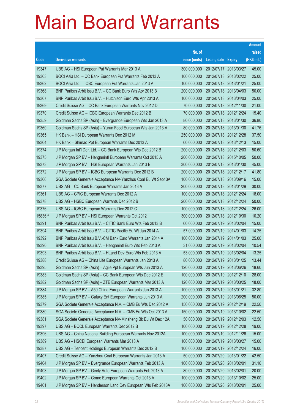|         |                                                              |               |                            | <b>Amount</b> |
|---------|--------------------------------------------------------------|---------------|----------------------------|---------------|
|         |                                                              | No. of        |                            | raised        |
| Code    | <b>Derivative warrants</b>                                   | issue (units) | <b>Listing date Expiry</b> | (HK\$ mil.)   |
| 19347   | UBS AG - HSI European Put Warrants Mar 2013 A                | 300,000,000   | 2012/07/17 2013/03/27      | 45.00         |
| 19363   | BOCI Asia Ltd. - CC Bank European Put Warrants Feb 2013 A    | 100,000,000   | 2012/07/18 2013/02/22      | 25.00         |
| 19362   | BOCI Asia Ltd. - ICBC European Put Warrants Jan 2013 A       | 100,000,000   | 2012/07/18 2013/01/21      | 25.00         |
| 19368   | BNP Paribas Arbit Issu B.V. - CC Bank Euro Wts Apr 2013 B    | 200,000,000   | 2012/07/18 2013/04/03      | 50.00         |
| 19367   | BNP Paribas Arbit Issu B.V. - Hutchison Euro Wts Apr 2013 A  | 100,000,000   | 2012/07/18 2013/04/03      | 25.00         |
| 19369   | Credit Suisse AG - CC Bank European Warrants Nov 2012 D      | 70,000,000    | 2012/07/18 2012/11/30      | 21.00         |
| 19370   | Credit Suisse AG - ICBC European Warrants Dec 2012 B         | 70,000,000    | 2012/07/18 2012/12/24      | 15.40         |
| 19359   | Goldman Sachs SP (Asia) - Evergrande European Wts Jan 2013 A | 80,000,000    | 2012/07/18 2013/01/30      | 36.80         |
| 19360   | Goldman Sachs SP (Asia) - Yurun Food European Wts Jan 2013 A | 80,000,000    | 2012/07/18 2013/01/30      | 41.76         |
| 19365   | HK Bank - HSI European Warrants Dec 2012 M                   | 250,000,000   | 2012/07/18 2012/12/28      | 37.50         |
| 19364   | HK Bank - Shimao Ppt European Warrants Dec 2013 A            | 60,000,000    | 2012/07/18 2013/12/13      | 15.00         |
| 19374   | J P Morgan Int'l Der. Ltd. - CC Bank European Wts Dec 2012 B | 200,000,000   | 2012/07/18 2012/12/03      | 50.60         |
| 19375   | J P Morgan SP BV - Henganintl European Warrants Oct 2015 A   | 200,000,000   | 2012/07/18 2015/10/05      | 50.00         |
| 19373   | J P Morgan SP BV - HSI European Warrants Jan 2013 B          | 300,000,000   | 2012/07/18 2013/01/30      | 45.00         |
| 19372   | J P Morgan SP BV - ICBC European Warrants Dec 2012 B         | 200,000,000   | 2012/07/18 2012/12/17      | 41.80         |
| 19366   | SGA Societe Generale Acceptance NV-Yanzhou Coal Eu Wt Sep13A | 100,000,000   | 2012/07/18 2013/09/16      | 15.00         |
| 19377   | UBS AG - CC Bank European Warrants Jan 2013 A                | 200,000,000   | 2012/07/18 2013/01/29      | 30.00         |
| 19361   | UBS AG - CPIC European Warrants Dec 2012 A                   | 100,000,000   | 2012/07/18 2012/12/24      | 18.00         |
| 19378   | UBS AG - HSBC European Warrants Dec 2012 B                   | 200,000,000   | 2012/07/18 2012/12/24      | 50.00         |
| 19376   | UBS AG - ICBC European Warrants Dec 2012 C                   | 100,000,000   | 2012/07/18 2012/12/24      | 26.00         |
| 15836 # | J P Morgan SP BV - HSI European Warrants Oct 2012            | 300,000,000   | 2012/07/18 2012/10/30      | 10.20         |
| 19391   | BNP Paribas Arbit Issu B.V. - CITIC Bank Euro Wts Feb 2013 B | 60,000,000    | 2012/07/19 2013/02/04      | 15.00         |
| 19394   | BNP Paribas Arbit Issu B.V. - CITIC Pacific Eu Wt Jan 2014 A | 57,000,000    | 2012/07/19 2014/01/03      | 14.25         |
| 19392   | BNP Paribas Arbit Issu B.V.-CM Bank Euro Warrants Jan 2014 A | 100,000,000   | 2012/07/19 2014/01/03      | 25.00         |
| 19390   | BNP Paribas Arbit Issu B.V. - Henganintl Euro Wts Feb 2013 A | 31,000,000    | 2012/07/19 2013/02/04      | 10.54         |
| 19393   | BNP Paribas Arbit Issu B.V. - HLand Dev Euro Wts Feb 2013 A  | 53,000,000    | 2012/07/19 2013/02/04      | 13.25         |
| 19388   | Credit Suisse AG - China Life European Warrants Jan 2013 A   | 80,000,000    | 2012/07/19 2013/01/25      | 13.44         |
| 19395   | Goldman Sachs SP (Asia) - Agile Ppt European Wts Jun 2013 A  | 120,000,000   | 2012/07/19 2013/06/26      | 18.60         |
| 19383   | Goldman Sachs SP (Asia) - CC Bank European Wts Dec 2012 E    | 100,000,000   | 2012/07/19 2012/12/10      | 28.00         |
| 19382   | Goldman Sachs SP (Asia) - ZTE European Warrants Mar 2013 A   | 120,000,000   | 2012/07/19 2013/03/25      | 18.00         |
| 19384   | J P Morgan SP BV - A50 China European Warrants Jan 2013 A    | 100,000,000   | 2012/07/19 2013/01/21      | 32.80         |
| 19385   | J P Morgan SP BV - Galaxy Ent European Warrants Jun 2013 A   | 200,000,000   | 2012/07/19 2013/06/25      | 50.00         |
| 19379   | SGA Societe Generale Acceptance N.V. - CMB Eu Wts Dec 2012 A | 150,000,000   | 2012/07/19 2012/12/19      | 22.50         |
| 19380   | SGA Societe Generale Acceptance N.V. - CMB Eu Wts Oct 2013 A | 150,000,000   | 2012/07/19 2013/10/02      | 22.50         |
| 19381   | SGA Societe Generale Acceptance NV-Minsheng Bk Eu Wt Dec 12A | 50,000,000    | 2012/07/19 2012/12/03      | 12.50         |
| 19397   | UBS AG - BOCL European Warrants Dec 2012 B                   | 100,000,000   | 2012/07/19 2012/12/28      | 19.00         |
| 19396   | UBS AG - China National Building European Warrants Nov 2012A | 100,000,000   | 2012/07/19 2012/11/26      | 15.00         |
| 19389   | UBS AG - HSCEI European Warrants Mar 2013 A                  | 100,000,000   | 2012/07/19 2013/03/27      | 15.00         |
| 19387   | UBS AG - Tencent Holdings European Warrants Dec 2012 B       | 100,000,000   | 2012/07/19 2012/12/24      | 16.00         |
| 19407   | Credit Suisse AG - Yanzhou Coal European Warrants Jan 2013 A | 50,000,000    | 2012/07/20 2013/01/22      | 42.50         |
| 19404   | J P Morgan SP BV - Evergrande European Warrants Feb 2013 A   | 100,000,000   | 2012/07/20 2013/02/01      | 31.10         |
| 19403   | J P Morgan SP BV - Geely Auto European Warrants Feb 2013 A   | 80,000,000    | 2012/07/20 2013/02/01      | 20.00         |
| 19402   | J P Morgan SP BV - Gome European Warrants Oct 2013 A         | 100,000,000   | 2012/07/20 2013/10/02      | 25.00         |
| 19401   | J P Morgan SP BV - Henderson Land Dev European Wts Feb 2013A | 100,000,000   | 2012/07/20 2013/02/01      | 25.00         |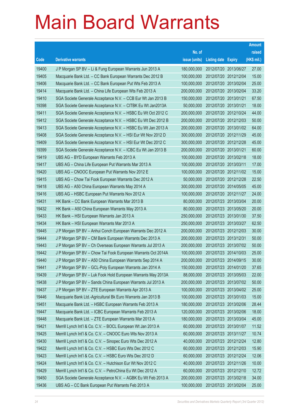|                |                                                                                                                             |                            |                                                | <b>Amount</b>  |
|----------------|-----------------------------------------------------------------------------------------------------------------------------|----------------------------|------------------------------------------------|----------------|
|                |                                                                                                                             | No. of                     |                                                | raised         |
| Code           | <b>Derivative warrants</b>                                                                                                  | issue (units)              | <b>Listing date Expiry</b>                     | (HK\$ mil.)    |
| 19400          | J P Morgan SP BV - Li & Fung European Warrants Jun 2013 A                                                                   | 180,000,000                | 2012/07/20 2013/06/27                          | 27.00          |
| 19405          | Macquarie Bank Ltd. - CC Bank European Warrants Dec 2012 B                                                                  | 100,000,000                | 2012/07/20 2012/12/04                          | 15.00          |
| 19406          | Macquarie Bank Ltd. - CC Bank European Put Wts Feb 2013 A                                                                   | 100,000,000                | 2012/07/20 2013/02/04                          | 25.00          |
| 19414          | Macquarie Bank Ltd. - China Life European Wts Feb 2013 A                                                                    | 200,000,000                | 2012/07/20 2013/02/04                          | 33.20          |
| 19410          | SGA Societe Generale Acceptance N.V. - CCB Eur Wt Jan 2013 B                                                                | 150,000,000                | 2012/07/20 2013/01/21                          | 67.50          |
| 19398          | SGA Societe Generale Acceptance N.V. - CITBK Eu Wt Jan2013A                                                                 | 50,000,000                 | 2012/07/20 2013/01/21                          | 18.00          |
| 19411          | SGA Societe Generale Acceptance N.V. - HSBC Eu Wt Oct 2012 C                                                                | 200,000,000                | 2012/07/20 2012/10/24                          | 44.00          |
| 19412          | SGA Societe Generale Acceptance N.V. - HSBC Eu Wt Dec 2012 B                                                                | 200,000,000                | 2012/07/20 2012/12/03                          | 50.00          |
| 19413          | SGA Societe Generale Acceptance N.V. - HSBC Eu Wt Jan 2013 A                                                                | 200,000,000                | 2012/07/20 2013/01/02                          | 64.00          |
| 19408          | SGA Societe Generale Acceptance N.V. - HSI Eur Wt Nov 2012 D                                                                | 300,000,000                | 2012/07/20 2012/11/29                          | 45.00          |
| 19409          | SGA Societe Generale Acceptance N.V. - HSI Eur Wt Dec 2012 C                                                                | 300,000,000                | 2012/07/20 2012/12/28                          | 45.00          |
| 19399          | SGA Societe Generale Acceptance N.V. - ICBC Eu Wt Jan 2013 B                                                                | 200,000,000                | 2012/07/20 2013/01/21                          | 60.00          |
| 19419          | UBS AG - BYD European Warrants Feb 2013 A                                                                                   | 100,000,000                | 2012/07/20 2013/02/18                          | 18.00          |
| 19417          | UBS AG - China Life European Put Warrants Mar 2013 A                                                                        | 100,000,000                | 2012/07/20 2013/03/11                          | 17.00          |
| 19420          | UBS AG - CNOOC European Put Warrants Nov 2012 E                                                                             | 100,000,000                | 2012/07/20 2012/11/02                          | 15.00          |
| 19415          | UBS AG - Chow Tai Fook European Warrants Dec 2012 A                                                                         | 50,000,000                 | 2012/07/20 2012/12/28                          | 22.50          |
| 19418          | UBS AG - A50 China European Warrants May 2014 A                                                                             | 300,000,000                | 2012/07/20 2014/05/05                          | 45.00          |
| 19416          | UBS AG - HSBC European Put Warrants Nov 2012 A                                                                              | 100,000,000                | 2012/07/20 2012/11/27                          | 24.00          |
| 19431          | HK Bank - CC Bank European Warrants Mar 2013 B                                                                              | 80,000,000                 | 2012/07/23 2013/03/04                          | 20.00          |
| 19432          | HK Bank - A50 China European Warrants May 2013 A                                                                            | 80,000,000                 | 2012/07/23 2013/05/20                          | 20.00          |
| 19433          | HK Bank - HSI European Warrants Jan 2013 A                                                                                  | 250,000,000                | 2012/07/23 2013/01/30                          | 37.50          |
| 19434          | HK Bank - HSI European Warrants Mar 2013 A                                                                                  | 250,000,000                | 2012/07/23 2013/03/27                          | 62.50          |
| 19445          | J P Morgan SP BV - Anhui Conch European Warrants Dec 2012 A                                                                 | 200,000,000                | 2012/07/23 2012/12/03                          | 30.00          |
| 19444<br>19443 | J P Morgan SP BV - CM Bank European Warrants Dec 2013 A                                                                     | 200,000,000<br>200,000,000 | 2012/07/23 2013/12/31<br>2012/07/23 2013/07/02 | 50.00<br>50.00 |
| 19442          | J P Morgan SP BV - Ch Overseas European Warrants Jul 2013 A<br>J P Morgan SP BV - Chow Tai Fook European Warrants Oct 2014A | 100,000,000                | 2012/07/23 2014/10/03                          | 25.00          |
| 19440          | J P Morgan SP BV - A50 China European Warrants Sep 2014 A                                                                   | 200,000,000                | 2012/07/23 2014/09/15                          | 30.00          |
| 19441          | J P Morgan SP BV - GCL-Poly European Warrants Jan 2014 A                                                                    | 150,000,000                | 2012/07/23 2014/01/20                          | 37.65          |
| 19439          | J P Morgan SP BV - Luk Fook Hold European Warrants May 2013A                                                                | 88,000,000                 | 2012/07/23 2013/05/03                          | 22.00          |
| 19438          | J P Morgan SP BV - Sands China European Warrants Jul 2013 A                                                                 | 200,000,000                | 2012/07/23 2013/07/02                          | 50.00          |
| 19437          | J P Morgan SP BV - ZTE European Warrants Apr 2013 A                                                                         | 100,000,000                | 2012/07/23 2013/04/02                          | 25.00          |
| 19446          | Macquarie Bank Ltd.-Agricultural Bk Euro Warrants Jan 2013 B                                                                | 100,000,000                | 2012/07/23 2013/01/03                          | 15.00          |
| 19451          | Macquarie Bank Ltd. - HSBC European Warrants Feb 2013 A                                                                     | 180,000,000                | 2012/07/23 2013/02/06                          | 28.44          |
| 19447          | Macquarie Bank Ltd. - ICBC European Warrants Feb 2013 A                                                                     | 120,000,000                | 2012/07/23 2013/02/06                          | 18.00          |
| 19448          | Macquarie Bank Ltd. - ZTE European Warrants Mar 2013 A                                                                      | 180,000,000                | 2012/07/23 2013/03/04                          | 45.00          |
| 19421          | Merrill Lynch Int'l & Co. C.V. - BOCL European Wt Jan 2013 A                                                                | 60,000,000                 | 2012/07/23 2013/01/07                          | 11.52          |
| 19425          | Merrill Lynch Int'l & Co. C.V. - CNOOC Euro Wts Nov 2013 A                                                                  | 60,000,000                 | 2012/07/23 2013/11/27                          | 10.74          |
| 19430          | Merrill Lynch Int'l & Co. C.V. - Sinopec Euro Wts Dec 2012 A                                                                | 40,000,000                 | 2012/07/23 2012/12/24                          | 12.80          |
| 19422          | Merrill Lynch Int'l & Co. C.V. - HSBC Euro Wts Dec 2012 C                                                                   | 60,000,000                 | 2012/07/23 2012/12/03                          | 15.90          |
| 19423          | Merrill Lynch Int'l & Co. C.V. - HSBC Euro Wts Dec 2012 D                                                                   | 60,000,000                 | 2012/07/23 2012/12/24                          | 12.06          |
| 19424          | Merrill Lynch Int'l & Co. C.V. - Hutchison Eur Wt Nov 2012 C                                                                | 40,000,000                 | 2012/07/23 2012/11/26                          | 10.00          |
| 19429          | Merrill Lynch Int'l & Co. C.V. - PetroChina Eu Wt Dec 2012 A                                                                | 60,000,000                 | 2012/07/23 2012/12/10                          | 12.72          |
| 19450          | SGA Societe Generale Acceptance N.V. - AGBK Eu Wt Feb 2013 A                                                                | 200,000,000                | 2012/07/23 2013/02/18                          | 34.00          |
| 19436          | UBS AG - CC Bank European Put Warrants Feb 2013 A                                                                           | 100,000,000                | 2012/07/23 2013/02/04                          | 25.00          |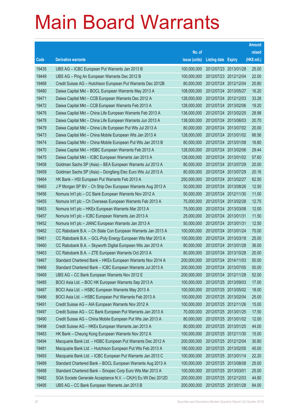|       |                                                              |               |                            | <b>Amount</b> |
|-------|--------------------------------------------------------------|---------------|----------------------------|---------------|
|       |                                                              | No. of        |                            | raised        |
| Code  | <b>Derivative warrants</b>                                   | issue (units) | <b>Listing date Expiry</b> | (HK\$ mil.)   |
| 19435 | UBS AG - ICBC European Put Warrants Jan 2013 B               | 100,000,000   | 2012/07/23 2013/01/28      | 25.00         |
| 19449 | UBS AG - Ping An European Warrants Dec 2012 B                | 100,000,000   | 2012/07/23 2012/12/04      | 22.00         |
| 19468 | Credit Suisse AG - Hutchison European Put Warrants Dec 2012B | 80,000,000    | 2012/07/24 2012/12/04      | 20.80         |
| 19480 | Daiwa Capital Mkt - BOCL European Warrants May 2013 A        | 108,000,000   | 2012/07/24 2013/05/27      | 16.20         |
| 19471 | Daiwa Capital Mkt - CCB European Warrants Dec 2012 A         | 128,000,000   | 2012/07/24 2012/12/03      | 33.28         |
| 19472 | Daiwa Capital Mkt - CCB European Warrants Feb 2013 A         | 128,000,000   | 2012/07/24 2013/02/06      | 19.20         |
| 19476 | Daiwa Capital Mkt - China Life European Warrants Feb 2013 A  | 138,000,000   | 2012/07/24 2013/02/25      | 28.98         |
| 19478 | Daiwa Capital Mkt - China Life European Warrants Jun 2013 A  | 138,000,000   | 2012/07/24 2013/06/03      | 20.70         |
| 19479 | Daiwa Capital Mkt - China Life European Put Wts Jul 2013 A   | 80,000,000    | 2012/07/24 2013/07/02      | 20.00         |
| 19473 | Daiwa Capital Mkt - China Mobile European Wts Jan 2013 A     | 128,000,000   | 2012/07/24 2013/01/02      | 66.56         |
| 19474 | Daiwa Capital Mkt - China Mobile European Put Wts Jan 2013 B | 80,000,000    | 2012/07/24 2013/01/08      | 16.80         |
| 19470 | Daiwa Capital Mkt - HSBC European Warrants Feb 2013 A        | 128,000,000   | 2012/07/24 2013/02/06      | 29.44         |
| 19475 | Daiwa Capital Mkt - ICBC European Warrants Jan 2013 A        | 128,000,000   | 2012/07/24 2013/01/02      | 57.60         |
| 19458 | Goldman Sachs SP (Asia) - BEA European Warrants Jul 2013 A   | 80,000,000    | 2012/07/24 2013/07/29      | 20.00         |
| 19459 | Goldman Sachs SP (Asia) - Dongfang Elec Euro Wts Jul 2013 A  | 80,000,000    | 2012/07/24 2013/07/29      | 20.16         |
| 19464 | HK Bank - HSI European Put Warrants Feb 2013 A               | 250,000,000   | 2012/07/24 2013/02/27      | 62.50         |
| 19465 | J P Morgan SP BV - Ch Ship Dev European Warrants Aug 2013 A  | 50,000,000    | 2012/07/24 2013/08/26      | 12.50         |
| 19456 | Nomura Int'l plc - CC Bank European Warrants Nov 2012 A      | 50,000,000    | 2012/07/24 2012/11/30      | 11.00         |
| 19455 | Nomura Int'l plc - Ch Overseas European Warrants Feb 2013 A  | 75,000,000    | 2012/07/24 2013/02/28      | 12.75         |
| 19453 | Nomura Int'l plc - HKEx European Warrants Mar 2013 A         | 75,000,000    | 2012/07/24 2013/03/08      | 12.00         |
| 19457 | Nomura Int'l plc - ICBC European Warrants Jan 2013 A         | 25,000,000    | 2012/07/24 2013/01/31      | 11.50         |
| 19452 | Nomura Int'l plc - JIANC European Warrants Jan 2013 A        | 50,000,000    | 2012/07/24 2013/01/31      | 12.50         |
| 19462 | CC Rabobank B.A. - Ch State Con European Warrants Jan 2013 A | 100,000,000   | 2012/07/24 2013/01/24      | 70.00         |
| 19461 | CC Rabobank B.A. - GCL-Poly Energy European Wts Mar 2013 A   | 100,000,000   | 2012/07/24 2013/03/18      | 25.00         |
| 19460 | CC Rabobank B.A. - Skyworth Digital European Wts Jan 2013 A  | 80,000,000    | 2012/07/24 2013/01/28      | 36.00         |
| 19463 | CC Rabobank B.A. - ZTE European Warrants Oct 2013 A          | 80,000,000    | 2012/07/24 2013/10/28      | 20.00         |
| 19467 | Standard Chartered Bank - HKEx European Warrants Nov 2014 A  | 200,000,000   | 2012/07/24 2014/11/03      | 50.00         |
| 19466 | Standard Chartered Bank - ICBC European Warrants Jul 2013 A  | 200,000,000   | 2012/07/24 2013/07/05      | 50.00         |
| 19469 | UBS AG - CC Bank European Warrants Nov 2012 E                | 200,000,000   | 2012/07/24 2012/11/28      | 52.00         |
| 19485 | BOCI Asia Ltd. - BOC HK European Warrants Sep 2013 A         | 100,000,000   | 2012/07/25 2013/09/03      | 17.00         |
| 19487 | BOCI Asia Ltd. - HSBC European Warrants May 2013 A           | 100,000,000   | 2012/07/25 2013/05/02      | 18.00         |
| 19486 | BOCI Asia Ltd. - HSBC European Put Warrants Feb 2013 A       | 100,000,000   | 2012/07/25 2013/02/04      | 25.00         |
| 19491 | Credit Suisse AG - AIA European Warrants Nov 2012 A          | 100,000,000   | 2012/07/25 2012/11/26      | 15.00         |
| 19497 | Credit Suisse AG - CC Bank European Put Warrants Jan 2013 A  | 70,000,000    | 2012/07/25 2013/01/25      | 17.50         |
| 19490 | Credit Suisse AG - China Mobile European Put Wts Jan 2013 A  | 80,000,000    | 2012/07/25 2013/01/02      | 12.00         |
| 19498 | Credit Suisse AG - HKEx European Warrants Jan 2013 A         | 80,000,000    | 2012/07/25 2013/01/25      | 44.00         |
| 19483 | HK Bank - Cheung Kong European Warrants Nov 2012 A           | 100,000,000   | 2012/07/25 2012/11/30      | 15.00         |
| 19494 | Macquarie Bank Ltd. - HSBC European Put Warrants Dec 2012 A  | 200,000,000   | 2012/07/25 2012/12/04      | 30.80         |
| 19481 | Macquarie Bank Ltd. - Hutchison European Put Wts Feb 2013 A  | 180,000,000   | 2012/07/25 2013/02/05      | 45.00         |
| 19493 | Macquarie Bank Ltd. - ICBC European Put Warrants Jan 2013 C  | 100,000,000   | 2012/07/25 2013/01/14      | 22.20         |
| 19489 | Standard Chartered Bank - BOCL European Warrants Aug 2013 A  | 100,000,000   | 2012/07/25 2013/08/08      | 25.00         |
| 19488 | Standard Chartered Bank - Sinopec Corp Euro Wts Mar 2013 A   | 100,000,000   | 2012/07/25 2013/03/01      | 25.00         |
| 19482 | SGA Societe Generale Acceptance N.V. - CK(H) Eu Wt Dec 2012D | 200,000,000   | 2012/07/25 2012/12/03      | 44.80         |
| 19495 | UBS AG - CC Bank European Warrants Jan 2013 B                | 200,000,000   | 2012/07/25 2013/01/28      | 84.00         |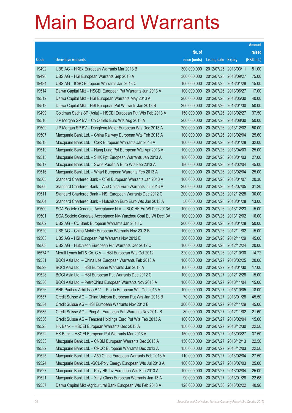|         |                                                               |               |                            |            | <b>Amount</b> |
|---------|---------------------------------------------------------------|---------------|----------------------------|------------|---------------|
|         |                                                               | No. of        |                            |            | raised        |
| Code    | <b>Derivative warrants</b>                                    | issue (units) | <b>Listing date Expiry</b> |            | (HK\$ mil.)   |
| 19492   | UBS AG - HKEx European Warrants Mar 2013 B                    | 300,000,000   | 2012/07/25 2013/03/11      |            | 51.00         |
| 19496   | UBS AG - HSI European Warrants Sep 2013 A                     | 300,000,000   | 2012/07/25 2013/09/27      |            | 75.00         |
| 19484   | UBS AG - ICBC European Warrants Jan 2013 C                    | 100,000,000   | 2012/07/25 2013/01/28      |            | 15.00         |
| 19514   | Daiwa Capital Mkt - HSCEI European Put Warrants Jun 2013 A    | 100,000,000   | 2012/07/26 2013/06/27      |            | 17.00         |
| 19512   | Daiwa Capital Mkt - HSI European Warrants May 2013 A          | 200,000,000   | 2012/07/26 2013/05/30      |            | 40.00         |
| 19513   | Daiwa Capital Mkt - HSI European Put Warrants Jan 2013 B      | 200,000,000   | 2012/07/26 2013/01/30      |            | 50.00         |
| 19499   | Goldman Sachs SP (Asia) - HSCEI European Put Wts Feb 2013 A   | 150,000,000   | 2012/07/26 2013/02/27      |            | 37.50         |
| 19510   | J P Morgan SP BV - Ch Oilfield Euro Wts Aug 2013 A            | 200,000,000   | 2012/07/26 2013/08/30      |            | 50.00         |
| 19509   | J P Morgan SP BV - Dongfeng Motor European Wts Dec 2013 A     | 200,000,000   | 2012/07/26 2013/12/02      |            | 50.00         |
| 19507   | Macquarie Bank Ltd. - China Railway European Wts Feb 2013 A   | 100,000,000   | 2012/07/26 2013/02/04      |            | 25.60         |
| 19518   | Macquarie Bank Ltd. - CSR European Warrants Jan 2013 A        | 100,000,000   | 2012/07/26 2013/01/28      |            | 32.00         |
| 19519   | Macquarie Bank Ltd. - Hang Lung Ppt European Wts Apr 2013 A   | 100,000,000   | 2012/07/26 2013/04/03      |            | 25.00         |
| 19515   | Macquarie Bank Ltd. - SHK Ppt European Warrants Jan 2013 A    | 180,000,000   | 2012/07/26 2013/01/03      |            | 27.00         |
| 19517   | Macquarie Bank Ltd. - Swrie Pacific A Euro Wts Feb 2013 A     | 180,000,000   | 2012/07/26 2013/02/04      |            | 45.00         |
| 19516   | Macquarie Bank Ltd. - Wharf European Warrants Feb 2013 A      | 100,000,000   | 2012/07/26 2013/02/04      |            | 25.00         |
| 19505   | Standard Chartered Bank – CTel European Warrants Jan 2013 A   | 100,000,000   | 2012/07/26 2013/01/07      |            | 20.30         |
| 19506   | Standard Chartered Bank - A50 China Euro Warrants Jul 2013 A  | 200,000,000   | 2012/07/26 2013/07/05      |            | 31.20         |
| 19511   | Standard Chartered Bank - HSI European Warrants Dec 2012 C    | 200,000,000   | 2012/07/26 2012/12/28      |            | 30.00         |
| 19504   | Standard Chartered Bank - Hutchison Euro Euro Wts Jan 2013 A  | 50,000,000    | 2012/07/26 2013/01/28      |            | 13.00         |
| 19500   | SGA Societe Generale Acceptance N.V. - BOCHK Eu Wt Dec 2013A  | 100,000,000   | 2012/07/26 2013/12/23      |            | 15.00         |
| 19501   | SGA Societe Generale Acceptance NV-Yanzhou Coal Eu Wt Dec13A  | 100,000,000   | 2012/07/26 2013/12/02      |            | 16.00         |
| 19502   | UBS AG - CC Bank European Warrants Jan 2013 C                 | 200,000,000   | 2012/07/26 2013/01/28      |            | 50.00         |
| 19520   | UBS AG - China Mobile European Warrants Nov 2012 B            | 100,000,000   | 2012/07/26 2012/11/02      |            | 15.00         |
| 19503   | UBS AG - HSI European Put Warrants Nov 2012 E                 | 300,000,000   | 2012/07/26 2012/11/29      |            | 45.00         |
| 19508   | UBS AG - Hutchison European Put Warrants Dec 2012 C           | 100,000,000   | 2012/07/26 2012/12/24      |            | 20.00         |
| 16574 # | Merrill Lynch Int'l & Co. C.V. - HSI European Wts Oct 2012    | 320,000,000   | 2012/07/26 2012/10/30      |            | 14.72         |
| 19531   | BOCI Asia Ltd. - China Life European Warrants Feb 2013 A      | 100,000,000   | 2012/07/27 2013/02/25      |            | 20.00         |
| 19529   | BOCI Asia Ltd. - HSI European Warrants Jan 2013 A             | 100,000,000   | 2012/07/27 2013/01/30      |            | 17.00         |
| 19528   | BOCI Asia Ltd. - HSI European Put Warrants Dec 2012 C         | 100,000,000   | 2012/07/27 2012/12/28      |            | 15.00         |
| 19530   | BOCI Asia Ltd. - PetroChina European Warrants Nov 2013 A      | 100,000,000   | 2012/07/27 2013/11/04      |            | 15.00         |
| 19526   | BNP Paribas Arbit Issu B.V. - Prada European Wts Oct 2015 A   | 100,000,000   | 2012/07/27 2015/10/05      |            | 18.00         |
| 19537   | Credit Suisse AG - China Unicom European Put Wts Jan 2013 B   | 70,000,000    | 2012/07/27 2013/01/28      |            | 45.50         |
| 19534   | Credit Suisse AG - HSI European Warrants Nov 2012 E           | 300,000,000   | 2012/07/27 2012/11/29      |            | 45.00         |
| 19535   | Credit Suisse AG - Ping An European Put Warrants Nov 2012 B   | 80,000,000    | 2012/07/27 2012/11/02      |            | 21.60         |
| 19536   | Credit Suisse AG - Tencent Holdings Euro Put Wts Feb 2013 A   | 100,000,000   | 2012/07/27 2013/02/04      |            | 15.00         |
| 19523   | HK Bank - HSCEI European Warrants Dec 2013 A                  | 150,000,000   | 2012/07/27 2013/12/30      |            | 22.50         |
| 19522   | HK Bank - HSCEI European Put Warrants Mar 2013 A              | 150,000,000   | 2012/07/27 2013/03/27      |            | 37.50         |
| 19533   | Macquarie Bank Ltd. - CNBM European Warrants Dec 2013 A       | 150,000,000   | 2012/07/27 2013/12/13      |            | 22.50         |
| 19532   | Macquarie Bank Ltd. - CRCC European Warrants Dec 2013 A       | 150,000,000   | 2012/07/27 2013/12/03      |            | 22.50         |
| 19525   | Macquarie Bank Ltd. - A50 China European Warrants Feb 2013 A  | 110,000,000   | 2012/07/27 2013/02/04      |            | 27.50         |
| 19524   | Macquarie Bank Ltd. - GCL-Poly Energy European Wts Jul 2013 A | 100,000,000   | 2012/07/27                 | 2013/07/03 | 25.00         |
| 19527   | Macquarie Bank Ltd. - Poly HK Inv European Wts Feb 2013 A     | 100,000,000   | 2012/07/27 2013/02/04      |            | 25.00         |
| 19521   | Macquarie Bank Ltd. - Xinyi Glass European Warrants Jan 13 A  | 90,000,000    | 2012/07/27 2013/01/28      |            | 22.68         |
| 19557   | Daiwa Capital Mkt -Agricultural Bank European Wts Feb 2013 A  | 128,000,000   | 2012/07/30 2013/02/22      |            | 40.96         |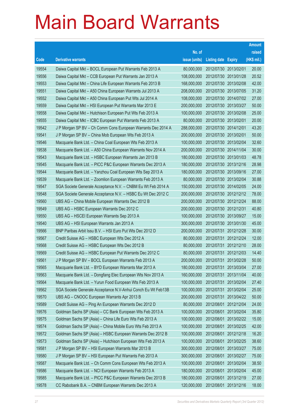|       |                                                              |               |                            |                       | <b>Amount</b> |
|-------|--------------------------------------------------------------|---------------|----------------------------|-----------------------|---------------|
|       |                                                              | No. of        |                            |                       | raised        |
| Code  | <b>Derivative warrants</b>                                   | issue (units) | <b>Listing date Expiry</b> |                       | (HK\$ mil.)   |
| 19554 | Daiwa Capital Mkt - BOCL European Put Warrants Feb 2013 A    | 80,000,000    | 2012/07/30 2013/02/01      |                       | 20.00         |
| 19556 | Daiwa Capital Mkt - CCB European Put Warrants Jan 2013 A     | 108,000,000   | 2012/07/30 2013/01/28      |                       | 20.52         |
| 19553 | Daiwa Capital Mkt - China Life European Warrants Feb 2013 B  | 168,000,000   | 2012/07/30 2013/02/08      |                       | 42.00         |
| 19551 | Daiwa Capital Mkt - A50 China European Warrants Jul 2013 A   | 208,000,000   | 2012/07/30 2013/07/05      |                       | 31.20         |
| 19552 | Daiwa Capital Mkt - A50 China European Put Wts Jul 2014 A    | 108,000,000   |                            | 2012/07/30 2014/07/02 | 27.00         |
| 19559 | Daiwa Capital Mkt - HSI European Put Warrants Mar 2013 E     | 200,000,000   | 2012/07/30 2013/03/27      |                       | 50.00         |
| 19558 | Daiwa Capital Mkt - Hutchison European Put Wts Feb 2013 A    | 100,000,000   | 2012/07/30 2013/02/08      |                       | 25.00         |
| 19555 | Daiwa Capital Mkt - ICBC European Put Warrants Feb 2013 A    | 80,000,000    | 2012/07/30 2013/02/01      |                       | 20.00         |
| 19542 | J P Morgan SP BV - Ch Comm Cons European Warrants Dec 2014 A | 288,000,000   | 2012/07/30 2014/12/01      |                       | 43.20         |
| 19541 | J P Morgan SP BV - China Mob European Wts Feb 2013 A         | 200,000,000   | 2012/07/30 2013/02/01      |                       | 50.00         |
| 19546 | Macquarie Bank Ltd. - China Coal European Wts Feb 2013 A     | 100,000,000   | 2012/07/30 2013/02/04      |                       | 32.60         |
| 19538 | Macquarie Bank Ltd. - A50 China European Warrants Nov 2014 A | 200,000,000   | 2012/07/30 2014/11/04      |                       | 30.00         |
| 19543 | Macquarie Bank Ltd. - HSBC European Warrants Jan 2013 B      | 180,000,000   |                            | 2012/07/30 2013/01/03 | 48.78         |
| 19545 | Macquarie Bank Ltd. - PICC P&C European Warrants Dec 2013 A  | 180,000,000   |                            | 2012/07/30 2013/12/16 | 28.98         |
| 19544 | Macquarie Bank Ltd. - Yanzhou Coal European Wts Sep 2013 A   | 180,000,000   | 2012/07/30 2013/09/16      |                       | 27.00         |
| 19539 | Macquarie Bank Ltd. - Zoomlion European Warrants Feb 2013 A  | 80,000,000    | 2012/07/30 2013/02/04      |                       | 30.88         |
| 19547 | SGA Societe Generale Acceptance N.V. - CNBM Eu Wt Feb 2014 A | 150,000,000   |                            | 2012/07/30 2014/02/05 | 24.00         |
| 19548 | SGA Societe Generale Acceptance N.V. - HSBC Eu Wt Dec 2012 C | 200,000,000   |                            | 2012/07/30 2012/12/12 | 78.00         |
| 19560 | UBS AG - China Mobile European Warrants Dec 2012 B           | 200,000,000   | 2012/07/30 2012/12/24      |                       | 88.00         |
| 19549 | UBS AG - HSBC European Warrants Dec 2012 C                   | 200,000,000   | 2012/07/30 2012/12/31      |                       | 40.80         |
| 19550 | UBS AG - HSCEI European Warrants Sep 2013 A                  | 100,000,000   |                            | 2012/07/30 2013/09/27 | 15.00         |
| 19540 | UBS AG - HSI European Warrants Jan 2013 A                    | 300,000,000   |                            | 2012/07/30 2013/01/30 | 45.00         |
| 19566 | BNP Paribas Arbit Issu B.V. - HSI Euro Put Wts Dec 2012 D    | 200,000,000   | 2012/07/31                 | 2012/12/28            | 30.00         |
| 19567 | Credit Suisse AG - HSBC European Wts Dec 2012 A              | 80,000,000    |                            | 2012/07/31 2012/12/24 | 12.00         |
| 19568 | Credit Suisse AG - HSBC European Wts Dec 2012 B              | 80,000,000    |                            | 2012/07/31 2012/12/10 | 28.00         |
| 19569 | Credit Suisse AG - HSBC European Put Warrants Dec 2012 C     | 80,000,000    | 2012/07/31 2012/12/03      |                       | 14.40         |
| 19561 | J P Morgan SP BV - BOCL European Warrants Feb 2013 A         | 200,000,000   | 2012/07/31 2013/02/28      |                       | 50.00         |
| 19565 | Macquarie Bank Ltd. - BYD European Warrants Mar 2013 A       | 180,000,000   | 2012/07/31 2013/03/04      |                       | 27.00         |
| 19563 | Macquarie Bank Ltd. - Dongfang Elec European Wts Nov 2013 A  | 160,000,000   | 2012/07/31                 | 2013/11/04            | 40.00         |
| 19564 | Macquarie Bank Ltd. - Yurun Food European Wts Feb 2013 A     | 100,000,000   | 2012/07/31 2013/02/04      |                       | 27.40         |
| 19562 | SGA Societe Generale Acceptance N.V-Anhui Conch Eu Wt Feb13B | 100,000,000   | 2012/07/31                 | 2013/02/04            | 25.00         |
| 19570 | UBS AG - CNOOC European Warrants Apr 2013 B                  | 200,000,000   | 2012/07/31                 | 2013/04/22            | 50.00         |
| 19589 | Credit Suisse AG - Ping An European Warrants Dec 2012 D      | 80,000,000    | 2012/08/01                 | 2012/12/04            | 24.00         |
| 19576 | Goldman Sachs SP (Asia) - CC Bank European Wts Feb 2013 A    | 100,000,000   | 2012/08/01                 | 2013/02/04            | 35.80         |
| 19575 | Goldman Sachs SP (Asia) - China Life Euro Wts Feb 2013 A     | 100,000,000   | 2012/08/01                 | 2013/02/22            | 15.00         |
| 19574 | Goldman Sachs SP (Asia) - China Mobile Euro Wts Feb 2013 A   | 100,000,000   | 2012/08/01                 | 2013/02/25            | 42.00         |
| 19572 | Goldman Sachs SP (Asia) - HSBC European Warrants Dec 2012 B  | 100,000,000   | 2012/08/01                 | 2012/12/18            | 16.20         |
| 19573 | Goldman Sachs SP (Asia) - Hutchison European Wts Feb 2013 A  | 100,000,000   | 2012/08/01                 | 2013/02/25            | 38.60         |
| 19581 | J P Morgan SP BV - HSI European Warrants Mar 2013 B          | 300,000,000   | 2012/08/01                 | 2013/03/27            | 75.00         |
| 19580 | J P Morgan SP BV - HSI European Put Warrants Feb 2013 A      | 300,000,000   | 2012/08/01                 | 2013/02/27            | 75.00         |
| 19587 | Macquarie Bank Ltd. - Ch Comm Cons European Wts Feb 2013 A   | 100,000,000   | 2012/08/01                 | 2013/02/04            | 38.50         |
| 19586 | Macquarie Bank Ltd. - NCI European Warrants Feb 2013 A       | 180,000,000   | 2012/08/01                 | 2013/02/04            | 45.00         |
| 19585 | Macquarie Bank Ltd. - PICC P&C European Warrants Dec 2013 B  | 180,000,000   | 2012/08/01                 | 2013/12/19            | 27.00         |
| 19578 | CC Rabobank B.A. - CNBM European Warrants Dec 2013 A         | 120,000,000   | 2012/08/01 2013/12/16      |                       | 18.00         |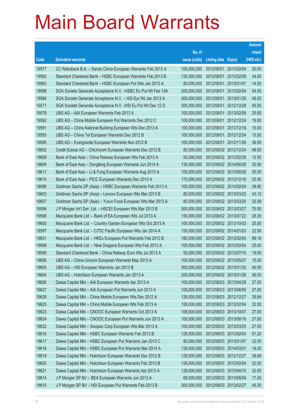|       |                                                               |               |                            |                       | <b>Amount</b> |
|-------|---------------------------------------------------------------|---------------|----------------------------|-----------------------|---------------|
|       |                                                               | No. of        |                            |                       | raised        |
| Code  | <b>Derivative warrants</b>                                    | issue (units) | <b>Listing date Expiry</b> |                       | (HK\$ mil.)   |
| 19577 | CC Rabobank B.A. - Sands China European Warrants Feb 2013 A   | 100,000,000   | 2012/08/01                 | 2013/02/04            | 30.00         |
| 19582 | Standard Chartered Bank - HSBC European Warrants Feb 2013 B   | 120,000,000   | 2012/08/01                 | 2013/02/08            | 34.80         |
| 19583 | Standard Chartered Bank - HSBC European Put Wts Jan 2013 A    | 80,000,000    | 2012/08/01                 | 2013/01/07            | 14.00         |
| 19588 | SGA Societe Generale Acceptance N.V. - HSBC Eu Put Wt Feb 13A | 200,000,000   | 2012/08/01                 | 2013/02/04            | 54.00         |
| 19584 | SGA Societe Generale Acceptance N.V. - HSI Eur Wt Jan 2013 A  | 300,000,000   | 2012/08/01                 | 2013/01/30            | 48.00         |
| 19571 | SGA Societe Generale Acceptance N.V. - HSI Eu Put Wt Dec 12 D | 300,000,000   |                            | 2012/08/01 2012/12/28 | 45.00         |
| 19579 | UBS AG - AIA European Warrants Feb 2013 A                     | 100,000,000   | 2012/08/01                 | 2013/02/08            | 25.00         |
| 19592 | UBS AG - China Mobile European Put Warrants Dec 2012 C        | 100,000,000   |                            | 2012/08/01 2012/12/24 | 19.00         |
| 19591 | UBS AG - China National Building European Wts Dec 2013 A      | 100,000,000   | 2012/08/01                 | 2013/12/16            | 15.00         |
| 19593 | UBS AG - China Tel European Warrants Dec 2012 B               | 100,000,000   |                            | 2012/08/01 2012/12/24 | 15.00         |
| 19590 | UBS AG - Evergrande European Warrants Nov 2012 B              | 100,000,000   |                            | 2012/08/01 2012/11/26 | 36.00         |
| 19602 | Credit Suisse AG - ChiUnicom European Warrants Dec 2012 B     | 80,000,000    |                            | 2012/08/02 2012/12/24 | 48.00         |
| 19608 | Bank of East Asia - China Railway European Wts Feb 2013 A     | 50,000,000    |                            | 2012/08/02 2013/02/26 | 12.50         |
| 19609 | Bank of East Asia - Dongfeng European Warrants Jun 2014 A     | 130,000,000   |                            | 2012/08/02 2014/06/26 | 32.50         |
| 19611 | Bank of East Asia - Li & Fung European Warrants Aug 2013 A    | 100,000,000   |                            | 2012/08/02 2013/08/26 | 25.00         |
| 19610 | Bank of East Asia - PICC European Warrants Dec 2013 A         | 170,000,000   |                            | 2012/08/02 2013/12/16 | 25.50         |
| 19596 | Goldman Sachs SP (Asia) - HSBC European Warrants Feb 2013 A   | 100,000,000   |                            | 2012/08/02 2013/02/04 | 38.90         |
| 19603 | Goldman Sachs SP (Asia) - Lenovo European Wts Mar 2013 B      | 80,000,000    |                            | 2012/08/02 2013/03/25 | 43.12         |
| 19607 | Goldman Sachs SP (Asia) - Yurun Food European Wts Mar 2013 A  | 80,000,000    |                            | 2012/08/02 2013/03/25 | 32.08         |
| 19594 | J P Morgan Int'l Der. Ltd. - HSCEI European Wts Mar 2013 B    | 300,000,000   |                            | 2012/08/02 2013/03/27 | 75.00         |
| 19598 | Macquarie Bank Ltd. - Bank of EA European Wts Jul 2013 A      | 150,000,000   |                            | 2012/08/02 2013/07/22 | 28.35         |
| 19600 | Macquarie Bank Ltd. - Country Garden European Wts Oct 2013 A  | 100,000,000   |                            | 2012/08/02 2013/10/03 | 25.00         |
| 19597 | Macquarie Bank Ltd. - CITIC Pacific European Wts Jan 2014 A   | 150,000,000   |                            | 2012/08/02 2014/01/03 | 22.50         |
| 19601 | Macquarie Bank Ltd. - HKEx European Put Warrants Feb 2013 B   | 180,000,000   |                            | 2012/08/02 2013/02/04 | 99.18         |
| 19599 | Macquarie Bank Ltd. - Nine Dragons European Wts Feb 2013 A    | 100,000,000   |                            | 2012/08/02 2013/02/04 | 25.00         |
| 19595 | Standard Chartered Bank - China Railway Euro Wts Jul 2013 A   | 50,000,000    |                            | 2012/08/02 2013/07/10 | 18.00         |
| 19606 | UBS AG - China Unicom European Warrants May 2013 A            | 100,000,000   |                            | 2012/08/02 2013/05/27 | 15.00         |
| 19605 | UBS AG - HSI European Warrants Jan 2013 B                     | 300,000,000   |                            | 2012/08/02 2013/01/30 | 45.00         |
| 19604 | UBS AG - Hutchison European Warrants Jan 2013 A               | 200,000,000   |                            | 2012/08/02 2013/01/28 | 36.00         |
| 19626 | Daiwa Capital Mkt - AIA European Warrants Apr 2013 A          | 108,000,000   |                            | 2012/08/03 2013/04/29 | 27.00         |
| 19627 | Daiwa Capital Mkt - AIA European Put Warrants Jun 2013 A      | 108,000,000   |                            | 2012/08/03 2013/06/05 | 27.00         |
| 19628 | Daiwa Capital Mkt - China Mobile European Wts Dec 2012 A      | 128,000,000   |                            | 2012/08/03 2012/12/27 | 35.84         |
| 19625 | Daiwa Capital Mkt - China Mobile European Wts Feb 2013 A      | 128,000,000   |                            | 2012/08/03 2013/02/04 | 32.00         |
| 19623 | Daiwa Capital Mkt - CNOOC European Warrants Oct 2013 A        | 108,000,000   |                            | 2012/08/03 2013/10/07 | 27.00         |
| 19624 | Daiwa Capital Mkt - CNOOC European Put Warrants Jun 2013 A    | 108,000,000   |                            | 2012/08/03 2013/06/18 | 27.00         |
| 19622 | Daiwa Capital Mkt - Sinopec Corp European Wts Mar 2013 A      | 108,000,000   |                            | 2012/08/03 2013/03/25 | 27.00         |
| 19616 | Daiwa Capital Mkt - HSBC European Warrants Feb 2013 B         | 128,000,000   |                            | 2012/08/03 2013/02/04 | 51.20         |
| 19617 | Daiwa Capital Mkt - HSBC European Put Warrants Jan 2013 C     | 80,000,000    |                            | 2012/08/03 2013/01/07 | 32.00         |
| 19618 | Daiwa Capital Mkt - HSBC European Put Warrants Mar 2014 A     | 128,000,000   | 2012/08/03 2014/03/31      |                       | 19.20         |
| 19619 | Daiwa Capital Mkt - Hutchison European Warrants Dec 2012 B    | 128,000,000   |                            | 2012/08/03 2012/12/27 | 39.68         |
| 19620 | Daiwa Capital Mkt - Hutchison European Warrants Feb 2013 B    | 128,000,000   |                            | 2012/08/03 2013/02/04 | 32.00         |
| 19621 | Daiwa Capital Mkt - Hutchison European Warrants Apr 2013 A    | 128,000,000   |                            | 2012/08/03 2013/04/10 | 32.00         |
| 19614 | J P Morgan SP BV - BEA European Warrants Jun 2013 A           | 68,000,000    |                            | 2012/08/03 2013/06/04 | 17.00         |
| 19615 | J P Morgan SP BV - HSI European Put Warrants Feb 2013 B       | 300,000,000   |                            | 2012/08/03 2013/02/27 | 45.30         |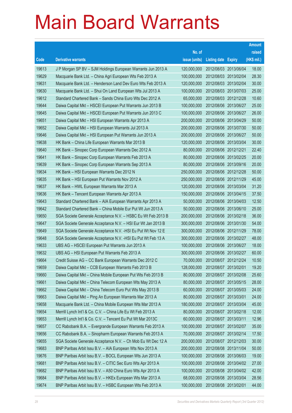|       |                                                               |               |                       |                       | <b>Amount</b> |
|-------|---------------------------------------------------------------|---------------|-----------------------|-----------------------|---------------|
|       |                                                               | No. of        |                       |                       | raised        |
| Code  | <b>Derivative warrants</b>                                    | issue (units) | Listing date Expiry   |                       | (HK\$ mil.)   |
| 19613 | J P Morgan SP BV - SJM Holdings European Warrants Jun 2013 A  | 120,000,000   | 2012/08/03 2013/06/04 |                       | 18.00         |
| 19629 | Macquarie Bank Ltd. - China Agri European Wts Feb 2013 A      | 100,000,000   | 2012/08/03 2013/02/04 |                       | 28.30         |
| 19631 | Macquarie Bank Ltd. - Henderson Land Dev Euro Wts Feb 2013 A  | 120,000,000   | 2012/08/03 2013/02/04 |                       | 30.00         |
| 19630 | Macquarie Bank Ltd. - Shui On Land European Wts Jul 2013 A    | 100,000,000   |                       | 2012/08/03 2013/07/03 | 25.00         |
| 19612 | Standard Chartered Bank - Sands China Euro Wts Dec 2012 A     | 65,000,000    | 2012/08/03 2012/12/28 |                       | 10.60         |
| 19644 | Daiwa Capital Mkt - HSCEI European Put Warrants Jun 2013 B    | 100,000,000   |                       | 2012/08/06 2013/06/27 | 25.00         |
| 19645 | Daiwa Capital Mkt - HSCEI European Put Warrants Jun 2013 C    | 100,000,000   | 2012/08/06 2013/06/27 |                       | 26.00         |
| 19651 | Daiwa Capital Mkt - HSI European Warrants Apr 2013 A          | 200,000,000   | 2012/08/06 2013/04/29 |                       | 50.00         |
| 19652 | Daiwa Capital Mkt - HSI European Warrants Jul 2013 A          | 200,000,000   |                       | 2012/08/06 2013/07/30 | 50.00         |
| 19646 | Daiwa Capital Mkt - HSI European Put Warrants Jun 2013 A      | 200,000,000   | 2012/08/06 2013/06/27 |                       | 50.00         |
| 19638 | HK Bank - China Life European Warrants Mar 2013 B             | 120,000,000   | 2012/08/06 2013/03/04 |                       | 30.00         |
| 19640 | HK Bank - Sinopec Corp European Warrants Dec 2012 A           | 80,000,000    | 2012/08/06 2012/12/21 |                       | 22.40         |
| 19641 | HK Bank - Sinopec Corp European Warrants Feb 2013 A           | 80,000,000    |                       | 2012/08/06 2013/02/25 | 20.00         |
| 19639 | HK Bank - Sinopec Corp European Warrants Sep 2013 A           | 80,000,000    | 2012/08/06 2013/09/16 |                       | 20.00         |
| 19634 | HK Bank - HSI European Warrants Dec 2012 N                    | 250,000,000   | 2012/08/06 2012/12/28 |                       | 50.00         |
| 19635 | HK Bank - HSI European Put Warrants Nov 2012 A                | 250,000,000   |                       | 2012/08/06 2012/11/29 | 45.00         |
| 19637 | HK Bank - HWL European Warrants Mar 2013 A                    | 120,000,000   |                       | 2012/08/06 2013/03/04 | 31.20         |
| 19636 | HK Bank - Tencent European Warrants Apr 2013 A                | 150,000,000   |                       | 2012/08/06 2013/04/15 | 37.50         |
| 19643 | Standard Chartered Bank - AIA European Warrants Apr 2013 A    | 50,000,000    | 2012/08/06 2013/04/03 |                       | 12.50         |
| 19642 | Standard Chartered Bank - China Mobile Eur Put Wt Jun 2013 A  | 50,000,000    | 2012/08/06 2013/06/10 |                       | 25.00         |
| 19650 | SGA Societe Generale Acceptance N.V. - HSBC Eu Wt Feb 2013 B  | 200,000,000   | 2012/08/06 2013/02/18 |                       | 36.00         |
| 19647 | SGA Societe Generale Acceptance N.V. - HSI Eur Wt Jan 2013 B  | 300,000,000   |                       | 2012/08/06 2013/01/30 | 54.00         |
| 19649 | SGA Societe Generale Acceptance N.V. - HSI Eu Put Wt Nov 12 E | 300,000,000   | 2012/08/06 2012/11/29 |                       | 78.00         |
| 19648 | SGA Societe Generale Acceptance N.V. - HSI Eu Put Wt Feb 13 A | 300,000,000   | 2012/08/06 2013/02/27 |                       | 48.00         |
| 19633 | UBS AG - HSCEI European Put Warrants Jun 2013 A               | 100,000,000   | 2012/08/06 2013/06/27 |                       | 18.00         |
| 19632 | UBS AG - HSI European Put Warrants Feb 2013 A                 | 300,000,000   | 2012/08/06 2013/02/27 |                       | 60.00         |
| 19664 | Credit Suisse AG - CC Bank European Warrants Dec 2012 C       | 70,000,000    | 2012/08/07 2012/12/24 |                       | 10.50         |
| 19659 | Daiwa Capital Mkt - CCB European Warrants Feb 2013 B          | 128,000,000   | 2012/08/07 2013/02/01 |                       | 19.20         |
| 19660 | Daiwa Capital Mkt - China Mobile European Put Wts Feb 2013 B  | 80,000,000    | 2012/08/07            | 2013/02/08            | 25.60         |
| 19661 | Daiwa Capital Mkt - China Telecom European Wts May 2013 A     | 80,000,000    | 2012/08/07 2013/05/15 |                       | 28.00         |
| 19662 | Daiwa Capital Mkt - China Telecom Euro Put Wts May 2013 B     | 60,000,000    | 2012/08/07 2013/05/03 |                       | 24.00         |
| 19663 | Daiwa Capital Mkt - Ping An European Warrants Mar 2013 A      | 80,000,000    | 2012/08/07 2013/03/01 |                       | 24.00         |
| 19658 | Macquarie Bank Ltd. - China Mobile European Wts Mar 2013 A    | 180,000,000   | 2012/08/07            | 2013/03/04            | 45.00         |
| 19654 | Merrill Lynch Int'l & Co. C.V. - China Life Eu Wt Feb 2013 A  | 80,000,000    | 2012/08/07 2013/02/18 |                       | 12.00         |
| 19653 | Merrill Lynch Int'l & Co. C.V. - Tencent Eu Put Wt Mar 2013C  | 60,000,000    | 2012/08/07 2013/03/11 |                       | 12.96         |
| 19657 | CC Rabobank B.A. - Evergrande European Warrants Feb 2013 A    | 100,000,000   | 2012/08/07 2013/02/07 |                       | 35.00         |
| 19656 | CC Rabobank B.A. - Sinopharm European Warrants Feb 2013 A     | 70,000,000    | 2012/08/07 2013/02/14 |                       | 17.50         |
| 19655 | SGA Societe Generale Acceptance N.V. - Ch Mob Eu Wt Dec 12 A  | 200,000,000   | 2012/08/07 2012/12/03 |                       | 30.00         |
| 19683 | BNP Paribas Arbit Issu B.V. - AIA European Wts Nov 2013 A     | 200,000,000   | 2012/08/08 2013/11/04 |                       | 50.00         |
| 19676 | BNP Paribas Arbit Issu B.V. - BOCL European Wts Jun 2013 A    | 100,000,000   | 2012/08/08 2013/06/03 |                       | 19.00         |
| 19681 | BNP Paribas Arbit Issu B.V. - CITIC Sec Euro Wts Apr 2013 A   | 100,000,000   | 2012/08/08 2013/04/02 |                       | 27.00         |
| 19682 | BNP Paribas Arbit Issu B.V. - A50 China Euro Wts Apr 2013 A   | 100,000,000   |                       | 2012/08/08 2013/04/02 | 42.00         |
| 19684 | BNP Paribas Arbit Issu B.V. - HKEx European Wts Mar 2013 A    | 68,000,000    | 2012/08/08 2013/03/04 |                       | 28.56         |
| 19674 | BNP Paribas Arbit Issu B.V. - HSBC European Wts Feb 2013 A    | 100,000,000   | 2012/08/08 2013/02/01 |                       | 44.00         |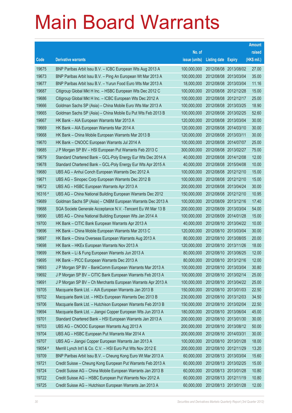|         |                                                               |               |                            |                       | <b>Amount</b> |
|---------|---------------------------------------------------------------|---------------|----------------------------|-----------------------|---------------|
|         |                                                               | No. of        |                            |                       | raised        |
| Code    | <b>Derivative warrants</b>                                    | issue (units) | <b>Listing date Expiry</b> |                       | (HK\$ mil.)   |
| 19675   | BNP Paribas Arbit Issu B.V. - ICBC European Wts Aug 2013 A    | 100,000,000   |                            | 2012/08/08 2013/08/02 | 27.00         |
| 19673   | BNP Paribas Arbit Issu B.V. - Ping An European Wt Mar 2013 A  | 100,000,000   |                            | 2012/08/08 2013/03/04 | 35.00         |
| 19677   | BNP Paribas Arbit Issu B.V. - Yurun Food Euro Wts Mar 2013 A  | 18,000,000    |                            | 2012/08/08 2013/03/04 | 11.16         |
| 19687   | Citigroup Global Mkt H Inc. - HSBC European Wts Dec 2012 C    | 100,000,000   | 2012/08/08 2012/12/28      |                       | 15.00         |
| 19686   | Citigroup Global Mkt H Inc. - ICBC European Wts Dec 2012 A    | 100,000,000   |                            | 2012/08/08 2012/12/17 | 25.00         |
| 19666   | Goldman Sachs SP (Asia) - China Mobile Euro Wts Mar 2013 A    | 100,000,000   | 2012/08/08 2013/03/25      |                       | 18.90         |
| 19665   | Goldman Sachs SP (Asia) – China Mobile Eu Put Wts Feb 2013 B  | 100,000,000   |                            | 2012/08/08 2013/02/25 | 52.60         |
| 19667   | HK Bank – AIA European Warrants Mar 2013 A                    | 120,000,000   | 2012/08/08 2013/03/04      |                       | 30.00         |
| 19669   | HK Bank - AIA European Warrants Mar 2014 A                    | 120,000,000   |                            | 2012/08/08 2014/03/10 | 30.00         |
| 19668   | HK Bank - China Mobile European Warrants Mar 2013 B           | 120,000,000   | 2012/08/08 2013/03/11      |                       | 30.00         |
| 19670   | HK Bank - CNOOC European Warrants Jul 2014 A                  | 100,000,000   |                            | 2012/08/08 2014/07/07 | 25.00         |
| 19685   | J P Morgan SP BV - HSI European Put Warrants Feb 2013 C       | 300,000,000   | 2012/08/08 2013/02/27      |                       | 75.00         |
| 19679   | Standard Chartered Bank - GCL-Poly Energy Eur Wts Dec 2014 A  | 40,000,000    |                            | 2012/08/08 2014/12/08 | 12.00         |
| 19678   | Standard Chartered Bank - GCL-Poly Energy Eur Wts Apr 2015 A  | 40,000,000    |                            | 2012/08/08 2015/04/08 | 10.00         |
| 19680   | UBS AG - Anhui Conch European Warrants Dec 2012 A             | 100,000,000   |                            | 2012/08/08 2012/12/10 | 15.00         |
| 19671   | UBS AG - Sinopec Corp European Warrants Dec 2012 B            | 100,000,000   | 2012/08/08 2012/12/10      |                       | 15.00         |
| 19672   | UBS AG - HSBC European Warrants Apr 2013 A                    | 200,000,000   |                            | 2012/08/08 2013/04/24 | 30.00         |
| 16316 # | UBS AG - China National Building European Warrants Dec 2012   | 150,000,000   | 2012/08/08 2012/12/10      |                       | 10.95         |
| 19689   | Goldman Sachs SP (Asia) - CNBM European Warrants Dec 2013 A   | 100,000,000   |                            | 2012/08/09 2013/12/16 | 17.40         |
| 19688   | SGA Societe Generale Acceptance N.V. - Tencent Eu Wt Mar 13 B | 200,000,000   | 2012/08/09 2013/03/04      |                       | 54.00         |
| 19690   | UBS AG - China National Building European Wts Jan 2014 A      | 100,000,000   |                            | 2012/08/09 2014/01/28 | 15.00         |
| 19700   | HK Bank - CITIC Bank European Warrants Apr 2013 A             | 40,000,000    |                            | 2012/08/10 2013/04/22 | 10.00         |
| 19696   | HK Bank - China Mobile European Warrants Mar 2013 C           | 120,000,000   |                            | 2012/08/10 2013/03/04 | 30.00         |
| 19697   | HK Bank – China Overseas European Warrants Aug 2013 A         | 80,000,000    | 2012/08/10 2013/08/05      |                       | 20.00         |
| 19698   | HK Bank - HKEx European Warrants Nov 2013 A                   | 120,000,000   |                            | 2012/08/10 2013/11/26 | 18.00         |
| 19699   | HK Bank – Li & Fung European Warrants Jun 2013 A              | 80,000,000    |                            | 2012/08/10 2013/06/25 | 12.00         |
| 19695   | HK Bank - PICC European Warrants Dec 2013 A                   | 80,000,000    | 2012/08/10 2013/12/16      |                       | 12.00         |
| 19693   | J P Morgan SP BV - BankComm European Warrants Mar 2013 A      | 100,000,000   | 2012/08/10 2013/03/04      |                       | 30.80         |
| 19692   | J P Morgan SP BV - CITIC Bank European Warrants Feb 2013 A    | 100,000,000   |                            | 2012/08/10 2013/02/14 | 25.00         |
| 19691   | J P Morgan SP BV - Ch Merchants European Warrants Apr 2013 A  | 100,000,000   |                            | 2012/08/10 2013/04/22 | 25.00         |
| 19705   | Macquarie Bank Ltd. - AIA European Warrants Jan 2013 B        | 150,000,000   |                            | 2012/08/10 2013/01/03 | 22.50         |
| 19702   | Macquarie Bank Ltd. - HKEx European Warrants Dec 2013 B       | 230,000,000   |                            | 2012/08/10 2013/12/03 | 34.50         |
| 19706   | Macquarie Bank Ltd. - Hutchison European Warrants Feb 2013 B  | 150,000,000   |                            | 2012/08/10 2013/02/04 | 22.50         |
| 19694   | Macquarie Bank Ltd. - Jiangxi Copper European Wts Jun 2013 A  | 180,000,000   | 2012/08/10 2013/06/04      |                       | 45.00         |
| 19701   | Standard Chartered Bank - HSI European Warrants Jan 2013 A    | 200,000,000   |                            | 2012/08/10 2013/01/30 | 30.00         |
| 19703   | UBS AG - CNOOC European Warrants Aug 2013 A                   | 200,000,000   |                            | 2012/08/10 2013/08/12 | 50.00         |
| 19704   | UBS AG - HSBC European Put Warrants Mar 2014 A                | 200,000,000   | 2012/08/10 2014/03/31      |                       | 30.00         |
| 19707   | UBS AG - Jiangxi Copper European Warrants Jan 2013 A          | 100,000,000   | 2012/08/10 2013/01/28      |                       | 18.00         |
| 19054 # | Merrill Lynch Int'l & Co. C.V. - HSI Euro Put Wts Nov 2012 E  | 200,000,000   |                            | 2012/08/10 2012/11/29 | 13.20         |
| 19709   | BNP Paribas Arbit Issu B.V. - Cheung Kong Euro Wt Mar 2013 A  | 60,000,000    |                            | 2012/08/13 2013/03/04 | 15.60         |
| 19721   | Credit Suisse - Cheung Kong European Put Warrants Feb 2013 A  | 60,000,000    |                            | 2012/08/13 2013/02/25 | 15.00         |
| 19724   | Credit Suisse AG - China Mobile European Warrants Jan 2013 B  | 60,000,000    | 2012/08/13 2013/01/28      |                       | 10.80         |
| 19722   | Credit Suisse AG - HSBC European Put Warrants Nov 2012 A      | 60,000,000    |                            | 2012/08/13 2012/11/19 | 10.80         |
| 19725   | Credit Suisse AG - Hutchison European Warrants Jan 2013 A     | 60,000,000    | 2012/08/13 2013/01/28      |                       | 12.00         |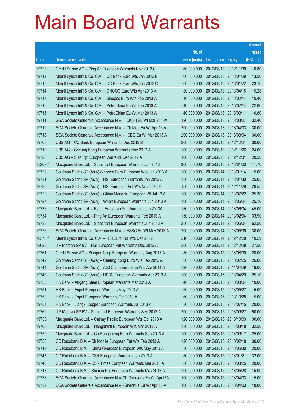|         |                                                               |               |                            |                       | <b>Amount</b> |
|---------|---------------------------------------------------------------|---------------|----------------------------|-----------------------|---------------|
|         |                                                               | No. of        |                            |                       | raised        |
| Code    | <b>Derivative warrants</b>                                    | issue (units) | <b>Listing date Expiry</b> |                       | (HK\$ mil.)   |
| 19723   | Credit Suisse AG – Ping An European Warrants Nov 2012 C       | 60,000,000    |                            | 2012/08/13 2012/11/30 | 10.80         |
| 19712   | Merrill Lynch Int'l & Co. C.V. - CC Bank Euro Wts Jan 2013 B  | 60,000,000    | 2012/08/13 2013/01/29      |                       | 13.56         |
| 19713   | Merrill Lynch Int'l & Co. C.V. - CC Bank Euro Wts Jan 2013 C  | 60,000,000    |                            | 2012/08/13 2013/01/22 | 23.10         |
| 19714   | Merrill Lynch Int'l & Co. C.V. - CNOOC Euro Wts Apr 2013 A    | 80,000,000    |                            | 2012/08/13 2013/04/15 | 15.28         |
| 19717   | Merrill Lynch Int'l & Co. C.V. - Sinopec Euro Wts Feb 2013 A  | 40,000,000    |                            | 2012/08/13 2013/02/14 | 10.40         |
| 19716   | Merrill Lynch Int'l & Co. C.V. - PetroChina Eu Wt Feb 2013 A  | 40,000,000    |                            | 2012/08/13 2013/02/14 | 22.80         |
| 19715   | Merrill Lynch Int'l & Co. C.V. - PetroChina Eu Wt Mar 2013 A  | 40,000,000    | 2012/08/13 2013/03/11      |                       | 10.80         |
| 19711   | SGA Societe Generale Acceptance N.V. - CK(H) Eu Wt Mar 2013A  | 120,000,000   |                            | 2012/08/13 2013/03/27 | 32.40         |
| 19710   | SGA Societe Generale Acceptance N.V. - Ch Mob Eu Wt Apr 13 A  | 200,000,000   |                            | 2012/08/13 2013/04/03 | 30.00         |
| 19718   | SGA Societe Generale Acceptance N.V. - ICBC Eu Wt Mar 2013 A  | 200,000,000   |                            | 2012/08/13 2013/03/04 | 30.00         |
| 19708   | UBS AG – CC Bank European Warrants Dec 2012 B                 | 200,000,000   | 2012/08/13 2012/12/21      |                       | 30.00         |
| 19719   | UBS AG - Cheung Kong European Warrants Nov 2012 A             | 100,000,000   |                            | 2012/08/13 2012/11/26 | 24.00         |
| 19720   | UBS AG - SHK Ppt European Warrants Dec 2012 A                 | 100,000,000   |                            | 2012/08/13 2012/12/31 | 20.50         |
| 15209 # | Macquarie Bank Ltd. - Stanchart European Warrants Jan 2013    | 300,000,000   | 2012/08/13 2013/01/03      |                       | 11.70         |
| 19728   | Goldman Sachs SP (Asia)-Sinopec Corp European Wts Jan 2013 A  | 100,000,000   |                            | 2012/08/14 2013/01/14 | 15.00         |
| 19731   | Goldman Sachs SP (Asia) - HSI European Warrants Jan 2013 A    | 150,000,000   |                            | 2012/08/14 2013/01/30 | 25.05         |
| 19730   | Goldman Sachs SP (Asia) – HSI European Put Wts Nov 2012 F     | 150,000,000   |                            | 2012/08/14 2012/11/29 | 29.55         |
| 19729   | Goldman Sachs SP (Asia) - China Mengniu European Wt Jul 13 A  | 100,000,000   |                            | 2012/08/14 2013/07/22 | 25.30         |
| 19727   | Goldman Sachs SP (Asia) - Wharf European Warrants Jun 2013 A  | 100,000,000   | 2012/08/14                 | 2013/06/24            | 25.10         |
| 19736   | Macquarie Bank Ltd. - Esprit European Put Warrants Jun 2013A  | 180,000,000   |                            | 2012/08/14 2013/06/04 | 45.00         |
| 19734   | Macquarie Bank Ltd. - Ping An European Warrants Feb 2013 A    | 150,000,000   |                            | 2012/08/14 2013/02/04 | 33.90         |
| 19733   | Macquarie Bank Ltd. - Stanchart European Warrants Jun 2013 A  | 250,000,000   |                            | 2012/08/14 2013/06/04 | 62.50         |
| 19726   | SGA Societe Generale Acceptance N.V. - HSBC Eu Wt May 2013 A  | 200,000,000   | 2012/08/14                 | 2013/05/06            | 30.00         |
| 16578 # | Merrill Lynch Int'l & Co. C.V. - HSI Euro Put Wts Dec 2012    | 210,000,000   | 2012/08/14 2012/12/28      |                       | 10.29         |
| 18023 # | J P Morgan SP BV - HSI European Put Warrants Dec 2012 A       | 500,000,000   |                            | 2012/08/14 2012/12/28 | 27.50         |
| 19761   | Credit Suisse AG - Sinopec Corp European Warrants Aug 2013 A  | 80,000,000    | 2012/08/15 2013/08/30      |                       | 20.00         |
| 19742   | Goldman Sachs SP (Asia) - Cheung Kong Euro Wts Feb 2013 A     | 80,000,000    | 2012/08/15 2013/02/25      |                       | 26.08         |
| 19744   | Goldman Sachs SP (Asia) - A50 China European Wts Apr 2014 A   | 120,000,000   | 2012/08/15 2014/04/29      |                       | 18.00         |
| 19743   | Goldman Sachs SP (Asia) - HSBC European Warrants Apr 2013 A   | 100,000,000   | 2012/08/15 2013/04/29      |                       | 25.10         |
| 19753   | HK Bank - Angang Steel European Warrants Mar 2013 A           | 40,000,000    | 2012/08/15 2013/03/04      |                       | 10.00         |
| 19751   | HK Bank - Esprit European Warrants May 2013 A                 | 60,000,000    |                            | 2012/08/15 2013/05/27 | 15.00         |
| 19752   | HK Bank - Esprit European Warrants Oct 2013 A                 | 60,000,000    | 2012/08/15 2013/10/28      |                       | 15.00         |
| 19754   | HK Bank - Jiangxi Copper European Warrants Jul 2013 A         | 80,000,000    |                            | 2012/08/15 2013/07/15 | 20.00         |
| 19762   | J P Morgan SP BV - Stanchart European Warrants Sep 2013 A     | 200,000,000   | 2012/08/15 2013/09/27      |                       | 50.00         |
| 19755   | Macquarie Bank Ltd. - Cathay Pacific European Wts Oct 2013 A  | 120,000,000   |                            | 2012/08/15 2013/10/03 | 30.00         |
| 19760   | Macquarie Bank Ltd. - Henganintl European Wts Mar 2013 A      | 130,000,000   | 2012/08/15 2013/03/18      |                       | 32.50         |
| 19759   | Macquarie Bank Ltd. - Ch Rongsheng Euro Warrants Sep 2013 A   | 100,000,000   | 2012/08/15 2013/09/17      |                       | 25.00         |
| 19750   | CC Rabobank B.A. - Ch Mobile European Put Wts Feb 2013 A      | 120,000,000   | 2012/08/15 2013/02/18      |                       | 30.00         |
| 19749   | CC Rabobank B.A. - China Overseas European Wts May 2013 A     | 80,000,000    |                            | 2012/08/15 2013/05/30 | 20.00         |
| 19747   | CC Rabobank B.A. - CSR European Warrants Jan 2013 A           | 80,000,000    | 2012/08/15 2013/01/21      |                       | 32.00         |
| 19746   | CC Rabobank B.A. - CSR Times European Warrants Mar 2013 A     | 80,000,000    | 2012/08/15 2013/03/25      |                       | 20.00         |
| 19748   | CC Rabobank B.A. - Shimao Ppt European Warrants May 2013 A    | 100,000,000   | 2012/08/15 2013/05/28      |                       | 15.00         |
| 19738   | SGA Societe Generale Acceptance N.V-Ch Overseas Eu Wt Apr13A  | 100,000,000   |                            | 2012/08/15 2013/04/03 | 15.00         |
| 19739   | SGA Societe Generale Acceptance N.V. - Shenhua Eu Wt Apr 13 A | 100,000,000   | 2012/08/15 2013/04/03      |                       | 18.00         |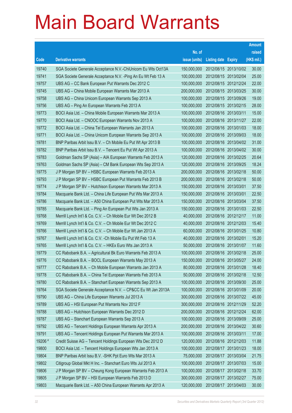|         |                                                               |               |                            |            | <b>Amount</b> |
|---------|---------------------------------------------------------------|---------------|----------------------------|------------|---------------|
|         |                                                               | No. of        |                            |            | raised        |
| Code    | <b>Derivative warrants</b>                                    | issue (units) | <b>Listing date Expiry</b> |            | (HK\$ mil.)   |
| 19740   | SGA Societe Generale Acceptance N.V.-ChiUnicom Eu Wts Oct13A  | 150,000,000   | 2012/08/15 2013/10/02      |            | 30.00         |
| 19741   | SGA Societe Generale Acceptance N.V. - Ping An Eu Wt Feb 13 A | 100,000,000   | 2012/08/15 2013/02/04      |            | 25.00         |
| 19757   | UBS AG - CC Bank European Put Warrants Dec 2012 C             | 100,000,000   | 2012/08/15 2012/12/24      |            | 22.00         |
| 19745   | UBS AG - China Mobile European Warrants Mar 2013 A            | 200,000,000   | 2012/08/15 2013/03/25      |            | 30.00         |
| 19758   | UBS AG - China Unicom European Warrants Sep 2013 A            | 100,000,000   | 2012/08/15 2013/09/26      |            | 19.00         |
| 19756   | UBS AG - Ping An European Warrants Feb 2013 A                 | 100,000,000   | 2012/08/15 2013/02/15      |            | 28.00         |
| 19773   | BOCI Asia Ltd. - China Mobile European Warrants Mar 2013 A    | 100,000,000   | 2012/08/16 2013/03/11      |            | 15.00         |
| 19770   | BOCI Asia Ltd. - CNOOC European Warrants Nov 2013 A           | 100,000,000   | 2012/08/16 2013/11/27      |            | 22.00         |
| 19772   | BOCI Asia Ltd. - China Tel European Warrants Jan 2013 A       | 100,000,000   | 2012/08/16 2013/01/03      |            | 18.00         |
| 19771   | BOCI Asia Ltd. - China Unicom European Warrants Sep 2013 A    | 100,000,000   | 2012/08/16 2013/09/03      |            | 18.00         |
| 19781   | BNP Paribas Arbit Issu B.V. - Ch Mobile Eu Put Wt Apr 2013 B  | 100,000,000   | 2012/08/16 2013/04/02      |            | 31.00         |
| 19782   | BNP Paribas Arbit Issu B.V. - Tencent Eu Put Wt Apr 2013 A    | 100,000,000   | 2012/08/16 2013/04/02      |            | 30.00         |
| 19783   | Goldman Sachs SP (Asia) - AIA European Warrants Feb 2013 A    | 120,000,000   | 2012/08/16 2013/02/25      |            | 20.64         |
| 19763   | Goldman Sachs SP (Asia) - CM Bank European Wts Sep 2013 A     | 120,000,000   | 2012/08/16 2013/09/25      |            | 18.24         |
| 19775   | J P Morgan SP BV - HSBC European Warrants Feb 2013 A          | 200,000,000   | 2012/08/16 2013/02/18      |            | 50.00         |
| 19793   | J P Morgan SP BV - HSBC European Put Warrants Feb 2013 B      | 200,000,000   | 2012/08/16 2013/02/18      |            | 50.00         |
| 19774   | J P Morgan SP BV - Hutchison European Warrants Mar 2013 A     | 150,000,000   | 2012/08/16 2013/03/01      |            | 37.50         |
| 19784   | Macquarie Bank Ltd. - China Life European Put Wts Mar 2013 A  | 150,000,000   | 2012/08/16 2013/03/01      |            | 22.50         |
| 19786   | Macquarie Bank Ltd. - A50 China European Put Wts Mar 2013 A   | 150,000,000   | 2012/08/16 2013/03/04      |            | 37.50         |
| 19785   | Macquarie Bank Ltd. - Ping An European Put Wts Jan 2013 A     | 150,000,000   | 2012/08/16 2013/01/03      |            | 22.50         |
| 19768   | Merrill Lynch Int'l & Co. C.V. - Ch Mobile Eur Wt Dec 2012 B  | 40,000,000    | 2012/08/16 2012/12/17      |            | 11.00         |
| 19769   | Merrill Lynch Int'l & Co. C.V. - Ch Mobile Eur Wt Dec 2012 C  | 40,000,000    | 2012/08/16 2012/12/03      |            | 15.40         |
| 19766   | Merrill Lynch Int'l & Co. C.V. - Ch Mobile Eur Wt Jan 2013 A  | 60,000,000    | 2012/08/16 2013/01/25      |            | 10.80         |
| 19767   | Merrill Lynch Int'l & Co. C.V. - Ch Mobile Eu Put Wt Feb 13 A | 40,000,000    | 2012/08/16 2013/02/01      |            | 15.20         |
| 19765   | Merrill Lynch Int'l & Co. C.V. - HKEx Euro Wts Jan 2013 A     | 50,000,000    | 2012/08/16 2013/01/07      |            | 11.60         |
| 19779   | CC Rabobank B.A. - Agricultural Bk Euro Warrants Feb 2013 A   | 100,000,000   | 2012/08/16 2013/02/18      |            | 25.00         |
| 19776   | CC Rabobank B.A. - BOCL European Warrants May 2013 A          | 150,000,000   | 2012/08/16 2013/05/27      |            | 24.00         |
| 19777   | CC Rabobank B.A. - Ch Mobile European Warrants Jan 2013 A     | 80,000,000    | 2012/08/16 2013/01/28      |            | 18.40         |
| 19778   | CC Rabobank B.A. - China Tel European Warrants Feb 2013 A     | 50,000,000    | 2012/08/16 2013/02/18      |            | 12.50         |
| 19780   | CC Rabobank B.A. - Stanchart European Warrants Sep 2013 A     | 100,000,000   | 2012/08/16 2013/09/30      |            | 25.00         |
| 19764   | SGA Societe Generale Acceptance N.V. - CP&CC Eu Wt Jan 2013A  | 100,000,000   | 2012/08/16 2013/01/09      |            | 20.00         |
| 19790   | UBS AG - China Life European Warrants Jul 2013 A              | 300,000,000   | 2012/08/16 2013/07/22      |            | 45.00         |
| 19789   | UBS AG - HSI European Put Warrants Nov 2012 F                 | 300,000,000   | 2012/08/16 2012/11/29      |            | 52.20         |
| 19788   | UBS AG - Hutchison European Warrants Dec 2012 D               | 200,000,000   | 2012/08/16 2012/12/24      |            | 62.00         |
| 19787   | UBS AG - Stanchart European Warrants Sep 2013 A               | 100,000,000   | 2012/08/16 2013/09/09      |            | 25.00         |
| 19792   | UBS AG - Tencent Holdings European Warrants Apr 2013 A        | 200,000,000   | 2012/08/16 2013/04/22      |            | 30.60         |
| 19791   | UBS AG - Tencent Holdings European Put Warrants Mar 2013 A    | 100,000,000   | 2012/08/16 2013/03/11      |            | 17.00         |
| 19206 # | Credit Suisse AG - Tencent Holdings European Wts Dec 2012 D   | 120,000,000   | 2012/08/16 2012/12/03      |            | 11.88         |
| 19800   | BOCI Asia Ltd. - Tencent Holdings European Wts Jan 2013 A     | 100,000,000   | 2012/08/17 2013/01/23      |            | 18.00         |
| 19804   | BNP Paribas Arbit Issu B.V. - SHK Ppt Euro Wts Mar 2013 A     | 75,000,000    | 2012/08/17 2013/03/04      |            | 21.75         |
| 19802   | Citigroup Global Mkt H Inc. - Stanchart Euro Wts Jul 2013 A   | 100,000,000   | 2012/08/17                 | 2013/07/03 | 15.00         |
| 19806   | J P Morgan SP BV - Cheung Kong European Warrants Feb 2013 A   | 100,000,000   | 2012/08/17 2013/02/18      |            | 33.70         |
| 19805   | J P Morgan SP BV - HSI European Warrants Feb 2013 D           | 300,000,000   | 2012/08/17                 | 2013/02/27 | 75.00         |
| 19803   | Macquarie Bank Ltd. - A50 China European Warrants Apr 2013 A  | 120,000,000   | 2012/08/17 2013/04/03      |            | 30.00         |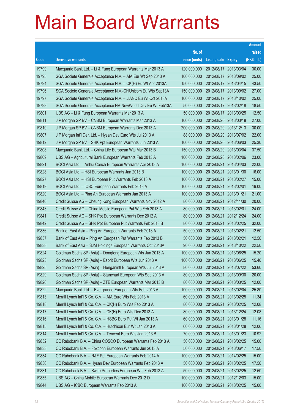|       |                                                              |               |                            |            | <b>Amount</b> |
|-------|--------------------------------------------------------------|---------------|----------------------------|------------|---------------|
|       |                                                              | No. of        |                            |            | raised        |
| Code  | <b>Derivative warrants</b>                                   | issue (units) | <b>Listing date Expiry</b> |            | (HK\$ mil.)   |
| 19799 | Macquarie Bank Ltd. - Li & Fung European Warrants Mar 2013 A | 120,000,000   | 2012/08/17 2013/03/04      |            | 30.00         |
| 19795 | SGA Societe Generale Acceptance N.V. - AIA Eur Wt Sep 2013 A | 100,000,000   | 2012/08/17 2013/09/02      |            | 25.00         |
| 19794 | SGA Societe Generale Acceptance N.V. - CK(H) Eu Wt Apr 2013A | 150,000,000   | 2012/08/17                 | 2013/04/15 | 43.50         |
| 19796 | SGA Societe Generale Acceptance N.V.-ChiUnicom Eu Wts Sep13A | 150,000,000   | 2012/08/17 2013/09/02      |            | 27.00         |
| 19797 | SGA Societe Generale Acceptance N.V. - JIANC Eu Wt Oct 2013A | 100,000,000   | 2012/08/17 2013/10/02      |            | 25.00         |
| 19798 | SGA Societe Generale Acceptance NV-NewWorld Dev Eu Wt Feb13A | 50,000,000    | 2012/08/17 2013/02/18      |            | 18.50         |
| 19801 | UBS AG - Li & Fung European Warrants Mar 2013 A              | 50,000,000    | 2012/08/17                 | 2013/03/25 | 12.50         |
| 19811 | J P Morgan SP BV - CNBM European Warrants Mar 2013 A         | 100,000,000   | 2012/08/20 2013/03/18      |            | 27.00         |
| 19810 | J P Morgan SP BV - CNBM European Warrants Dec 2013 A         | 200,000,000   | 2012/08/20 2013/12/13      |            | 30.00         |
| 19807 | J P Morgan Int'l Der. Ltd. - Hysan Dev Euro Wts Jul 2013 A   | 88,000,000    | 2012/08/20 2013/07/02      |            | 22.00         |
| 19812 | J P Morgan SP BV - SHK Ppt European Warrants Jun 2013 A      | 100,000,000   | 2012/08/20 2013/06/03      |            | 25.30         |
| 19808 | Macquarie Bank Ltd. - China Life European Wts Mar 2013 B     | 150,000,000   | 2012/08/20 2013/03/04      |            | 37.50         |
| 19809 | UBS AG - Agricultural Bank European Warrants Feb 2013 A      | 100,000,000   | 2012/08/20 2013/02/06      |            | 23.00         |
| 19821 | BOCI Asia Ltd. - Anhui Conch European Warrants Apr 2013 A    | 100,000,000   | 2012/08/21                 | 2013/04/03 | 22.00         |
| 19828 | BOCI Asia Ltd. - HSI European Warrants Jan 2013 B            | 100,000,000   | 2012/08/21                 | 2013/01/30 | 16.00         |
| 19827 | BOCI Asia Ltd. - HSI European Put Warrants Feb 2013 A        | 100,000,000   | 2012/08/21                 | 2013/02/27 | 15.00         |
| 19819 | BOCI Asia Ltd. - ICBC European Warrants Feb 2013 A           | 100,000,000   | 2012/08/21                 | 2013/02/01 | 19.00         |
| 19820 | BOCI Asia Ltd. - Ping An European Warrants Jan 2013 A        | 100,000,000   | 2012/08/21                 | 2013/01/21 | 21.00         |
| 19840 | Credit Suisse AG - Cheung Kong European Warrants Nov 2012 A  | 80,000,000    | 2012/08/21                 | 2012/11/30 | 20.00         |
| 19843 | Credit Suisse AG - China Mobile European Put Wts Feb 2013 A  | 80,000,000    | 2012/08/21                 | 2013/02/01 | 24.00         |
| 19841 | Credit Suisse AG - SHK Ppt European Warrants Dec 2012 A      | 80,000,000    | 2012/08/21                 | 2012/12/24 | 24.00         |
| 19842 | Credit Suisse AG - SHK Ppt European Put Warrants Feb 2013 B  | 80,000,000    | 2012/08/21                 | 2013/02/25 | 32.00         |
| 19836 | Bank of East Asia - Ping An European Warrants Feb 2013 A     | 50,000,000    | 2012/08/21                 | 2013/02/21 | 12.50         |
| 19837 | Bank of East Asia - Ping An European Put Warrants Feb 2013 B | 50,000,000    | 2012/08/21 2013/02/21      |            | 12.50         |
| 19838 | Bank of East Asia - SJM Holdings European Warrants Oct 2013A | 90,000,000    | 2012/08/21                 | 2013/10/22 | 22.50         |
| 19824 | Goldman Sachs SP (Asia) - Dongfeng European Wts Jun 2013 A   | 100,000,000   | 2012/08/21                 | 2013/06/25 | 15.20         |
| 19823 | Goldman Sachs SP (Asia) - Esprit European Wts Jun 2013 A     | 100,000,000   | 2012/08/21                 | 2013/06/25 | 15.40         |
| 19825 | Goldman Sachs SP (Asia) - Henganintl European Wts Jul 2013 A | 80,000,000    | 2012/08/21 2013/07/22      |            | 53.60         |
| 19829 | Goldman Sachs SP (Asia) - Stanchart European Wts Sep 2013 A  | 80,000,000    | 2012/08/21                 | 2013/09/30 | 20.00         |
| 19826 | Goldman Sachs SP (Asia) - ZTE European Warrants Mar 2013 B   | 80,000,000    | 2012/08/21 2013/03/25      |            | 12.00         |
| 19822 | Macquarie Bank Ltd. - Evergrande European Wts Feb 2013 A     | 100,000,000   | 2012/08/21                 | 2013/02/04 | 25.80         |
| 19813 | Merrill Lynch Int'l & Co. C.V. - AIA Euro Wts Feb 2013 A     | 60,000,000    | 2012/08/21                 | 2013/02/25 | 11.34         |
| 19818 | Merrill Lynch Int'l & Co. C.V. - CK(H) Euro Wts Feb 2013 A   | 80,000,000    | 2012/08/21                 | 2013/02/25 | 12.08         |
| 19817 | Merrill Lynch Int'l & Co. C.V. - CK(H) Euro Wts Dec 2013 A   | 80,000,000    | 2012/08/21                 | 2013/12/24 | 12.08         |
| 19816 | Merrill Lynch Int'l & Co. C.V. - HSBC Euro Put Wt Jan 2013 A | 60,000,000    | 2012/08/21                 | 2013/01/28 | 11.16         |
| 19815 | Merrill Lynch Int'l & Co. C.V. - Hutchison Eur Wt Jan 2013 A | 60,000,000    | 2012/08/21                 | 2013/01/28 | 12.06         |
| 19814 | Merrill Lynch Int'l & Co. C.V. - Tencent Euro Wts Jan 2013 B | 70,000,000    | 2012/08/21                 | 2013/01/23 | 10.92         |
| 19832 | CC Rabobank B.A. - China COSCO European Warrants Feb 2013 A  | 50,000,000    | 2012/08/21                 | 2013/02/25 | 15.00         |
| 19833 | CC Rabobank B.A. - Foxconn European Warrants Jun 2013 A      | 50,000,000    | 2012/08/21                 | 2013/06/17 | 17.50         |
| 19834 | CC Rabobank B.A. - R&F Ppt European Warrants Feb 2014 A      | 100,000,000   | 2012/08/21                 | 2014/02/25 | 15.00         |
| 19830 | CC Rabobank B.A. - Hysan Dev European Warrants Feb 2013 A    | 50,000,000    | 2012/08/21                 | 2013/02/25 | 17.50         |
| 19831 | CC Rabobank B.A. - Swire Properties European Wts Feb 2013 A  | 50,000,000    | 2012/08/21                 | 2013/02/25 | 12.50         |
| 19835 | UBS AG - China Mobile European Warrants Dec 2012 D           | 100,000,000   | 2012/08/21                 | 2012/12/03 | 15.00         |
| 19844 | UBS AG - ICBC European Warrants Feb 2013 A                   | 100,000,000   | 2012/08/21                 | 2013/02/25 | 15.00         |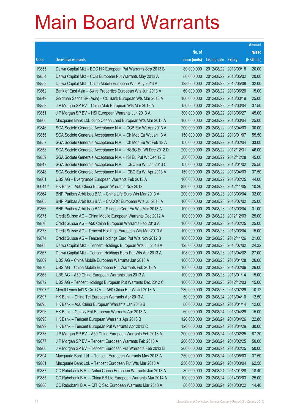|         |                                                               |               |                            |            | <b>Amount</b> |
|---------|---------------------------------------------------------------|---------------|----------------------------|------------|---------------|
|         |                                                               | No. of        |                            |            | raised        |
| Code    | <b>Derivative warrants</b>                                    | issue (units) | <b>Listing date Expiry</b> |            | (HK\$ mil.)   |
| 19855   | Daiwa Capital Mkt - BOC HK European Put Warrants Sep 2013 B   | 80,000,000    | 2012/08/22 2013/09/18      |            | 20.00         |
| 19854   | Daiwa Capital Mkt - CCB European Put Warrants May 2013 A      | 80,000,000    | 2012/08/22 2013/05/02      |            | 20.00         |
| 19853   | Daiwa Capital Mkt - China Mobile European Wts May 2013 A      | 128,000,000   | 2012/08/22 2013/05/08      |            | 32.00         |
| 19862   | Bank of East Asia - Swire Properties European Wts Jun 2013 A  | 60,000,000    | 2012/08/22 2013/06/20      |            | 15.00         |
| 19849   | Goldman Sachs SP (Asia) - CC Bank European Wts Mar 2013 A     | 100,000,000   | 2012/08/22 2013/03/19      |            | 25.00         |
| 19852   | J P Morgan SP BV - China Mob European Wts Mar 2013 A          | 150,000,000   | 2012/08/22 2013/03/04      |            | 37.50         |
| 19851   | J P Morgan SP BV - HSI European Warrants Jun 2013 A           | 300,000,000   | 2012/08/22 2013/06/27      |            | 45.00         |
| 19860   | Macquarie Bank Ltd. - Sino Ocean Land European Wts Mar 2013 A | 100,000,000   | 2012/08/22 2013/03/04      |            | 25.00         |
| 19846   | SGA Societe Generale Acceptance N.V. - CCB Eur Wt Apr 2013 A  | 200,000,000   | 2012/08/22 2013/04/03      |            | 30.00         |
| 19856   | SGA Societe Generale Acceptance N.V. - Ch Mob Eu Wt Jan 13 A  | 150,000,000   | 2012/08/22 2013/01/07      |            | 55.50         |
| 19857   | SGA Societe Generale Acceptance N.V. - Ch Mob Eu Wt Feb 13 A  | 150,000,000   | 2012/08/22 2013/02/04      |            | 33.00         |
| 19858   | SGA Societe Generale Acceptance N.V. - HSBC Eu Wt Dec 2012 D  | 200,000,000   | 2012/08/22 2012/12/31      |            | 46.00         |
| 19859   | SGA Societe Generale Acceptance N.V. - HSI Eu Put Wt Dec 12 E | 300,000,000   | 2012/08/22 2012/12/28      |            | 45.00         |
| 19847   | SGA Societe Generale Acceptance N.V. - ICBC Eu Wt Jan 2013 C  | 150,000,000   | 2012/08/22 2013/01/02      |            | 25.50         |
| 19848   | SGA Societe Generale Acceptance N.V. - ICBC Eu Wt Apr 2013 A  | 150,000,000   | 2012/08/22 2013/04/03      |            | 37.50         |
| 19861   | UBS AG - Evergrande European Warrants Feb 2013 A              | 100,000,000   | 2012/08/22 2013/02/25      |            | 44.00         |
| 16044 # | HK Bank - A50 China European Warrants Nov 2012                | 380,000,000   | 2012/08/22 2012/11/05      |            | 10.26         |
| 19864   | BNP Paribas Arbit Issu B.V. - China Life Euro Wts Mar 2013 A  | 200,000,000   | 2012/08/23 2013/03/04      |            | 32.00         |
| 19865   | BNP Paribas Arbit Issu B.V. - CNOOC European Wts Jul 2013 A   | 100,000,000   | 2012/08/23 2013/07/02      |            | 25.00         |
| 19866   | BNP Paribas Arbit Issu B.V. - Sinopec Corp Eu Wts Mar 2013 A  | 100,000,000   | 2012/08/23 2013/03/04      |            | 31.00         |
| 19875   | Credit Suisse AG - China Mobile European Warrants Dec 2012 A  | 100,000,000   | 2012/08/23 2012/12/03      |            | 25.00         |
| 19876   | Credit Suisse AG - A50 China European Warrants Feb 2013 A     | 100,000,000   | 2012/08/23 2013/02/25      |            | 25.00         |
| 19873   | Credit Suisse AG - Tencent Holdings European Wts Mar 2013 A   | 100,000,000   | 2012/08/23 2013/03/04      |            | 15.00         |
| 19874   | Credit Suisse AG - Tencent Holdings Euro Put Wts Nov 2012 B   | 100,000,000   | 2012/08/23 2012/11/26      |            | 21.00         |
| 19863   | Daiwa Capital Mkt - Tencent Holdings European Wts Jul 2013 A  | 128,000,000   | 2012/08/23 2013/07/02      |            | 24.32         |
| 19867   | Daiwa Capital Mkt - Tencent Holdings Euro Put Wts Apr 2013 A  | 108,000,000   | 2012/08/23 2013/04/02      |            | 27.00         |
| 19869   | UBS AG - China Mobile European Warrants Jan 2013 A            | 100,000,000   | 2012/08/23 2013/01/28      |            | 26.00         |
| 19870   | UBS AG - China Mobile European Put Warrants Feb 2013 A        | 100,000,000   | 2012/08/23 2013/02/06      |            | 26.00         |
| 19868   | UBS AG - A50 China European Warrants Jan 2013 A               | 100,000,000   | 2012/08/23 2013/01/14      |            | 15.00         |
| 19872   | UBS AG - Tencent Holdings European Put Warrants Dec 2012 C    | 100,000,000   | 2012/08/23 2012/12/03      |            | 15.00         |
| 17907 # | Merrill Lynch Int'l & Co. C.V. - A50 China Eur Wt Jul 2013 A  | 230,000,000   | 2012/08/23 2013/07/29      |            | 10.12         |
| 19897   | HK Bank - China Tel European Warrants Apr 2013 A              | 50,000,000    | 2012/08/24 2013/04/10      |            | 12.50         |
| 19895   | HK Bank - A50 China European Warrants Jan 2013 B              | 80,000,000    | 2012/08/24                 | 2013/01/14 | 12.00         |
| 19896   | HK Bank - Galaxy Ent European Warrants Apr 2013 A             | 60,000,000    | 2012/08/24 2013/04/29      |            | 15.00         |
| 19898   | HK Bank - Tencent European Warrants Apr 2013 B                | 120,000,000   | 2012/08/24                 | 2013/04/26 | 22.80         |
| 19899   | HK Bank - Tencent European Put Warrants Apr 2013 C            | 120,000,000   | 2012/08/24 2013/04/29      |            | 30.00         |
| 19878   | J P Morgan SP BV - A50 China European Warrants Feb 2013 A     | 200,000,000   | 2012/08/24                 | 2013/02/25 | 87.20         |
| 19877   | J P Morgan SP BV - Tencent European Warrants Feb 2013 A       | 200,000,000   | 2012/08/24 2013/02/25      |            | 50.00         |
| 19900   | J P Morgan SP BV - Tencent European Put Warrants Feb 2013 B   | 200,000,000   | 2012/08/24                 | 2013/02/25 | 50.00         |
| 19894   | Macquarie Bank Ltd. - Tencent European Warrants May 2013 A    | 250,000,000   | 2012/08/24 2013/05/03      |            | 37.50         |
| 19881   | Macquarie Bank Ltd. - Tencent European Put Wts Mar 2013 A     | 250,000,000   | 2012/08/24                 | 2013/03/04 | 62.50         |
| 19887   | CC Rabobank B.A. - Anhui Conch European Warrants Jan 2013 A   | 80,000,000    | 2012/08/24 2013/01/28      |            | 18.40         |
| 19885   | CC Rabobank B.A. - China EB Ltd European Warrants Mar 2014 A  | 100,000,000   | 2012/08/24                 | 2014/03/03 | 25.00         |
| 19886   | CC Rabobank B.A. - CITIC Sec European Warrants Mar 2013 A     | 80,000,000    | 2012/08/24 2013/03/22      |            | 14.40         |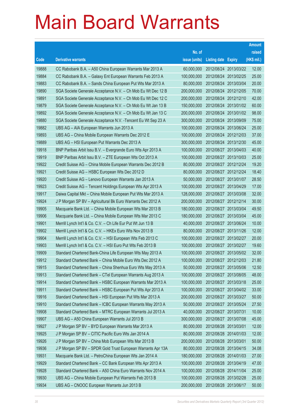|       |                                                               |               |                            |            | <b>Amount</b> |
|-------|---------------------------------------------------------------|---------------|----------------------------|------------|---------------|
|       |                                                               | No. of        |                            |            | raised        |
| Code  | <b>Derivative warrants</b>                                    | issue (units) | <b>Listing date Expiry</b> |            | (HK\$ mil.)   |
| 19888 | CC Rabobank B.A. - A50 China European Warrants Mar 2013 A     | 60,000,000    | 2012/08/24 2013/03/22      |            | 12.00         |
| 19884 | CC Rabobank B.A. - Galaxy Ent European Warrants Feb 2013 A    | 100,000,000   | 2012/08/24 2013/02/25      |            | 25.00         |
| 19883 | CC Rabobank B.A. - Sands China European Put Wts Mar 2013 A    | 80,000,000    | 2012/08/24 2013/03/04      |            | 20.00         |
| 19890 | SGA Societe Generale Acceptance N.V. - Ch Mob Eu Wt Dec 12 B  | 200,000,000   | 2012/08/24 2012/12/05      |            | 70.00         |
| 19891 | SGA Societe Generale Acceptance N.V. - Ch Mob Eu Wt Dec 12 C  | 200,000,000   | 2012/08/24 2012/12/10      |            | 42.00         |
| 19879 | SGA Societe Generale Acceptance N.V. - Ch Mob Eu Wt Jan 13 B  | 150,000,000   | 2012/08/24 2013/01/02      |            | 60.00         |
| 19892 | SGA Societe Generale Acceptance N.V. - Ch Mob Eu Wt Jan 13 C  | 200,000,000   | 2012/08/24 2013/01/02      |            | 98.00         |
| 19880 | SGA Societe Generale Acceptance N.V. - Tencent Eu Wt Sep 23 A | 300,000,000   | 2012/08/24 2013/09/09      |            | 75.00         |
| 19882 | UBS AG - AIA European Warrants Jun 2013 A                     | 100,000,000   | 2012/08/24 2013/06/24      |            | 25.00         |
| 19893 | UBS AG - China Mobile European Warrants Dec 2012 E            | 100,000,000   | 2012/08/24 2012/12/03      |            | 37.00         |
| 19889 | UBS AG - HSI European Put Warrants Dec 2013 A                 | 300,000,000   | 2012/08/24 2013/12/30      |            | 45.00         |
| 19918 | BNP Paribas Arbit Issu B.V. - Evergrande Euro Wts Apr 2013 A  | 100,000,000   | 2012/08/27 2013/04/03      |            | 40.00         |
| 19919 | BNP Paribas Arbit Issu B.V. - ZTE European Wts Oct 2013 A     | 100,000,000   | 2012/08/27 2013/10/03      |            | 25.00         |
| 19922 | Credit Suisse AG - China Mobile European Warrants Dec 2012 B  | 80,000,000    | 2012/08/27 2012/12/24      |            | 19.20         |
| 19921 | Credit Suisse AG - HSBC European Wts Dec 2012 D               | 80,000,000    | 2012/08/27 2012/12/24      |            | 18.40         |
| 19920 | Credit Suisse AG - Lenovo European Warrants Jan 2013 A        | 50,000,000    | 2012/08/27 2013/01/07      |            | 28.50         |
| 19923 | Credit Suisse AG - Tencent Holdings European Wts Apr 2013 A   | 100,000,000   | 2012/08/27 2013/04/29      |            | 17.00         |
| 19917 | Daiwa Capital Mkt - China Mobile European Put Wts Mar 2013 A  | 128,000,000   | 2012/08/27 2013/03/08      |            | 32.00         |
| 19924 | J P Morgan SP BV - Agricultural Bk Euro Warrants Dec 2012 A   | 200,000,000   | 2012/08/27 2012/12/14      |            | 30.00         |
| 19905 | Macquarie Bank Ltd. - China Mobile European Wts Mar 2013 B    | 180,000,000   | 2012/08/27 2013/03/04      |            | 49.50         |
| 19906 | Macquarie Bank Ltd. - China Mobile European Wts Mar 2013 C    | 180,000,000   | 2012/08/27 2013/03/04      |            | 45.00         |
| 19901 | Merrill Lynch Int'l & Co. C.V. - Ch Life Eur Put Wt Jun 13 B  | 40,000,000    | 2012/08/27 2013/06/24      |            | 10.00         |
| 19902 | Merrill Lynch Int'l & Co. C.V. - HKEx Euro Wts Nov 2013 B     | 80,000,000    | 2012/08/27 2013/11/26      |            | 12.00         |
| 19904 | Merrill Lynch Int'l & Co. C.V. - HSI European Wts Feb 2013 C  | 100,000,000   | 2012/08/27 2013/02/27      |            | 20.00         |
| 19903 | Merrill Lynch Int'l & Co. C.V. - HSI Euro Put Wts Feb 2013 B  | 100,000,000   | 2012/08/27 2013/02/27      |            | 19.60         |
| 19909 | Standard Chartered Bank-China Life European Wts May 2013 A    | 100,000,000   | 2012/08/27 2013/05/02      |            | 32.00         |
| 19912 | Standard Chartered Bank - China Mobile Euro Wts Dec 2012 A    | 100,000,000   | 2012/08/27 2012/12/03      |            | 21.80         |
| 19915 | Standard Chartered Bank - China Shenhua Euro Wts May 2013 A   | 50,000,000    | 2012/08/27 2013/05/06      |            | 12.50         |
| 19913 | Standard Chartered Bank - CTel European Warrants Aug 2013 A   | 100,000,000   | 2012/08/27                 | 2013/08/05 | 48.00         |
| 19914 | Standard Chartered Bank - HSBC European Warrants Mar 2013 A   | 100,000,000   | 2012/08/27 2013/03/18      |            | 25.00         |
| 19911 | Standard Chartered Bank - HSBC European Put Wts Apr 2013 A    | 100,000,000   | 2012/08/27                 | 2013/04/02 | 33.00         |
| 19916 | Standard Chartered Bank - HSI European Put Wts Mar 2013 A     | 200,000,000   | 2012/08/27 2013/03/27      |            | 50.00         |
| 19910 | Standard Chartered Bank - ICBC European Warrants May 2013 A   | 50,000,000    | 2012/08/27                 | 2013/05/24 | 27.50         |
| 19908 | Standard Chartered Bank - MTRC European Warrants Jul 2013 A   | 40,000,000    | 2012/08/27 2013/07/31      |            | 10.00         |
| 19907 | UBS AG - A50 China European Warrants Jul 2013 B               | 300,000,000   | 2012/08/27                 | 2013/07/08 | 45.00         |
| 19927 | J P Morgan SP BV - BYD European Warrants Mar 2013 A           | 80,000,000    | 2012/08/28 2013/03/01      |            | 12.00         |
| 19925 | J P Morgan SP BV - CITIC Pacific Euro Wts Jan 2014 A          | 80,000,000    | 2012/08/28 2014/01/03      |            | 12.00         |
| 19926 | J P Morgan SP BV - China Mob European Wts Mar 2013 B          | 200,000,000   | 2012/08/28 2013/03/01      |            | 50.00         |
| 19936 | J P Morgan SP BV - SPDR Gold Trust European Warrants Apr 13A  | 80,000,000    | 2012/08/28 2013/04/15      |            | 34.08         |
| 19931 | Macquarie Bank Ltd. - PetroChina European Wts Jan 2014 A      | 180,000,000   | 2012/08/28 2014/01/03      |            | 27.00         |
| 19929 | Standard Chartered Bank - CC Bank European Wts Apr 2013 A     | 100,000,000   | 2012/08/28 2013/04/19      |            | 47.00         |
| 19928 | Standard Chartered Bank - A50 China Euro Warrants Nov 2014 A  | 100,000,000   | 2012/08/28 2014/11/04      |            | 25.00         |
| 19930 | UBS AG - China Mobile European Put Warrants Feb 2013 B        | 100,000,000   | 2012/08/28 2013/02/28      |            | 25.00         |
| 19934 | UBS AG - CNOOC European Warrants Jun 2013 B                   | 200,000,000   | 2012/08/28 2013/06/17      |            | 50.00         |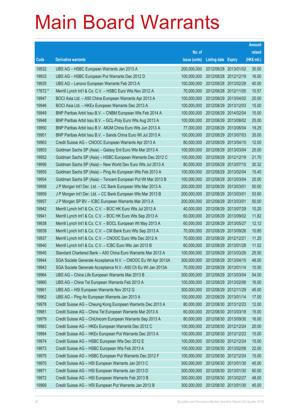|         |                                                              |               |                            |                       | <b>Amount</b> |
|---------|--------------------------------------------------------------|---------------|----------------------------|-----------------------|---------------|
|         |                                                              | No. of        |                            |                       | raised        |
| Code    | <b>Derivative warrants</b>                                   | issue (units) | <b>Listing date Expiry</b> |                       | (HK\$ mil.)   |
| 19932   | UBS AG - HSBC European Warrants Jan 2013 A                   | 200,000,000   |                            | 2012/08/28 2013/01/02 | 30.00         |
| 19933   | UBS AG - HSBC European Put Warrants Dec 2012 D               | 100,000,000   |                            | 2012/08/28 2012/12/19 | 16.00         |
| 19935   | UBS AG - Lenovo European Warrants Feb 2013 A                 | 100,000,000   | 2012/08/28 2013/02/28      |                       | 40.00         |
| 17672 # | Merrill Lynch Int'l & Co. C.V. - HSBC Euro Wts Nov 2012 A    | 70,000,000    |                            | 2012/08/28 2012/11/05 | 10.57         |
| 19947   | BOCI Asia Ltd. - A50 China European Warrants Apr 2013 A      | 100,000,000   |                            | 2012/08/29 2013/04/02 | 20.00         |
| 19946   | BOCI Asia Ltd. - HKEx European Warrants Dec 2013 A           | 100,000,000   |                            | 2012/08/29 2013/12/03 | 15.00         |
| 19949   | BNP Paribas Arbit Issu B.V. - CNBM European Wts Feb 2014 A   | 100,000,000   | 2012/08/29 2014/02/04      |                       | 15.00         |
| 19948   | BNP Paribas Arbit Issu B.V. - GCL-Poly Euro Wts Aug 2013 A   | 100,000,000   |                            | 2012/08/29 2013/08/02 | 25.00         |
| 19950   | BNP Paribas Arbit Issu B.V. - MGM China Euro Wts Jun 2013 A  | 77,000,000    |                            | 2012/08/29 2013/06/04 | 19.25         |
| 19951   | BNP Paribas Arbit Issu B.V. - Sands China Euro Wt Jul 2013 A | 100,000,000   |                            | 2012/08/29 2013/07/03 | 35.00         |
| 19963   | Credit Suisse AG - CNOOC European Warrants Apr 2013 A        | 80,000,000    | 2012/08/29                 | 2013/04/15            | 12.00         |
| 19953   | Goldman Sachs SP (Asia) - Galaxy Ent Euro Wts Mar 2013 A     | 100,000,000   |                            | 2012/08/29 2013/03/04 | 25.00         |
| 19952   | Goldman Sachs SP (Asia) - HSBC European Warrants Dec 2012 C  | 100,000,000   |                            | 2012/08/29 2012/12/19 | 21.70         |
| 19956   | Goldman Sachs SP (Asia) - New World Dev Euro Wts Jul 2013 A  | 80,000,000    |                            | 2012/08/29 2013/07/15 | 30.32         |
| 19955   | Goldman Sachs SP (Asia) - Ping An European Wts Feb 2013 A    | 100,000,000   | 2012/08/29                 | 2013/02/04            | 15.40         |
| 19954   | Goldman Sachs SP (Asia) - Tencent European Put Wt Mar 2013 B | 100,000,000   |                            | 2012/08/29 2013/03/04 | 25.00         |
| 19958   | J P Morgan Int'l Der. Ltd. - CC Bank European Wts Mar 2013 A | 200,000,000   | 2012/08/29 2013/03/01      |                       | 50.00         |
| 19959   | J P Morgan Int'l Der. Ltd. - CC Bank European Wts Mar 2013 B | 200,000,000   | 2012/08/29 2013/03/01      |                       | 53.60         |
| 19957   | J P Morgan SP BV - ICBC European Warrants Mar 2013 A         | 200,000,000   | 2012/08/29                 | 2013/03/01            | 50.00         |
| 19942   | Merrill Lynch Int'l & Co. C.V. - BOC HK Euro Wts Jul 2013 A  | 40,000,000    |                            | 2012/08/29 2013/07/29 | 10.20         |
| 19941   | Merrill Lynch Int'l & Co. C.V. - BOC HK Euro Wts Sep 2013 A  | 60,000,000    |                            | 2012/08/29 2013/09/02 | 11.82         |
| 19938   | Merrill Lynch Int'l & Co. C.V. - BOCL European Wt May 2013 A | 60,000,000    |                            | 2012/08/29 2013/05/27 | 12.12         |
| 19939   | Merrill Lynch Int'l & Co. C.V. - CM Bank Euro Wts Sep 2013 A | 70,000,000    |                            | 2012/08/29 2013/09/26 | 10.85         |
| 19937   | Merrill Lynch Int'l & Co. C.V. - CNOOC Euro Wts Dec 2012 A   | 70,000,000    | 2012/08/29 2012/12/21      |                       | 11.20         |
| 19940   | Merrill Lynch Int'l & Co. C.V. - ICBC Euro Wts Jan 2013 B    | 60,000,000    | 2012/08/29 2013/01/28      |                       | 11.52         |
| 19945   | Standard Chartered Bank - A50 China Euro Warrants Mar 2013 A | 100,000,000   | 2012/08/29 2013/03/26      |                       | 25.50         |
| 19944   | SGA Societe Generale Acceptance N.V. - CNOOC Eu Wt Apr 2013A | 300,000,000   |                            | 2012/08/29 2013/04/15 | 48.00         |
| 19943   | SGA Societe Generale Acceptance N.V.- A50 Ch Eu Wt Jan 2013A | 70,000,000    | 2012/08/29 2013/01/14      |                       | 10.50         |
| 19964   | UBS AG - China Life European Warrants Mar 2013 B             | 300,000,000   | 2012/08/29 2013/03/04      |                       | 54.00         |
| 19960   | UBS AG - China Tel European Warrants Feb 2013 A              | 100,000,000   |                            | 2012/08/29 2013/02/06 | 16.00         |
| 19961   | UBS AG - HSI European Warrants Nov 2012 G                    | 300,000,000   | 2012/08/29 2012/11/29      |                       | 45.00         |
| 19962   | UBS AG - Ping An European Warrants Jan 2013 A                | 100,000,000   | 2012/08/29 2013/01/14      |                       | 17.00         |
| 19978   | Credit Suisse AG - Cheung Kong European Warrants Dec 2013 A  | 80,000,000    | 2012/08/30 2013/12/23      |                       | 12.00         |
| 19981   | Credit Suisse AG - China Tel European Warrants Mar 2013 A    | 60,000,000    | 2012/08/30 2013/03/18      |                       | 15.00         |
| 19979   | Credit Suisse AG - ChiUnicom European Warrants Sep 2013 A    | 80,000,000    | 2012/08/30 2013/09/30      |                       | 16.00         |
| 19983   | Credit Suisse AG - HKEx European Warrants Dec 2012 C         | 100,000,000   | 2012/08/30 2012/12/24      |                       | 20.00         |
| 19984   | Credit Suisse AG - HKEx European Put Warrants Dec 2013 A     | 100,000,000   | 2012/08/30 2013/12/23      |                       | 15.00         |
| 19974   | Credit Suisse AG - HSBC European Wts Dec 2012 E              | 100,000,000   | 2012/08/30 2012/12/24      |                       | 15.00         |
| 19973   | Credit Suisse AG - HSBC European Wts Feb 2013 A              | 100,000,000   | 2012/08/30 2013/02/08      |                       | 22.00         |
| 19975   | Credit Suisse AG - HSBC European Put Warrants Dec 2012 F     | 100,000,000   | 2012/08/30 2012/12/24      |                       | 15.00         |
| 19970   | Credit Suisse AG - HSI European Warrants Jan 2013 C          | 300,000,000   | 2012/08/30 2013/01/30      |                       | 45.00         |
| 19971   | Credit Suisse AG - HSI European Warrants Jan 2013 D          | 300,000,000   | 2012/08/30 2013/01/30      |                       | 60.00         |
| 19972   | Credit Suisse AG - HSI European Warrants Feb 2013 B          | 300,000,000   | 2012/08/30 2013/02/27      |                       | 48.00         |
| 19969   | Credit Suisse AG - HSI European Put Warrants Jan 2013 B      | 300,000,000   | 2012/08/30 2013/01/30      |                       | 45.00         |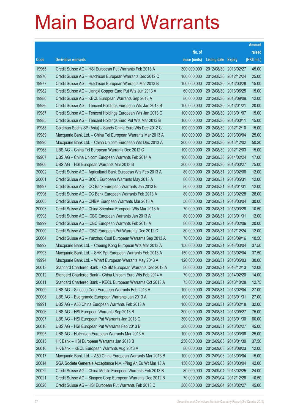|       |                                                               |               |                            |            | <b>Amount</b> |
|-------|---------------------------------------------------------------|---------------|----------------------------|------------|---------------|
|       |                                                               | No. of        |                            |            | raised        |
| Code  | <b>Derivative warrants</b>                                    | issue (units) | <b>Listing date Expiry</b> |            | (HK\$ mil.)   |
| 19965 | Credit Suisse AG - HSI European Put Warrants Feb 2013 A       | 300,000,000   | 2012/08/30 2013/02/27      |            | 45.00         |
| 19976 | Credit Suisse AG - Hutchison European Warrants Dec 2012 C     | 100,000,000   | 2012/08/30 2012/12/24      |            | 25.00         |
| 19977 | Credit Suisse AG - Hutchison European Warrants Mar 2013 B     | 100,000,000   | 2012/08/30 2013/03/28      |            | 15.00         |
| 19982 | Credit Suisse AG - Jiangxi Copper Euro Put Wts Jun 2013 A     | 60,000,000    | 2012/08/30 2013/06/25      |            | 15.00         |
| 19980 | Credit Suisse AG - KECL European Warrants Sep 2013 A          | 80,000,000    | 2012/08/30 2013/09/09      |            | 12.00         |
| 19986 | Credit Suisse AG - Tencent Holdings European Wts Jan 2013 B   | 100,000,000   | 2012/08/30 2013/01/21      |            | 20.00         |
| 19987 | Credit Suisse AG - Tencent Holdings European Wts Jan 2013 C   | 100,000,000   | 2012/08/30 2013/01/07      |            | 15.00         |
| 19985 | Credit Suisse AG - Tencent Holdings Euro Put Wts Mar 2013 B   | 100,000,000   | 2012/08/30 2013/03/11      |            | 15.00         |
| 19988 | Goldman Sachs SP (Asia) - Sands China Euro Wts Dec 2012 C     | 100,000,000   | 2012/08/30 2012/12/10      |            | 15.00         |
| 19989 | Macquarie Bank Ltd. - China Tel European Warrants Mar 2013 A  | 100,000,000   | 2012/08/30 2013/03/04      |            | 25.00         |
| 19990 | Macquarie Bank Ltd. - China Unicom European Wts Dec 2013 A    | 200,000,000   | 2012/08/30 2013/12/02      |            | 50.20         |
| 19968 | UBS AG - China Tel European Warrants Dec 2012 C               | 100,000,000   | 2012/08/30 2012/12/03      |            | 15.00         |
| 19967 | UBS AG - China Unicom European Warrants Feb 2014 A            | 100,000,000   | 2012/08/30 2014/02/24      |            | 17.00         |
| 19966 | UBS AG - HSI European Warrants Mar 2013 B                     | 300,000,000   | 2012/08/30 2013/03/27      |            | 75.00         |
| 20002 | Credit Suisse AG - Agricultural Bank European Wts Feb 2013 A  | 80,000,000    | 2012/08/31                 | 2013/02/06 | 12.00         |
| 20001 | Credit Suisse AG - BOCL European Warrants May 2013 A          | 80,000,000    | 2012/08/31 2013/05/31      |            | 12.00         |
| 19997 | Credit Suisse AG - CC Bank European Warrants Jan 2013 B       | 80,000,000    | 2012/08/31                 | 2013/01/31 | 12.00         |
| 19996 | Credit Suisse AG - CC Bank European Warrants Feb 2013 A       | 80,000,000    | 2012/08/31                 | 2013/02/28 | 28.00         |
| 20005 | Credit Suisse AG - CNBM European Warrants Mar 2013 A          | 50,000,000    | 2012/08/31                 | 2013/03/04 | 30.00         |
| 20003 | Credit Suisse AG - China Shenhua European Wts Mar 2013 A      | 70,000,000    | 2012/08/31 2013/03/28      |            | 10.50         |
| 19998 | Credit Suisse AG - ICBC European Warrants Jan 2013 A          | 80,000,000    | 2012/08/31                 | 2013/01/31 | 12.00         |
| 19999 | Credit Suisse AG - ICBC European Warrants Feb 2013 A          | 80,000,000    | 2012/08/31                 | 2013/02/06 | 20.00         |
| 20000 | Credit Suisse AG - ICBC European Put Warrants Dec 2012 C      | 80,000,000    | 2012/08/31                 | 2012/12/24 | 12.00         |
| 20004 | Credit Suisse AG - Yanzhou Coal European Warrants Sep 2013 A  | 70,000,000    | 2012/08/31 2013/09/16      |            | 10.50         |
| 19992 | Macquarie Bank Ltd. - Cheung Kong European Wts Mar 2013 A     | 150,000,000   | 2012/08/31                 | 2013/03/04 | 37.50         |
| 19993 | Macquarie Bank Ltd. - SHK Ppt European Warrants Feb 2013 A    | 150,000,000   | 2012/08/31                 | 2013/02/04 | 37.50         |
| 19994 | Macquarie Bank Ltd. - Wharf European Warrants May 2013 A      | 120,000,000   | 2012/08/31                 | 2013/05/03 | 30.00         |
| 20013 | Standard Chartered Bank - CNBM European Warrants Dec 2013 A   | 80,000,000    | 2012/08/31 2013/12/13      |            | 12.08         |
| 20012 | Standard Chartered Bank - China Unicom Euro Wts Feb 2014 A    | 70,000,000    | 2012/08/31                 | 2014/02/20 | 14.00         |
| 20011 | Standard Chartered Bank - KECL European Warrants Oct 2013 A   | 75,000,000    | 2012/08/31 2013/10/28      |            | 12.75         |
| 20009 | UBS AG - Sinopec Corp European Warrants Feb 2013 A            | 100,000,000   | 2012/08/31                 | 2013/02/04 | 27.00         |
| 20008 | UBS AG - Evergrande European Warrants Jan 2013 A              | 100,000,000   | 2012/08/31                 | 2013/01/31 | 27.00         |
| 19991 | UBS AG - A50 China European Warrants Feb 2013 A               | 100,000,000   | 2012/08/31                 | 2013/02/18 | 32.00         |
| 20006 | UBS AG - HSI European Warrants Sep 2013 B                     | 300,000,000   | 2012/08/31                 | 2013/09/27 | 75.00         |
| 20007 | UBS AG - HSI European Put Warrants Jan 2013 C                 | 300,000,000   | 2012/08/31                 | 2013/01/30 | 60.00         |
| 20010 | UBS AG - HSI European Put Warrants Feb 2013 B                 | 300,000,000   | 2012/08/31                 | 2013/02/27 | 45.00         |
| 19995 | UBS AG - Hutchison European Warrants Mar 2013 A               | 100,000,000   | 2012/08/31                 | 2013/03/08 | 25.00         |
| 20015 | HK Bank - HSI European Warrants Jan 2013 B                    | 250,000,000   | 2012/09/03 2013/01/30      |            | 37.50         |
| 20016 | HK Bank - KECL European Warrants Aug 2013 A                   | 80,000,000    | 2012/09/03 2013/08/23      |            | 12.00         |
| 20017 | Macquarie Bank Ltd. - A50 China European Warrants Mar 2013 B  | 100,000,000   | 2012/09/03 2013/03/04      |            | 15.00         |
| 20014 | SGA Societe Generale Acceptance N.V. - Ping An Eu Wt Mar 13 A | 150,000,000   | 2012/09/03 2013/03/04      |            | 42.00         |
| 20022 | Credit Suisse AG - China Mobile European Warrants Feb 2013 B  | 80,000,000    | 2012/09/04 2013/02/25      |            | 24.00         |
| 20021 | Credit Suisse AG - Sinopec Corp European Warrants Dec 2012 B  | 70,000,000    | 2012/09/04 2012/12/28      |            | 10.50         |
| 20020 | Credit Suisse AG - HSI European Put Warrants Feb 2013 C       | 300,000,000   | 2012/09/04 2013/02/27      |            | 45.00         |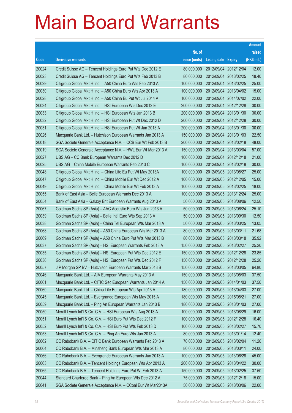|       |                                                              |               |                            |            | <b>Amount</b> |
|-------|--------------------------------------------------------------|---------------|----------------------------|------------|---------------|
|       |                                                              | No. of        |                            |            | raised        |
| Code  | <b>Derivative warrants</b>                                   | issue (units) | <b>Listing date Expiry</b> |            | (HK\$ mil.)   |
| 20024 | Credit Suisse AG - Tencent Holdings Euro Put Wts Dec 2012 E  | 80,000,000    | 2012/09/04 2012/12/04      |            | 12.00         |
| 20023 | Credit Suisse AG - Tencent Holdings Euro Put Wts Feb 2013 B  | 80,000,000    | 2012/09/04 2013/02/25      |            | 18.40         |
| 20029 | Citigroup Global Mkt H Inc. - A50 China Euro Wts Feb 2013 A  | 100,000,000   | 2012/09/04                 | 2013/02/25 | 25.00         |
| 20030 | Citigroup Global Mkt H Inc. - A50 China Euro Wts Apr 2013 A  | 100,000,000   | 2012/09/04 2013/04/02      |            | 15.00         |
| 20028 | Citigroup Global Mkt H Inc. - A50 China Eu Put Wt Jul 2014 A | 100,000,000   | 2012/09/04 2014/07/02      |            | 22.00         |
| 20034 | Citigroup Global Mkt H Inc. - HSI European Wts Dec 2012 E    | 200,000,000   | 2012/09/04 2012/12/28      |            | 30.00         |
| 20033 | Citigroup Global Mkt H Inc. - HSI European Wts Jan 2013 B    | 200,000,000   | 2012/09/04                 | 2013/01/30 | 30.00         |
| 20032 | Citigroup Global Mkt H Inc. - HSI European Put Wt Dec 2012 D | 200,000,000   | 2012/09/04 2012/12/28      |            | 30.00         |
| 20031 | Citigroup Global Mkt H Inc. - HSI European Put Wt Jan 2013 A | 200,000,000   | 2012/09/04 2013/01/30      |            | 30.00         |
| 20026 | Macquarie Bank Ltd. - Hutchison European Warrants Jan 2013 A | 150,000,000   | 2012/09/04 2013/01/03      |            | 22.50         |
| 20018 | SGA Societe Generale Acceptance N.V. - CCB Eur Wt Feb 2013 B | 200,000,000   | 2012/09/04                 | 2013/02/18 | 48.00         |
| 20019 | SGA Societe Generale Acceptance N.V. - HWL Eur Wt Mar 2013 A | 150,000,000   | 2012/09/04 2013/03/04      |            | 57.00         |
| 20027 | UBS AG – CC Bank European Warrants Dec 2012 D                | 100,000,000   | 2012/09/04 2012/12/18      |            | 21.00         |
| 20025 | UBS AG – China Mobile European Warrants Feb 2013 C           | 100,000,000   | 2012/09/04 2013/02/18      |            | 30.00         |
| 20048 | Citigroup Global Mkt H Inc. - China Life Eu Put Wt May 2013A | 100,000,000   | 2012/09/05 2013/05/27      |            | 25.00         |
| 20047 | Citigroup Global Mkt H Inc. - China Mobile Eur Wt Dec 2012 A | 100,000,000   | 2012/09/05 2012/12/05      |            | 15.00         |
| 20049 | Citigroup Global Mkt H Inc. - China Mobile Eur Wt Feb 2013 A | 100,000,000   | 2012/09/05 2013/02/25      |            | 18.00         |
| 20055 | Bank of East Asia – Belle European Warrants Dec 2013 A       | 100,000,000   | 2012/09/05 2013/12/24      |            | 25.00         |
| 20054 | Bank of East Asia - Galaxy Ent European Warrants Aug 2013 A  | 50,000,000    | 2012/09/05 2013/08/06      |            | 12.50         |
| 20067 | Goldman Sachs SP (Asia) – AAC Acoustic Euro Wts Jun 2013 A   | 50,000,000    | 2012/09/05 2013/06/24      |            | 25.10         |
| 20039 | Goldman Sachs SP (Asia) – Belle Int'l Euro Wts Sep 2013 A    | 50,000,000    | 2012/09/05 2013/09/30      |            | 12.50         |
| 20038 | Goldman Sachs SP (Asia) - China Tel European Wts Mar 2013 A  | 50,000,000    | 2012/09/05 2013/03/25      |            | 13.05         |
| 20068 | Goldman Sachs SP (Asia) - A50 China European Wts Mar 2013 A  | 80,000,000    | 2012/09/05 2013/03/11      |            | 21.68         |
| 20069 | Goldman Sachs SP (Asia) - A50 China Euro Put Wts Mar 2013 B  | 80,000,000    | 2012/09/05 2013/03/18      |            | 35.92         |
| 20037 | Goldman Sachs SP (Asia) – HSI European Warrants Feb 2013 A   | 150,000,000   | 2012/09/05 2013/02/27      |            | 25.20         |
| 20035 | Goldman Sachs SP (Asia) - HSI European Put Wts Dec 2012 E    | 150,000,000   | 2012/09/05 2012/12/28      |            | 23.85         |
| 20036 | Goldman Sachs SP (Asia) - HSI European Put Wts Dec 2012 F    | 150,000,000   | 2012/09/05 2012/12/28      |            | 25.20         |
| 20057 | J P Morgan SP BV - Hutchison European Warrants Mar 2013 B    | 150,000,000   | 2012/09/05 2013/03/05      |            | 64.80         |
| 20046 | Macquarie Bank Ltd. - AIA European Warrants May 2013 A       | 150,000,000   | 2012/09/05 2013/05/03      |            | 37.50         |
| 20061 | Macquarie Bank Ltd. - CITIC Sec European Warrants Jan 2014 A | 150,000,000   | 2012/09/05 2014/01/03      |            | 37.50         |
| 20060 | Macquarie Bank Ltd. - China Life European Wts Apr 2013 A     | 180,000,000   | 2012/09/05 2013/04/03      |            | 27.00         |
| 20045 | Macquarie Bank Ltd. - Evergrande European Wts May 2015 A     | 180,000,000   | 2012/09/05 2015/05/21      |            | 27.00         |
| 20059 | Macquarie Bank Ltd. - Ping An European Warrants Jan 2013 B   | 180,000,000   | 2012/09/05 2013/01/03      |            | 27.00         |
| 20050 | Merrill Lynch Int'l & Co. C.V. - HSI European Wts Aug 2013 A | 100,000,000   | 2012/09/05 2013/08/29      |            | 16.00         |
| 20051 | Merrill Lynch Int'l & Co. C.V. - HSI Euro Put Wts Dec 2012 F | 100,000,000   | 2012/09/05 2012/12/28      |            | 16.40         |
| 20052 | Merrill Lynch Int'l & Co. C.V. - HSI Euro Put Wts Feb 2013 D | 100,000,000   | 2012/09/05 2013/02/27      |            | 15.70         |
| 20053 | Merrill Lynch Int'l & Co. C.V. - Ping An Euro Wts Jan 2013 A | 80,000,000    | 2012/09/05 2013/01/14      |            | 12.40         |
| 20062 | CC Rabobank B.A. - CITIC Bank European Warrants Feb 2013 A   | 70,000,000    | 2012/09/05 2013/02/04      |            | 11.20         |
| 20064 | CC Rabobank B.A. - Minsheng Bank European Wts Mar 2013 A     | 80,000,000    | 2012/09/05 2013/03/11      |            | 24.00         |
| 20066 | CC Rabobank B.A. - Evergrande European Warrants Jun 2013 A   | 100,000,000   | 2012/09/05 2013/06/28      |            | 45.00         |
| 20063 | CC Rabobank B.A. - Tencent Holdings European Wts Apr 2013 A  | 200,000,000   | 2012/09/05 2013/04/22      |            | 30.00         |
| 20065 | CC Rabobank B.A. - Tencent Holdings Euro Put Wt Feb 2013 A   | 150,000,000   | 2012/09/05 2013/02/25      |            | 37.50         |
| 20044 | Standard Chartered Bank - Ping An European Wts Dec 2012 A    | 75,000,000    | 2012/09/05 2012/12/18      |            | 15.00         |
| 20041 | SGA Societe Generale Acceptance N.V. - CCoal Eur Wt Mar2013A | 50,000,000    | 2012/09/05 2013/03/06      |            | 22.00         |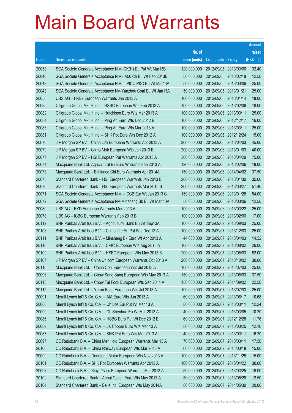|       |                                                              |               |                            |            | <b>Amount</b> |
|-------|--------------------------------------------------------------|---------------|----------------------------|------------|---------------|
|       |                                                              | No. of        |                            |            | raised        |
| Code  | <b>Derivative warrants</b>                                   | issue (units) | <b>Listing date Expiry</b> |            | (HK\$ mil.)   |
| 20058 | SGA Societe Generale Acceptance N.V.-CK(H) Eu Put Wt Mar13B  | 120,000,000   | 2012/09/05 2013/03/06      |            | 32.40         |
| 20040 | SGA Societe Generale Acceptance N.V.- A50 Ch Eu Wt Feb 2013B | 50,000,000    | 2012/09/05 2013/02/18      |            | 12.50         |
| 20042 | SGA Societe Generale Acceptance N.V. - PICC P&C Eu Wt Mar13A | 50,000,000    | 2012/09/05 2013/03/06      |            | 25.00         |
| 20043 | SGA Societe Generale Acceptance NV-Yanzhou Coal Eu Wt Jan13A | 50,000,000    | 2012/09/05 2013/01/21      |            | 25.00         |
| 20056 | UBS AG - HKEx European Warrants Jan 2013 A                   | 100,000,000   | 2012/09/05 2013/01/14      |            | 18.00         |
| 20085 | Citigroup Global Mkt H Inc. - HSBC European Wts Feb 2013 A   | 100,000,000   | 2012/09/06 2013/02/06      |            | 18.00         |
| 20082 | Citigroup Global Mkt H Inc. - Hutchison Euro Wts Mar 2013 A  | 100,000,000   | 2012/09/06 2013/03/11      |            | 25.00         |
| 20084 | Citigroup Global Mkt H Inc. - Ping An Euro Wts Dec 2012 B    | 100,000,000   | 2012/09/06 2012/12/17      |            | 16.00         |
| 20083 | Citigroup Global Mkt H Inc. - Ping An Euro Wts Mar 2013 A    | 100,000,000   | 2012/09/06 2013/03/11      |            | 25.00         |
| 20081 | Citigroup Global Mkt H Inc. - SHK Ppt Euro Wts Dec 2012 A    | 100,000,000   | 2012/09/06 2012/12/24      |            | 15.00         |
| 20070 | J P Morgan SP BV - China Life European Warrants Apr 2013 A   | 300,000,000   | 2012/09/06 2013/04/03      |            | 45.00         |
| 20079 | J P Morgan SP BV - China Mob European Wts Jan 2013 B         | 200,000,000   | 2012/09/06 2013/01/03      |            | 40.00         |
| 20077 | J P Morgan SP BV - HSI European Put Warrants Apr 2013 A      | 300,000,000   | 2012/09/06 2013/04/29      |            | 75.00         |
| 20074 | Macquarie Bank Ltd.-Agricultural Bk Euro Warrants Feb 2013 A | 120,000,000   | 2012/09/06 2013/02/06      |            | 18.00         |
| 20073 | Macquarie Bank Ltd. - Brilliance Chi Euro Warrants Apr 2014A | 150,000,000   | 2012/09/06 2014/04/02      |            | 37.50         |
| 20075 | Standard Chartered Bank - HSI European Warrants Jan 2013 B   | 200,000,000   | 2012/09/06 2013/01/30      |            | 35.60         |
| 20076 | Standard Chartered Bank - HSI European Warrants Mar 2013 B   | 200,000,000   | 2012/09/06 2013/03/27      |            | 51.40         |
| 20071 | SGA Societe Generale Acceptance N.V. - CCB Eur Wt Jan 2013 C | 150,000,000   | 2012/09/06 2013/01/28      |            | 54.00         |
| 20072 | SGA Societe Generale Acceptance NV-Minsheng Bk Eu Wt Mar 13A | 50,000,000    | 2012/09/06 2013/03/06      |            | 12.50         |
| 20080 | UBS AG - BYD European Warrants Mar 2013 A                    | 100,000,000   | 2012/09/06 2013/03/22      |            | 25.00         |
| 20078 | UBS AG - ICBC European Warrants Feb 2013 B                   | 100,000,000   | 2012/09/06 2013/02/06      |            | 17.00         |
| 20112 | BNP Paribas Arbit Issu B.V. - Agricultural Bank Eu Wt Sep13A | 100,000,000   | 2012/09/07 2013/09/03      |            | 25.00         |
| 20108 | BNP Paribas Arbit Issu B.V. - China Life Eu Put Wts Dec 13 A | 100,000,000   | 2012/09/07                 | 2013/12/03 | 25.00         |
| 20111 | BNP Paribas Arbit Issu B.V. - Minsheng Bk Euro Wt Apr 2013 A | 44,000,000    | 2012/09/07 2013/04/03      |            | 14.52         |
| 20110 | BNP Paribas Arbit Issu B.V. - CPIC European Wts Aug 2013 A   | 100,000,000   | 2012/09/07 2013/08/02      |            | 26.00         |
| 20109 | BNP Paribas Arbit Issu B.V. - HSBC European Wts May 2013 B   | 200,000,000   | 2012/09/07 2013/05/03      |            | 52.00         |
| 20107 | J P Morgan SP BV - China Unicom European Warrants Oct 2013 A | 200,000,000   | 2012/09/07 2013/10/02      |            | 30.60         |
| 20116 | Macquarie Bank Ltd. - China Coal European Wts Jul 2013 A     | 100,000,000   | 2012/09/07 2013/07/03      |            | 25.00         |
| 20096 | Macquarie Bank Ltd. - Chow Sang Sang European Wts May 2013 A | 150,000,000   | 2012/09/07 2013/05/03      |            | 37.50         |
| 20113 | Macquarie Bank Ltd. - Chow Tai Fook European Wts Sep 2014 A  | 150,000,000   | 2012/09/07 2014/09/02      |            | 22.50         |
| 20115 | Macquarie Bank Ltd. - Yurun Food European Wts Jul 2013 A     | 100,000,000   | 2012/09/07 2013/07/03      |            | 25.00         |
| 20091 | Merrill Lynch Int'l & Co. C.V. - AIA Euro Wts Jun 2013 A     | 60,000,000    | 2012/09/07 2013/06/17      |            | 10.68         |
| 20088 | Merrill Lynch Int'l & Co. C.V. - Ch Life Eur Put Wt Mar 13 A | 80,000,000    | 2012/09/07 2013/03/11      |            | 12.24         |
| 20090 | Merrill Lynch Int'l & Co. C.V. - Ch Shenhua Eu Wt Mar 2013 A | 40,000,000    | 2012/09/07 2013/03/05      |            | 10.20         |
| 20086 | Merrill Lynch Int'l & Co. C.V. - HSBC Euro Put Wt Dec 2012 E | 60,000,000    | 2012/09/07 2012/12/28      |            | 11.76         |
| 20089 | Merrill Lynch Int'l & Co. C.V. - JX Copper Euro Wts Mar 13 A | 80,000,000    | 2012/09/07 2013/03/25      |            | 12.16         |
| 20087 | Merrill Lynch Int'l & Co. C.V. - SHK Ppt Euro Wts Mar 2013 A | 40,000,000    | 2012/09/07 2013/03/11      |            | 16.20         |
| 20097 | CC Rabobank B.A. - China Mer Hold European Warrants Mar 13 A | 70,000,000    | 2012/09/07 2013/03/11      |            | 17.50         |
| 20100 | CC Rabobank B.A. - China Railway European Wts Mar 2013 A     | 60,000,000    | 2012/09/07 2013/03/18      |            | 15.00         |
| 20099 | CC Rabobank B.A. - Dongfeng Motor European Wts Nov 2013 A    | 100,000,000   | 2012/09/07 2013/11/25      |            | 15.00         |
| 20101 | CC Rabobank B.A. - SHK Ppt European Warrants Apr 2013 A      | 100,000,000   | 2012/09/07 2013/04/22      |            | 30.00         |
| 20098 | CC Rabobank B.A. - Xinyi Glass European Warrants Mar 2013 A  | 50,000,000    | 2012/09/07 2013/03/25      |            | 19.00         |
| 20102 | Standard Chartered Bank - Anhui Conch Euro Wts May 2013 A    | 50,000,000    | 2012/09/07 2013/05/28      |            | 12.50         |
| 20104 | Standard Chartered Bank - Belle Int'l European Wts May 2014A | 80,000,000    | 2012/09/07 2014/05/30      |            | 20.00         |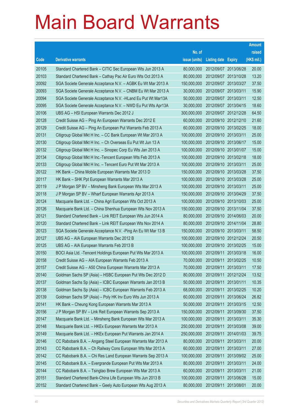|       |                                                               |               |                            |            | <b>Amount</b> |
|-------|---------------------------------------------------------------|---------------|----------------------------|------------|---------------|
|       |                                                               | No. of        |                            |            | raised        |
| Code  | <b>Derivative warrants</b>                                    | issue (units) | <b>Listing date Expiry</b> |            | (HK\$ mil.)   |
| 20105 | Standard Chartered Bank - CITIC Sec European Wts Jun 2013 A   | 80,000,000    | 2012/09/07 2013/06/28      |            | 20.00         |
| 20103 | Standard Chartered Bank - Cathay Pac Air Euro Wts Oct 2013 A  | 80,000,000    | 2012/09/07 2013/10/28      |            | 13.20         |
| 20092 | SGA Societe Generale Acceptance N.V. - AGBK Eu Wt Mar 2013 A  | 150,000,000   | 2012/09/07 2013/03/27      |            | 37.50         |
| 20093 | SGA Societe Generale Acceptance N.V. - CNBM Eu Wt Mar 2013 A  | 30,000,000    | 2012/09/07 2013/03/11      |            | 15.90         |
| 20094 | SGA Societe Generale Acceptance N.V. - HLand Eu Put Wt Mar13A | 50,000,000    | 2012/09/07 2013/03/11      |            | 12.50         |
| 20095 | SGA Societe Generale Acceptance N.V. - NWD Eu Put Wts Apr13A  | 30,000,000    | 2012/09/07 2013/04/15      |            | 18.60         |
| 20106 | UBS AG - HSI European Warrants Dec 2012 J                     | 300,000,000   | 2012/09/07 2012/12/28      |            | 64.50         |
| 20128 | Credit Suisse AG - Ping An European Warrants Dec 2012 E       | 60,000,000    | 2012/09/10 2012/12/10      |            | 21.60         |
| 20129 | Credit Suisse AG - Ping An European Put Warrants Feb 2013 A   | 60,000,000    | 2012/09/10 2013/02/25      |            | 18.00         |
| 20131 | Citigroup Global Mkt H Inc. - CC Bank European Wt Mar 2013 A  | 100,000,000   | 2012/09/10 2013/03/11      |            | 25.00         |
| 20130 | Citigroup Global Mkt H Inc. - Ch Overseas Eu Put Wt Jun 13 A  | 100,000,000   | 2012/09/10 2013/06/17      |            | 15.00         |
| 20132 | Citigroup Global Mkt H Inc. - Sinopec Corp Eu Wts Jan 2013 A  | 100,000,000   | 2012/09/10 2013/01/07      |            | 15.00         |
| 20134 | Citigroup Global Mkt H Inc.-Tencent European Wts Feb 2013 A   | 100,000,000   | 2012/09/10 2013/02/18      |            | 18.00         |
| 20133 | Citigroup Global Mkt H Inc. - Tencent Euro Put Wt Mar 2013 A  | 100,000,000   | 2012/09/10 2013/03/11      |            | 25.00         |
| 20122 | HK Bank - China Mobile European Warrants Mar 2013 D           | 150,000,000   | 2012/09/10 2013/03/28      |            | 37.50         |
| 20117 | HK Bank - SHK Ppt European Warrants Mar 2013 A                | 100,000,000   | 2012/09/10 2013/03/28      |            | 25.00         |
| 20119 | J P Morgan SP BV - Minsheng Bank European Wts Mar 2013 A      | 100,000,000   | 2012/09/10 2013/03/11      |            | 25.00         |
| 20118 | J P Morgan SP BV - Wharf European Warrants Apr 2013 A         | 150,000,000   | 2012/09/10 2013/04/29      |            | 37.50         |
| 20124 | Macquarie Bank Ltd. - China Agri European Wts Oct 2013 A      | 100,000,000   | 2012/09/10 2013/10/03      |            | 25.00         |
| 20126 | Macquarie Bank Ltd. - China Shenhua European Wts Nov 2013 A   | 150,000,000   | 2012/09/10 2013/11/04      |            | 37.50         |
| 20121 | Standard Chartered Bank - Link REIT European Wts Jun 2014 A   | 80,000,000    | 2012/09/10 2014/06/03      |            | 20.00         |
| 20120 | Standard Chartered Bank - Link REIT European Wts Nov 2014 A   | 80,000,000    | 2012/09/10 2014/11/04      |            | 28.80         |
| 20123 | SGA Societe Generale Acceptance N.V. - Ping An Eu Wt Mar 13 B | 150,000,000   | 2012/09/10 2013/03/11      |            | 58.50         |
| 20127 | UBS AG - AIA European Warrants Dec 2012 B                     | 100,000,000   | 2012/09/10 2012/12/24      |            | 20.50         |
| 20125 | UBS AG - AIA European Warrants Feb 2013 B                     | 100,000,000   | 2012/09/10 2013/02/25      |            | 15.00         |
| 20150 | BOCI Asia Ltd. - Tencent Holdings European Put Wts Mar 2013 A | 100,000,000   | 2012/09/11 2013/03/18      |            | 16.00         |
| 20158 | Credit Suisse AG - AIA European Warrants Feb 2013 A           | 70,000,000    | 2012/09/11                 | 2013/02/25 | 10.50         |
| 20157 | Credit Suisse AG - A50 China European Warrants Mar 2013 A     | 70,000,000    | 2012/09/11 2013/03/11      |            | 17.50         |
| 20140 | Goldman Sachs SP (Asia) - HSBC European Put Wts Dec 2012 D    | 80,000,000    | 2012/09/11                 | 2012/12/24 | 13.52         |
| 20137 | Goldman Sachs Sp (Asia) - ICBC European Warrants Jan 2013 B   | 50,000,000    | 2012/09/11                 | 2013/01/11 | 10.35         |
| 20138 | Goldman Sachs Sp (Asia) - ICBC European Warrants Feb 2013 A   | 68,000,000    | 2012/09/11                 | 2013/02/25 | 10.20         |
| 20139 | Goldman Sachs SP (Asia) - Poly HK Inv Euro Wts Jun 2013 A     | 60,000,000    | 2012/09/11                 | 2013/06/24 | 26.82         |
| 20141 | HK Bank - Cheung Kong European Warrants Mar 2013 A            | 50,000,000    | 2012/09/11                 | 2013/03/15 | 12.50         |
| 20156 | J P Morgan SP BV - Link Reit European Warrants Sep 2013 A     | 150,000,000   | 2012/09/11                 | 2013/09/30 | 37.50         |
| 20147 | Macquarie Bank Ltd. - Minsheng Bank European Wts Mar 2013 A   | 100,000,000   | 2012/09/11                 | 2013/03/11 | 35.30         |
| 20148 | Macquarie Bank Ltd. - HKEx European Warrants Mar 2013 A       | 250,000,000   | 2012/09/11                 | 2013/03/08 | 39.00         |
| 20149 | Macquarie Bank Ltd. - HKEx European Put Warrants Jan 2014 A   | 250,000,000   | 2012/09/11                 | 2014/01/03 | 39.75         |
| 20146 | CC Rabobank B.A. - Angang Steel European Warrants Mar 2013 A  | 80,000,000    | 2012/09/11                 | 2013/03/11 | 20.00         |
| 20143 | CC Rabobank B.A. - Ch Railway Cons European Wts Mar 2013 A    | 60,000,000    | 2012/09/11                 | 2013/03/11 | 27.00         |
| 20142 | CC Rabobank B.A. - Chi Res Land European Warrants Sep 2013 A  | 100,000,000   | 2012/09/11                 | 2013/09/02 | 25.00         |
| 20145 | CC Rabobank B.A. - Evergrande European Put Wts Mar 2013 A     | 80,000,000    | 2012/09/11                 | 2013/03/11 | 24.00         |
| 20144 | CC Rabobank B.A. - Tsingtao Brew European Wts Mar 2013 A      | 60,000,000    | 2012/09/11                 | 2013/03/11 | 21.00         |
| 20151 | Standard Chartered Bank-China Life European Wts Jun 2013 B    | 100,000,000   | 2012/09/11                 | 2013/06/28 | 15.00         |
| 20152 | Standard Chartered Bank - Geely Auto European Wts Aug 2013 A  | 80,000,000    | 2012/09/11                 | 2013/08/01 | 20.00         |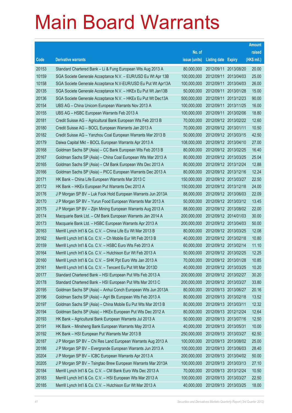|       |                                                              |               |                            |                       | <b>Amount</b> |
|-------|--------------------------------------------------------------|---------------|----------------------------|-----------------------|---------------|
|       |                                                              | No. of        |                            |                       | raised        |
| Code  | <b>Derivative warrants</b>                                   | issue (units) | <b>Listing date Expiry</b> |                       | (HK\$ mil.)   |
| 20153 | Standard Chartered Bank - Li & Fung European Wts Aug 2013 A  | 80,000,000    | 2012/09/11 2013/08/20      |                       | 20.00         |
| 10159 | SGA Societe Generale Acceptance N.V. - EUR/USD Eu Wt Apr 13B | 100,000,000   |                            | 2012/09/11 2013/04/03 | 25.00         |
| 10158 | SGA Societe Generale Acceptance N.V-EUR/USD Eu Put Wt Apr13A | 100,000,000   | 2012/09/11                 | 2013/04/03            | 26.00         |
| 20135 | SGA Societe Generale Acceptance N.V. - HKEx Eu Put Wt Jan13B | 50,000,000    |                            | 2012/09/11 2013/01/28 | 15.00         |
| 20136 | SGA Societe Generale Acceptance N.V. - HKEx Eu Put Wt Dec13A | 500,000,000   |                            | 2012/09/11 2013/12/23 | 90.00         |
| 20154 | UBS AG - China Unicom European Warrants Nov 2013 A           | 100,000,000   | 2012/09/11 2013/11/25      |                       | 16.00         |
| 20155 | UBS AG - HSBC European Warrants Feb 2013 A                   | 100,000,000   |                            | 2012/09/11 2013/02/06 | 18.80         |
| 20181 | Credit Suisse AG - Agricultural Bank European Wts Feb 2013 B | 70,000,000    |                            | 2012/09/12 2013/02/22 | 12.60         |
| 20180 | Credit Suisse AG - BOCL European Warrants Jan 2013 A         | 70,000,000    | 2012/09/12 2013/01/11      |                       | 10.50         |
| 20182 | Credit Suisse AG - Yanzhou Coal European Warrants Mar 2013 B | 50,000,000    | 2012/09/12 2013/03/15      |                       | 42.50         |
| 20179 | Daiwa Capital Mkt - BOCL European Warrants Apr 2013 A        | 108,000,000   | 2012/09/12 2013/04/10      |                       | 27.00         |
| 20168 | Goldman Sachs SP (Asia) - CC Bank European Wts Feb 2013 B    | 80,000,000    |                            | 2012/09/12 2013/02/25 | 16.40         |
| 20167 | Goldman Sachs SP (Asia) - China Coal European Wts Mar 2013 A | 80,000,000    |                            | 2012/09/12 2013/03/25 | 25.04         |
| 20165 | Goldman Sachs SP (Asia) - CM Bank European Wts Dec 2013 A    | 80,000,000    |                            | 2012/09/12 2013/12/24 | 12.88         |
| 20166 | Goldman Sachs SP (Asia) - PICC European Warrants Dec 2013 A  | 80,000,000    | 2012/09/12 2013/12/16      |                       | 12.24         |
| 20171 | HK Bank - China Life European Warrants Mar 2013 C            | 150,000,000   | 2012/09/12 2013/03/27      |                       | 22.50         |
| 20172 | HK Bank - HKEx European Put Warrants Dec 2013 A              | 150,000,000   |                            | 2012/09/12 2013/12/18 | 24.00         |
| 20176 | J P Morgan SP BV - Luk Fook Hold European Warrants Jun 2013A | 88,000,000    |                            | 2012/09/12 2013/06/03 | 22.09         |
| 20170 | J P Morgan SP BV - Yurun Food European Warrants Mar 2013 A   | 50,000,000    |                            | 2012/09/12 2013/03/12 | 13.45         |
| 20175 | J P Morgan SP BV - Zijin Mining European Warrants Aug 2013 A | 88,000,000    | 2012/09/12 2013/08/02      |                       | 22.00         |
| 20174 | Macquarie Bank Ltd. - CM Bank European Warrants Jan 2014 A   | 200,000,000   |                            | 2012/09/12 2014/01/03 | 30.00         |
| 20173 | Macquarie Bank Ltd. - HSBC European Warrants Apr 2013 A      | 200,000,000   | 2012/09/12 2013/04/03      |                       | 50.00         |
| 20163 | Merrill Lynch Int'l & Co. C.V. - China Life Eu Wt Mar 2013 B | 80,000,000    |                            | 2012/09/12 2013/03/25 | 12.08         |
| 20162 | Merrill Lynch Int'l & Co. C.V. - Ch Mobile Eur Wt Feb 2013 B | 40,000,000    |                            | 2012/09/12 2013/02/18 | 10.80         |
| 20159 | Merrill Lynch Int'l & Co. C.V. - HSBC Euro Wts Feb 2013 A    | 60,000,000    |                            | 2012/09/12 2013/02/14 | 11.10         |
| 20164 | Merrill Lynch Int'l & Co. C.V. - Hutchison Eur Wt Feb 2013 A | 50,000,000    |                            | 2012/09/12 2013/02/25 | 12.25         |
| 20160 | Merrill Lynch Int'l & Co. C.V. - SHK Ppt Euro Wts Jan 2013 A | 70,000,000    | 2012/09/12 2013/01/28      |                       | 10.85         |
| 20161 | Merrill Lynch Int'l & Co. C.V. - Tencent Eu Put Wt Mar 2013D | 40,000,000    | 2012/09/12 2013/03/25      |                       | 10.20         |
| 20177 | Standard Chartered Bank - HSI European Put Wts Feb 2013 A    | 200,000,000   | 2012/09/12 2013/02/27      |                       | 30.20         |
| 20178 | Standard Chartered Bank - HSI European Put Wts Mar 2013 C    | 200,000,000   | 2012/09/12 2013/03/27      |                       | 33.80         |
| 20195 | Goldman Sachs SP (Asia) - Anhui Conch European Wts Jun 2013A | 80,000,000    | 2012/09/13 2013/06/27      |                       | 20.16         |
| 20196 | Goldman Sachs SP (Asia) - Agri Bk European Wts Feb 2013 A    | 80,000,000    | 2012/09/13 2013/02/18      |                       | 13.52         |
| 20197 | Goldman Sachs SP (Asia) - China Mobile Eu Put Wts Mar 2013 B | 80,000,000    | 2012/09/13 2013/03/11      |                       | 12.32         |
| 20194 | Goldman Sachs SP (Asia) - HKEx European Put Wts Dec 2012 A   | 80,000,000    | 2012/09/13 2012/12/24      |                       | 12.64         |
| 20193 | HK Bank - Agricultural Bank European Warrants Jul 2013 A     | 50,000,000    | 2012/09/13 2013/07/16      |                       | 12.50         |
| 20191 | HK Bank - Minsheng Bank European Warrants May 2013 A         | 40,000,000    | 2012/09/13 2013/05/31      |                       | 10.00         |
| 20192 | HK Bank - HSI European Put Warrants Mar 2013 B               | 250,000,000   | 2012/09/13 2013/03/27      |                       | 62.50         |
| 20187 | J P Morgan SP BV - Chi Res Land European Warrants Aug 2013 A | 100,000,000   |                            | 2012/09/13 2013/08/02 | 25.00         |
| 20186 | J P Morgan SP BV - Evergrande European Warrants Jun 2013 A   | 100,000,000   | 2012/09/13 2013/06/03      |                       | 28.40         |
| 20204 | J P Morgan SP BV - ICBC European Warrants Apr 2013 A         | 200,000,000   |                            | 2012/09/13 2013/04/02 | 50.00         |
| 20205 | J P Morgan SP BV - Tsingtao Brew European Warrants Mar 2013A | 100,000,000   | 2012/09/13 2013/03/13      |                       | 27.10         |
| 20184 | Merrill Lynch Int'l & Co. C.V. - CM Bank Euro Wts Dec 2013 A | 70,000,000    | 2012/09/13 2013/12/24      |                       | 10.50         |
| 20183 | Merrill Lynch Int'l & Co. C.V. - HSI European Wts Mar 2013 A | 100,000,000   | 2012/09/13 2013/03/27      |                       | 22.50         |
| 20185 | Merrill Lynch Int'l & Co. C.V. - Hutchison Eur Wt Mar 2013 A | 40,000,000    | 2012/09/13 2013/03/25      |                       | 18.00         |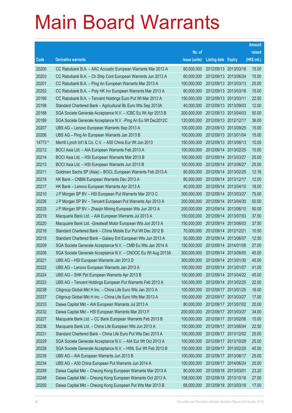|         |                                                               |               |                            |            | <b>Amount</b> |
|---------|---------------------------------------------------------------|---------------|----------------------------|------------|---------------|
|         |                                                               | No. of        |                            |            | raised        |
| Code    | <b>Derivative warrants</b>                                    | issue (units) | <b>Listing date Expiry</b> |            | (HK\$ mil.)   |
| 20200   | CC Rabobank B.A. - AAC Acoustic European Warrants Mar 2013 A  | 60,000,000    | 2012/09/13 2013/03/18      |            | 15.00         |
| 20203   | CC Rabobank B.A. – Ch Ship Cont European Warrants Jun 2013 A  | 60,000,000    | 2012/09/13 2013/06/24      |            | 15.00         |
| 20201   | CC Rabobank B.A. – Ping An European Warrants Mar 2013 A       | 100,000,000   | 2012/09/13 2013/03/13      |            | 25.00         |
| 20202   | CC Rabobank B.A. - Poly HK Inv European Warrants Mar 2013 A   | 60,000,000    | 2012/09/13 2013/03/18      |            | 15.00         |
| 20199   | CC Rabobank B.A. - Tencent Holdings Euro Put Wt Mar 2013 A    | 150,000,000   | 2012/09/13 2013/03/11      |            | 22.50         |
| 20198   | Standard Chartered Bank - Agricultural Bk Euro Wts Sep 2013A  | 40,000,000    | 2012/09/13 2013/09/03      |            | 12.00         |
| 20188   | SGA Societe Generale Acceptance N.V. - ICBC Eu Wt Apr 2013 B  | 200,000,000   | 2012/09/13 2013/04/03      |            | 50.00         |
| 20189   | SGA Societe Generale Acceptance N.V. - Ping An Eu Wt Dec2012C | 120,000,000   | 2012/09/13 2012/12/17      |            | 36.00         |
| 20207   | UBS AG - Lenovo European Warrants Sep 2013 A                  | 100,000,000   | 2012/09/13 2013/09/25      |            | 15.00         |
| 20206   | UBS AG - Ping An European Warrants Jan 2013 B                 | 100,000,000   | 2012/09/13 2013/01/04      |            | 15.00         |
| 14773 # | Merrill Lynch Int'l & Co. C.V. - A50 China Eur Wt Jun 2013    | 150,000,000   | 2012/09/13 2013/06/13      |            | 10.05         |
| 20212   | BOCI Asia Ltd. - AIA European Warrants Feb 2013 A             | 100,000,000   | 2012/09/14 2013/02/25      |            | 15.00         |
| 20214   | BOCI Asia Ltd. - HSI European Warrants Mar 2013 B             | 100,000,000   | 2012/09/14 2013/03/27      |            | 25.00         |
| 20213   | BOCI Asia Ltd. - HSI European Warrants Jun 2013 B             | 100,000,000   | 2012/09/14 2013/06/27      |            | 25.00         |
| 20211   | Goldman Sachs SP (Asia) – BOCL European Warrants Feb 2013 A   | 80,000,000    | 2012/09/14                 | 2013/02/25 | 12.16         |
| 20218   | HK Bank - CNBM European Warrants Dec 2013 A                   | 80,000,000    | 2012/09/14 2013/12/17      |            | 12.00         |
| 20217   | HK Bank – Lenovo European Warrants Apr 2013 A                 | 40,000,000    | 2012/09/14 2013/04/10      |            | 18.00         |
| 20210   | J P Morgan SP BV - HSI European Put Warrants Mar 2013 C       | 300,000,000   | 2012/09/14 2013/03/27      |            | 75.00         |
| 20226   | J P Morgan SP BV – Tencent European Put Warrants Apr 2013 A   | 200,000,000   | 2012/09/14                 | 2013/04/30 | 50.00         |
| 20225   | J P Morgan SP BV - Zhaojin Mining European Wts Jun 2013 A     | 200,000,000   | 2012/09/14 2013/06/10      |            | 50.00         |
| 20219   | Macquarie Bank Ltd. - AIA European Warrants Jul 2013 A        | 150,000,000   | 2012/09/14                 | 2013/07/03 | 37.50         |
| 20220   | Macquarie Bank Ltd. - Greatwall Motor European Wts Jun 2013 A | 150,000,000   | 2012/09/14 2013/06/03      |            | 37.50         |
| 20216   | Standard Chartered Bank - China Mobile Eur Put Wt Dec 2012 B  | 70,000,000    | 2012/09/14                 | 2012/12/21 | 10.50         |
| 20215   | Standard Chartered Bank - Galaxy Ent European Wts Jun 2013 A  | 50,000,000    | 2012/09/14 2013/06/07      |            | 12.50         |
| 20209   | SGA Societe Generale Acceptance N.V. - CMB Eu Wts Jan 2014 A  | 150,000,000   | 2012/09/14 2014/01/06      |            | 27.00         |
| 20208   | SGA Societe Generale Acceptance N.V. - CNOOC Eu Wt Aug 2013A  | 300,000,000   | 2012/09/14 2013/08/05      |            | 45.00         |
| 20221   | UBS AG – HSI European Warrants Jan 2013 D                     | 300,000,000   | 2012/09/14 2013/01/30      |            | 45.00         |
| 20222   | UBS AG - Lenovo European Warrants Jan 2013 A                  | 100,000,000   | 2012/09/14 2013/01/07      |            | 41.00         |
| 20224   | UBS AG - SHK Ppt European Warrants Apr 2013 B                 | 100,000,000   | 2012/09/14                 | 2013/04/22 | 45.00         |
| 20223   | UBS AG - Tencent Holdings European Put Warrants Feb 2013 A    | 100,000,000   | 2012/09/14 2013/02/25      |            | 22.00         |
| 20238   | Citigroup Global Mkt H Inc. - China Life Euro Wts Jan 2013 A  | 100,000,000   | 2012/09/17 2013/01/25      |            | 18.00         |
| 20237   | Citigroup Global Mkt H Inc. - China Life Euro Wts Mar 2013 A  | 100,000,000   | 2012/09/17 2013/03/27      |            | 17.00         |
| 20233   | Daiwa Capital Mkt - AIA European Warrants Jul 2013 A          | 80,000,000    | 2012/09/17                 | 2013/07/02 | 20.00         |
| 20232   | Daiwa Capital Mkt - HSI European Warrants Mar 2013 F          | 200,000,000   | 2012/09/17 2013/03/27      |            | 34.00         |
| 20227   | Macquarie Bank Ltd. - CC Bank European Warrants Feb 2013 B    | 100,000,000   | 2012/09/17                 | 2013/02/06 | 15.00         |
| 20236   | Macquarie Bank Ltd. - China Life European Wts Jun 2013 A      | 150,000,000   | 2012/09/17 2013/06/04      |            | 22.50         |
| 20231   | Standard Chartered Bank - China Life Euro Put Wts Dec 2013 A  | 100,000,000   | 2012/09/17                 | 2013/12/02 | 25.00         |
| 20229   | SGA Societe Generale Acceptance N.V. - AIA Eur Wt Oct 2013 A  | 100,000,000   | 2012/09/17 2013/10/28      |            | 25.00         |
| 20228   | SGA Societe Generale Acceptance N.V. - HWL Eur Wt Feb 2013 B  | 150,000,000   | 2012/09/17                 | 2013/02/25 | 45.00         |
| 20235   | UBS AG - AIA European Warrants Jun 2013 B                     | 100,000,000   | 2012/09/17 2013/06/17      |            | 25.00         |
| 20234   | UBS AG - A50 China European Put Warrants Jun 2014 A           | 100,000,000   | 2012/09/17                 | 2014/06/24 | 20.00         |
| 20249   | Daiwa Capital Mkt - Cheung Kong European Warrants Mar 2013 A  | 80,000,000    | 2012/09/18 2013/03/01      |            | 23.20         |
| 20248   | Daiwa Capital Mkt - Cheung Kong European Warrants Oct 2013 A  | 108,000,000   | 2012/09/18 2013/10/18      |            | 27.00         |
| 20250   | Daiwa Capital Mkt - Cheung Kong European Put Wts Mar 2013 B   | 68,000,000    | 2012/09/18 2013/03/18      |            | 17.00         |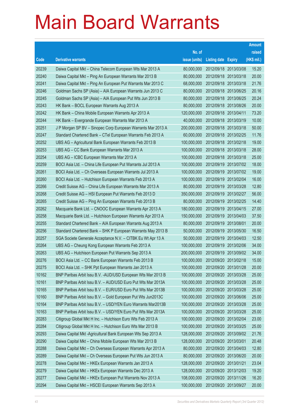|       |                                                               |               |                            |            | <b>Amount</b> |
|-------|---------------------------------------------------------------|---------------|----------------------------|------------|---------------|
|       |                                                               | No. of        |                            |            | raised        |
| Code  | <b>Derivative warrants</b>                                    | issue (units) | <b>Listing date Expiry</b> |            | (HK\$ mil.)   |
| 20239 | Daiwa Capital Mkt - China Telecom European Wts Mar 2013 A     | 80,000,000    | 2012/09/18 2013/03/08      |            | 15.20         |
| 20240 | Daiwa Capital Mkt - Ping An European Warrants Mar 2013 B      | 80,000,000    | 2012/09/18 2013/03/18      |            | 20.00         |
| 20241 | Daiwa Capital Mkt - Ping An European Put Warrants Mar 2013 C  | 68,000,000    | 2012/09/18 2013/03/18      |            | 21.76         |
| 20246 | Goldman Sachs SP (Asia) - AIA European Warrants Jun 2013 C    | 80,000,000    | 2012/09/18 2013/06/25      |            | 20.16         |
| 20245 | Goldman Sachs SP (Asia) - AIA European Put Wts Jun 2013 B     | 80,000,000    | 2012/09/18 2013/06/25      |            | 20.24         |
| 20243 | HK Bank - BOCL European Warrants Aug 2013 A                   | 80,000,000    | 2012/09/18 2013/08/26      |            | 20.00         |
| 20242 | HK Bank - China Mobile European Warrants Apr 2013 A           | 120,000,000   | 2012/09/18 2013/04/11      |            | 73.20         |
| 20244 | HK Bank - Evergrande European Warrants Mar 2013 A             | 40,000,000    | 2012/09/18 2013/03/19      |            | 10.00         |
| 20251 | J P Morgan SP BV - Sinopec Corp European Warrants Mar 2013 A  | 200,000,000   | 2012/09/18 2013/03/18      |            | 50.00         |
| 20247 | Standard Chartered Bank - CTel European Warrants Feb 2013 A   | 60,000,000    | 2012/09/18 2013/02/25      |            | 11.76         |
| 20252 | UBS AG - Agricultural Bank European Warrants Feb 2013 B       | 100,000,000   | 2012/09/18 2013/02/18      |            | 19.00         |
| 20253 | UBS AG - CC Bank European Warrants Mar 2013 A                 | 100,000,000   | 2012/09/18 2013/03/18      |            | 28.00         |
| 20254 | UBS AG - ICBC European Warrants Mar 2013 A                    | 100,000,000   | 2012/09/18 2013/03/18      |            | 25.00         |
| 20259 | BOCI Asia Ltd. - China Life European Put Warrants Jul 2013 A  | 100,000,000   | 2012/09/19 2013/07/02      |            | 18.00         |
| 20261 | BOCI Asia Ltd. - Ch Overseas European Warrants Jul 2013 A     | 100,000,000   | 2012/09/19 2013/07/02      |            | 19.00         |
| 20260 | BOCI Asia Ltd. - Hutchison European Warrants Feb 2013 A       | 100,000,000   | 2012/09/19 2013/02/04      |            | 16.00         |
| 20266 | Credit Suisse AG - China Life European Warrants Mar 2013 A    | 80,000,000    | 2012/09/19 2013/03/28      |            | 12.80         |
| 20268 | Credit Suisse AG - HSI European Put Warrants Feb 2013 D       | 350,000,000   | 2012/09/19 2013/02/27      |            | 56.00         |
| 20265 | Credit Suisse AG - Ping An European Warrants Feb 2013 B       | 80,000,000    | 2012/09/19 2013/02/25      |            | 14.40         |
| 20262 | Macquarie Bank Ltd. - CNOOC European Warrants Apr 2013 A      | 180,000,000   | 2012/09/19 2013/04/15      |            | 27.00         |
| 20258 | Macquarie Bank Ltd. - Hutchison European Warrants Apr 2013 A  | 150,000,000   | 2012/09/19 2013/04/03      |            | 37.50         |
| 20255 | Standard Chartered Bank - AIA European Warrants Aug 2013 A    | 80,000,000    | 2012/09/19 2013/08/01      |            | 20.00         |
| 20256 | Standard Chartered Bank - SHK P European Warrants May 2013 B  | 50,000,000    | 2012/09/19                 | 2013/05/30 | 16.50         |
| 20257 | SGA Societe Generale Acceptance N.V. - CITBK Eu Wt Apr 13 A   | 50,000,000    | 2012/09/19 2013/04/03      |            | 12.50         |
| 20264 | UBS AG - Cheung Kong European Warrants Feb 2013 A             | 100,000,000   | 2012/09/19 2013/02/06      |            | 34.00         |
| 20263 | UBS AG - Hutchison European Put Warrants Sep 2013 A           | 200,000,000   | 2012/09/19 2013/09/02      |            | 34.00         |
| 20276 | BOCI Asia Ltd. - CC Bank European Warrants Feb 2013 B         | 100,000,000   | 2012/09/20 2013/02/18      |            | 15.00         |
| 20275 | BOCI Asia Ltd. - SHK Ppt European Warrants Jan 2013 A         | 100,000,000   | 2012/09/20 2013/01/28      |            | 20.00         |
| 10162 | BNP Paribas Arbit Issu B.V. - AUD/USD European Wts Mar 2013 B | 100,000,000   | 2012/09/20 2013/03/28      |            | 25.00         |
| 10161 | BNP Paribas Arbit Issu B.V. - AUD/USD Euro Put Wts Mar 2013A  | 100,000,000   | 2012/09/20 2013/03/28      |            | 25.00         |
| 10165 | BNP Paribas Arbit Issu B.V. - EUR/USD Euro Put Wts Mar 2013B  | 100,000,000   | 2012/09/20 2013/03/28      |            | 25.00         |
| 10160 | BNP Paribas Arbit Issu B.V. - Gold European Put Wts Jun2013C  | 100,000,000   | 2012/09/20 2013/06/06      |            | 25.00         |
| 10164 | BNP Paribas Arbit Issu B.V. - USD/YEN Euro Warrants Mar2013B  | 100,000,000   | 2012/09/20 2013/03/28      |            | 25.00         |
| 10163 | BNP Paribas Arbit Issu B.V. - USD/YEN Euro Put Wts Mar 2013A  | 100,000,000   | 2012/09/20 2013/03/28      |            | 25.00         |
| 20283 | Citigroup Global Mkt H Inc. - Hutchison Euro Wts Feb 2013 A   | 100,000,000   | 2012/09/20 2013/02/04      |            | 23.00         |
| 20284 | Citigroup Global Mkt H Inc. - Hutchison Euro Wts Mar 2013 B   | 100,000,000   | 2012/09/20 2013/03/25      |            | 25.00         |
| 20293 | Daiwa Capital Mkt -Agricultural Bank European Wts Sep 2013 A  | 128,000,000   | 2012/09/20 2013/09/02      |            | 21.76         |
| 20290 | Daiwa Capital Mkt - China Mobile European Wts Mar 2013 B      | 128,000,000   | 2012/09/20 2013/03/01      |            | 20.48         |
| 20288 | Daiwa Capital Mkt - Ch Overseas European Warrants Apr 2013 A  | 80,000,000    | 2012/09/20 2013/04/03      |            | 12.80         |
| 20289 | Daiwa Capital Mkt - Ch Overseas European Put Wts Jun 2013 A   | 80,000,000    | 2012/09/20 2013/06/20      |            | 20.00         |
| 20278 | Daiwa Capital Mkt - HKEx European Warrants Jan 2013 A         | 128,000,000   | 2012/09/20 2013/01/21      |            | 23.04         |
| 20279 | Daiwa Capital Mkt - HKEx European Warrants Dec 2013 A         | 128,000,000   | 2012/09/20 2013/12/03      |            | 19.20         |
| 20277 | Daiwa Capital Mkt - HKEx European Put Warrants Nov 2013 A     | 108,000,000   | 2012/09/20 2013/11/26      |            | 16.20         |
| 20294 | Daiwa Capital Mkt - HSCEI European Warrants Sep 2013 A        | 100,000,000   | 2012/09/20 2013/09/27      |            | 20.00         |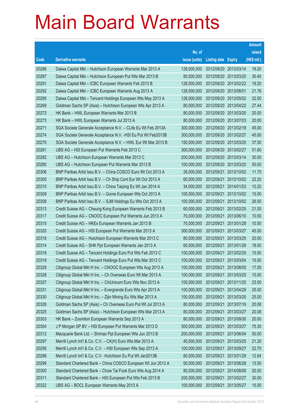|       |                                                               |               |                       |            | <b>Amount</b> |
|-------|---------------------------------------------------------------|---------------|-----------------------|------------|---------------|
|       |                                                               | No. of        |                       |            | raised        |
| Code  | <b>Derivative warrants</b>                                    | issue (units) | Listing date Expiry   |            | (HK\$ mil.)   |
| 20286 | Daiwa Capital Mkt - Hutchison European Warrants Mar 2013 A    | 128,000,000   | 2012/09/20 2013/03/14 |            | 19.20         |
| 20287 | Daiwa Capital Mkt - Hutchison European Put Wts Mar 2013 B     | 80,000,000    | 2012/09/20 2013/03/20 |            | 30.40         |
| 20291 | Daiwa Capital Mkt - ICBC European Warrants Feb 2013 B         | 128,000,000   | 2012/09/20 2013/02/22 |            | 19.20         |
| 20292 | Daiwa Capital Mkt - ICBC European Warrants Aug 2013 A         | 128,000,000   | 2012/09/20 2013/08/01 |            | 21.76         |
| 20285 | Daiwa Capital Mkt - Tencent Holdings European Wts May 2013 A  | 128,000,000   | 2012/09/20 2013/05/02 |            | 32.00         |
| 20269 | Goldman Sachs SP (Asia) - Hutchison European Wts Apr 2013 A   | 80,000,000    | 2012/09/20 2013/04/22 |            | 27.44         |
| 20272 | HK Bank - HWL European Warrants Mar 2013 B                    | 80,000,000    | 2012/09/20 2013/03/20 |            | 20.00         |
| 20273 | HK Bank – HWL European Warrants Jul 2013 A                    | 80,000,000    | 2012/09/20 2013/07/03 |            | 20.00         |
| 20271 | SGA Societe Generale Acceptance N.V. - CLife Eu Wt Feb 2013A  | 300,000,000   | 2012/09/20 2013/02/18 |            | 45.00         |
| 20274 | SGA Societe Generale Acceptance N.V. - HSI Eu Put Wt Feb2013B | 300,000,000   | 2012/09/20 2013/02/27 |            | 45.00         |
| 20270 | SGA Societe Generale Acceptance N.V. - HWL Eur Wt Mar 2013 B  | 150,000,000   | 2012/09/20            | 2013/03/20 | 37.50         |
| 20281 | UBS AG - HSI European Put Warrants Feb 2013 C                 | 300,000,000   | 2012/09/20 2013/02/27 |            | 51.60         |
| 20282 | UBS AG - Hutchison European Warrants Mar 2013 C               | 200,000,000   | 2012/09/20 2013/03/14 |            | 30.00         |
| 20280 | UBS AG - Hutchison European Put Warrants Mar 2013 B           | 100,000,000   | 2012/09/20 2013/03/20 |            | 50.00         |
| 20306 | BNP Paribas Arbit Issu B.V. - China COSCO Euro Wt Oct 2013 A  | 26,000,000    | 2012/09/21            | 2013/10/02 | 11.70         |
| 20305 | BNP Paribas Arbit Issu B.V. - Ch Ship Cont Eur Wt Oct 2013 A  | 60,000,000    | 2012/09/21 2013/10/02 |            | 22.20         |
| 20310 | BNP Paribas Arbit Issu B.V. - China Taiping Eu Wt Jan 2014 A  | 34,000,000    | 2012/09/21            | 2014/01/03 | 10.20         |
| 20309 | BNP Paribas Arbit Issu B.V. - Gome European Wts Oct 2013 A    | 100,000,000   | 2012/09/21            | 2013/10/02 | 15.00         |
| 20308 | BNP Paribas Arbit Issu B.V. - SJM Holdings Eu Wts Oct 2013 A  | 100,000,000   | 2012/09/21            | 2013/10/02 | 26.00         |
| 20313 | Credit Suisse AG - Cheung Kong European Warrants Feb 2013 B   | 60,000,000    | 2012/09/21            | 2013/02/25 | 21.00         |
| 20317 | Credit Suisse AG – CNOOC European Put Warrants Jun 2013 A     | 70,000,000    | 2012/09/21            | 2013/06/10 | 10.50         |
| 20315 | Credit Suisse AG - HKEx European Warrants Jan 2013 B          | 70,000,000    | 2012/09/21            | 2013/01/28 | 10.50         |
| 20320 | Credit Suisse AG - HSI European Put Warrants Mar 2013 A       | 300,000,000   | 2012/09/21            | 2013/03/27 | 45.00         |
| 20316 | Credit Suisse AG - Hutchison European Warrants Mar 2013 C     | 80,000,000    | 2012/09/21            | 2013/03/25 | 20.00         |
| 20314 | Credit Suisse AG - SHK Ppt European Warrants Jan 2013 A       | 60,000,000    | 2012/09/21            | 2013/01/28 | 18.00         |
| 20318 | Credit Suisse AG - Tencent Holdings Euro Put Wts Feb 2013 C   | 100,000,000   | 2012/09/21            | 2013/02/25 | 15.00         |
| 20319 | Credit Suisse AG – Tencent Holdings Euro Put Wts Mar 2013 C   | 100,000,000   | 2012/09/21 2013/03/04 |            | 15.00         |
| 20329 | Citigroup Global Mkt H Inc. - CNOOC European Wts Aug 2013 A   | 100,000,000   | 2012/09/21 2013/08/05 |            | 17.00         |
| 20328 | Citigroup Global Mkt H Inc. - Ch Overseas Euro Wt Mar 2013 A  | 100,000,000   | 2012/09/21            | 2013/03/25 | 15.00         |
| 20327 | Citigroup Global Mkt H Inc. - ChiUnicom Euro Wts Nov 2013 A   | 100,000,000   | 2012/09/21            | 2013/11/25 | 23.00         |
| 20331 | Citigroup Global Mkt H Inc. - Evergrande Euro Wts Apr 2013 A  | 100,000,000   | 2012/09/21            | 2013/04/29 | 25.00         |
| 20330 | Citigroup Global Mkt H Inc. - Zijin Mining Eu Wts Mar 2013 A  | 100,000,000   | 2012/09/21            | 2013/03/25 | 25.00         |
| 20326 | Goldman Sachs SP (Asia) - Ch Overseas Euro Put Wt Jul 2013 A  | 80,000,000    | 2012/09/21            | 2013/07/16 | 20.08         |
| 20325 | Goldman Sachs SP (Asia) - Hutchison European Wts Mar 2013 A   | 80,000,000    | 2012/09/21            | 2013/03/27 | 20.08         |
| 20303 | HK Bank - Zoomlion European Warrants Sep 2013 A               | 80,000,000    | 2012/09/21            | 2013/09/30 | 20.00         |
| 20304 | J P Morgan SP BV - HSI European Put Warrants Mar 2013 D       | 300,000,000   | 2012/09/21            | 2013/03/27 | 75.30         |
| 20312 | Macquarie Bank Ltd. - Shimao Ppt European Wts Jun 2013 B      | 200,000,000   | 2012/09/21            | 2013/06/04 | 50.00         |
| 20297 | Merrill Lynch Int'l & Co. C.V. - CK(H) Euro Wts Mar 2013 A    | 40,000,000    | 2012/09/21            | 2013/03/25 | 21.20         |
| 20295 | Merrill Lynch Int'l & Co. C.V. - HSI European Wts Sep 2013 A  | 100,000,000   | 2012/09/21            | 2013/09/27 | 22.70         |
| 20296 | Merrill Lynch Int'l & Co. C.V. - Hutchison Eu Put Wt Jan2013B | 80,000,000    | 2012/09/21            | 2013/01/29 | 12.64         |
| 20299 | Standard Chartered Bank - China COSCO European Wt Jun 2013 A  | 50,000,000    | 2012/09/21            | 2013/06/28 | 13.50         |
| 20300 | Standard Chartered Bank - Chow Tai Fook Euro Wts Aug 2014 A   | 80,000,000    | 2012/09/21            | 2014/08/08 | 20.00         |
| 20311 | Standard Chartered Bank - HSI European Put Wts Feb 2013 B     | 200,000,000   | 2012/09/21            | 2013/02/27 | 30.00         |
| 20322 | UBS AG - BOCL European Warrants May 2013 A                    | 100,000,000   | 2012/09/21            | 2013/05/27 | 15.00         |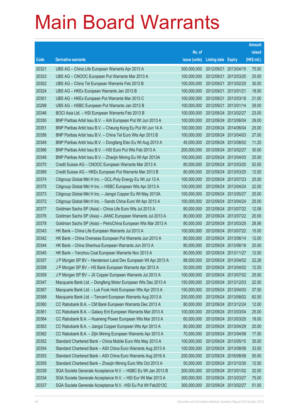|       |                                                               |               |                       |               | <b>Amount</b> |
|-------|---------------------------------------------------------------|---------------|-----------------------|---------------|---------------|
|       |                                                               | No. of        |                       |               | raised        |
| Code  | <b>Derivative warrants</b>                                    | issue (units) | <b>Listing date</b>   | <b>Expiry</b> | (HK\$ mil.)   |
| 20321 | UBS AG – China Life European Warrants Apr 2013 A              | 300,000,000   | 2012/09/21            | 2013/04/15    | 75.00         |
| 20323 | UBS AG - CNOOC European Put Warrants Mar 2013 A               | 100,000,000   | 2012/09/21            | 2013/03/25    | 25.00         |
| 20302 | UBS AG - China Tel European Warrants Feb 2013 B               | 100,000,000   | 2012/09/21            | 2013/02/25    | 30.00         |
| 20324 | UBS AG - HKEx European Warrants Jan 2013 B                    | 100,000,000   | 2012/09/21            | 2013/01/21    | 18.00         |
| 20301 | UBS AG - HKEx European Put Warrants Mar 2013 C                | 100,000,000   | 2012/09/21            | 2013/03/18    | 21.00         |
| 20298 | UBS AG - HSBC European Put Warrants Jan 2013 B                | 100,000,000   | 2012/09/21            | 2013/01/14    | 29.00         |
| 20346 | BOCI Asia Ltd. - HSI European Warrants Feb 2013 B             | 100,000,000   | 2012/09/24            | 2013/02/27    | 23.00         |
| 20350 | BNP Paribas Arbit Issu B.V. - AIA European Put Wt Jun 2013 A  | 100,000,000   | 2012/09/24 2013/06/04 |               | 29.00         |
| 20351 | BNP Paribas Arbit Issu B.V. - Cheung Kong Eu Put Wt Jun 14 A  | 100,000,000   | 2012/09/24 2014/06/04 |               | 25.00         |
| 20356 | BNP Paribas Arbit Issu B.V. - China Tel Euro Wts Apr 2013 B   | 100,000,000   | 2012/09/24 2013/04/03 |               | 27.00         |
| 20349 | BNP Paribas Arbit Issu B.V. - Dongfang Elec Eu Wt Aug 2013 A  | 45,000,000    | 2012/09/24            | 2013/08/02    | 11.25         |
| 20366 | BNP Paribas Arbit Issu B.V. - HSI Euro Put Wts Feb 2013 A     | 200,000,000   | 2012/09/24 2013/02/27 |               | 30.00         |
| 20348 | BNP Paribas Arbit Issu B.V. - Zhaojin Mining Eu Wt Apr 2013A  | 100,000,000   | 2012/09/24 2013/04/03 |               | 25.00         |
| 20370 | Credit Suisse AG – CNOOC European Warrants Mar 2013 A         | 80,000,000    | 2012/09/24 2013/03/25 |               | 52.00         |
| 20369 | Credit Suisse AG - HKEx European Put Warrants Mar 2013 B      | 80,000,000    | 2012/09/24 2013/03/25 |               | 12.00         |
| 20374 | Citigroup Global Mkt H Inc. - GCL-Poly Energy Eu Wt Jul 13 A  | 100,000,000   | 2012/09/24 2013/07/23 |               | 25.00         |
| 20375 | Citigroup Global Mkt H Inc. - HSBC European Wts Apr 2013 A    | 100,000,000   | 2012/09/24 2013/04/24 |               | 22.00         |
| 20373 | Citigroup Global Mkt H Inc. - Jiangxi Copper Eu Wt May 2013A  | 100,000,000   | 2012/09/24 2013/05/27 |               | 25.00         |
| 20372 | Citigroup Global Mkt H Inc. - Sands China Euro Wt Apr 2013 A  | 100,000,000   | 2012/09/24 2013/04/24 |               | 25.00         |
| 20377 | Goldman Sachs SP (Asia) - China Life Euro Wts Jul 2013 A      | 80,000,000    | 2012/09/24 2013/07/22 |               | 12.08         |
| 20376 | Goldman Sachs SP (Asia) - JIANC European Warrants Jul 2013 A  | 80,000,000    | 2012/09/24 2013/07/22 |               | 20.00         |
| 20378 | Goldman Sachs SP (Asia) - PetroChina European Wts Mar 2013 A  | 80,000,000    | 2012/09/24 2013/03/25 |               | 28.56         |
| 20343 | HK Bank - China Life European Warrants Jul 2013 A             | 100,000,000   | 2012/09/24 2013/07/22 |               | 15.00         |
| 20342 | HK Bank - China Overseas European Put Warrants Jun 2013 A     | 80,000,000    | 2012/09/24 2013/06/14 |               | 12.00         |
| 20344 | HK Bank - China Shenhua European Warrants Jun 2013 A          | 80,000,000    | 2012/09/24 2013/06/18 |               | 20.00         |
| 20345 | HK Bank - Yanzhou Coal European Warrants Nov 2013 A           | 80,000,000    | 2012/09/24 2013/11/27 |               | 12.00         |
| 20357 | J P Morgan SP BV - Henderson Land Dev European Wt Apr 2013 A  | 88,000,000    | 2012/09/24 2013/04/02 |               | 22.26         |
| 20358 | J P Morgan SP BV - HS Bank European Warrants Apr 2013 A       | 50,000,000    | 2012/09/24 2013/04/02 |               | 12.55         |
| 20359 | J P Morgan SP BV - JX Copper European Warrants Jul 2013 A     | 100,000,000   | 2012/09/24 2013/07/02 |               | 25.00         |
| 20347 | Macquarie Bank Ltd. - Dongfeng Motor European Wts Dec 2013 A  | 150,000,000   | 2012/09/24 2013/12/03 |               | 22.50         |
| 20367 | Macquarie Bank Ltd. - Luk Fook Hold European Wts Apr 2013 A   | 150,000,000   | 2012/09/24 2013/04/03 |               | 37.50         |
| 20368 | Macquarie Bank Ltd. - Tencent European Warrants Aug 2013 A    | 250,000,000   | 2012/09/24 2013/08/02 |               | 62.50         |
| 20360 | CC Rabobank B.A. - CM Bank European Warrants Dec 2013 A       | 80,000,000    | 2012/09/24            | 2013/12/24    | 12.00         |
| 20361 | CC Rabobank B.A. - Galaxy Ent European Warrants Mar 2013 A    | 100,000,000   | 2012/09/24 2013/03/04 |               | 25.00         |
| 20364 | CC Rabobank B.A. - Huaneng Power European Wts Mar 2013 A      | 60,000,000    | 2012/09/24 2013/03/25 |               | 18.00         |
| 20363 | CC Rabobank B.A. - Jiangxi Copper European Wts Apr 2013 A     | 80,000,000    | 2012/09/24 2013/04/29 |               | 20.00         |
| 20362 | CC Rabobank B.A. - Zijin Mining European Warrants Apr 2013 A  | 70,000,000    | 2012/09/24            | 2013/04/08    | 17.50         |
| 20352 | Standard Chartered Bank - China Mobile Euro Wts May 2013 A    | 100,000,000   | 2012/09/24 2013/05/15 |               | 35.00         |
| 20354 | Standard Chartered Bank - A50 China Euro Warrants Aug 2013 A  | 100,000,000   | 2012/09/24 2013/08/08 |               | 33.50         |
| 20353 | Standard Chartered Bank - A50 China Euro Warrants Aug 2016 A  | 200,000,000   | 2012/09/24 2016/08/08 |               | 50.00         |
| 20355 | Standard Chartered Bank - Zhaojin Mining Euro Wts Oct 2013 A  | 50,000,000    | 2012/09/24            | 2013/10/30    | 12.50         |
| 20339 | SGA Societe Generale Acceptance N.V. - HSBC Eu Wt Jan 2013 B  | 200,000,000   | 2012/09/24 2013/01/02 |               | 32.00         |
| 20334 | SGA Societe Generale Acceptance N.V. - HSI Eur Wt Mar 2013 A  | 300,000,000   | 2012/09/24 2013/03/27 |               | 75.00         |
| 20337 | SGA Societe Generale Acceptance N.V. - HSI Eu Put Wt Feb2013C | 300,000,000   | 2012/09/24 2013/02/27 |               | 51.00         |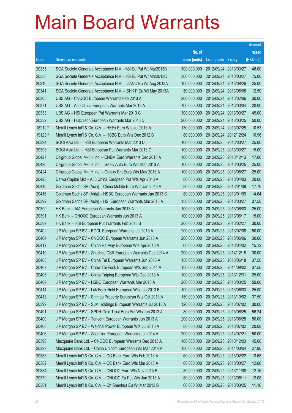|         |                                                               |               |                            |                       | <b>Amount</b> |
|---------|---------------------------------------------------------------|---------------|----------------------------|-----------------------|---------------|
|         |                                                               | No. of        |                            |                       | raised        |
| Code    | <b>Derivative warrants</b>                                    | issue (units) | <b>Listing date Expiry</b> |                       | (HK\$ mil.)   |
| 20335   | SGA Societe Generale Acceptance N.V. - HSI Eu Put Wt Mar2013B | 300,000,000   |                            | 2012/09/24 2013/03/27 | 48.00         |
| 20338   | SGA Societe Generale Acceptance N.V. - HSI Eu Put Wt Mar2013C | 300,000,000   |                            | 2012/09/24 2013/03/27 | 75.00         |
| 20340   | SGA Societe Generale Acceptance N.V. - JIANC Eu Wt Aug 2013A  | 100,000,000   | 2012/09/24 2013/08/26      |                       | 25.00         |
| 20341   | SGA Societe Generale Acceptance N.V. - SHK P Eu Wt May 2013A  | 50,000,000    |                            | 2012/09/24 2013/05/08 | 12.50         |
| 20365   | UBS AG - CNOOC European Warrants Feb 2013 A                   | 200,000,000   |                            | 2012/09/24 2013/02/06 | 30.00         |
| 20371   | UBS AG - A50 China European Warrants Mar 2013 A               | 100,000,000   |                            | 2012/09/24 2013/03/04 | 20.00         |
| 20333   | UBS AG - HSI European Put Warrants Mar 2013 C                 | 300,000,000   | 2012/09/24 2013/03/27      |                       | 45.00         |
| 20332   | UBS AG - Hutchison European Warrants Mar 2013 D               | 200,000,000   |                            | 2012/09/24 2013/03/25 | 50.00         |
| 18212 # | Merrill Lynch Int'l & Co. C.V. - HKEx Euro Wts Jul 2013 A     | 130,000,000   |                            | 2012/09/24 2013/07/25 | 10.53         |
| 19123 # | Merrill Lynch Int'l & Co. C.V. - HSBC Euro Wts Dec 2012 B     | 80,000,000    |                            | 2012/09/24 2012/12/24 | 10.96         |
| 20394   | BOCI Asia Ltd. - HSI European Warrants Mar 2013 D             | 100,000,000   | 2012/09/25 2013/03/27      |                       | 25.00         |
| 20393   | BOCI Asia Ltd. - HSI European Put Warrants Mar 2013 C         | 100,000,000   |                            | 2012/09/25 2013/03/27 | 15.00         |
| 20427   | Citigroup Global Mkt H Inc. - CNBM Euro Warrants Dec 2013 A   | 100,000,000   |                            | 2012/09/25 2013/12/13 | 17.00         |
| 20426   | Citigroup Global Mkt H Inc. - Geely Auto Euro Wts Mar 2013 A  | 100,000,000   |                            | 2012/09/25 2013/03/25 | 25.00         |
| 20424   | Citigroup Global Mkt H Inc. - Galaxy Ent Euro Wts May 2013 A  | 100,000,000   | 2012/09/25 2013/05/27      |                       | 25.00         |
| 20423   | Daiwa Capital Mkt - A50 China European Put Wts Apr 2013 A     | 80,000,000    | 2012/09/25 2013/04/03      |                       | 20.00         |
| 20415   | Goldman Sachs SP (Asia) - China Mobile Euro Wts Jan 2013 A    | 80,000,000    |                            | 2012/09/25 2013/01/09 | 17.76         |
| 20416   | Goldman Sachs SP (Asia) - HSBC European Warrants Jan 2013 C   | 80,000,000    | 2012/09/25 2013/01/09      |                       | 14.64         |
| 20392   | Goldman Sachs SP (Asia) - HSI European Warrants Mar 2013 A    | 150,000,000   | 2012/09/25 2013/03/27      |                       | 37.50         |
| 20390   | HK Bank - AIA European Warrants Jun 2013 A                    | 100,000,000   |                            | 2012/09/25 2013/06/03 | 25.00         |
| 20391   | HK Bank - CNOOC European Warrants Jun 2013 A                  | 100,000,000   |                            | 2012/09/25 2013/06/17 | 15.00         |
| 20389   | HK Bank - HSI European Put Warrants Feb 2013 B                | 200,000,000   |                            | 2012/09/25 2013/02/27 | 30.00         |
| 20402   | J P Morgan SP BV - BOCL European Warrants Jul 2013 A          | 200,000,000   | 2012/09/25 2013/07/08      |                       | 50.00         |
| 20404   | J P Morgan SP BV - CNOOC European Warrants Jun 2013 A         | 200,000,000   |                            | 2012/09/25 2013/06/06 | 30.00         |
| 20412   | J P Morgan SP BV - China Railway European Wts Apr 2013 A      | 60,000,000    |                            | 2012/09/25 2013/04/02 | 15.12         |
| 20410   | J P Morgan SP BV - Zhuzhou CSR European Warrants Dec 2014 A   | 200,000,000   |                            | 2012/09/25 2014/12/15 | 30.00         |
| 20403   | J P Morgan SP BV - China Tel European Warrants Jun 2013 A     | 150,000,000   | 2012/09/25 2013/06/18      |                       | 37.50         |
| 20407   | J P Morgan SP BV - Chow Tai Fook European Wts Sep 2014 A      | 150,000,000   | 2012/09/25 2014/09/02      |                       | 37.50         |
| 20405   | J P Morgan SP BV - China Taiping European Wts Dec 2013 A      | 100,000,000   | 2012/09/25 2013/12/31      |                       | 25.00         |
| 20409   | J P Morgan SP BV - HSBC European Warrants Mar 2013 A          | 200,000,000   |                            | 2012/09/25 2013/03/25 | 50.00         |
| 20414   | J P Morgan SP BV - Luk Fook Hold European Wts Jun 2013 B      | 100,000,000   | 2012/09/25 2013/06/03      |                       | 25.00         |
| 20413   | J P Morgan SP BV - Shimao Property European Wts Oct 2013 A    | 150,000,000   |                            | 2012/09/25 2013/10/02 | 37.50         |
| 20399   | J P Morgan SP BV - SJM Holdings European Warrants Jul 2013 A  | 120,000,000   | 2012/09/25 2013/07/02      |                       | 30.00         |
| 20401   | J P Morgan SP BV - SPDR Gold Trust Euro Put Wts Jun 2013 A    | 80,000,000    |                            | 2012/09/25 2013/06/25 | 56.24         |
| 20400   | J P Morgan SP BV - Tencent European Warrants Jun 2013 A       | 200,000,000   | 2012/09/25 2013/06/25      |                       | 50.00         |
| 20408   | J P Morgan SP BV - Weichai Power European Wts Jul 2013 A      | 80,000,000    |                            | 2012/09/25 2013/07/02 | 20.08         |
| 20406   | J P Morgan SP BV - Zoomlion European Warrants Jul 2014 A      | 200,000,000   | 2012/09/25 2014/07/21      |                       | 50.00         |
| 20398   | Macquarie Bank Ltd. - CNOOC European Warrants Dec 2013 A      | 180,000,000   | 2012/09/25 2013/12/03      |                       | 45.00         |
| 20397   | Macquarie Bank Ltd. - China Unicom European Wts Mar 2014 A    | 180,000,000   | 2012/09/25 2014/03/04      |                       | 27.90         |
| 20383   | Merrill Lynch Int'l & Co. C.V. - CC Bank Euro Wts Feb 2013 A  | 60,000,000    |                            | 2012/09/25 2013/02/22 | 13.68         |
| 20382   | Merrill Lynch Int'l & Co. C.V. - CC Bank Euro Wts Mar 2013 A  | 60,000,000    | 2012/09/25 2013/03/27      |                       | 12.66         |
| 20384   | Merrill Lynch Int'l & Co. C.V. - CNOOC Euro Wts Nov 2013 B    | 80,000,000    | 2012/09/25 2013/11/08      |                       | 12.16         |
| 20379   | Merrill Lynch Int'l & Co. C.V. - CNOOC Eu Put Wts Jun 2013 A  | 80,000,000    | 2012/09/25 2013/06/11      |                       | 12.08         |
| 20381   | Merrill Lynch Int'l & Co. C.V. - Ch Shenhua Eu Wt Mar 2013 B  | 60,000,000    | 2012/09/25 2013/03/25      |                       | 11.16         |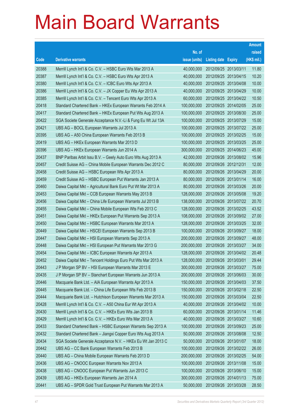|       |                                                              |               |                            |            | <b>Amount</b> |
|-------|--------------------------------------------------------------|---------------|----------------------------|------------|---------------|
|       |                                                              | No. of        |                            |            | raised        |
| Code  | <b>Derivative warrants</b>                                   | issue (units) | <b>Listing date Expiry</b> |            | (HK\$ mil.)   |
| 20388 | Merrill Lynch Int'l & Co. C.V. - HSBC Euro Wts Mar 2013 A    | 40,000,000    | 2012/09/25 2013/03/11      |            | 11.80         |
| 20387 | Merrill Lynch Int'l & Co. C.V. - HSBC Euro Wts Apr 2013 A    | 40,000,000    | 2012/09/25 2013/04/15      |            | 10.20         |
| 20380 | Merrill Lynch Int'l & Co. C.V. - ICBC Euro Wts Apr 2013 A    | 40,000,000    | 2012/09/25                 | 2013/04/08 | 10.00         |
| 20386 | Merrill Lynch Int'l & Co. C.V. - JX Copper Eu Wts Apr 2013 A | 40,000,000    | 2012/09/25 2013/04/29      |            | 10.00         |
| 20385 | Merrill Lynch Int'l & Co. C.V. - Tencent Euro Wts Apr 2013 A | 60,000,000    | 2012/09/25 2013/04/22      |            | 10.50         |
| 20418 | Standard Chartered Bank - HKEx European Warrants Feb 2014 A  | 100,000,000   | 2012/09/25 2014/02/05      |            | 25.00         |
| 20417 | Standard Chartered Bank - HKEx European Put Wts Aug 2013 A   | 100,000,000   | 2012/09/25 2013/08/30      |            | 25.00         |
| 20422 | SGA Societe Generale Acceptance N.V.-Li & Fung Eu Wt Jul 13A | 100,000,000   | 2012/09/25 2013/07/29      |            | 15.00         |
| 20421 | UBS AG - BOCL European Warrants Jul 2013 A                   | 100,000,000   | 2012/09/25 2013/07/22      |            | 25.00         |
| 20395 | UBS AG - A50 China European Warrants Feb 2013 B              | 100,000,000   | 2012/09/25 2013/02/25      |            | 15.00         |
| 20419 | UBS AG - HKEx European Warrants Mar 2013 D                   | 100,000,000   | 2012/09/25 2013/03/25      |            | 25.00         |
| 20396 | UBS AG - HKEx European Warrants Jun 2014 A                   | 300,000,000   | 2012/09/25 2014/06/23      |            | 45.00         |
| 20437 | BNP Paribas Arbit Issu B.V. - Geely Auto Euro Wts Aug 2013 A | 42,000,000    | 2012/09/26 2013/08/02      |            | 15.96         |
| 20457 | Credit Suisse AG - China Mobile European Warrants Dec 2012 C | 80,000,000    | 2012/09/26 2012/12/31      |            | 12.00         |
| 20458 | Credit Suisse AG - HSBC European Wts Apr 2013 A              | 80,000,000    | 2012/09/26 2013/04/29      |            | 20.00         |
| 20459 | Credit Suisse AG - HSBC European Put Warrants Jan 2013 A     | 80,000,000    | 2012/09/26 2013/01/14      |            | 16.00         |
| 20460 | Daiwa Capital Mkt - Agricultural Bank Euro Put Wt Mar 2013 A | 80,000,000    | 2012/09/26 2013/03/26      |            | 20.00         |
| 20453 | Daiwa Capital Mkt - CCB European Warrants May 2013 B         | 128,000,000   | 2012/09/26 2013/05/08      |            | 19.20         |
| 20456 | Daiwa Capital Mkt - China Life European Warrants Jul 2013 B  | 138,000,000   | 2012/09/26 2013/07/22      |            | 20.70         |
| 20455 | Daiwa Capital Mkt - China Mobile European Wts Feb 2013 C     | 128,000,000   | 2012/09/26 2013/02/25      |            | 43.52         |
| 20451 | Daiwa Capital Mkt - HKEx European Put Warrants Sep 2013 A    | 108,000,000   | 2012/09/26 2013/09/02      |            | 27.00         |
| 20450 | Daiwa Capital Mkt - HSBC European Warrants Mar 2013 A        | 128,000,000   | 2012/09/26 2013/03/25      |            | 32.00         |
| 20449 | Daiwa Capital Mkt - HSCEI European Warrants Sep 2013 B       | 100,000,000   | 2012/09/26 2013/09/27      |            | 18.00         |
| 20447 | Daiwa Capital Mkt - HSI European Warrants Sep 2013 A         | 200,000,000   | 2012/09/26 2013/09/27      |            | 48.00         |
| 20448 | Daiwa Capital Mkt - HSI European Put Warrants Mar 2013 G     | 200,000,000   | 2012/09/26 2013/03/27      |            | 34.00         |
| 20454 | Daiwa Capital Mkt - ICBC European Warrants Apr 2013 A        | 128,000,000   | 2012/09/26 2013/04/02      |            | 20.48         |
| 20452 | Daiwa Capital Mkt - Tencent Holdings Euro Put Wts Mar 2013 A | 128,000,000   | 2012/09/26 2013/03/01      |            | 29.44         |
| 20443 | J P Morgan SP BV - HSI European Warrants Mar 2013 E          | 300,000,000   | 2012/09/26 2013/03/27      |            | 75.00         |
| 20435 | J P Morgan SP BV - Stanchart European Warrants Jun 2013 A    | 200,000,000   | 2012/09/26 2013/06/03      |            | 30.00         |
| 20446 | Macquarie Bank Ltd. - AIA European Warrants Apr 2013 A       | 150,000,000   | 2012/09/26 2013/04/03      |            | 37.50         |
| 20445 | Macquarie Bank Ltd. - China Life European Wts Feb 2013 B     | 150,000,000   | 2012/09/26 2013/02/18      |            | 22.50         |
| 20444 | Macquarie Bank Ltd. - Hutchison European Warrants Mar 2013 A | 150,000,000   | 2012/09/26 2013/03/04      |            | 22.50         |
| 20428 | Merrill Lynch Int'l & Co. C.V. - A50 China Eur Wt Apr 2013 A | 40,000,000    | 2012/09/26 2013/04/02      |            | 10.00         |
| 20430 | Merrill Lynch Int'l & Co. C.V. - HKEx Euro Wts Jan 2013 B    | 60,000,000    | 2012/09/26 2013/01/14      |            | 11.46         |
| 20429 | Merrill Lynch Int'l & Co. C.V. - HKEx Euro Wts Mar 2013 A    | 40,000,000    | 2012/09/26 2013/03/27      |            | 10.60         |
| 20433 | Standard Chartered Bank - HSBC European Warrants Sep 2013 A  | 100,000,000   | 2012/09/26 2013/09/23      |            | 25.00         |
| 20432 | Standard Chartered Bank - Jiangxi Copper Euro Wts Aug 2013 A | 50,000,000    | 2012/09/26 2013/08/08      |            | 12.50         |
| 20434 | SGA Societe Generale Acceptance N.V. - HKEx Eu Wt Jan 2013 C | 50,000,000    | 2012/09/26 2013/01/07      |            | 18.00         |
| 20442 | UBS AG - CC Bank European Warrants Feb 2013 B                | 100,000,000   | 2012/09/26 2013/02/22      |            | 26.00         |
| 20440 | UBS AG - China Mobile European Warrants Feb 2013 D           | 200,000,000   | 2012/09/26 2013/02/25      |            | 54.00         |
| 20436 | UBS AG - CNOOC European Warrants Nov 2013 A                  | 100,000,000   | 2012/09/26 2013/11/08      |            | 15.00         |
| 20438 | UBS AG - CNOOC European Put Warrants Jun 2013 C              | 100,000,000   | 2012/09/26 2013/06/10      |            | 15.00         |
| 20439 | UBS AG - HKEx European Warrants Jan 2014 A                   | 300,000,000   | 2012/09/26 2014/01/13      |            | 75.00         |
| 20441 | UBS AG - SPDR Gold Trust European Put Warrants Mar 2013 A    | 50,000,000    | 2012/09/26 2013/03/28      |            | 28.50         |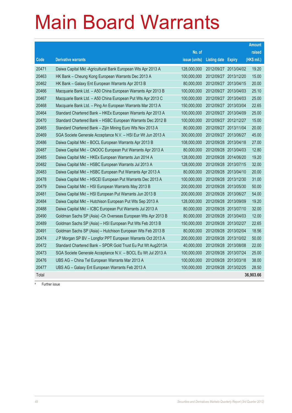|       |                                                               |               |                            |                       | <b>Amount</b> |
|-------|---------------------------------------------------------------|---------------|----------------------------|-----------------------|---------------|
|       |                                                               | No. of        |                            |                       | raised        |
| Code  | <b>Derivative warrants</b>                                    | issue (units) | <b>Listing date Expiry</b> |                       | (HK\$ mil.)   |
| 20471 | Daiwa Capital Mkt -Agricultural Bank European Wts Apr 2013 A  | 128,000,000   | 2012/09/27                 | 2013/04/02            | 19.20         |
| 20463 | HK Bank - Cheung Kong European Warrants Dec 2013 A            | 100,000,000   | 2012/09/27 2013/12/20      |                       | 15.00         |
| 20462 | HK Bank - Galaxy Ent European Warrants Apr 2013 B             | 80,000,000    | 2012/09/27                 | 2013/04/15            | 20.00         |
| 20466 | Macquarie Bank Ltd. - A50 China European Warrants Apr 2013 B  | 100,000,000   | 2012/09/27                 | 2013/04/03            | 25.10         |
| 20467 | Macquarie Bank Ltd. - A50 China European Put Wts Apr 2013 C   | 100,000,000   | 2012/09/27 2013/04/03      |                       | 25.00         |
| 20468 | Macquarie Bank Ltd. - Ping An European Warrants Mar 2013 A    | 150,000,000   | 2012/09/27                 | 2013/03/04            | 22.65         |
| 20464 | Standard Chartered Bank - HKEx European Warrants Apr 2013 A   | 100,000,000   | 2012/09/27                 | 2013/04/09            | 25.00         |
| 20470 | Standard Chartered Bank - HSBC European Warrants Dec 2012 B   | 100,000,000   | 2012/09/27 2012/12/27      |                       | 15.00         |
| 20465 | Standard Chartered Bank - Zijin Mining Euro Wts Nov 2013 A    | 80,000,000    | 2012/09/27 2013/11/04      |                       | 20.00         |
| 20469 | SGA Societe Generale Acceptance N.V. - HSI Eur Wt Jun 2013 A  | 300,000,000   | 2012/09/27                 | 2013/06/27            | 45.00         |
| 20486 | Daiwa Capital Mkt - BOCL European Warrants Apr 2013 B         | 108,000,000   | 2012/09/28 2013/04/18      |                       | 27.00         |
| 20487 | Daiwa Capital Mkt - CNOOC European Put Warrants Apr 2013 A    | 80,000,000    | 2012/09/28 2013/04/03      |                       | 12.80         |
| 20485 | Daiwa Capital Mkt - HKEx European Warrants Jun 2014 A         | 128,000,000   | 2012/09/28 2014/06/20      |                       | 19.20         |
| 20482 | Daiwa Capital Mkt - HSBC European Warrants Jul 2013 A         | 128,000,000   | 2012/09/28                 | 2013/07/15            | 32.00         |
| 20483 | Daiwa Capital Mkt - HSBC European Put Warrants Apr 2013 A     | 80,000,000    | 2012/09/28 2013/04/10      |                       | 20.00         |
| 20478 | Daiwa Capital Mkt - HSCEI European Put Warrants Dec 2013 A    | 100,000,000   | 2012/09/28 2013/12/30      |                       | 31.00         |
| 20479 | Daiwa Capital Mkt - HSI European Warrants May 2013 B          | 200,000,000   | 2012/09/28 2013/05/30      |                       | 50.00         |
| 20481 | Daiwa Capital Mkt - HSI European Put Warrants Jun 2013 B      | 200,000,000   | 2012/09/28 2013/06/27      |                       | 54.00         |
| 20484 | Daiwa Capital Mkt - Hutchison European Put Wts Sep 2013 A     | 128,000,000   | 2012/09/28                 | 2013/09/09            | 19.20         |
| 20488 | Daiwa Capital Mkt - ICBC European Put Warrants Jul 2013 A     | 80,000,000    | 2012/09/28                 | 2013/07/10            | 32.00         |
| 20490 | Goldman Sachs SP (Asia) - Ch Overseas European Wts Apr 2013 B | 80,000,000    | 2012/09/28 2013/04/03      |                       | 12.00         |
| 20489 | Goldman Sachs SP (Asia) - HSI European Put Wts Feb 2013 B     | 150,000,000   | 2012/09/28 2013/02/27      |                       | 22.65         |
| 20491 | Goldman Sachs SP (Asia) - Hutchison European Wts Feb 2013 B   | 80,000,000    |                            | 2012/09/28 2013/02/04 | 18.56         |
| 20474 | J P Morgan SP BV - Longfor PPT European Warrants Oct 2013 A   | 200,000,000   |                            | 2012/09/28 2013/10/02 | 50.00         |
| 20472 | Standard Chartered Bank - SPDR Gold Trust Eu Put Wt Aug2013A  | 40,000,000    | 2012/09/28 2013/08/08      |                       | 22.00         |
| 20473 | SGA Societe Generale Acceptance N.V. - BOCL Eu Wt Jul 2013 A  | 100,000,000   | 2012/09/28                 | 2013/07/24            | 25.00         |
| 20476 | UBS AG - China Tel European Warrants Mar 2013 A               | 100,000,000   | 2012/09/28                 | 2013/03/18            | 38.00         |
| 20477 | UBS AG - Galaxy Ent European Warrants Feb 2013 A              | 100,000,000   | 2012/09/28 2013/02/25      |                       | 28.50         |
| Total |                                                               |               |                            |                       | 36,903.66     |

# Further issue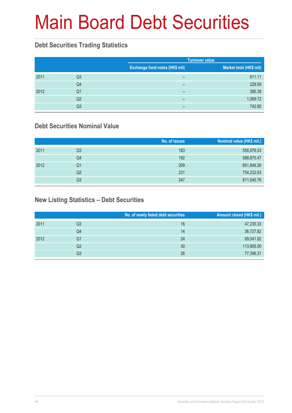# Main Board Debt Securities

### **Debt Securities Trading Statistics**

|      |                |                                | <b>Turnover value</b>   |
|------|----------------|--------------------------------|-------------------------|
|      |                | Exchange fund notes (HK\$ mil) | Market total (HK\$ mil) |
| 2011 | Q3             | -                              | 611.11                  |
|      | Q4             | -                              | 229.59                  |
| 2012 | Q1             | -                              | 390.38                  |
|      | Q <sub>2</sub> | -                              | 1,069.72                |
|      | Q3             | -                              | 742.85                  |

### **Debt Securities Nominal Value**

|      |    | No. of issues | Nominal value (HK\$ mil.) |
|------|----|---------------|---------------------------|
| 2011 | Q3 | 183           | 558,876.03                |
|      | Q4 | 192           | 588,875.47                |
| 2012 | Q1 | 209           | 651,849.26                |
|      | Q2 | 231           | 754,232.63                |
|      | Q3 | 247           | 811,545.76                |

### **New Listing Statistics – Debt Securities**

|      |    | No. of newly listed debt securities | Amount raised (HK\$ mil.) |
|------|----|-------------------------------------|---------------------------|
| 2011 | Q3 | 16                                  | 47,230.33                 |
|      | Q4 | 14                                  | 36,727.82                 |
| 2012 | Q1 | 24                                  | 69,041.82                 |
|      | Q2 | 30                                  | 113,905.00                |
|      | Q3 | 26                                  | 77,396.31                 |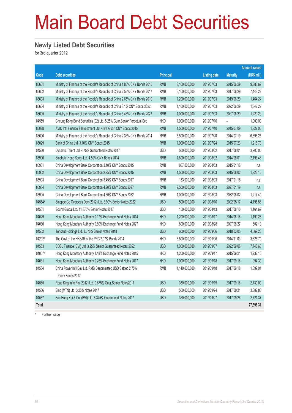# Main Board Debt Securities

#### **Newly Listed Debt Securities**

for 3rd quarter 2012

|        |                                                                            |                  |               |                     |                 | <b>Amount raised</b> |
|--------|----------------------------------------------------------------------------|------------------|---------------|---------------------|-----------------|----------------------|
| Code   | <b>Debt securities</b>                                                     | <b>Principal</b> |               | <b>Listing date</b> | <b>Maturity</b> | (HK\$ mil.)          |
| 86601  | Ministry of Finance of the People's Republic of China 1.85% CNY Bonds 2015 | <b>RMB</b>       | 8,100,000,000 | 2012/07/03          | 2015/06/29      | 9,883.62             |
| 86602  | Ministry of Finance of the People's Republic of China 2.56% CNY Bonds 2017 | <b>RMB</b>       | 6,100,000,000 | 2012/07/03          | 2017/06/29      | 7.443.22             |
| 86603  | Ministry of Finance of the People's Republic of China 2.65% CNY Bonds 2019 | <b>RMB</b>       | 1,200,000,000 | 2012/07/03          | 2019/06/29      | 1,464.24             |
| 86604  | Ministry of Finance of the People's Republic of China 3.1% CNY Bonds 2022  | <b>RMB</b>       | 1,100,000,000 | 2012/07/03          | 2022/06/29      | 1,342.22             |
| 86605  | Ministry of Finance of the People's Republic of China 3.48% CNY Bonds 2027 | <b>RMB</b>       | 1,000,000,000 | 2012/07/03          | 2027/06/29      | 1,220.20             |
| 04559  | Cheung Kong Bond Securities (02) Ltd. 5.25% Guar.Senior Perpetual Sec      | <b>HKD</b>       | 1,000,000,000 | 2012/07/10          |                 | 1,000.00             |
| 86028  | AVIC Int'l Finance & Investment Ltd. 4.8% Guar. CNY Bonds 2015             | <b>RMB</b>       | 1,500,000,000 | 2012/07/10          | 2015/07/09      | 1,827.00             |
| 86606  | Ministry of Finance of the People's Republic of China 2.38% CNY Bonds 2014 | <b>RMB</b>       | 5,500,000,000 | 2012/07/20          | 2014/07/19      | 6,696.25             |
| 86029  | Bank of China Ltd. 3.10% CNY Bonds 2015                                    | <b>RMB</b>       | 1,000,000,000 | 2012/07/24          | 2015/07/23      | 1,216.70             |
| 04560  | Dynamic Talent Ltd. 4.75% Guaranteed Notes 2017                            | <b>USD</b>       | 500,000,000   | 2012/08/02          | 2017/08/01      | 3,900.00             |
| 85900  | Sinotruk (Hong Kong) Ltd. 4.50% CNY Bonds 2014                             | <b>RMB</b>       | 1,800,000,000 | 2012/08/02          | 2014/08/01      | 2,193.48             |
| 85901  | China Development Bank Corporation 3.10% CNY Bonds 2015                    | <b>RMB</b>       | 867,000,000   | 2012/08/03          | 2015/01/16      | n.a.                 |
| 85902  | China Development Bank Corporation 2.95% CNY Bonds 2015                    | <b>RMB</b>       | 1,500,000,000 | 2012/08/03          | 2015/08/02      | 1,826.10             |
| 85903  | China Development Bank Corporation 3.45% CNY Bonds 2017                    | <b>RMB</b>       | 133,000,000   | 2012/08/03          | 2017/01/16      | n.a.                 |
| 85904  | China Development Bank Corporation 4.20% CNY Bonds 2027                    | <b>RMB</b>       | 2,500,000,000 | 2012/08/03          | 2027/01/19      | n.a.                 |
| 85905  | China Development Bank Corporation 4.30% CNY Bonds 2032                    | <b>RMB</b>       | 1,000,000,000 | 2012/08/03          | 2032/08/02      | 1,217.40             |
| 04554# | Sinopec Gp Overseas Dev (2012) Ltd. 3.90% Senior Notes 2022                | <b>USD</b>       | 500,000,000   | 2012/08/10          | 2022/05/17      | 4,195.58             |
| 04561  | Sound Global Ltd. 11.875% Senior Notes 2017                                | <b>USD</b>       | 150,000,000   | 2012/08/13          | 2017/08/10      | 1,164.62             |
| 04029  | Hong Kong Monetary Authority 0.17% Exchange Fund Notes 2014                | <b>HKD</b>       | 1,200,000,000 | 2012/08/17          | 2014/08/18      | 1,199.28             |
| 04030  | Hong Kong Monetary Authority 0.80% Exchange Fund Notes 2027                | <b>HKD</b>       | 600,000,000   | 2012/08/28          | 2027/08/27      | 602.10               |
| 04562  | Tencent Holdings Ltd. 3.375% Senior Notes 2018                             | <b>USD</b>       | 600,000,000   | 2012/09/06          | 2018/03/05      | 4,669.28             |
| 04202# | The Govt of the HKSAR of the PRC 2.07% Bonds 2014                          | <b>HKD</b>       | 3,500,000,000 | 2012/09/06          | 2014/11/03      | 3,626.70             |
| 04563  | COSL Finance (BVI) Ltd. 3.25% Senior Guaranteed Notes 2022                 | <b>USD</b>       | 1,000,000,000 | 2012/09/07          | 2022/09/06      | 7,748.60             |
| 04007# | Hong Kong Monetary Authority 1.18% Exchange Fund Notes 2015                | HKD              | 1,200,000,000 | 2012/09/17          | 2015/09/21      | 1,232.16             |
| 04031  | Hong Kong Monetary Authority 0.25% Exchange Fund Notes 2017                | <b>HKD</b>       | 1,000,000,000 | 2012/09/18          | 2017/09/18      | 994.30               |
| 04564  | China Power Int'l Dev Ltd. RMB Denominated USD Settled 2.75%               | <b>RMB</b>       | 1,140,000,000 | 2012/09/18          | 2017/09/18      | 1,399.01             |
|        | Conv Bonds 2017                                                            |                  |               |                     |                 |                      |
| 04565  | Road King Infra Fin (2012) Ltd. 9.875% Guar.Senior Notes2017               | <b>USD</b>       | 350,000,000   | 2012/09/19          | 2017/09/18      | 2,730.00             |
| 04566  | Sino (MTN) Ltd. 3.25% Notes 2017                                           | <b>USD</b>       | 500,000,000   | 2012/09/24          | 2017/09/21      | 3,882.88             |
| 04567  | Sun Hung Kai & Co. (BVI) Ltd. 6.375% Guaranteed Notes 2017                 | <b>USD</b>       | 350,000,000   | 2012/09/27          | 2017/09/26      | 2,721.37             |
| Total  |                                                                            |                  |               |                     |                 | 77,396.31            |

# Further issue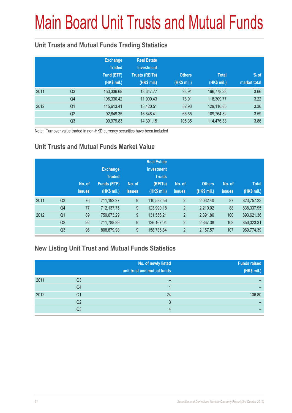# Main Board Unit Trusts and Mutual Funds

### **Unit Trusts and Mutual Funds Trading Statistics**

|      |                | <b>Exchange</b><br><b>Traded</b><br>Fund (ETF)<br>(HK\$ mil.) | <b>Real Estate</b><br><b>Investment</b><br><b>Trusts (REITs)</b><br>(HK\$ mil.) | <b>Others</b><br>(HK\$ mil.) | <b>Total</b><br>(HK\$ mil.) | $%$ of<br>market total |
|------|----------------|---------------------------------------------------------------|---------------------------------------------------------------------------------|------------------------------|-----------------------------|------------------------|
| 2011 | Q <sub>3</sub> | 153,336.68                                                    | 13,347.77                                                                       | 93.94                        | 166,778.38                  | 3.66                   |
|      | Q4             | 106,330.42                                                    | 11,900.43                                                                       | 78.91                        | 118,309.77                  | 3.22                   |
| 2012 | Q <sub>1</sub> | 115,613.41                                                    | 13,420.51                                                                       | 82.93                        | 129,116.85                  | 3.36                   |
|      | Q <sub>2</sub> | 92,849.35                                                     | 16,848.41                                                                       | 66.55                        | 109,764.32                  | 3.59                   |
|      | Q <sub>3</sub> | 99,979.83                                                     | 14,391.15                                                                       | 105.35                       | 114,476.33                  | 3.86                   |

Note: Turnover value traded in non-HKD currency securities have been included

### **Unit Trusts and Mutual Funds Market Value**

|      |                | No. of<br><b>issues</b> | <b>Exchange</b><br><b>Traded</b><br><b>Funds (ETF)</b><br>(HK\$ mil.) | No. of<br><b>issues</b> | <b>Real Estate</b><br><b>Investment</b><br><b>Trusts</b><br>(REITs)<br>(HK\$ mil.) | No. of<br><b>issues</b> | <b>Others</b><br>(HK\$ mil.) | No. of<br><b>issues</b> | <b>Total</b><br>(HK\$ mil.) |
|------|----------------|-------------------------|-----------------------------------------------------------------------|-------------------------|------------------------------------------------------------------------------------|-------------------------|------------------------------|-------------------------|-----------------------------|
| 2011 | Q <sub>3</sub> | 76                      | 711,192.27                                                            | 9                       | 110,532.56                                                                         | $\overline{2}$          | 2.032.40                     | 87                      | 823,757.23                  |
|      | Q4             | 77                      | 712,137.75                                                            | 9                       | 123,990.18                                                                         | $\overline{2}$          | 2.210.02                     | 88                      | 838,337.95                  |
| 2012 | Q <sub>1</sub> | 89                      | 759,673.29                                                            | 9                       | 131,556.21                                                                         | $\overline{2}$          | 2,391.86                     | 100                     | 893,621.36                  |
|      | Q <sub>2</sub> | 92                      | 711,788.89                                                            | 9                       | 136, 167.04                                                                        | $\overline{2}$          | 2.367.38                     | 103                     | 850,323.31                  |
|      | Q <sub>3</sub> | 96                      | 808,879.98                                                            | 9                       | 158,736.84                                                                         | $\overline{2}$          | 2,157.57                     | 107                     | 969,774.39                  |

#### **New Listing Unit Trust and Mutual Funds Statistics**

|      |                | No. of newly listed<br>unit trust and mutual funds | <b>Funds raised</b><br>(HK\$ mil.) |
|------|----------------|----------------------------------------------------|------------------------------------|
| 2011 | Q3             |                                                    |                                    |
|      | Q4             |                                                    |                                    |
| 2012 | Q1             | 24                                                 | 136.80                             |
|      | Q <sub>2</sub> | ঽ                                                  |                                    |
|      | Q3             | Δ                                                  |                                    |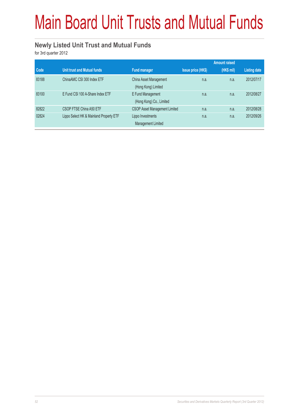# Main Board Unit Trusts and Mutual Funds

#### **Newly Listed Unit Trust and Mutual Funds**

for 3rd quarter 2012

|       |                                         |                                               |                           | <b>Amount raised</b> |              |
|-------|-----------------------------------------|-----------------------------------------------|---------------------------|----------------------|--------------|
| Code  | Unit trust and Mutual funds             | <b>Fund manager</b>                           | <b>Issue price (HK\$)</b> | (HK\$ mil)           | Listing date |
| 83188 | ChinaAMC CSI 300 Index ETF              | China Asset Management<br>(Hong Kong) Limited | n.a.                      | n.a.                 | 2012/07/17   |
| 83100 | E Fund CSI 100 A-Share Index ETF        | E Fund Management<br>(Hong Kong) Co., Limited | n.a.                      | n.a.                 | 2012/08/27   |
| 82822 | CSOP FTSE China A50 ETF                 | <b>CSOP Asset Management Limited</b>          | n.a.                      | n.a.                 | 2012/08/28   |
| 02824 | Lippo Select HK & Mainland Property ETF | Lippo Investments<br>Management Limited       | n.a.                      | n.a.                 | 2012/09/26   |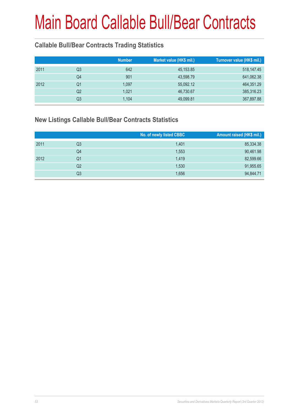### **Callable Bull/Bear Contracts Trading Statistics**

|    |                                                        | Turnover value (HK\$ mil.) |
|----|--------------------------------------------------------|----------------------------|
| Q3 | 45, 153.85                                             | 518,147.45                 |
| Q4 | 43,598.79                                              | 641,062.38                 |
| Q1 | 55,092.12                                              | 464,351.29                 |
| Q2 | 46,730.67                                              | 385,316.23                 |
| Q3 | 49,099.81                                              | 367,897.88                 |
|    | <b>Number</b><br>642<br>901<br>1,097<br>1,021<br>1,104 | Market value (HK\$ mil.)   |

#### **New Listings Callable Bull/Bear Contracts Statistics**

|      |                | No. of newly listed CBBC | Amount raised (HK\$ mil.) |
|------|----------------|--------------------------|---------------------------|
| 2011 | Q3             | 1.401                    | 85,334.38                 |
|      | Q4             | 1,553                    | 90,461.98                 |
| 2012 | Q1             | 1,419                    | 82,599.66                 |
|      | Q2             | 1,530                    | 91,955.65                 |
|      | Q <sub>3</sub> | 1,656                    | 94,844.71                 |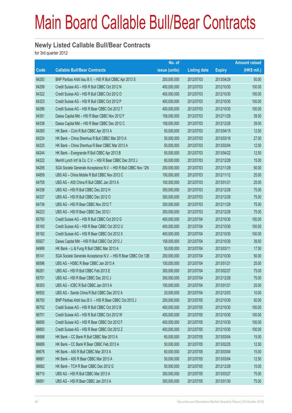#### **Newly Listed Callable Bull/Bear Contracts**

for 3rd quarter 2012

|       |                                                                | No. of        |                     |               | <b>Amount raised</b> |
|-------|----------------------------------------------------------------|---------------|---------------------|---------------|----------------------|
| Code  | <b>Callable Bull/Bear Contracts</b>                            | issue (units) | <b>Listing date</b> | <b>Expiry</b> | (HK\$ mil.)          |
| 64283 | BNP Paribas Arbit Issu B.V. - HSI R Bull CBBC Apr 2013 S       | 200,000,000   | 2012/07/03          | 2013/04/29    | 50.00                |
| 64299 | Credit Suisse AG - HSI R Bull CBBC Oct 2012 N                  | 400,000,000   | 2012/07/03          | 2012/10/30    | 100.00               |
| 64322 | Credit Suisse AG - HSI R Bull CBBC Oct 2012 O                  | 400,000,000   | 2012/07/03          | 2012/10/30    | 100.00               |
| 64323 | Credit Suisse AG - HSI R Bull CBBC Oct 2012 P                  | 400,000,000   | 2012/07/03          | 2012/10/30    | 100.00               |
| 64286 | Credit Suisse AG - HSI R Bear CBBC Oct 2012 T                  | 400,000,000   | 2012/07/03          | 2012/10/30    | 100.00               |
| 64351 | Daiwa Capital Mkt - HSI R Bear CBBC Nov 2012 F                 | 158,000,000   | 2012/07/03          | 2012/11/29    | 39.50                |
| 64338 | Daiwa Capital Mkt - HSI R Bear CBBC Dec 2012 C                 | 158,000,000   | 2012/07/03          | 2012/12/28    | 39.50                |
| 64265 | HK Bank - CUni R Bull CBBC Apr 2013 A                          | 50,000,000    | 2012/07/03          | 2013/04/15    | 12.50                |
| 64224 | HK Bank - China Shenhua R Bull CBBC Mar 2013 A                 | 50,000,000    | 2012/07/03          | 2013/03/18    | 27.00                |
| 64225 | HK Bank – China Shenhua R Bear CBBC Mar 2013 A                 | 50,000,000    | 2012/07/03          | 2013/03/04    | 12.50                |
| 64244 | HK Bank - Evergrande R Bull CBBC Apr 2013 B                    | 50,000,000    | 2012/07/03          | 2013/04/22    | 12.50                |
| 64222 | Merrill Lynch Int'l & Co. C.V. - HSI R Bear CBBC Dec 2012 J    | 60,000,000    | 2012/07/03          | 2012/12/28    | 15.00                |
| 64295 | SGA Societe Generale Acceptance N.V. - HSI R Bull CBBC Nov 12N | 200,000,000   | 2012/07/03          | 2012/11/29    | 50.00                |
| 64859 | UBS AG - China Mobile R Bull CBBC Nov 2012 C                   | 100,000,000   | 2012/07/03          | 2012/11/12    | 25.00                |
| 64755 | UBS AG - A50 China R Bull CBBC Jan 2013 A                      | 100,000,000   | 2012/07/03          | 2013/01/21    | 25.00                |
| 64336 | UBS AG - HSI R Bull CBBC Dec 2012 H                            | 300,000,000   | 2012/07/03          | 2012/12/28    | 75.00                |
| 64337 | UBS AG - HSI R Bull CBBC Dec 2012 O                            | 300,000,000   | 2012/07/03          | 2012/12/28    | 75.00                |
| 64736 | UBS AG - HSI R Bear CBBC Nov 2012 T                            | 300,000,000   | 2012/07/03          | 2012/11/29    | 75.00                |
| 64223 | UBS AG - HSI R Bear CBBC Dec 2012 I                            | 300,000,000   | 2012/07/03          | 2012/12/28    | 75.00                |
| 65700 | Credit Suisse AG - HSI R Bull CBBC Oct 2012 G                  | 400,000,000   | 2012/07/04          | 2012/10/30    | 100.00               |
| 65165 | Credit Suisse AG - HSI R Bear CBBC Oct 2012 U                  | 400,000,000   | 2012/07/04          | 2012/10/30    | 100.00               |
| 65182 | Credit Suisse AG - HSI R Bear CBBC Oct 2012 X                  | 400,000,000   | 2012/07/04          | 2012/10/30    | 100.00               |
| 65927 | Daiwa Capital Mkt - HSI R Bull CBBC Oct 2012 J                 | 158,000,000   | 2012/07/04          | 2012/10/30    | 39.50                |
| 64989 | HK Bank - Li & Fung R Bull CBBC Mar 2013 A                     | 50,000,000    | 2012/07/04          | 2013/03/11    | 17.50                |
| 65141 | SGA Societe Generale Acceptance N.V. - HSI R Bear CBBC Oct 12B | 200,000,000   | 2012/07/04          | 2012/10/30    | 50.00                |
| 66596 | UBS AG - HSBC R Bear CBBC Jan 2013 A                           | 100,000,000   | 2012/07/04          | 2013/01/21    | 25.00                |
| 66261 | UBS AG - HSI R Bull CBBC Feb 2013 E                            | 300,000,000   | 2012/07/04          | 2013/02/27    | 75.00                |
| 65701 | UBS AG - HSI R Bear CBBC Dec 2012 J                            | 300,000,000   | 2012/07/04          | 2012/12/28    | 75.00                |
| 66303 | UBS AG - ICBC R Bull CBBC Jan 2013 A                           | 100,000,000   | 2012/07/04          | 2013/01/21    | 25.00                |
| 66552 | UBS AG - Sands China R Bull CBBC Dec 2012 A                    | 20,000,000    | 2012/07/04          | 2012/12/03    | 10.00                |
| 66700 | BNP Paribas Arbit Issu B.V. - HSI R Bear CBBC Oct 2012 J       | 200,000,000   | 2012/07/05          | 2012/10/30    | 50.00                |
| 66702 | Credit Suisse AG - HSI R Bull CBBC Oct 2012 B                  | 400,000,000   | 2012/07/05          | 2012/10/30    | 100.00               |
| 66701 | Credit Suisse AG - HSI R Bull CBBC Oct 2012 W                  | 400,000,000   | 2012/07/05          | 2012/10/30    | 100.00               |
| 66695 | Credit Suisse AG - HSI R Bear CBBC Oct 2012 F                  | 400,000,000   | 2012/07/05          | 2012/10/30    | 100.00               |
| 66693 | Credit Suisse AG - HSI R Bear CBBC Oct 2012 Z                  | 400,000,000   | 2012/07/05          | 2012/10/30    | 100.00               |
| 66688 | HK Bank - CC Bank R Bull CBBC Mar 2013 A                       | 60,000,000    | 2012/07/05          | 2013/03/04    | 15.00                |
| 66689 | HK Bank - CC Bank R Bear CBBC Feb 2013 A                       | 50,000,000    | 2012/07/05          | 2013/02/25    | 12.50                |
| 66676 | HK Bank - A50 R Bull CBBC Mar 2013 A                           | 60,000,000    | 2012/07/05          | 2013/03/04    | 15.00                |
| 66681 | HK Bank - A50 R Bear CBBC Mar 2013 A                           | 50,000,000    | 2012/07/05          | 2013/03/04    | 12.50                |
| 66682 | HK Bank - TCH R Bear CBBC Dec 2012 G                           | 50,000,000    | 2012/07/05          | 2012/12/28    | 15.00                |
| 66710 | UBS AG - HSI R Bull CBBC Mar 2013 A                            | 300,000,000   | 2012/07/05          | 2013/03/27    | 75.00                |
| 66691 | UBS AG - HSI R Bear CBBC Jan 2013 A                            | 300,000,000   | 2012/07/05          | 2013/01/30    | 75.00                |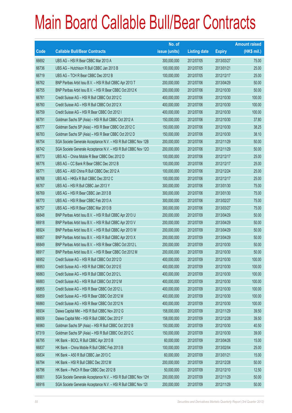|       |                                                                | No. of        |                     |               | <b>Amount raised</b> |
|-------|----------------------------------------------------------------|---------------|---------------------|---------------|----------------------|
| Code  | <b>Callable Bull/Bear Contracts</b>                            | issue (units) | <b>Listing date</b> | <b>Expiry</b> | (HK\$ mil.)          |
| 66692 | UBS AG - HSI R Bear CBBC Mar 2013 A                            | 300,000,000   | 2012/07/05          | 2013/03/27    | 75.00                |
| 66736 | UBS AG - Hutchison R Bull CBBC Jan 2013 B                      | 100,000,000   | 2012/07/05          | 2013/01/21    | 25.00                |
| 66719 | UBS AG - TCH R Bear CBBC Dec 2012 B                            | 100,000,000   | 2012/07/05          | 2012/12/17    | 25.00                |
| 66762 | BNP Paribas Arbit Issu B.V. - HSI R Bull CBBC Apr 2013 T       | 200,000,000   | 2012/07/06          | 2013/04/29    | 50.00                |
| 66755 | BNP Paribas Arbit Issu B.V. - HSI R Bear CBBC Oct 2012 K       | 200,000,000   | 2012/07/06          | 2012/10/30    | 50.00                |
| 66761 | Credit Suisse AG - HSI R Bull CBBC Oct 2012 C                  | 400,000,000   | 2012/07/06          | 2012/10/30    | 100.00               |
| 66760 | Credit Suisse AG - HSI R Bull CBBC Oct 2012 X                  | 400,000,000   | 2012/07/06          | 2012/10/30    | 100.00               |
| 66759 | Credit Suisse AG - HSI R Bear CBBC Oct 2012 I                  | 400,000,000   | 2012/07/06          | 2012/10/30    | 100.00               |
| 66791 | Goldman Sachs SP (Asia) - HSI R Bull CBBC Oct 2012 A           | 150,000,000   | 2012/07/06          | 2012/10/30    | 37.80                |
| 66777 | Goldman Sachs SP (Asia) - HSI R Bear CBBC Oct 2012 C           | 150,000,000   | 2012/07/06          | 2012/10/30    | 38.25                |
| 66783 | Goldman Sachs SP (Asia) - HSI R Bear CBBC Oct 2012 D           | 150,000,000   | 2012/07/06          | 2012/10/30    | 38.10                |
| 66754 | SGA Societe Generale Acceptance N.V. - HSI R Bull CBBC Nov 12B | 200,000,000   | 2012/07/06          | 2012/11/29    | 50.00                |
| 66742 | SGA Societe Generale Acceptance N.V. - HSI R Bull CBBC Nov 120 | 200,000,000   | 2012/07/06          | 2012/11/29    | 50.00                |
| 66773 | UBS AG - China Mobile R Bear CBBC Dec 2012 D                   | 100,000,000   | 2012/07/06          | 2012/12/17    | 25.00                |
| 66776 | UBS AG - CC Bank R Bear CBBC Dec 2012 B                        | 100,000,000   | 2012/07/06          | 2012/12/17    | 25.00                |
| 66771 | UBS AG - A50 China R Bull CBBC Dec 2012 A                      | 100,000,000   | 2012/07/06          | 2012/12/24    | 25.00                |
| 66768 | UBS AG - HKEx R Bull CBBC Dec 2012 C                           | 100,000,000   | 2012/07/06          | 2012/12/17    | 25.00                |
| 66767 | UBS AG - HSI R Bull CBBC Jan 2013 Y                            | 300,000,000   | 2012/07/06          | 2013/01/30    | 75.00                |
| 66769 | UBS AG - HSI R Bear CBBC Jan 2013 B                            | 300,000,000   | 2012/07/06          | 2013/01/30    | 75.00                |
| 66770 | UBS AG - HSI R Bear CBBC Feb 2013 A                            | 300,000,000   | 2012/07/06          | 2013/02/27    | 75.00                |
| 66757 | UBS AG - HSI R Bear CBBC Mar 2013 B                            | 300,000,000   | 2012/07/06          | 2013/03/27    | 75.00                |
| 66848 | BNP Paribas Arbit Issu B.V. - HSI R Bull CBBC Apr 2013 U       | 200,000,000   | 2012/07/09          | 2013/04/29    | 50.00                |
| 66918 | BNP Paribas Arbit Issu B.V. - HSI R Bull CBBC Apr 2013 V       | 200,000,000   | 2012/07/09          | 2013/04/29    | 50.00                |
| 66924 | BNP Paribas Arbit Issu B.V. - HSI R Bull CBBC Apr 2013 W       | 200,000,000   | 2012/07/09          | 2013/04/29    | 50.00                |
| 66957 | BNP Paribas Arbit Issu B.V. - HSI R Bull CBBC Apr 2013 X       | 200,000,000   | 2012/07/09          | 2013/04/29    | 50.00                |
| 66849 | BNP Paribas Arbit Issu B.V. - HSI R Bear CBBC Oct 2012 L       | 200,000,000   | 2012/07/09          | 2012/10/30    | 50.00                |
| 66917 | BNP Paribas Arbit Issu B.V. - HSI R Bear CBBC Oct 2012 M       | 200,000,000   | 2012/07/09          | 2012/10/30    | 50.00                |
| 66952 | Credit Suisse AG - HSI R Bull CBBC Oct 2012 D                  | 400,000,000   | 2012/07/09          | 2012/10/30    | 100.00               |
| 66953 | Credit Suisse AG - HSI R Bull CBBC Oct 2012 E                  | 400,000,000   | 2012/07/09          | 2012/10/30    | 100.00               |
| 66863 | Credit Suisse AG - HSI R Bull CBBC Oct 2012 L                  | 400,000,000   | 2012/07/09          | 2012/10/30    | 100.00               |
| 66883 | Credit Suisse AG - HSI R Bull CBBC Oct 2012 M                  | 400,000,000   | 2012/07/09          | 2012/10/30    | 100.00               |
| 66855 | Credit Suisse AG - HSI R Bear CBBC Oct 2012 L                  | 400,000,000   | 2012/07/09          | 2012/10/30    | 100.00               |
| 66859 | Credit Suisse AG - HSI R Bear CBBC Oct 2012 M                  | 400,000,000   | 2012/07/09          | 2012/10/30    | 100.00               |
| 66860 | Credit Suisse AG - HSI R Bear CBBC Oct 2012 N                  | 400,000,000   | 2012/07/09          | 2012/10/30    | 100.00               |
| 66934 | Daiwa Capital Mkt - HSI R Bull CBBC Nov 2012 G                 | 158,000,000   | 2012/07/09          | 2012/11/29    | 39.50                |
| 66939 | Daiwa Capital Mkt - HSI R Bull CBBC Dec 2012 F                 | 158,000,000   | 2012/07/09          | 2012/12/28    | 39.50                |
| 66960 | Goldman Sachs SP (Asia) - HSI R Bull CBBC Oct 2012 B           | 150,000,000   | 2012/07/09          | 2012/10/30    | 40.50                |
| 67319 | Goldman Sachs SP (Asia) - HSI R Bull CBBC Oct 2012 C           | 150,000,000   | 2012/07/09          | 2012/10/30    | 39.00                |
| 66795 | HK Bank - BOCL R Bull CBBC Apr 2013 B                          | 60,000,000    | 2012/07/09          | 2013/04/26    | 15.00                |
| 66837 | HK Bank - China Mobile R Bull CBBC Feb 2013 B                  | 100,000,000   | 2012/07/09          | 2013/02/04    | 25.00                |
| 66834 | HK Bank - A50 R Bull CBBC Jan 2013 C                           | 60,000,000    | 2012/07/09          | 2013/01/21    | 15.00                |
| 66794 | HK Bank - HSI R Bull CBBC Dec 2012 M                           | 200,000,000   | 2012/07/09          | 2012/12/28    | 50.00                |
| 66796 | HK Bank - PetCh R Bear CBBC Dec 2012 B                         | 50,000,000    | 2012/07/09          | 2012/12/10    | 12.50                |
| 66901 | SGA Societe Generale Acceptance N.V. - HSI R Bull CBBC Nov 12H | 200,000,000   | 2012/07/09          | 2012/11/29    | 50.00                |
| 66916 | SGA Societe Generale Acceptance N.V. - HSI R Bull CBBC Nov 121 | 200,000,000   | 2012/07/09          | 2012/11/29    | 50.00                |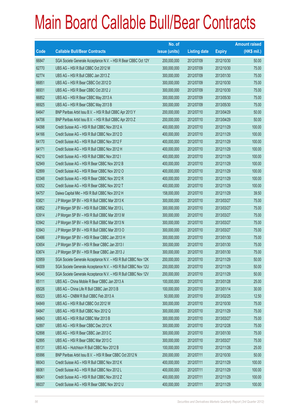|       |                                                                | No. of        |                     |               | <b>Amount raised</b> |
|-------|----------------------------------------------------------------|---------------|---------------------|---------------|----------------------|
| Code  | <b>Callable Bull/Bear Contracts</b>                            | issue (units) | <b>Listing date</b> | <b>Expiry</b> | $(HK$$ mil.)         |
| 66847 | SGA Societe Generale Acceptance N.V. - HSI R Bear CBBC Oct 12Y | 200,000,000   | 2012/07/09          | 2012/10/30    | 50.00                |
| 62770 | UBS AG - HSI R Bull CBBC Oct 2012 M                            | 300,000,000   | 2012/07/09          | 2012/10/30    | 75.00                |
| 62774 | UBS AG - HSI R Bull CBBC Jan 2013 Z                            | 300,000,000   | 2012/07/09          | 2013/01/30    | 75.00                |
| 66851 | UBS AG - HSI R Bear CBBC Oct 2012 D                            | 300,000,000   | 2012/07/09          | 2012/10/30    | 75.00                |
| 66931 | UBS AG - HSI R Bear CBBC Oct 2012 J                            | 300,000,000   | 2012/07/09          | 2012/10/30    | 75.00                |
| 66852 | UBS AG - HSI R Bear CBBC May 2013 A                            | 300,000,000   | 2012/07/09          | 2013/05/30    | 75.00                |
| 66925 | UBS AG - HSI R Bear CBBC May 2013 B                            | 300,000,000   | 2012/07/09          | 2013/05/30    | 75.00                |
| 64647 | BNP Paribas Arbit Issu B.V. - HSI R Bull CBBC Apr 2013 Y       | 200,000,000   | 2012/07/10          | 2013/04/29    | 50.00                |
| 64706 | BNP Paribas Arbit Issu B.V. - HSI R Bull CBBC Apr 2013 Z       | 200,000,000   | 2012/07/10          | 2013/04/29    | 50.00                |
| 64098 | Credit Suisse AG - HSI R Bull CBBC Nov 2012 A                  | 400,000,000   | 2012/07/10          | 2012/11/29    | 100.00               |
| 64166 | Credit Suisse AG - HSI R Bull CBBC Nov 2012 D                  | 400,000,000   | 2012/07/10          | 2012/11/29    | 100.00               |
| 64170 | Credit Suisse AG - HSI R Bull CBBC Nov 2012 F                  | 400,000,000   | 2012/07/10          | 2012/11/29    | 100.00               |
| 64171 | Credit Suisse AG - HSI R Bull CBBC Nov 2012 H                  | 400,000,000   | 2012/07/10          | 2012/11/29    | 100.00               |
| 64210 | Credit Suisse AG - HSI R Bull CBBC Nov 2012 I                  | 400,000,000   | 2012/07/10          | 2012/11/29    | 100.00               |
| 62949 | Credit Suisse AG - HSI R Bear CBBC Nov 2012 B                  | 400,000,000   | 2012/07/10          | 2012/11/29    | 100.00               |
| 62899 | Credit Suisse AG - HSI R Bear CBBC Nov 2012 O                  | 400,000,000   | 2012/07/10          | 2012/11/29    | 100.00               |
| 63348 | Credit Suisse AG - HSI R Bear CBBC Nov 2012 R                  | 400,000,000   | 2012/07/10          | 2012/11/29    | 100.00               |
| 63052 | Credit Suisse AG - HSI R Bear CBBC Nov 2012 T                  | 400,000,000   | 2012/07/10          | 2012/11/29    | 100.00               |
| 64757 | Daiwa Capital Mkt - HSI R Bull CBBC Nov 2012 H                 | 158,000,000   | 2012/07/10          | 2012/11/29    | 39.50                |
| 63821 | J P Morgan SP BV - HSI R Bull CBBC Mar 2013 K                  | 300,000,000   | 2012/07/10          | 2013/03/27    | 75.00                |
| 63852 | J P Morgan SP BV - HSI R Bull CBBC Mar 2013 L                  | 300,000,000   | 2012/07/10          | 2013/03/27    | 75.00                |
| 63914 | J P Morgan SP BV - HSI R Bull CBBC Mar 2013 M                  | 300,000,000   | 2012/07/10          | 2013/03/27    | 75.00                |
| 63942 | J P Morgan SP BV - HSI R Bull CBBC Mar 2013 N                  | 300,000,000   | 2012/07/10          | 2013/03/27    | 75.00                |
| 63943 | J P Morgan SP BV - HSI R Bull CBBC Mar 2013 O                  | 300,000,000   | 2012/07/10          | 2013/03/27    | 75.00                |
| 63486 | J P Morgan SP BV - HSI R Bear CBBC Jan 2013 H                  | 300,000,000   | 2012/07/10          | 2013/01/30    | 75.00                |
| 63654 | J P Morgan SP BV - HSI R Bear CBBC Jan 2013 I                  | 300,000,000   | 2012/07/10          | 2013/01/30    | 75.00                |
| 63674 | J P Morgan SP BV - HSI R Bear CBBC Jan 2013 J                  | 300,000,000   | 2012/07/10          | 2013/01/30    | 75.00                |
| 63959 | SGA Societe Generale Acceptance N.V. - HSI R Bull CBBC Nov 12K | 200,000,000   | 2012/07/10          | 2012/11/29    | 50.00                |
| 64009 | SGA Societe Generale Acceptance N.V. - HSI R Bull CBBC Nov 12U | 200,000,000   | 2012/07/10          | 2012/11/29    | 50.00                |
| 64040 | SGA Societe Generale Acceptance N.V. - HSI R Bull CBBC Nov 12V | 200,000,000   | 2012/07/10          | 2012/11/29    | 50.00                |
| 65111 | UBS AG - China Mobile R Bear CBBC Jan 2013 A                   | 100,000,000   | 2012/07/10          | 2013/01/28    | 25.00                |
| 65026 | UBS AG - China Life R Bull CBBC Jan 2013 B                     | 100,000,000   | 2012/07/10          | 2013/01/14    | 30.00                |
| 65023 | UBS AG - CNBM R Bull CBBC Feb 2013 A                           | 50,000,000    | 2012/07/10          | 2013/02/25    | 12.50                |
| 64849 | UBS AG - HSI R Bull CBBC Oct 2012 W                            | 300,000,000   | 2012/07/10          | 2012/10/30    | 75.00                |
| 64847 | UBS AG - HSI R Bull CBBC Nov 2012 Q                            | 300,000,000   | 2012/07/10          | 2012/11/29    | 75.00                |
| 64843 | UBS AG - HSI R Bull CBBC Mar 2013 B                            | 300,000,000   | 2012/07/10          | 2013/03/27    | 75.00                |
| 62897 | UBS AG - HSI R Bear CBBC Dec 2012 K                            | 300,000,000   | 2012/07/10          | 2012/12/28    | 75.00                |
| 62898 | UBS AG - HSI R Bear CBBC Jan 2013 C                            | 300,000,000   | 2012/07/10          | 2013/01/30    | 75.00                |
| 62895 | UBS AG - HSI R Bear CBBC Mar 2013 C                            | 300,000,000   | 2012/07/10          | 2013/03/27    | 75.00                |
| 65131 | UBS AG - Hutchison R Bull CBBC Nov 2012 B                      | 100,000,000   | 2012/07/10          | 2012/11/26    | 25.00                |
| 65996 | BNP Paribas Arbit Issu B.V. - HSI R Bear CBBC Oct 2012 N       | 200,000,000   | 2012/07/11          | 2012/10/30    | 50.00                |
| 66043 | Credit Suisse AG - HSI R Bull CBBC Nov 2012 K                  | 400,000,000   | 2012/07/11          | 2012/11/29    | 100.00               |
| 66061 | Credit Suisse AG - HSI R Bull CBBC Nov 2012 L                  | 400,000,000   | 2012/07/11          | 2012/11/29    | 100.00               |
| 66041 | Credit Suisse AG - HSI R Bull CBBC Nov 2012 Z                  | 400,000,000   | 2012/07/11          | 2012/11/29    | 100.00               |
| 66037 | Credit Suisse AG - HSI R Bear CBBC Nov 2012 U                  | 400,000,000   | 2012/07/11          | 2012/11/29    | 100.00               |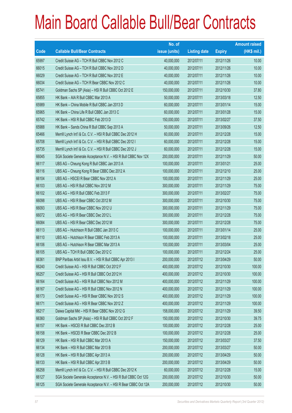|       |                                                                | No. of        |                     |               | <b>Amount raised</b> |
|-------|----------------------------------------------------------------|---------------|---------------------|---------------|----------------------|
| Code  | <b>Callable Bull/Bear Contracts</b>                            | issue (units) | <b>Listing date</b> | <b>Expiry</b> | (HK\$ mil.)          |
| 65997 | Credit Suisse AG - TCH R Bull CBBC Nov 2012 C                  | 40,000,000    | 2012/07/11          | 2012/11/26    | 10.00                |
| 66015 | Credit Suisse AG - TCH R Bull CBBC Nov 2012 D                  | 40,000,000    | 2012/07/11          | 2012/11/26    | 10.00                |
| 66029 | Credit Suisse AG - TCH R Bull CBBC Nov 2012 E                  | 40,000,000    | 2012/07/11          | 2012/11/26    | 10.00                |
| 66034 | Credit Suisse AG - TCH R Bear CBBC Nov 2012 C                  | 40,000,000    | 2012/07/11          | 2012/11/26    | 10.00                |
| 65741 | Goldman Sachs SP (Asia) - HSI R Bull CBBC Oct 2012 E           | 150,000,000   | 2012/07/11          | 2012/10/30    | 37.80                |
| 65855 | HK Bank - AIA R Bull CBBC Mar 2013 A                           | 50,000,000    | 2012/07/11          | 2013/03/18    | 12.50                |
| 65989 | HK Bank - China Mobile R Bull CBBC Jan 2013 D                  | 60,000,000    | 2012/07/11          | 2013/01/14    | 15.00                |
| 65965 | HK Bank - China Life R Bull CBBC Jan 2013 C                    | 60,000,000    | 2012/07/11          | 2013/01/28    | 15.00                |
| 65742 | HK Bank - HSI R Bull CBBC Feb 2013 D                           | 150,000,000   | 2012/07/11          | 2013/02/27    | 37.50                |
| 65988 | HK Bank - Sands China R Bull CBBC Sep 2013 A                   | 50,000,000    | 2012/07/11          | 2013/09/26    | 12.50                |
| 65466 | Merrill Lynch Int'l & Co. C.V. - HSI R Bull CBBC Dec 2012 H    | 60,000,000    | 2012/07/11          | 2012/12/28    | 15.00                |
| 65708 | Merrill Lynch Int'l & Co. C.V. - HSI R Bull CBBC Dec 2012 I    | 60,000,000    | 2012/07/11          | 2012/12/28    | 15.00                |
| 65735 | Merrill Lynch Int'l & Co. C.V. - HSI R Bull CBBC Dec 2012 J    | 60,000,000    | 2012/07/11          | 2012/12/28    | 15.00                |
| 66045 | SGA Societe Generale Acceptance N.V. - HSI R Bull CBBC Nov 12X | 200,000,000   | 2012/07/11          | 2012/11/29    | 50.00                |
| 66117 | UBS AG - Cheung Kong R Bull CBBC Jan 2013 A                    | 100,000,000   | 2012/07/11          | 2013/01/21    | 25.00                |
| 66116 | UBS AG - Cheung Kong R Bear CBBC Dec 2012 A                    | 100,000,000   | 2012/07/11          | 2012/12/10    | 25.00                |
| 66104 | UBS AG - HSCEI R Bear CBBC Nov 2012 A                          | 100,000,000   | 2012/07/11          | 2012/11/29    | 25.00                |
| 66103 | UBS AG - HSI R Bull CBBC Nov 2012 M                            | 300,000,000   | 2012/07/11          | 2012/11/29    | 75.00                |
| 66102 | UBS AG - HSI R Bull CBBC Feb 2013 F                            | 300,000,000   | 2012/07/11          | 2013/02/27    | 75.00                |
| 66098 | UBS AG - HSI R Bear CBBC Oct 2012 M                            | 300,000,000   | 2012/07/11          | 2012/10/30    | 75.00                |
| 66093 | UBS AG - HSI R Bear CBBC Nov 2012 U                            | 300,000,000   | 2012/07/11          | 2012/11/29    | 75.00                |
| 66072 | UBS AG - HSI R Bear CBBC Dec 2012 L                            | 300,000,000   | 2012/07/11          | 2012/12/28    | 75.00                |
| 66084 | UBS AG - HSI R Bear CBBC Dec 2012 M                            | 300,000,000   | 2012/07/11          | 2012/12/28    | 75.00                |
| 66113 | UBS AG - Hutchison R Bull CBBC Jan 2013 C                      | 100,000,000   | 2012/07/11          | 2013/01/14    | 25.00                |
| 66110 | UBS AG - Hutchison R Bear CBBC Feb 2013 A                      | 100,000,000   | 2012/07/11          | 2013/02/18    | 25.00                |
| 66106 | UBS AG - Hutchison R Bear CBBC Mar 2013 A                      | 100,000,000   | 2012/07/11          | 2013/03/04    | 25.00                |
| 66105 | UBS AG - TCH R Bull CBBC Dec 2012 C                            | 100,000,000   | 2012/07/11          | 2012/12/24    | 25.00                |
| 66361 | BNP Paribas Arbit Issu B.V. - HSI R Bull CBBC Apr 2013 I       | 200,000,000   | 2012/07/12          | 2013/04/29    | 50.00                |
| 66240 | Credit Suisse AG - HSI R Bull CBBC Oct 2012 F                  | 400,000,000   | 2012/07/12          | 2012/10/30    | 100.00               |
| 66257 | Credit Suisse AG - HSI R Bull CBBC Oct 2012 H                  | 400,000,000   | 2012/07/12          | 2012/10/30    | 100.00               |
| 66164 | Credit Suisse AG - HSI R Bull CBBC Nov 2012 M                  | 400,000,000   | 2012/07/12          | 2012/11/29    | 100.00               |
| 66167 | Credit Suisse AG - HSI R Bull CBBC Nov 2012 N                  | 400,000,000   | 2012/07/12          | 2012/11/29    | 100.00               |
| 66173 | Credit Suisse AG - HSI R Bear CBBC Nov 2012 S                  | 400,000,000   | 2012/07/12          | 2012/11/29    | 100.00               |
| 66171 | Credit Suisse AG - HSI R Bear CBBC Nov 2012 Z                  | 400,000,000   | 2012/07/12          | 2012/11/29    | 100.00               |
| 66217 | Daiwa Capital Mkt - HSI R Bear CBBC Nov 2012 G                 | 158,000,000   | 2012/07/12          | 2012/11/29    | 39.50                |
| 66360 | Goldman Sachs SP (Asia) - HSI R Bull CBBC Oct 2012 F           | 150,000,000   | 2012/07/12          | 2012/10/30    | 39.75                |
| 66157 | HK Bank - HSCEI R Bull CBBC Dec 2012 B                         | 100,000,000   | 2012/07/12          | 2012/12/28    | 25.00                |
| 66158 | HK Bank - HSCEI R Bear CBBC Dec 2012 B                         | 100,000,000   | 2012/07/12          | 2012/12/28    | 25.00                |
| 66129 | HK Bank - HSI R Bull CBBC Mar 2013 A                           | 150,000,000   | 2012/07/12          | 2013/03/27    | 37.50                |
| 66134 | HK Bank - HSI R Bull CBBC Mar 2013 B                           | 200,000,000   | 2012/07/12          | 2013/03/27    | 50.00                |
| 66128 | HK Bank - HSI R Bull CBBC Apr 2013 A                           | 200,000,000   | 2012/07/12          | 2013/04/29    | 50.00                |
| 66133 | HK Bank - HSI R Bull CBBC Apr 2013 B                           | 200,000,000   | 2012/07/12          | 2013/04/29    | 50.00                |
| 66258 | Merrill Lynch Int'l & Co. C.V. - HSI R Bull CBBC Dec 2012 K    | 60,000,000    | 2012/07/12          | 2012/12/28    | 15.00                |
| 66127 | SGA Societe Generale Acceptance N.V. - HSI R Bull CBBC Oct 12G | 200,000,000   | 2012/07/12          | 2012/10/30    | 50.00                |
| 66125 | SGA Societe Generale Acceptance N.V. - HSI R Bear CBBC Oct 12A | 200,000,000   | 2012/07/12          | 2012/10/30    | 50.00                |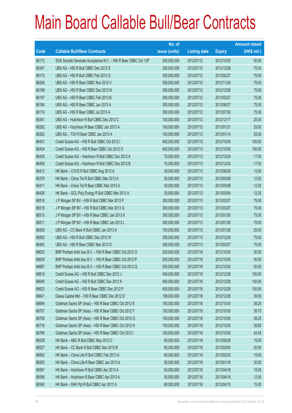|       |                                                                | No. of        |                     |               | <b>Amount raised</b> |
|-------|----------------------------------------------------------------|---------------|---------------------|---------------|----------------------|
| Code  | <b>Callable Bull/Bear Contracts</b>                            | issue (units) | <b>Listing date</b> | <b>Expiry</b> | $(HK$$ mil.)         |
| 66172 | SGA Societe Generale Acceptance N.V. - HSI R Bear CBBC Oct 12P | 200,000,000   | 2012/07/12          | 2012/10/30    | 50.00                |
| 66347 | UBS AG - HSI R Bull CBBC Dec 2012 S                            | 300,000,000   | 2012/07/12          | 2012/12/28    | 75.00                |
| 66170 | UBS AG - HSI R Bull CBBC Feb 2013 G                            | 300,000,000   | 2012/07/12          | 2013/02/27    | 75.00                |
| 66206 | UBS AG - HSI R Bear CBBC Nov 2012 V                            | 300,000,000   | 2012/07/12          | 2012/11/29    | 75.00                |
| 66198 | UBS AG - HSI R Bear CBBC Dec 2012 N                            | 300,000,000   | 2012/07/12          | 2012/12/28    | 75.00                |
| 66197 | UBS AG - HSI R Bear CBBC Feb 2013 B                            | 300,000,000   | 2012/07/12          | 2013/02/27    | 75.00                |
| 66184 | UBS AG - HSI R Bear CBBC Jun 2013 A                            | 300,000,000   | 2012/07/12          | 2013/06/27    | 75.00                |
| 66174 | UBS AG - HSI R Bear CBBC Jul 2013 A                            | 300,000,000   | 2012/07/12          | 2013/07/30    | 75.00                |
| 66341 | UBS AG - Hutchison R Bull CBBC Dec 2012 C                      | 100,000,000   | 2012/07/12          | 2012/12/17    | 25.00                |
| 66292 | UBS AG - Hutchison R Bear CBBC Jan 2013 A                      | 100,000,000   | 2012/07/12          | 2013/01/21    | 25.00                |
| 66262 | UBS AG - TCH R Bear CBBC Jan 2013 A                            | 100,000,000   | 2012/07/12          | 2013/01/14    | 25.00                |
| 66431 | Credit Suisse AG - HSI R Bull CBBC Oct 2012 I                  | 400,000,000   | 2012/07/13          | 2012/10/30    | 100.00               |
| 66434 | Credit Suisse AG - HSI R Bear CBBC Oct 2012 O                  | 400,000,000   | 2012/07/13          | 2012/10/30    | 100.00               |
| 66435 | Credit Suisse AG - Hutchison R Bull CBBC Dec 2012 A            | 70,000,000    | 2012/07/13          | 2012/12/24    | 17.50                |
| 66459 | Credit Suisse AG - Hutchison R Bull CBBC Dec 2012 B            | 70,000,000    | 2012/07/13          | 2012/12/24    | 17.50                |
| 66412 | HK Bank - COVS R Bull CBBC Aug 2013 A                          | 30,000,000    | 2012/07/13          | 2013/08/28    | 13.50                |
| 66378 | HK Bank - China Tel R Bull CBBC Mar 2013 A                     | 50,000,000    | 2012/07/13          | 2013/03/08    | 12.50                |
| 66411 | HK Bank - China Tel R Bear CBBC Mar 2013 A                     | 50,000,000    | 2012/07/13          | 2013/03/08    | 12.50                |
| 66426 | HK Bank - GCL-Poly Energy R Bull CBBC Mar 2013 A               | 25,000,000    | 2012/07/13          | 2013/03/04    | 12.25                |
| 66516 | J P Morgan SP BV - HSI R Bull CBBC Mar 2013 P                  | 300,000,000   | 2012/07/13          | 2013/03/27    | 75.00                |
| 66519 | J P Morgan SP BV - HSI R Bull CBBC Mar 2013 Q                  | 300,000,000   | 2012/07/13          | 2013/03/27    | 75.00                |
| 66510 | J P Morgan SP BV - HSI R Bear CBBC Jan 2013 K                  | 300,000,000   | 2012/07/13          | 2013/01/30    | 75.00                |
| 66511 | J P Morgan SP BV - HSI R Bear CBBC Jan 2013 L                  | 300,000,000   | 2012/07/13          | 2013/01/30    | 75.00                |
| 66509 | UBS AG - CC Bank R Bull CBBC Jan 2013 A                        | 100,000,000   | 2012/07/13          | 2013/01/28    | 25.00                |
| 66505 | UBS AG - HSI R Bull CBBC Dec 2012 W                            | 300,000,000   | 2012/07/13          | 2012/12/28    | 75.00                |
| 66492 | UBS AG - HSI R Bear CBBC Mar 2013 D                            | 300,000,000   | 2012/07/13          | 2013/03/27    | 75.00                |
| 66632 | BNP Paribas Arbit Issu B.V. - HSI R Bear CBBC Oct 2012 O       | 200,000,000   | 2012/07/16          | 2012/10/30    | 50.00                |
| 66639 | BNP Paribas Arbit Issu B.V. - HSI R Bear CBBC Oct 2012 P       | 200,000,000   | 2012/07/16          | 2012/10/30    | 50.00                |
| 66687 | BNP Paribas Arbit Issu B.V. - HSI R Bear CBBC Oct 2012 Q       | 200,000,000   | 2012/07/16          | 2012/10/30    | 50.00                |
| 66619 | Credit Suisse AG - HSI R Bull CBBC Dec 2012 J                  | 400,000,000   | 2012/07/16          | 2012/12/28    | 100.00               |
| 66640 | Credit Suisse AG - HSI R Bull CBBC Dec 2012 K                  | 400,000,000   | 2012/07/16          | 2012/12/28    | 100.00               |
| 66623 | Credit Suisse AG - HSI R Bear CBBC Dec 2012 P                  | 400,000,000   | 2012/07/16          | 2012/12/28    | 100.00               |
| 66641 | Daiwa Capital Mkt - HSI R Bear CBBC Dec 2012 D                 | 158,000,000   | 2012/07/16          | 2012/12/28    | 39.50                |
| 66694 | Goldman Sachs SP (Asia) - HSI R Bear CBBC Oct 2012 E           | 150,000,000   | 2012/07/16          | 2012/10/30    | 38.25                |
| 66707 | Goldman Sachs SP (Asia) - HSI R Bear CBBC Oct 2012 F           | 150,000,000   | 2012/07/16          | 2012/10/30    | 38.70                |
| 66708 | Goldman Sachs SP (Asia) - HSI R Bear CBBC Oct 2012 G           | 150,000,000   | 2012/07/16          | 2012/10/30    | 38.25                |
| 66716 | Goldman Sachs SP (Asia) - HSI R Bear CBBC Oct 2012 H           | 150,000,000   | 2012/07/16          | 2012/10/30    | 38.85                |
| 66766 | Goldman Sachs SP (Asia) - HSI R Bear CBBC Oct 2012 I           | 150,000,000   | 2012/07/16          | 2012/10/30    | 42.45                |
| 66538 | HK Bank - ABC R Bull CBBC May 2013 C                           | 60,000,000    | 2012/07/16          | 2013/05/28    | 15.00                |
| 66527 | HK Bank - CC Bank R Bull CBBC Mar 2013 B                       | 80,000,000    | 2012/07/16          | 2013/03/04    | 20.00                |
| 66592 | HK Bank - China Life R Bull CBBC Feb 2013 A                    | 60,000,000    | 2012/07/16          | 2013/02/25    | 15.00                |
| 66593 | HK Bank - China Life R Bear CBBC Jan 2013 A                    | 50,000,000    | 2012/07/16          | 2013/01/18    | 30.00                |
| 66597 | HK Bank - Hutchison R Bull CBBC Apr 2013 A                     | 60,000,000    | 2012/07/16          | 2013/04/18    | 15.00                |
| 66598 | HK Bank - Hutchison R Bear CBBC Apr 2013 A                     | 50,000,000    | 2012/07/16          | 2013/04/18    | 12.50                |
| 66540 | HK Bank - SHK Ppt R Bull CBBC Apr 2013 A                       | 60,000,000    | 2012/07/16          | 2013/04/15    | 15.00                |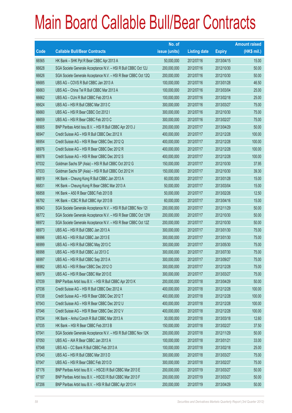|       |                                                                | No. of        |                     |               | <b>Amount raised</b> |
|-------|----------------------------------------------------------------|---------------|---------------------|---------------|----------------------|
| Code  | <b>Callable Bull/Bear Contracts</b>                            | issue (units) | <b>Listing date</b> | <b>Expiry</b> | $(HK$$ mil.)         |
| 66565 | HK Bank - SHK Ppt R Bear CBBC Apr 2013 A                       | 50,000,000    | 2012/07/16          | 2013/04/15    | 15.00                |
| 66628 | SGA Societe Generale Acceptance N.V. - HSI R Bull CBBC Oct 12J | 200,000,000   | 2012/07/16          | 2012/10/30    | 50.00                |
| 66626 | SGA Societe Generale Acceptance N.V. - HSI R Bear CBBC Oct 12Q | 200,000,000   | 2012/07/16          | 2012/10/30    | 50.00                |
| 66685 | UBS AG - COVS R Bull CBBC Jan 2013 A                           | 100,000,000   | 2012/07/16          | 2013/01/28    | 46.50                |
| 66663 | UBS AG - China Tel R Bull CBBC Mar 2013 A                      | 100,000,000   | 2012/07/16          | 2013/03/04    | 25.00                |
| 66662 | UBS AG - CUni R Bull CBBC Feb 2013 A                           | 100,000,000   | 2012/07/16          | 2013/02/18    | 25.00                |
| 66624 | UBS AG - HSI R Bull CBBC Mar 2013 C                            | 300,000,000   | 2012/07/16          | 2013/03/27    | 75.00                |
| 66660 | UBS AG - HSI R Bear CBBC Oct 2012 I                            | 300,000,000   | 2012/07/16          | 2012/10/30    | 75.00                |
| 66659 | UBS AG - HSI R Bear CBBC Feb 2013 C                            | 300,000,000   | 2012/07/16          | 2013/02/27    | 75.00                |
| 66905 | BNP Paribas Arbit Issu B.V. - HSI R Bull CBBC Apr 2013 J       | 200,000,000   | 2012/07/17          | 2013/04/29    | 50.00                |
| 66947 | Credit Suisse AG - HSI R Bull CBBC Dec 2012 X                  | 400,000,000   | 2012/07/17          | 2012/12/28    | 100.00               |
| 66954 | Credit Suisse AG - HSI R Bear CBBC Dec 2012 Q                  | 400,000,000   | 2012/07/17          | 2012/12/28    | 100.00               |
| 66976 | Credit Suisse AG - HSI R Bear CBBC Dec 2012 R                  | 400,000,000   | 2012/07/17          | 2012/12/28    | 100.00               |
| 66978 | Credit Suisse AG - HSI R Bear CBBC Dec 2012 S                  | 400,000,000   | 2012/07/17          | 2012/12/28    | 100.00               |
| 67032 | Goldman Sachs SP (Asia) - HSI R Bull CBBC Oct 2012 G           | 150,000,000   | 2012/07/17          | 2012/10/30    | 37.95                |
| 67033 | Goldman Sachs SP (Asia) - HSI R Bull CBBC Oct 2012 H           | 150,000,000   | 2012/07/17          | 2012/10/30    | 39.30                |
| 66819 | HK Bank - Cheung Kong R Bull CBBC Jan 2013 A                   | 60,000,000    | 2012/07/17          | 2013/01/28    | 15.00                |
| 66831 | HK Bank - Cheung Kong R Bear CBBC Mar 2013 A                   | 50,000,000    | 2012/07/17          | 2013/03/04    | 15.00                |
| 66858 | HK Bank - A50 R Bear CBBC Feb 2013 B                           | 50,000,000    | 2012/07/17          | 2013/02/26    | 12.50                |
| 66792 | HK Bank - ICBC R Bull CBBC Apr 2013 B                          | 60,000,000    | 2012/07/17          | 2013/04/16    | 15.00                |
| 66943 | SGA Societe Generale Acceptance N.V. - HSI R Bull CBBC Nov 121 | 200,000,000   | 2012/07/17          | 2012/11/29    | 50.00                |
| 66772 | SGA Societe Generale Acceptance N.V. - HSI R Bear CBBC Oct 12W | 200,000,000   | 2012/07/17          | 2012/10/30    | 50.00                |
| 66972 | SGA Societe Generale Acceptance N.V. - HSI R Bear CBBC Oct 12Z | 200,000,000   | 2012/07/17          | 2012/10/30    | 50.00                |
| 66973 | UBS AG - HSI R Bull CBBC Jan 2013 A                            | 300,000,000   | 2012/07/17          | 2013/01/30    | 75.00                |
| 66996 | UBS AG - HSI R Bull CBBC Jan 2013 E                            | 300,000,000   | 2012/07/17          | 2013/01/30    | 75.00                |
| 66999 | UBS AG - HSI R Bull CBBC May 2013 C                            | 300,000,000   | 2012/07/17          | 2013/05/30    | 75.00                |
| 66998 | UBS AG - HSI R Bull CBBC Jul 2013 C                            | 300,000,000   | 2012/07/17          | 2013/07/30    | 75.00                |
| 66997 | UBS AG - HSI R Bull CBBC Sep 2013 A                            | 300,000,000   | 2012/07/17          | 2013/09/27    | 75.00                |
| 66982 | UBS AG - HSI R Bear CBBC Dec 2012 O                            | 300,000,000   | 2012/07/17          | 2012/12/28    | 75.00                |
| 66979 | UBS AG - HSI R Bear CBBC Mar 2013 E                            | 300,000,000   | 2012/07/17          | 2013/03/27    | 75.00                |
| 67039 | BNP Paribas Arbit Issu B.V. - HSI R Bull CBBC Apr 2013 K       | 200,000,000   | 2012/07/18          | 2013/04/29    | 50.00                |
| 67036 | Credit Suisse AG - HSI R Bull CBBC Dec 2012 A                  | 400,000,000   | 2012/07/18          | 2012/12/28    | 100.00               |
| 67038 | Credit Suisse AG - HSI R Bear CBBC Dec 2012 T                  | 400,000,000   | 2012/07/18          | 2012/12/28    | 100.00               |
| 67043 | Credit Suisse AG - HSI R Bear CBBC Dec 2012 U                  | 400,000,000   | 2012/07/18          | 2012/12/28    | 100.00               |
| 67046 | Credit Suisse AG - HSI R Bear CBBC Dec 2012 V                  | 400,000,000   | 2012/07/18          | 2012/12/28    | 100.00               |
| 67034 | HK Bank - Anhui Conch R Bull CBBC Mar 2013 A                   | 30,000,000    | 2012/07/18          | 2013/03/18    | 12.60                |
| 67035 | HK Bank - HSI R Bear CBBC Feb 2013 B                           | 150,000,000   | 2012/07/18          | 2013/02/27    | 37.50                |
| 67041 | SGA Societe Generale Acceptance N.V. - HSI R Bull CBBC Nov 12K | 200,000,000   | 2012/07/18          | 2012/11/29    | 50.00                |
| 67050 | UBS AG - AIA R Bear CBBC Jan 2013 A                            | 100,000,000   | 2012/07/18          | 2013/01/21    | 33.00                |
| 67048 | UBS AG - CC Bank R Bull CBBC Feb 2013 A                        | 100,000,000   | 2012/07/18          | 2013/02/18    | 25.00                |
| 67040 | UBS AG - HSI R Bull CBBC Mar 2013 D                            | 300,000,000   | 2012/07/18          | 2013/03/27    | 75.00                |
| 67047 | UBS AG - HSI R Bear CBBC Feb 2013 D                            | 300,000,000   | 2012/07/18          | 2013/02/27    | 75.00                |
| 67176 | BNP Paribas Arbit Issu B.V. - HSCEI R Bull CBBC Mar 2013 E     | 200,000,000   | 2012/07/19          | 2013/03/27    | 50.00                |
| 67187 | BNP Paribas Arbit Issu B.V. - HSCEI R Bull CBBC Mar 2013 F     | 200,000,000   | 2012/07/19          | 2013/03/27    | 50.00                |
| 67206 | BNP Paribas Arbit Issu B.V. - HSI R Bull CBBC Apr 2013 H       | 200,000,000   | 2012/07/19          | 2013/04/29    | 50.00                |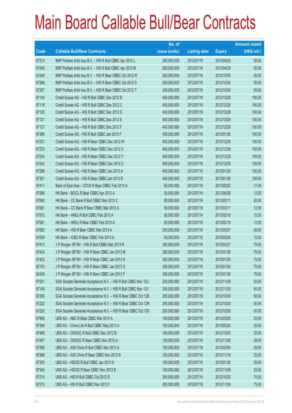|       |                                                                | No. of        |                     |               | <b>Amount raised</b> |
|-------|----------------------------------------------------------------|---------------|---------------------|---------------|----------------------|
| Code  | <b>Callable Bull/Bear Contracts</b>                            | issue (units) | <b>Listing date</b> | <b>Expiry</b> | $(HK$$ mil.)         |
| 67214 | BNP Paribas Arbit Issu B.V. - HSI R Bull CBBC Apr 2013 L       | 200,000,000   | 2012/07/19          | 2013/04/29    | 50.00                |
| 67248 | BNP Paribas Arbit Issu B.V. - HSI R Bull CBBC Apr 2013 M       | 200,000,000   | 2012/07/19          | 2013/04/29    | 50.00                |
| 67249 | BNP Paribas Arbit Issu B.V. - HSI R Bear CBBC Oct 2012 R       | 200,000,000   | 2012/07/19          | 2012/10/30    | 50.00                |
| 67268 | BNP Paribas Arbit Issu B.V. - HSI R Bear CBBC Oct 2012 S       | 200,000,000   | 2012/07/19          | 2012/10/30    | 50.00                |
| 67287 | BNP Paribas Arbit Issu B.V. - HSI R Bear CBBC Oct 2012 T       | 200,000,000   | 2012/07/19          | 2012/10/30    | 50.00                |
| 67104 | Credit Suisse AG - HSI R Bull CBBC Dec 2012 B                  | 400,000,000   | 2012/07/19          | 2012/12/28    | 100.00               |
| 67118 | Credit Suisse AG - HSI R Bull CBBC Dec 2012 C                  | 400,000,000   | 2012/07/19          | 2012/12/28    | 100.00               |
| 67120 | Credit Suisse AG - HSI R Bull CBBC Dec 2012 D                  | 400,000,000   | 2012/07/19          | 2012/12/28    | 100.00               |
| 67121 | Credit Suisse AG - HSI R Bull CBBC Dec 2012 E                  | 400,000,000   | 2012/07/19          | 2012/12/28    | 100.00               |
| 67127 | Credit Suisse AG - HSI R Bull CBBC Dec 2012 F                  | 400,000,000   | 2012/07/19          | 2012/12/28    | 100.00               |
| 67288 | Credit Suisse AG - HSI R Bull CBBC Jan 2013 F                  | 400,000,000   | 2012/07/19          | 2013/01/30    | 100.00               |
| 67231 | Credit Suisse AG - HSI R Bear CBBC Dec 2012 W                  | 400,000,000   | 2012/07/19          | 2012/12/28    | 100.00               |
| 67233 | Credit Suisse AG - HSI R Bear CBBC Dec 2012 X                  | 400,000,000   | 2012/07/19          | 2012/12/28    | 100.00               |
| 67234 | Credit Suisse AG - HSI R Bear CBBC Dec 2012 Y                  | 400,000,000   | 2012/07/19          | 2012/12/28    | 100.00               |
| 67243 | Credit Suisse AG - HSI R Bear CBBC Dec 2012 Z                  | 400,000,000   | 2012/07/19          | 2012/12/28    | 100.00               |
| 67298 | Credit Suisse AG - HSI R Bear CBBC Jan 2013 A                  | 400,000,000   | 2012/07/19          | 2013/01/30    | 100.00               |
| 67301 | Credit Suisse AG - HSI R Bear CBBC Jan 2013 B                  | 400,000,000   | 2012/07/19          | 2013/01/30    | 100.00               |
| 67411 | Bank of East Asia - COVS R Bear CBBC Feb 2013 A                | 60,000,000    | 2012/07/19          | 2013/02/22    | 17.40                |
| 67069 | HK Bank - BOCL R Bear CBBC Apr 2013 A                          | 50,000,000    | 2012/07/19          | 2013/04/26    | 12.50                |
| 67060 | HK Bank - CC Bank R Bull CBBC Mar 2013 C                       | 80,000,000    | 2012/07/19          | 2013/03/11    | 20.00                |
| 67061 | HK Bank – CC Bank R Bear CBBC Mar 2013 A                       | 50,000,000    | 2012/07/19          | 2013/03/11    | 12.50                |
| 67072 | HK Bank - HKEx R Bull CBBC Feb 2013 A                          | 60,000,000    | 2012/07/19          | 2013/02/18    | 15.00                |
| 67081 | HK Bank - HKEx R Bear CBBC Feb 2013 A                          | 50,000,000    | 2012/07/19          | 2013/02/18    | 12.50                |
| 67082 | HK Bank - HSI R Bear CBBC Mar 2013 A                           | 200,000,000   | 2012/07/19          | 2013/03/27    | 50.00                |
| 67059 | HK Bank - ICBC R Bear CBBC Feb 2013 A                          | 50,000,000    | 2012/07/19          | 2013/02/25    | 12.50                |
| 67413 | J P Morgan SP BV - HSI R Bull CBBC Mar 2013 R                  | 300,000,000   | 2012/07/19          | 2013/03/27    | 75.00                |
| 67424 | J P Morgan SP BV - HSI R Bear CBBC Jan 2013 M                  | 300,000,000   | 2012/07/19          | 2013/01/30    | 75.00                |
| 67425 | J P Morgan SP BV - HSI R Bear CBBC Jan 2013 N                  | 300,000,000   | 2012/07/19          | 2013/01/30    | 75.00                |
| 62153 | JP Morgan SP BV - HSI R Bear CBBC Jan 2013 O                   | 300,000,000   | 2012/07/19          | 2013/01/30    | 75.00                |
| 62439 | JP Morgan SP BV - HSI R Bear CBBC Jan 2013 P                   | 300,000,000   | 2012/07/19          | 2013/01/30    | 75.00                |
| 67051 | SGA Societe Generale Acceptance N.V. - HSI R Bull CBBC Nov 12U | 200,000,000   | 2012/07/19          | 2012/11/29    | 50.00                |
| 67148 | SGA Societe Generale Acceptance N.V. - HSI R Bull CBBC Nov 12V | 200,000,000   | 2012/07/19          | 2012/11/29    | 50.00                |
| 67296 | SGA Societe Generale Acceptance N.V. - HSI R Bear CBBC Oct 12B | 200,000,000   | 2012/07/19          | 2012/10/30    | 50.00                |
| 67222 | SGA Societe Generale Acceptance N.V. - HSI R Bear CBBC Oct 12R | 200,000,000   | 2012/07/19          | 2012/10/30    | 50.00                |
| 67228 | SGA Societe Generale Acceptance N.V. - HSI R Bear CBBC Oct 12X | 200,000,000   | 2012/07/19          | 2012/10/30    | 50.00                |
| 67406 | UBS AG - ABC R Bear CBBC Mar 2013 A                            | 100,000,000   | 2012/07/19          | 2013/03/25    | 25.00                |
| 67399 | UBS AG - China Life R Bull CBBC May 2013 A                     | 100,000,000   | 2012/07/19          | 2013/05/20    | 25.00                |
| 67408 | UBS AG - CNOOC R Bull CBBC Dec 2012 B                          | 100,000,000   | 2012/07/19          | 2012/12/03    | 25.00                |
| 67407 | UBS AG - CNOOC R Bear CBBC Nov 2012 A                          | 100,000,000   | 2012/07/19          | 2012/11/26    | 28.00                |
| 67398 | UBS AG - A50 China R Bull CBBC Mar 2013 A                      | 100,000,000   | 2012/07/19          | 2013/03/04    | 25.00                |
| 67368 | UBS AG - A50 China R Bear CBBC Nov 2012 B                      | 100,000,000   | 2012/07/19          | 2012/11/19    | 25.00                |
| 67350 | UBS AG - HSCEI R Bull CBBC Jan 2013 A                          | 100,000,000   | 2012/07/19          | 2013/01/30    | 25.00                |
| 67340 | UBS AG - HSCEI R Bear CBBC Nov 2012 B                          | 100,000,000   | 2012/07/19          | 2012/11/29    | 25.00                |
| 67215 | UBS AG - HSI R Bull CBBC Oct 2012 R                            | 300,000,000   | 2012/07/19          | 2012/10/30    | 75.00                |
| 67216 | UBS AG - HSI R Bull CBBC Nov 2012 F                            | 300,000,000   | 2012/07/19          | 2012/11/29    | 75.00                |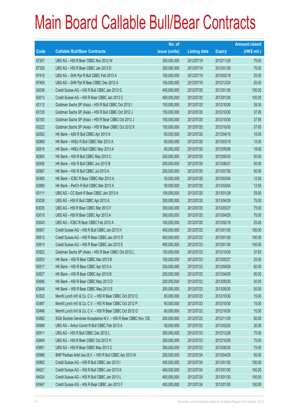|       |                                                                | No. of        |                     |               | <b>Amount raised</b> |
|-------|----------------------------------------------------------------|---------------|---------------------|---------------|----------------------|
| Code  | <b>Callable Bull/Bear Contracts</b>                            | issue (units) | <b>Listing date</b> | <b>Expiry</b> | $(HK$$ mil.)         |
| 67307 | UBS AG - HSI R Bear CBBC Nov 2012 W                            | 300,000,000   | 2012/07/19          | 2012/11/29    | 75.00                |
| 67329 | UBS AG - HSI R Bear CBBC Jan 2013 D                            | 300,000,000   | 2012/07/19          | 2013/01/30    | 75.00                |
| 67410 | UBS AG - SHK Ppt R Bull CBBC Feb 2013 A                        | 100,000,000   | 2012/07/19          | 2013/02/18    | 25.00                |
| 67409 | UBS AG - SHK Ppt R Bear CBBC Dec 2012 A                        | 100,000,000   | 2012/07/19          | 2012/12/24    | 25.00                |
| 63036 | Credit Suisse AG - HSI R Bull CBBC Jan 2013 G                  | 400,000,000   | 2012/07/20          | 2013/01/30    | 100.00               |
| 63013 | Credit Suisse AG - HSI R Bear CBBC Jan 2013 C                  | 400,000,000   | 2012/07/20          | 2013/01/30    | 100.00               |
| 63112 | Goldman Sachs SP (Asia) - HSI R Bull CBBC Oct 2012 I           | 150,000,000   | 2012/07/20          | 2012/10/30    | 39.30                |
| 63130 | Goldman Sachs SP (Asia) - HSI R Bull CBBC Oct 2012 J           | 150,000,000   | 2012/07/20          | 2012/10/30    | 37.95                |
| 63183 | Goldman Sachs SP (Asia) - HSI R Bear CBBC Oct 2012 J           | 150,000,000   | 2012/07/20          | 2012/10/30    | 37.65                |
| 63222 | Goldman Sachs SP (Asia) - HSI R Bear CBBC Oct 2012 K           | 150,000,000   | 2012/07/20          | 2012/10/30    | 37.65                |
| 62592 | HK Bank - A50 R Bull CBBC Apr 2013 A                           | 60,000,000    | 2012/07/20          | 2013/04/15    | 15.00                |
| 62869 | HK Bank - HKEx R Bull CBBC Mar 2013 A                          | 60,000,000    | 2012/07/20          | 2013/03/15    | 15.00                |
| 62816 | HK Bank - HKEx R Bull CBBC May 2013 A                          | 60,000,000    | 2012/07/20          | 2013/05/06    | 18.00                |
| 62900 | HK Bank - HSI R Bull CBBC May 2013 C                           | 200,000,000   | 2012/07/20          | 2013/05/30    | 50.00                |
| 62935 | HK Bank - HSI R Bull CBBC Jun 2013 B                           | 200,000,000   | 2012/07/20          | 2013/06/27    | 50.00                |
| 62967 | HK Bank - HSI R Bull CBBC Jul 2013 A                           | 200,000,000   | 2012/07/20          | 2013/07/30    | 50.00                |
| 62450 | HK Bank - ICBC R Bear CBBC Mar 2013 A                          | 50,000,000    | 2012/07/20          | 2013/03/04    | 12.50                |
| 62890 | HK Bank - PetCh R Bull CBBC Mar 2013 A                         | 50,000,000    | 2012/07/20          | 2013/03/04    | 12.50                |
| 63111 | UBS AG - CC Bank R Bear CBBC Jan 2013 A                        | 100,000,000   | 2012/07/20          | 2013/01/28    | 25.00                |
| 63039 | UBS AG - HSI R Bull CBBC Apr 2013 A                            | 300,000,000   | 2012/07/20          | 2013/04/29    | 75.00                |
| 63035 | UBS AG - HSI R Bear CBBC Mar 2013 F                            | 300,000,000   | 2012/07/20          | 2013/03/27    | 75.00                |
| 63015 | UBS AG - HSI R Bear CBBC Apr 2013 A                            | 300,000,000   | 2012/07/20          | 2013/04/29    | 75.00                |
| 63043 | UBS AG - ICBC R Bear CBBC Feb 2013 A                           | 100,000,000   | 2012/07/20          | 2013/02/18    | 25.00                |
| 63907 | Credit Suisse AG - HSI R Bull CBBC Jan 2013 H                  | 400,000,000   | 2012/07/23          | 2013/01/30    | 100.00               |
| 63912 | Credit Suisse AG - HSI R Bear CBBC Jan 2013 D                  | 400,000,000   | 2012/07/23          | 2013/01/30    | 100.00               |
| 63913 | Credit Suisse AG - HSI R Bear CBBC Jan 2013 E                  | 400,000,000   | 2012/07/23          | 2013/01/30    | 100.00               |
| 63922 | Goldman Sachs SP (Asia) - HSI R Bear CBBC Oct 2012 L           | 150,000,000   | 2012/07/23          | 2012/10/30    | 37.65                |
| 63503 | HK Bank – HSI R Bear CBBC Mar 2013 B                           | 100,000,000   | 2012/07/23          | 2013/03/27    | 25.00                |
| 63517 | HK Bank - HSI R Bear CBBC Apr 2013 A                           | 200,000,000   | 2012/07/23          | 2013/04/29    | 50.00                |
| 63827 | HK Bank - HSI R Bear CBBC Apr 2013 B                           | 200,000,000   | 2012/07/23          | 2013/04/29    | 50.00                |
| 63686 | HK Bank - HSI R Bear CBBC May 2013 D                           | 200,000,000   | 2012/07/23          | 2013/05/30    | 50.00                |
| 63848 | HK Bank - HSI R Bear CBBC May 2013 E                           | 200,000,000   | 2012/07/23          | 2013/05/30    | 50.00                |
| 63322 | Merrill Lynch Int'l & Co. C.V. - HSI R Bear CBBC Oct 2012 O    | 60,000,000    | 2012/07/23          | 2012/10/30    | 15.00                |
| 63487 | Merrill Lynch Int'l & Co. C.V. - HSI R Bear CBBC Oct 2012 P    | 60,000,000    | 2012/07/23          | 2012/10/30    | 15.00                |
| 63496 | Merrill Lynch Int'l & Co. C.V. - HSI R Bear CBBC Oct 2012 Q    | 60,000,000    | 2012/07/23          | 2012/10/30    | 15.00                |
| 63882 | SGA Societe Generale Acceptance N.V. - HSI R Bear CBBC Nov 12E | 200,000,000   | 2012/07/23          | 2012/11/29    | 50.00                |
| 63908 | UBS AG - Anhui Conch R Bull CBBC Feb 2013 A                    | 50,000,000    | 2012/07/23          | 2013/02/25    | 26.00                |
| 63911 | UBS AG - HSI R Bull CBBC Dec 2012 L                            | 300,000,000   | 2012/07/23          | 2012/12/28    | 75.00                |
| 63849 | UBS AG - HSI R Bear CBBC Oct 2012 H                            | 300,000,000   | 2012/07/23          | 2012/10/30    | 75.00                |
| 63851 | UBS AG - HSI R Bear CBBC May 2013 C                            | 300,000,000   | 2012/07/23          | 2013/05/30    | 75.00                |
| 63966 | BNP Paribas Arbit Issu B.V. - HSI R Bull CBBC Apr 2013 N       | 200,000,000   | 2012/07/24          | 2013/04/29    | 50.00                |
| 63962 | Credit Suisse AG - HSI R Bull CBBC Jan 2013 I                  | 400,000,000   | 2012/07/24          | 2013/01/30    | 100.00               |
| 64021 | Credit Suisse AG - HSI R Bull CBBC Jan 2013 K                  | 400,000,000   | 2012/07/24          | 2013/01/30    | 100.00               |
| 64024 | Credit Suisse AG - HSI R Bull CBBC Jan 2013 L                  | 400,000,000   | 2012/07/24          | 2013/01/30    | 100.00               |
| 63947 | Credit Suisse AG - HSI R Bear CBBC Jan 2013 F                  | 400,000,000   | 2012/07/24          | 2013/01/30    | 100.00               |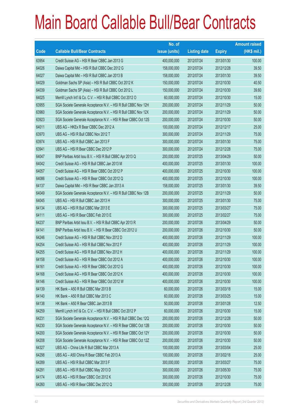|       |                                                                | No. of        |                     |               | <b>Amount raised</b> |
|-------|----------------------------------------------------------------|---------------|---------------------|---------------|----------------------|
| Code  | <b>Callable Bull/Bear Contracts</b>                            | issue (units) | <b>Listing date</b> | <b>Expiry</b> | $(HK$$ mil.)         |
| 63954 | Credit Suisse AG - HSI R Bear CBBC Jan 2013 G                  | 400,000,000   | 2012/07/24          | 2013/01/30    | 100.00               |
| 64026 | Daiwa Capital Mkt - HSI R Bull CBBC Dec 2012 G                 | 158,000,000   | 2012/07/24          | 2012/12/28    | 39.50                |
| 64027 | Daiwa Capital Mkt - HSI R Bull CBBC Jan 2013 B                 | 158,000,000   | 2012/07/24          | 2013/01/30    | 39.50                |
| 64029 | Goldman Sachs SP (Asia) - HSI R Bull CBBC Oct 2012 K           | 150,000,000   | 2012/07/24          | 2012/10/30    | 40.50                |
| 64039 | Goldman Sachs SP (Asia) - HSI R Bull CBBC Oct 2012 L           | 150,000,000   | 2012/07/24          | 2012/10/30    | 39.60                |
| 64025 | Merrill Lynch Int'l & Co. C.V. - HSI R Bull CBBC Oct 2012 O    | 60,000,000    | 2012/07/24          | 2012/10/30    | 15.00                |
| 63955 | SGA Societe Generale Acceptance N.V. - HSI R Bull CBBC Nov 12H | 200,000,000   | 2012/07/24          | 2012/11/29    | 50.00                |
| 63960 | SGA Societe Generale Acceptance N.V. - HSI R Bull CBBC Nov 12X | 200,000,000   | 2012/07/24          | 2012/11/29    | 50.00                |
| 63923 | SGA Societe Generale Acceptance N.V. - HSI R Bear CBBC Oct 12S | 200,000,000   | 2012/07/24          | 2012/10/30    | 50.00                |
| 64011 | UBS AG - HKEx R Bear CBBC Dec 2012 A                           | 100,000,000   | 2012/07/24          | 2012/12/17    | 25.00                |
| 63970 | UBS AG - HSI R Bull CBBC Nov 2012 T                            | 300,000,000   | 2012/07/24          | 2012/11/29    | 75.00                |
| 63974 | UBS AG - HSI R Bull CBBC Jan 2013 F                            | 300,000,000   | 2012/07/24          | 2013/01/30    | 75.00                |
| 63941 | UBS AG - HSI R Bear CBBC Dec 2012 P                            | 300,000,000   | 2012/07/24          | 2012/12/28    | 75.00                |
| 64047 | BNP Paribas Arbit Issu B.V. - HSI R Bull CBBC Apr 2013 Q       | 200,000,000   | 2012/07/25          | 2013/04/29    | 50.00                |
| 64042 | Credit Suisse AG - HSI R Bull CBBC Jan 2013 M                  | 400,000,000   | 2012/07/25          | 2013/01/30    | 100.00               |
| 64057 | Credit Suisse AG - HSI R Bear CBBC Oct 2012 P                  | 400,000,000   | 2012/07/25          | 2012/10/30    | 100.00               |
| 64086 | Credit Suisse AG - HSI R Bear CBBC Oct 2012 Q                  | 400,000,000   | 2012/07/25          | 2012/10/30    | 100.00               |
| 64137 | Daiwa Capital Mkt - HSI R Bear CBBC Jan 2013 A                 | 158,000,000   | 2012/07/25          | 2013/01/30    | 39.50                |
| 64049 | SGA Societe Generale Acceptance N.V. - HSI R Bull CBBC Nov 12B | 200,000,000   | 2012/07/25          | 2012/11/29    | 50.00                |
| 64045 | UBS AG - HSI R Bull CBBC Jan 2013 H                            | 300,000,000   | 2012/07/25          | 2013/01/30    | 75.00                |
| 64134 | UBS AG - HSI R Bull CBBC Mar 2013 E                            | 300,000,000   | 2012/07/25          | 2013/03/27    | 75.00                |
| 64111 | UBS AG - HSI R Bear CBBC Feb 2013 E                            | 300,000,000   | 2012/07/25          | 2013/02/27    | 75.00                |
| 64237 | BNP Paribas Arbit Issu B.V. - HSI R Bull CBBC Apr 2013 R       | 200,000,000   | 2012/07/26          | 2013/04/29    | 50.00                |
| 64141 | BNP Paribas Arbit Issu B.V. - HSI R Bear CBBC Oct 2012 U       | 200,000,000   | 2012/07/26          | 2012/10/30    | 50.00                |
| 64246 | Credit Suisse AG - HSI R Bull CBBC Nov 2012 D                  | 400,000,000   | 2012/07/26          | 2012/11/29    | 100.00               |
| 64254 | Credit Suisse AG - HSI R Bull CBBC Nov 2012 F                  | 400,000,000   | 2012/07/26          | 2012/11/29    | 100.00               |
| 64255 | Credit Suisse AG - HSI R Bull CBBC Nov 2012 H                  | 400,000,000   | 2012/07/26          | 2012/11/29    | 100.00               |
| 64158 | Credit Suisse AG - HSI R Bear CBBC Oct 2012 A                  | 400,000,000   | 2012/07/26          | 2012/10/30    | 100.00               |
| 64161 | Credit Suisse AG - HSI R Bear CBBC Oct 2012 G                  | 400,000,000   | 2012/07/26          | 2012/10/30    | 100.00               |
| 64168 | Credit Suisse AG - HSI R Bear CBBC Oct 2012 K                  | 400,000,000   | 2012/07/26          | 2012/10/30    | 100.00               |
| 64146 | Credit Suisse AG - HSI R Bear CBBC Oct 2012 W                  | 400,000,000   | 2012/07/26          | 2012/10/30    | 100.00               |
| 64139 | HK Bank - A50 R Bull CBBC Mar 2013 B                           | 60,000,000    | 2012/07/26          | 2013/03/18    | 15.00                |
| 64140 | HK Bank - A50 R Bull CBBC Mar 2013 C                           | 60,000,000    | 2012/07/26          | 2013/03/25    | 15.00                |
| 64138 | HK Bank - A50 R Bear CBBC Jan 2013 B                           | 50,000,000    | 2012/07/26          | 2013/01/28    | 12.50                |
| 64259 | Merrill Lynch Int'l & Co. C.V. - HSI R Bull CBBC Oct 2012 P    | 60,000,000    | 2012/07/26          | 2012/10/30    | 15.00                |
| 64231 | SGA Societe Generale Acceptance N.V. - HSI R Bull CBBC Dec 12Q | 200,000,000   | 2012/07/26          | 2012/12/28    | 50.00                |
| 64230 | SGA Societe Generale Acceptance N.V. - HSI R Bear CBBC Oct 12B | 200,000,000   | 2012/07/26          | 2012/10/30    | 50.00                |
| 64200 | SGA Societe Generale Acceptance N.V. - HSI R Bear CBBC Oct 12Y | 200,000,000   | 2012/07/26          | 2012/10/30    | 50.00                |
| 64208 | SGA Societe Generale Acceptance N.V. - HSI R Bear CBBC Oct 12Z | 200,000,000   | 2012/07/26          | 2012/10/30    | 50.00                |
| 64327 | UBS AG - China Life R Bull CBBC Mar 2013 A                     | 100,000,000   | 2012/07/26          | 2013/03/04    | 25.00                |
| 64298 | UBS AG - A50 China R Bear CBBC Feb 2013 A                      | 100,000,000   | 2012/07/26          | 2013/02/18    | 25.00                |
| 64289 | UBS AG - HSI R Bull CBBC Mar 2013 F                            | 300,000,000   | 2012/07/26          | 2013/03/27    | 75.00                |
| 64291 | UBS AG - HSI R Bull CBBC May 2013 D                            | 300,000,000   | 2012/07/26          | 2013/05/30    | 75.00                |
| 64174 | UBS AG - HSI R Bear CBBC Oct 2012 K                            | 300,000,000   | 2012/07/26          | 2012/10/30    | 75.00                |
| 64260 | UBS AG - HSI R Bear CBBC Dec 2012 Q                            | 300,000,000   | 2012/07/26          | 2012/12/28    | 75.00                |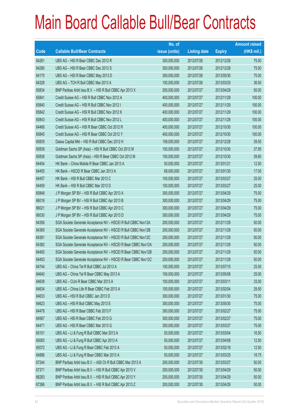|       |                                                               | No. of        |                     |               | <b>Amount raised</b> |
|-------|---------------------------------------------------------------|---------------|---------------------|---------------|----------------------|
| Code  | <b>Callable Bull/Bear Contracts</b>                           | issue (units) | <b>Listing date</b> | <b>Expiry</b> | $(HK$$ mil.)         |
| 64261 | UBS AG - HSI R Bear CBBC Dec 2012 R                           | 300,000,000   | 2012/07/26          | 2012/12/28    | 75.00                |
| 64280 | UBS AG - HSI R Bear CBBC Dec 2012 S                           | 300,000,000   | 2012/07/26          | 2012/12/28    | 75.00                |
| 64175 | UBS AG - HSI R Bear CBBC May 2013 D                           | 300,000,000   | 2012/07/26          | 2013/05/30    | 75.00                |
| 64328 | UBS AG - TCH R Bull CBBC Mar 2013 A                           | 100,000,000   | 2012/07/26          | 2013/03/25    | 36.00                |
| 65834 | BNP Paribas Arbit Issu B.V. - HSI R Bull CBBC Apr 2013 X      | 200,000,000   | 2012/07/27          | 2013/04/29    | 50.00                |
| 65841 | Credit Suisse AG - HSI R Bull CBBC Nov 2012 A                 | 400,000,000   | 2012/07/27          | 2012/11/29    | 100.00               |
| 65840 | Credit Suisse AG - HSI R Bull CBBC Nov 2012 I                 | 400,000,000   | 2012/07/27          | 2012/11/29    | 100.00               |
| 65842 | Credit Suisse AG - HSI R Bull CBBC Nov 2012 K                 | 400,000,000   | 2012/07/27          | 2012/11/29    | 100.00               |
| 65843 | Credit Suisse AG - HSI R Bull CBBC Nov 2012 L                 | 400,000,000   | 2012/07/27          | 2012/11/29    | 100.00               |
| 64466 | Credit Suisse AG - HSI R Bear CBBC Oct 2012 R                 | 400,000,000   | 2012/07/27          | 2012/10/30    | 100.00               |
| 65845 | Credit Suisse AG - HSI R Bear CBBC Oct 2012 Y                 | 400,000,000   | 2012/07/27          | 2012/10/30    | 100.00               |
| 65835 | Daiwa Capital Mkt - HSI R Bull CBBC Dec 2012 H                | 158,000,000   | 2012/07/27          | 2012/12/28    | 39.50                |
| 65839 | Goldman Sachs SP (Asia) - HSI R Bull CBBC Oct 2012 M          | 150,000,000   | 2012/07/27          | 2012/10/30    | 37.95                |
| 65836 | Goldman Sachs SP (Asia) - HSI R Bear CBBC Oct 2012 M          | 150,000,000   | 2012/07/27          | 2012/10/30    | 39.60                |
| 64454 | HK Bank - China Mobile R Bear CBBC Jan 2013 A                 | 50,000,000    | 2012/07/27          | 2013/01/21    | 12.50                |
| 64455 | HK Bank - HSCEI R Bear CBBC Jan 2013 A                        | 68,000,000    | 2012/07/27          | 2013/01/30    | 17.00                |
| 64457 | HK Bank - HSI R Bull CBBC Mar 2013 C                          | 100,000,000   | 2012/07/27          | 2013/03/27    | 25.00                |
| 64459 | HK Bank - HSI R Bull CBBC Mar 2013 D                          | 100,000,000   | 2012/07/27          | 2013/03/27    | 25.00                |
| 65848 | J P Morgan SP BV - HSI R Bull CBBC Apr 2013 A                 | 300,000,000   | 2012/07/27          | 2013/04/29    | 75.00                |
| 66016 | J P Morgan SP BV - HSI R Bull CBBC Apr 2013 B                 | 300,000,000   | 2012/07/27          | 2013/04/29    | 75.00                |
| 66021 | J P Morgan SP BV - HSI R Bull CBBC Apr 2013 C                 | 300,000,000   | 2012/07/27          | 2013/04/29    | 75.00                |
| 66030 | J P Morgan SP BV - HSI R Bull CBBC Apr 2013 D                 | 300,000,000   | 2012/07/27          | 2013/04/29    | 75.00                |
| 64356 | SGA Societe Generale Acceptance NV - HSCEI R Bull CBBC Nov12A | 200,000,000   | 2012/07/27          | 2012/11/29    | 50.00                |
| 64365 | SGA Societe Generale Acceptance NV - HSCEI R Bull CBBC Nov12B | 200,000,000   | 2012/07/27          | 2012/11/29    | 50.00                |
| 64381 | SGA Societe Generale Acceptance NV - HSCEI R Bull CBBC Nov12C | 200,000,000   | 2012/07/27          | 2012/11/29    | 50.00                |
| 64382 | SGA Societe Generale Acceptance NV - HSCEI R Bear CBBC Nov12A | 200,000,000   | 2012/07/27          | 2012/11/29    | 50.00                |
| 64400 | SGA Societe Generale Acceptance NV - HSCEI R Bear CBBC Nov12B | 200,000,000   | 2012/07/27          | 2012/11/29    | 50.00                |
| 64453 | SGA Societe Generale Acceptance NV - HSCEI R Bear CBBC Nov12C | 200,000,000   | 2012/07/27          | 2012/11/29    | 50.00                |
| 64744 | UBS AG - China Tel R Bull CBBC Jul 2013 A                     | 100,000,000   | 2012/07/27          | 2013/07/15    | 25.00                |
| 64640 | UBS AG - China Tel R Bear CBBC May 2013 A                     | 100,000,000   | 2012/07/27          | 2013/05/06    | 25.00                |
| 64639 | UBS AG - CUni R Bear CBBC Mar 2013 A                          | 100,000,000   | 2012/07/27          | 2013/03/11    | 33.00                |
| 64634 | UBS AG - China Life R Bear CBBC Feb 2013 A                    | 100,000,000   | 2012/07/27          | 2013/02/04    | 29.50                |
| 64633 | UBS AG - HSI R Bull CBBC Jan 2013 D                           | 300,000,000   | 2012/07/27          | 2013/01/30    | 75.00                |
| 64623 | UBS AG - HSI R Bull CBBC May 2013 E                           | 300,000,000   | 2012/07/27          | 2013/05/30    | 75.00                |
| 64478 | UBS AG - HSI R Bear CBBC Feb 2013 F                           | 300,000,000   | 2012/07/27          | 2013/02/27    | 75.00                |
| 64567 | UBS AG - HSI R Bear CBBC Feb 2013 G                           | 300,000,000   | 2012/07/27          | 2013/02/27    | 75.00                |
| 64471 | UBS AG - HSI R Bear CBBC Mar 2013 G                           | 300,000,000   | 2012/07/27          | 2013/03/27    | 75.00                |
| 65101 | UBS AG - Li & Fung R Bull CBBC Mar 2013 A                     | 50,000,000    | 2012/07/27          | 2013/03/04    | 16.50                |
| 65083 | UBS AG - Li & Fung R Bull CBBC Apr 2013 A                     | 50,000,000    | 2012/07/27          | 2013/04/08    | 12.50                |
| 65072 | UBS AG - Li & Fung R Bear CBBC Feb 2013 A                     | 50,000,000    | 2012/07/27          | 2013/02/18    | 12.50                |
| 64886 | UBS AG - Li & Fung R Bear CBBC Mar 2013 A                     | 50,000,000    | 2012/07/27          | 2013/03/25    | 18.75                |
| 67244 | BNP Paribas Arbit Issu B.V. - A50 Ch R Bull CBBC Mar 2013 A   | 200,000,000   | 2012/07/30          | 2013/03/27    | 50.00                |
| 67371 | BNP Paribas Arbit Issu B.V. - HSI R Bull CBBC Apr 2013 V      | 200,000,000   | 2012/07/30          | 2013/04/29    | 50.00                |
| 66283 | BNP Paribas Arbit Issu B.V. - HSI R Bull CBBC Apr 2013 Y      | 200,000,000   | 2012/07/30          | 2013/04/29    | 50.00                |
| 67266 | BNP Paribas Arbit Issu B.V. - HSI R Bull CBBC Apr 2013 Z      | 200,000,000   | 2012/07/30          | 2013/04/29    | 50.00                |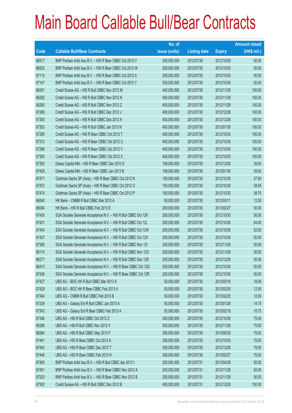|       |                                                                | No. of        |                     |               | <b>Amount raised</b> |
|-------|----------------------------------------------------------------|---------------|---------------------|---------------|----------------------|
| Code  | <b>Callable Bull/Bear Contracts</b>                            | issue (units) | <b>Listing date</b> | <b>Expiry</b> | (HK\$ mil.)          |
| 66517 | BNP Paribas Arbit Issu B.V. - HSI R Bear CBBC Oct 2012 V       | 200,000,000   | 2012/07/30          | 2012/10/30    | 50.00                |
| 66932 | BNP Paribas Arbit Issu B.V. - HSI R Bear CBBC Oct 2012 W       | 200,000,000   | 2012/07/30          | 2012/10/30    | 50.00                |
| 67115 | BNP Paribas Arbit Issu B.V. - HSI R Bear CBBC Oct 2012 X       | 200,000,000   | 2012/07/30          | 2012/10/30    | 50.00                |
| 67147 | BNP Paribas Arbit Issu B.V. - HSI R Bear CBBC Oct 2012 Y       | 200,000,000   | 2012/07/30          | 2012/10/30    | 50.00                |
| 66281 | Credit Suisse AG - HSI R Bull CBBC Nov 2012 M                  | 400,000,000   | 2012/07/30          | 2012/11/29    | 100.00               |
| 66282 | Credit Suisse AG - HSI R Bull CBBC Nov 2012 N                  | 400,000,000   | 2012/07/30          | 2012/11/29    | 100.00               |
| 66280 | Credit Suisse AG - HSI R Bull CBBC Nov 2012 Z                  | 400,000,000   | 2012/07/30          | 2012/11/29    | 100.00               |
| 67289 | Credit Suisse AG - HSI R Bull CBBC Dec 2012 J                  | 400,000,000   | 2012/07/30          | 2012/12/28    | 100.00               |
| 67300 | Credit Suisse AG - HSI R Bull CBBC Dec 2012 K                  | 400,000,000   | 2012/07/30          | 2012/12/28    | 100.00               |
| 67353 | Credit Suisse AG - HSI R Bull CBBC Jan 2013 N                  | 400,000,000   | 2012/07/30          | 2013/01/30    | 100.00               |
| 67269 | Credit Suisse AG - HSI R Bear CBBC Oct 2012 T                  | 400,000,000   | 2012/07/30          | 2012/10/30    | 100.00               |
| 67372 | Credit Suisse AG - HSI R Bear CBBC Oct 2012 U                  | 400,000,000   | 2012/07/30          | 2012/10/30    | 100.00               |
| 67286 | Credit Suisse AG - HSI R Bear CBBC Oct 2012 V                  | 400,000,000   | 2012/07/30          | 2012/10/30    | 100.00               |
| 67392 | Credit Suisse AG - HSI R Bear CBBC Oct 2012 X                  | 400,000,000   | 2012/07/30          | 2012/10/30    | 100.00               |
| 67393 | Daiwa Capital Mkt - HSI R Bear CBBC Dec 2012 E                 | 158,000,000   | 2012/07/30          | 2012/12/28    | 39.50                |
| 67426 | Daiwa Capital Mkt - HSI R Bear CBBC Jan 2013 B                 | 158,000,000   | 2012/07/30          | 2013/01/30    | 39.50                |
| 67471 | Goldman Sachs SP (Asia) - HSI R Bear CBBC Oct 2012 N           | 150,000,000   | 2012/07/30          | 2012/10/30    | 37.80                |
| 67472 | Goldman Sachs SP (Asia) - HSI R Bear CBBC Oct 2012 O           | 150,000,000   | 2012/07/30          | 2012/10/30    | 38.55                |
| 67474 | Goldman Sachs SP (Asia) - HSI R Bear CBBC Oct 2012 P           | 150,000,000   | 2012/07/30          | 2012/10/30    | 38.70                |
| 66040 | HK Bank - CNBM R Bull CBBC Mar 2013 A                          | 50,000,000    | 2012/07/30          | 2013/03/11    | 12.50                |
| 66094 | HK Bank - HSI R Bull CBBC Feb 2013 E                           | 200,000,000   | 2012/07/30          | 2013/02/27    | 50.00                |
| 67430 | SGA Societe Generale Acceptance N.V. - HSI R Bull CBBC Oct 12K | 200,000,000   | 2012/07/30          | 2012/10/30    | 56.00                |
| 67431 | SGA Societe Generale Acceptance N.V. - HSI R Bull CBBC Oct 12L | 200,000,000   | 2012/07/30          | 2012/10/30    | 54.00                |
| 67434 | SGA Societe Generale Acceptance N.V. - HSI R Bull CBBC Oct 12W | 200,000,000   | 2012/07/30          | 2012/10/30    | 52.00                |
| 67437 | SGA Societe Generale Acceptance N.V. - HSI R Bull CBBC Oct 12X | 200,000,000   | 2012/07/30          | 2012/10/30    | 50.00                |
| 67306 | SGA Societe Generale Acceptance N.V. - HSI R Bull CBBC Nov 121 | 200,000,000   | 2012/07/30          | 2012/11/29    | 50.00                |
| 66114 | SGA Societe Generale Acceptance N.V. - HSI R Bull CBBC Nov 120 | 200,000,000   | 2012/07/30          | 2012/11/29    | 50.00                |
| 66277 | SGA Societe Generale Acceptance N.V. - HSI R Bull CBBC Dec 12R | 200,000,000   | 2012/07/30          | 2012/12/28    | 50.00                |
| 66413 | SGA Societe Generale Acceptance N.V. - HSI R Bear CBBC Oct 12Q | 200,000,000   | 2012/07/30          | 2012/10/30    | 50.00                |
| 67438 | SGA Societe Generale Acceptance N.V. - HSI R Bear CBBC Oct 12R | 200,000,000   | 2012/07/30          | 2012/10/30    | 50.00                |
| 67427 | UBS AG - BOC HK R Bull CBBC Mar 2013 A                         | 50,000,000    | 2012/07/30          | 2013/03/18    | 18.00                |
| 67429 | UBS AG - BOC HK R Bear CBBC Feb 2013 A                         | 50,000,000    | 2012/07/30          | 2013/02/25    | 12.50                |
| 67344 | UBS AG - CNBM R Bull CBBC Feb 2013 B                           | 50,000,000    | 2012/07/30          | 2013/02/25    | 12.50                |
| 67339 | UBS AG - Galaxy Ent R Bull CBBC Jan 2013 A                     | 50,000,000    | 2012/07/30          | 2013/01/28    | 14.75                |
| 67343 | UBS AG - Galaxy Ent R Bear CBBC Feb 2013 A                     | 50,000,000    | 2012/07/30          | 2013/02/18    | 15.75                |
| 67346 | UBS AG - HSI R Bull CBBC Oct 2012 Z                            | 300,000,000   | 2012/07/30          | 2012/10/30    | 75.00                |
| 66286 | UBS AG - HSI R Bull CBBC Nov 2012 V                            | 300,000,000   | 2012/07/30          | 2012/11/29    | 75.00                |
| 66284 | UBS AG - HSI R Bull CBBC May 2013 F                            | 300,000,000   | 2012/07/30          | 2013/05/30    | 75.00                |
| 67441 | UBS AG - HSI R Bear CBBC Oct 2012 A                            | 300,000,000   | 2012/07/30          | 2012/10/30    | 75.00                |
| 67442 | UBS AG - HSI R Bear CBBC Dec 2012 T                            | 300,000,000   | 2012/07/30          | 2012/12/28    | 75.00                |
| 67446 | UBS AG - HSI R Bear CBBC Feb 2013 H                            | 300,000,000   | 2012/07/30          | 2013/02/27    | 75.00                |
| 67492 | BNP Paribas Arbit Issu B.V. - HSI R Bull CBBC Apr 2013 I       | 200,000,000   | 2012/07/31          | 2013/04/29    | 50.00                |
| 67491 | BNP Paribas Arbit Issu B.V. - HSI R Bear CBBC Nov 2012 A       | 200,000,000   | 2012/07/31          | 2012/11/29    | 50.00                |
| 67520 | BNP Paribas Arbit Issu B.V. - HSI R Bear CBBC Nov 2012 B       | 200,000,000   | 2012/07/31          | 2012/11/29    | 50.00                |
| 67502 | Credit Suisse AG - HSI R Bull CBBC Dec 2012 B                  | 400,000,000   | 2012/07/31          | 2012/12/28    | 100.00               |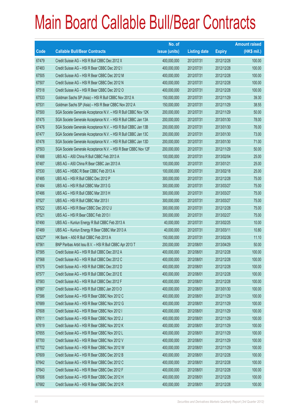|        |                                                                | No. of        |                     |               | <b>Amount raised</b> |
|--------|----------------------------------------------------------------|---------------|---------------------|---------------|----------------------|
| Code   | <b>Callable Bull/Bear Contracts</b>                            | issue (units) | <b>Listing date</b> | <b>Expiry</b> | (HK\$ mil.)          |
| 67479  | Credit Suisse AG - HSI R Bull CBBC Dec 2012 X                  | 400,000,000   | 2012/07/31          | 2012/12/28    | 100.00               |
| 67483  | Credit Suisse AG - HSI R Bear CBBC Dec 2012 I                  | 400,000,000   | 2012/07/31          | 2012/12/28    | 100.00               |
| 67505  | Credit Suisse AG - HSI R Bear CBBC Dec 2012 M                  | 400,000,000   | 2012/07/31          | 2012/12/28    | 100.00               |
| 67507  | Credit Suisse AG - HSI R Bear CBBC Dec 2012 N                  | 400,000,000   | 2012/07/31          | 2012/12/28    | 100.00               |
| 67518  | Credit Suisse AG - HSI R Bear CBBC Dec 2012 O                  | 400,000,000   | 2012/07/31          | 2012/12/28    | 100.00               |
| 67533  | Goldman Sachs SP (Asia) - HSI R Bull CBBC Nov 2012 A           | 150,000,000   | 2012/07/31          | 2012/11/29    | 39.30                |
| 67531  | Goldman Sachs SP (Asia) - HSI R Bear CBBC Nov 2012 A           | 150,000,000   | 2012/07/31          | 2012/11/29    | 38.55                |
| 67500  | SGA Societe Generale Acceptance N.V. - HSI R Bull CBBC Nov 12K | 200,000,000   | 2012/07/31          | 2012/11/29    | 50.00                |
| 67475  | SGA Societe Generale Acceptance N.V. - HSI R Bull CBBC Jan 13A | 200,000,000   | 2012/07/31          | 2013/01/30    | 78.00                |
| 67476  | SGA Societe Generale Acceptance N.V. - HSI R Bull CBBC Jan 13B | 200,000,000   | 2012/07/31          | 2013/01/30    | 76.00                |
| 67477  | SGA Societe Generale Acceptance N.V. - HSI R Bull CBBC Jan 13C | 200,000,000   | 2012/07/31          | 2013/01/30    | 73.00                |
| 67478  | SGA Societe Generale Acceptance N.V. - HSI R Bull CBBC Jan 13D | 200,000,000   | 2012/07/31          | 2013/01/30    | 71.00                |
| 67503  | SGA Societe Generale Acceptance N.V. - HSI R Bear CBBC Nov 12F | 200,000,000   | 2012/07/31          | 2012/11/29    | 50.00                |
| 67488  | UBS AG - A50 China R Bull CBBC Feb 2013 A                      | 100,000,000   | 2012/07/31          | 2013/02/04    | 25.00                |
| 67487  | UBS AG - A50 China R Bear CBBC Jan 2013 A                      | 100,000,000   | 2012/07/31          | 2013/01/21    | 25.00                |
| 67530  | UBS AG - HSBC R Bear CBBC Feb 2013 A                           | 100,000,000   | 2012/07/31          | 2013/02/18    | 25.00                |
| 67485  | UBS AG - HSI R Bull CBBC Dec 2012 P                            | 300,000,000   | 2012/07/31          | 2012/12/28    | 75.00                |
| 67484  | UBS AG - HSI R Bull CBBC Mar 2013 G                            | 300,000,000   | 2012/07/31          | 2013/03/27    | 75.00                |
| 67486  | UBS AG - HSI R Bull CBBC Mar 2013 H                            | 300,000,000   | 2012/07/31          | 2013/03/27    | 75.00                |
| 67527  | UBS AG - HSI R Bull CBBC Mar 2013 I                            | 300,000,000   | 2012/07/31          | 2013/03/27    | 75.00                |
| 67522  | UBS AG - HSI R Bear CBBC Dec 2012 U                            | 300,000,000   | 2012/07/31          | 2012/12/28    | 75.00                |
| 67521  | UBS AG - HSI R Bear CBBC Feb 2013 I                            | 300,000,000   | 2012/07/31          | 2013/02/27    | 75.00                |
| 67490  | UBS AG - Kunlun Energy R Bull CBBC Feb 2013 A                  | 40,000,000    | 2012/07/31          | 2013/02/25    | 10.00                |
| 67489  | UBS AG - Kunlun Energy R Bear CBBC Mar 2013 A                  | 40,000,000    | 2012/07/31          | 2013/03/11    | 10.80                |
| 62527# | HK Bank - A50 R Bull CBBC Feb 2013 A                           | 150,000,000   | 2012/07/31          | 2013/02/26    | 11.10                |
| 67561  | BNP Paribas Arbit Issu B.V. - HSI R Bull CBBC Apr 2013 T       | 200,000,000   | 2012/08/01          | 2013/04/29    | 50.00                |
| 67585  | Credit Suisse AG - HSI R Bull CBBC Dec 2012 A                  | 400,000,000   | 2012/08/01          | 2012/12/28    | 100.00               |
| 67568  | Credit Suisse AG - HSI R Bull CBBC Dec 2012 C                  | 400,000,000   | 2012/08/01          | 2012/12/28    | 100.00               |
| 67575  | Credit Suisse AG - HSI R Bull CBBC Dec 2012 D                  | 400,000,000   | 2012/08/01          | 2012/12/28    | 100.00               |
| 67577  | Credit Suisse AG - HSI R Bull CBBC Dec 2012 E                  | 400,000,000   | 2012/08/01          | 2012/12/28    | 100.00               |
| 67583  | Credit Suisse AG - HSI R Bull CBBC Dec 2012 F                  | 400,000,000   | 2012/08/01          | 2012/12/28    | 100.00               |
| 67687  | Credit Suisse AG - HSI R Bull CBBC Jan 2013 O                  | 400,000,000   | 2012/08/01          | 2013/01/30    | 100.00               |
| 67586  | Credit Suisse AG - HSI R Bear CBBC Nov 2012 C                  | 400,000,000   | 2012/08/01          | 2012/11/29    | 100.00               |
| 67689  | Credit Suisse AG - HSI R Bear CBBC Nov 2012 G                  | 400,000,000   | 2012/08/01          | 2012/11/29    | 100.00               |
| 67608  | Credit Suisse AG - HSI R Bear CBBC Nov 2012 I                  | 400,000,000   | 2012/08/01          | 2012/11/29    | 100.00               |
| 67611  | Credit Suisse AG - HSI R Bear CBBC Nov 2012 J                  | 400,000,000   | 2012/08/01          | 2012/11/29    | 100.00               |
| 67619  | Credit Suisse AG - HSI R Bear CBBC Nov 2012 K                  | 400,000,000   | 2012/08/01          | 2012/11/29    | 100.00               |
| 67655  | Credit Suisse AG - HSI R Bear CBBC Nov 2012 L                  | 400,000,000   | 2012/08/01          | 2012/11/29    | 100.00               |
| 67700  | Credit Suisse AG - HSI R Bear CBBC Nov 2012 V                  | 400,000,000   | 2012/08/01          | 2012/11/29    | 100.00               |
| 67702  | Credit Suisse AG - HSI R Bear CBBC Nov 2012 W                  | 400,000,000   | 2012/08/01          | 2012/11/29    | 100.00               |
| 67609  | Credit Suisse AG - HSI R Bear CBBC Dec 2012 B                  | 400,000,000   | 2012/08/01          | 2012/12/28    | 100.00               |
| 67642  | Credit Suisse AG - HSI R Bear CBBC Dec 2012 C                  | 400,000,000   | 2012/08/01          | 2012/12/28    | 100.00               |
| 67643  | Credit Suisse AG - HSI R Bear CBBC Dec 2012 F                  | 400,000,000   | 2012/08/01          | 2012/12/28    | 100.00               |
| 67606  | Credit Suisse AG - HSI R Bear CBBC Dec 2012 H                  | 400,000,000   | 2012/08/01          | 2012/12/28    | 100.00               |
| 67682  | Credit Suisse AG - HSI R Bear CBBC Dec 2012 R                  | 400,000,000   | 2012/08/01          | 2012/12/28    | 100.00               |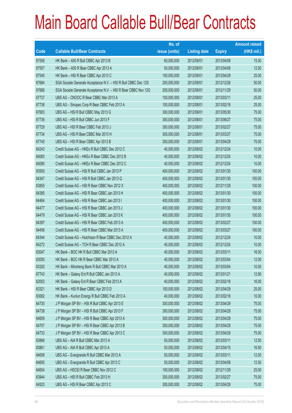|       |                                                                | No. of        |                     |               | <b>Amount raised</b> |
|-------|----------------------------------------------------------------|---------------|---------------------|---------------|----------------------|
| Code  | <b>Callable Bull/Bear Contracts</b>                            | issue (units) | <b>Listing date</b> | <b>Expiry</b> | $(HK$$ mil.)         |
| 67558 | HK Bank - A50 R Bull CBBC Apr 2013 B                           | 60,000,000    | 2012/08/01          | 2013/04/08    | 15.00                |
| 67557 | HK Bank - A50 R Bear CBBC Apr 2013 A                           | 50,000,000    | 2012/08/01          | 2013/04/08    | 12.50                |
| 67540 | HK Bank - HSI R Bear CBBC Apr 2013 C                           | 100,000,000   | 2012/08/01          | 2013/04/29    | 25.00                |
| 67684 | SGA Societe Generale Acceptance N.V. - HSI R Bull CBBC Dec 12S | 200,000,000   | 2012/08/01          | 2012/12/28    | 50.00                |
| 67686 | SGA Societe Generale Acceptance N.V. - HSI R Bear CBBC Nov 12G | 200,000,000   | 2012/08/01          | 2012/11/29    | 50.00                |
| 67737 | UBS AG - CNOOC R Bear CBBC Mar 2013 A                          | 100,000,000   | 2012/08/01          | 2013/03/11    | 25.00                |
| 67738 | UBS AG - Sinopec Corp R Bear CBBC Feb 2013 A                   | 100,000,000   | 2012/08/01          | 2013/02/18    | 25.00                |
| 67683 | UBS AG - HSI R Bull CBBC May 2013 G                            | 300,000,000   | 2012/08/01          | 2013/05/30    | 75.00                |
| 67736 | UBS AG - HSI R Bull CBBC Jun 2013 F                            | 300,000,000   | 2012/08/01          | 2013/06/27    | 75.00                |
| 67729 | UBS AG - HSI R Bear CBBC Feb 2013 J                            | 300,000,000   | 2012/08/01          | 2013/02/27    | 75.00                |
| 67734 | UBS AG - HSI R Bear CBBC Mar 2013 H                            | 300,000,000   | 2012/08/01          | 2013/03/27    | 75.00                |
| 67740 | UBS AG - HSI R Bear CBBC Apr 2013 B                            | 300,000,000   | 2012/08/01          | 2013/04/29    | 75.00                |
| 64243 | Credit Suisse AG - HKEx R Bull CBBC Dec 2012 C                 | 40,000,000    | 2012/08/02          | 2012/12/24    | 10.00                |
| 64083 | Credit Suisse AG - HKEx R Bear CBBC Dec 2012 B                 | 40,000,000    | 2012/08/02          | 2012/12/24    | 10.00                |
| 64090 | Credit Suisse AG - HKEx R Bear CBBC Dec 2012 C                 | 40,000,000    | 2012/08/02          | 2012/12/24    | 10.00                |
| 63500 | Credit Suisse AG - HSI R Bull CBBC Jan 2013 P                  | 400,000,000   | 2012/08/02          | 2013/01/30    | 100.00               |
| 64347 | Credit Suisse AG - HSI R Bull CBBC Jan 2013 Q                  | 400,000,000   | 2012/08/02          | 2013/01/30    | 100.00               |
| 63855 | Credit Suisse AG - HSI R Bear CBBC Nov 2012 X                  | 400,000,000   | 2012/08/02          | 2012/11/29    | 100.00               |
| 64395 | Credit Suisse AG - HSI R Bear CBBC Jan 2013 H                  | 400,000,000   | 2012/08/02          | 2013/01/30    | 100.00               |
| 64464 | Credit Suisse AG - HSI R Bear CBBC Jan 2013 I                  | 400,000,000   | 2012/08/02          | 2013/01/30    | 100.00               |
| 64477 | Credit Suisse AG - HSI R Bear CBBC Jan 2013 J                  | 400,000,000   | 2012/08/02          | 2013/01/30    | 100.00               |
| 64479 | Credit Suisse AG - HSI R Bear CBBC Jan 2013 K                  | 400,000,000   | 2012/08/02          | 2013/01/30    | 100.00               |
| 64397 | Credit Suisse AG - HSI R Bear CBBC Feb 2013 A                  | 400,000,000   | 2012/08/02          | 2013/02/27    | 100.00               |
| 64456 | Credit Suisse AG - HSI R Bear CBBC Mar 2013 A                  | 400,000,000   | 2012/08/02          | 2013/03/27    | 100.00               |
| 64344 | Credit Suisse AG - Hutchison R Bear CBBC Dec 2012 A            | 40,000,000    | 2012/08/02          | 2012/12/24    | 10.00                |
| 64272 | Credit Suisse AG - TCH R Bear CBBC Dec 2012 A                  | 40,000,000    | 2012/08/02          | 2012/12/24    | 10.00                |
| 63047 | HK Bank - BOC HK R Bull CBBC Mar 2013 A                        | 40,000,000    | 2012/08/02          | 2013/03/11    | 16.00                |
| 63050 | HK Bank - BOC HK R Bear CBBC Mar 2013 A                        | 40,000,000    | 2012/08/02          | 2013/03/04    | 12.00                |
| 63320 | HK Bank – Minsheng Bank R Bull CBBC Mar 2013 A                 | 40,000,000    | 2012/08/02          | 2013/03/04    | 10.00                |
| 67743 | HK Bank - Galaxy Ent R Bull CBBC Jan 2013 A                    | 40,000,000    | 2012/08/02          | 2013/01/21    | 12.80                |
| 62053 | HK Bank - Galaxy Ent R Bear CBBC Feb 2013 A                    | 40,000,000    | 2012/08/02          | 2013/02/18    | 16.00                |
| 63321 | HK Bank - HSI R Bear CBBC Apr 2013 D                           | 100,000,000   | 2012/08/02          | 2013/04/29    | 25.00                |
| 63082 | HK Bank - Kunlun Energy R Bull CBBC Feb 2013 A                 | 40,000,000    | 2012/08/02          | 2013/02/18    | 10.00                |
| 64735 | J P Morgan SP BV - HSI R Bull CBBC Apr 2013 E                  | 300,000,000   | 2012/08/02          | 2013/04/29    | 75.00                |
| 64738 | J P Morgan SP BV - HSI R Bull CBBC Apr 2013 F                  | 300,000,000   | 2012/08/02          | 2013/04/29    | 75.00                |
| 64659 | J P Morgan SP BV - HSI R Bear CBBC Apr 2013 A                  | 300,000,000   | 2012/08/02          | 2013/04/29    | 75.00                |
| 64707 | J P Morgan SP BV - HSI R Bear CBBC Apr 2013 B                  | 300,000,000   | 2012/08/02          | 2013/04/29    | 75.00                |
| 64733 | J P Morgan SP BV - HSI R Bear CBBC Apr 2013 C                  | 300,000,000   | 2012/08/02          | 2013/04/29    | 75.00                |
| 63866 | UBS AG - AIA R Bull CBBC Mar 2013 A                            | 50,000,000    | 2012/08/02          | 2013/03/11    | 12.50                |
| 63861 | UBS AG - AIA R Bull CBBC Apr 2013 A                            | 50,000,000    | 2012/08/02          | 2013/04/15    | 16.50                |
| 64658 | UBS AG - Evergrande R Bull CBBC Mar 2013 A                     | 50,000,000    | 2012/08/02          | 2013/03/11    | 12.50                |
| 64655 | UBS AG - Evergrande R Bull CBBC Apr 2013 C                     | 50,000,000    | 2012/08/02          | 2013/04/08    | 12.50                |
| 64654 | UBS AG - HSCEI R Bear CBBC Nov 2012 C                          | 100,000,000   | 2012/08/02          | 2012/11/29    | 25.00                |
| 63944 | UBS AG - HSI R Bull CBBC Feb 2013 H                            | 300,000,000   | 2012/08/02          | 2013/02/27    | 75.00                |
| 64523 | UBS AG - HSI R Bear CBBC Apr 2013 C                            | 300,000,000   | 2012/08/02          | 2013/04/29    | 75.00                |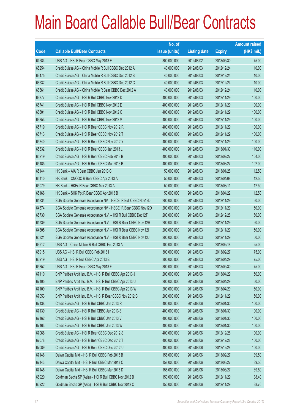|       |                                                                | No. of        |                     |               | <b>Amount raised</b> |
|-------|----------------------------------------------------------------|---------------|---------------------|---------------|----------------------|
| Code  | <b>Callable Bull/Bear Contracts</b>                            | issue (units) | <b>Listing date</b> | <b>Expiry</b> | $(HK$$ mil.)         |
| 64584 | UBS AG - HSI R Bear CBBC May 2013 E                            | 300,000,000   | 2012/08/02          | 2013/05/30    | 75.00                |
| 66254 | Credit Suisse AG - China Mobile R Bull CBBC Dec 2012 A         | 40,000,000    | 2012/08/03          | 2012/12/24    | 10.00                |
| 66475 | Credit Suisse AG - China Mobile R Bull CBBC Dec 2012 B         | 40,000,000    | 2012/08/03          | 2012/12/24    | 10.00                |
| 66532 | Credit Suisse AG - China Mobile R Bull CBBC Dec 2012 C         | 40,000,000    | 2012/08/03          | 2012/12/24    | 10.00                |
| 66561 | Credit Suisse AG - China Mobile R Bear CBBC Dec 2012 A         | 40,000,000    | 2012/08/03          | 2012/12/24    | 10.00                |
| 66877 | Credit Suisse AG - HSI R Bull CBBC Nov 2012 D                  | 400,000,000   | 2012/08/03          | 2012/11/29    | 100.00               |
| 66741 | Credit Suisse AG - HSI R Bull CBBC Nov 2012 E                  | 400,000,000   | 2012/08/03          | 2012/11/29    | 100.00               |
| 66801 | Credit Suisse AG - HSI R Bull CBBC Nov 2012 O                  | 400,000,000   | 2012/08/03          | 2012/11/29    | 100.00               |
| 66853 | Credit Suisse AG - HSI R Bull CBBC Nov 2012 V                  | 400,000,000   | 2012/08/03          | 2012/11/29    | 100.00               |
| 65719 | Credit Suisse AG - HSI R Bear CBBC Nov 2012 R                  | 400,000,000   | 2012/08/03          | 2012/11/29    | 100.00               |
| 65713 | Credit Suisse AG - HSI R Bear CBBC Nov 2012 T                  | 400,000,000   | 2012/08/03          | 2012/11/29    | 100.00               |
| 65340 | Credit Suisse AG - HSI R Bear CBBC Nov 2012 Y                  | 400,000,000   | 2012/08/03          | 2012/11/29    | 100.00               |
| 65332 | Credit Suisse AG - HSI R Bear CBBC Jan 2013 L                  | 400,000,000   | 2012/08/03          | 2013/01/30    | 110.00               |
| 65219 | Credit Suisse AG - HSI R Bear CBBC Feb 2013 B                  | 400,000,000   | 2012/08/03          | 2013/02/27    | 104.00               |
| 65185 | Credit Suisse AG - HSI R Bear CBBC Mar 2013 B                  | 400,000,000   | 2012/08/03          | 2013/03/27    | 102.00               |
| 65144 | HK Bank - AIA R Bear CBBC Jan 2013 C                           | 50,000,000    | 2012/08/03          | 2013/01/28    | 12.50                |
| 65110 | HK Bank - CNOOC R Bear CBBC Apr 2013 A                         | 50,000,000    | 2012/08/03          | 2013/04/08    | 12.50                |
| 65079 | HK Bank - HKEx R Bear CBBC Mar 2013 A                          | 50,000,000    | 2012/08/03          | 2013/03/11    | 12.50                |
| 65166 | HK Bank - SHK Ppt R Bear CBBC Apr 2013 B                       | 50,000,000    | 2012/08/03          | 2013/04/22    | 12.50                |
| 64834 | SGA Societe Generale Acceptance NV - HSCEI R Bull CBBC Nov12D  | 200,000,000   | 2012/08/03          | 2012/11/29    | 50.00                |
| 64874 | SGA Societe Generale Acceptance NV - HSCEI R Bear CBBC Nov12D  | 200,000,000   | 2012/08/03          | 2012/11/29    | 50.00                |
| 65730 | SGA Societe Generale Acceptance N.V. - HSI R Bull CBBC Dec12T  | 200,000,000   | 2012/08/03          | 2012/12/28    | 50.00                |
| 64739 | SGA Societe Generale Acceptance N.V. - HSI R Bear CBBC Nov 12H | 200,000,000   | 2012/08/03          | 2012/11/29    | 50.00                |
| 64805 | SGA Societe Generale Acceptance N.V. - HSI R Bear CBBC Nov 121 | 200,000,000   | 2012/08/03          | 2012/11/29    | 50.00                |
| 65821 | SGA Societe Generale Acceptance N.V. - HSI R Bear CBBC Nov 12J | 200,000,000   | 2012/08/03          | 2012/11/29    | 50.00                |
| 66912 | UBS AG - China Mobile R Bull CBBC Feb 2013 A                   | 100,000,000   | 2012/08/03          | 2013/02/18    | 25.00                |
| 66915 | UBS AG - HSI R Bull CBBC Feb 2013 I                            | 300,000,000   | 2012/08/03          | 2013/02/27    | 75.00                |
| 66919 | UBS AG - HSI R Bull CBBC Apr 2013 B                            | 300,000,000   | 2012/08/03          | 2013/04/29    | 75.00                |
| 65852 | UBS AG - HSI R Bear CBBC May 2013 F                            | 300,000,000   | 2012/08/03          | 2013/05/30    | 75.00                |
| 67110 | BNP Paribas Arbit Issu B.V. - HSI R Bull CBBC Apr 2013 J       | 200,000,000   | 2012/08/06          | 2013/04/29    | 50.00                |
| 67105 | BNP Paribas Arbit Issu B.V. - HSI R Bull CBBC Apr 2013 U       | 200,000,000   | 2012/08/06          | 2013/04/29    | 50.00                |
| 67109 | BNP Paribas Arbit Issu B.V. - HSI R Bull CBBC Apr 2013 W       | 200,000,000   | 2012/08/06          | 2013/04/29    | 50.00                |
| 67053 | BNP Paribas Arbit Issu B.V. - HSI R Bear CBBC Nov 2012 C       | 200,000,000   | 2012/08/06          | 2012/11/29    | 50.00                |
| 67138 | Credit Suisse AG - HSI R Bull CBBC Jan 2013 R                  | 400,000,000   | 2012/08/06          | 2013/01/30    | 100.00               |
| 67139 | Credit Suisse AG - HSI R Bull CBBC Jan 2013 S                  | 400,000,000   | 2012/08/06          | 2013/01/30    | 100.00               |
| 67162 | Credit Suisse AG - HSI R Bull CBBC Jan 2013 V                  | 400,000,000   | 2012/08/06          | 2013/01/30    | 100.00               |
| 67163 | Credit Suisse AG - HSI R Bull CBBC Jan 2013 W                  | 400,000,000   | 2012/08/06          | 2013/01/30    | 100.00               |
| 67068 | Credit Suisse AG - HSI R Bear CBBC Dec 2012 S                  | 400,000,000   | 2012/08/06          | 2012/12/28    | 100.00               |
| 67078 | Credit Suisse AG - HSI R Bear CBBC Dec 2012 T                  | 400,000,000   | 2012/08/06          | 2012/12/28    | 100.00               |
| 67089 | Credit Suisse AG - HSI R Bear CBBC Dec 2012 U                  | 400,000,000   | 2012/08/06          | 2012/12/28    | 100.00               |
| 67146 | Daiwa Capital Mkt - HSI R Bull CBBC Feb 2013 B                 | 158,000,000   | 2012/08/06          | 2013/02/27    | 39.50                |
| 67143 | Daiwa Capital Mkt - HSI R Bull CBBC Mar 2013 C                 | 158,000,000   | 2012/08/06          | 2013/03/27    | 39.50                |
| 67145 | Daiwa Capital Mkt - HSI R Bull CBBC Mar 2013 D                 | 158,000,000   | 2012/08/06          | 2013/03/27    | 39.50                |
| 66920 | Goldman Sachs SP (Asia) - HSI R Bull CBBC Nov 2012 B           | 150,000,000   | 2012/08/06          | 2012/11/29    | 38.40                |
| 66922 | Goldman Sachs SP (Asia) - HSI R Bull CBBC Nov 2012 C           | 150,000,000   | 2012/08/06          | 2012/11/29    | 38.70                |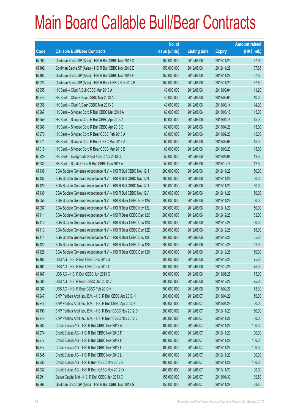|       |                                                                | No. of        |                     |               | <b>Amount raised</b> |
|-------|----------------------------------------------------------------|---------------|---------------------|---------------|----------------------|
| Code  | <b>Callable Bull/Bear Contracts</b>                            | issue (units) | <b>Listing date</b> | <b>Expiry</b> | (HK\$ mil.)          |
| 67090 | Goldman Sachs SP (Asia) - HSI R Bull CBBC Nov 2012 D           | 150,000,000   | 2012/08/06          | 2012/11/29    | 37.95                |
| 67102 | Goldman Sachs SP (Asia) - HSI R Bull CBBC Nov 2012 E           | 150,000,000   | 2012/08/06          | 2012/11/29    | 37.65                |
| 67103 | Goldman Sachs SP (Asia) - HSI R Bull CBBC Nov 2012 F           | 150,000,000   | 2012/08/06          | 2012/11/29    | 37.65                |
| 66923 | Goldman Sachs SP (Asia) - HSI R Bear CBBC Nov 2012 B           | 150,000,000   | 2012/08/06          | 2012/11/29    | 37.80                |
| 66955 | HK Bank - CUni R Bull CBBC Mar 2013 A                          | 40,000,000    | 2012/08/06          | 2013/03/04    | 11.20                |
| 66940 | HK Bank - CUni R Bear CBBC Mar 2013 A                          | 40,000,000    | 2012/08/06          | 2013/03/04    | 10.00                |
| 66956 | HK Bank - CUni R Bear CBBC Mar 2013 B                          | 40,000,000    | 2012/08/06          | 2013/03/14    | 14.00                |
| 66967 | HK Bank - Sinopec Corp R Bull CBBC Mar 2013 A                  | 60,000,000    | 2012/08/06          | 2013/03/18    | 15.00                |
| 66959 | HK Bank - Sinopec Corp R Bull CBBC Apr 2013 A                  | 60,000,000    | 2012/08/06          | 2013/04/18    | 15.00                |
| 66966 | HK Bank - Sinopec Corp R Bull CBBC Apr 2013 B                  | 60,000,000    | 2012/08/06          | 2013/04/26    | 15.00                |
| 66970 | HK Bank - Sinopec Corp R Bear CBBC Feb 2013 A                  | 60,000,000    | 2012/08/06          | 2013/02/26    | 15.00                |
| 66971 | HK Bank - Sinopec Corp R Bear CBBC Mar 2013 A                  | 60,000,000    | 2012/08/06          | 2013/03/08    | 15.00                |
| 67018 | HK Bank - Sinopec Corp R Bear CBBC Mar 2013 B                  | 60,000,000    | 2012/08/06          | 2013/03/20    | 15.00                |
| 66929 | HK Bank - Evergrande R Bull CBBC Apr 2013 C                    | 50,000,000    | 2012/08/06          | 2013/04/08    | 12.50                |
| 66930 | HK Bank - Sands China R Bull CBBC Dec 2013 A                   | 50,000,000    | 2012/08/06          | 2013/12/18    | 12.50                |
| 67136 | SGA Societe Generale Acceptance N.V. - HSI R Bull CBBC Nov 12H | 200,000,000   | 2012/08/06          | 2012/11/29    | 50.00                |
| 67137 | SGA Societe Generale Acceptance N.V. - HSI R Bull CBBC Nov 12N | 200,000,000   | 2012/08/06          | 2012/11/29    | 50.00                |
| 67129 | SGA Societe Generale Acceptance N.V. - HSI R Bull CBBC Nov 12U | 200,000,000   | 2012/08/06          | 2012/11/29    | 50.00                |
| 67130 | SGA Societe Generale Acceptance N.V. - HSI R Bull CBBC Nov 12V | 200,000,000   | 2012/08/06          | 2012/11/29    | 50.00                |
| 67055 | SGA Societe Generale Acceptance N.V. - HSI R Bear CBBC Nov 12K | 200,000,000   | 2012/08/06          | 2012/11/29    | 50.00                |
| 67057 | SGA Societe Generale Acceptance N.V. - HSI R Bear CBBC Nov 12L | 200,000,000   | 2012/08/06          | 2012/11/29    | 50.00                |
| 67111 | SGA Societe Generale Acceptance N.V. - HSI R Bear CBBC Dec 12C | 200,000,000   | 2012/08/06          | 2012/12/28    | 63.00                |
| 67112 | SGA Societe Generale Acceptance N.V. - HSI R Bear CBBC Dec 12D | 200,000,000   | 2012/08/06          | 2012/12/28    | 60.00                |
| 67113 | SGA Societe Generale Acceptance N.V. - HSI R Bear CBBC Dec 12E | 200,000,000   | 2012/08/06          | 2012/12/28    | 58.00                |
| 67114 | SGA Societe Generale Acceptance N.V. - HSI R Bear CBBC Dec 12F | 200,000,000   | 2012/08/06          | 2012/12/28    | 55.00                |
| 67122 | SGA Societe Generale Acceptance N.V. - HSI R Bear CBBC Dec 12G | 200,000,000   | 2012/08/06          | 2012/12/28    | 52.00                |
| 67128 | SGA Societe Generale Acceptance N.V. - HSI R Bear CBBC Dec 12H | 200,000,000   | 2012/08/06          | 2012/12/28    | 50.00                |
| 67165 | UBS AG - HSI R Bull CBBC Dec 2012 J                            | 300,000,000   | 2012/08/06          | 2012/12/28    | 75.00                |
| 67164 | UBS AG - HSI R Bull CBBC Dec 2012 U                            | 300,000,000   | 2012/08/06          | 2012/12/28    | 75.00                |
| 67167 | UBS AG - HSI R Bull CBBC Jun 2013 G                            | 300,000,000   | 2012/08/06          | 2013/06/27    | 75.00                |
| 67065 | UBS AG - HSI R Bear CBBC Dec 2012 V                            | 300,000,000   | 2012/08/06          | 2012/12/28    | 75.00                |
| 67067 | UBS AG - HSI R Bear CBBC Feb 2013 K                            | 300,000,000   | 2012/08/06          | 2013/02/27    | 75.00                |
| 67247 | BNP Paribas Arbit Issu B.V. - HSI R Bull CBBC Apr 2013 H       | 200,000,000   | 2012/08/07          | 2013/04/29    | 50.00                |
| 67246 | BNP Paribas Arbit Issu B.V. - HSI R Bull CBBC Apr 2013 K       | 200,000,000   | 2012/08/07          | 2013/04/29    | 50.00                |
| 67190 | BNP Paribas Arbit Issu B.V. - HSI R Bear CBBC Nov 2012 D       | 200,000,000   | 2012/08/07          | 2012/11/29    | 50.00                |
| 67245 | BNP Paribas Arbit Issu B.V. - HSI R Bear CBBC Nov 2012 E       | 200,000,000   | 2012/08/07          | 2012/11/29    | 50.00                |
| 67283 | Credit Suisse AG - HSI R Bull CBBC Nov 2012 A                  | 400,000,000   | 2012/08/07          | 2012/11/29    | 100.00               |
| 67274 | Credit Suisse AG - HSI R Bull CBBC Nov 2012 F                  | 400,000,000   | 2012/08/07          | 2012/11/29    | 100.00               |
| 67277 | Credit Suisse AG - HSI R Bull CBBC Nov 2012 H                  | 400,000,000   | 2012/08/07          | 2012/11/29    | 100.00               |
| 67347 | Credit Suisse AG - HSI R Bull CBBC Nov 2012 I                  | 400,000,000   | 2012/08/07          | 2012/11/29    | 100.00               |
| 67345 | Credit Suisse AG - HSI R Bull CBBC Nov 2012 L                  | 400,000,000   | 2012/08/07          | 2012/11/29    | 100.00               |
| 67235 | Credit Suisse AG - HSI R Bear CBBC Nov 2012 B                  | 400,000,000   | 2012/08/07          | 2012/11/29    | 100.00               |
| 67232 | Credit Suisse AG - HSI R Bear CBBC Nov 2012 O                  | 400,000,000   | 2012/08/07          | 2012/11/29    | 100.00               |
| 67291 | Daiwa Capital Mkt - HSI R Bull CBBC Jan 2013 C                 | 158,000,000   | 2012/08/07          | 2013/01/30    | 39.50                |
| 67366 | Goldman Sachs SP (Asia) - HSI R Bull CBBC Nov 2012 G           | 150,000,000   | 2012/08/07          | 2012/11/29    | 38.85                |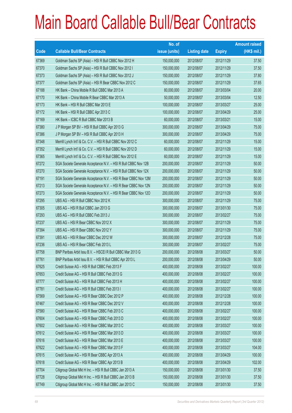|       |                                                                | No. of        |                     |               | <b>Amount raised</b> |
|-------|----------------------------------------------------------------|---------------|---------------------|---------------|----------------------|
| Code  | <b>Callable Bull/Bear Contracts</b>                            | issue (units) | <b>Listing date</b> | <b>Expiry</b> | (HK\$ mil.)          |
| 67369 | Goldman Sachs SP (Asia) - HSI R Bull CBBC Nov 2012 H           | 150,000,000   | 2012/08/07          | 2012/11/29    | 37.50                |
| 67370 | Goldman Sachs SP (Asia) - HSI R Bull CBBC Nov 2012 I           | 150,000,000   | 2012/08/07          | 2012/11/29    | 37.50                |
| 67373 | Goldman Sachs SP (Asia) - HSI R Bull CBBC Nov 2012 J           | 150,000,000   | 2012/08/07          | 2012/11/29    | 37.80                |
| 67377 | Goldman Sachs SP (Asia) - HSI R Bear CBBC Nov 2012 C           | 150,000,000   | 2012/08/07          | 2012/11/29    | 37.65                |
| 67188 | HK Bank - China Mobile R Bull CBBC Mar 2013 A                  | 80,000,000    | 2012/08/07          | 2013/03/04    | 20.00                |
| 67170 | HK Bank - China Mobile R Bear CBBC Mar 2013 A                  | 50,000,000    | 2012/08/07          | 2013/03/04    | 12.50                |
| 67173 | HK Bank - HSI R Bull CBBC Mar 2013 E                           | 100,000,000   | 2012/08/07          | 2013/03/27    | 25.00                |
| 67172 | HK Bank - HSI R Bull CBBC Apr 2013 C                           | 100,000,000   | 2012/08/07          | 2013/04/29    | 25.00                |
| 67169 | HK Bank - ICBC R Bull CBBC Mar 2013 B                          | 60,000,000    | 2012/08/07          | 2013/03/21    | 15.00                |
| 67380 | J P Morgan SP BV - HSI R Bull CBBC Apr 2013 G                  | 300,000,000   | 2012/08/07          | 2013/04/29    | 75.00                |
| 67386 | J P Morgan SP BV - HSI R Bull CBBC Apr 2013 H                  | 300,000,000   | 2012/08/07          | 2013/04/29    | 75.00                |
| 67348 | Merrill Lynch Int'l & Co. C.V. - HSI R Bull CBBC Nov 2012 C    | 60,000,000    | 2012/08/07          | 2012/11/29    | 15.00                |
| 67352 | Merrill Lynch Int'l & Co. C.V. - HSI R Bull CBBC Nov 2012 D    | 60,000,000    | 2012/08/07          | 2012/11/29    | 15.00                |
| 67365 | Merrill Lynch Int'l & Co. C.V. - HSI R Bull CBBC Nov 2012 E    | 60,000,000    | 2012/08/07          | 2012/11/29    | 15.00                |
| 67272 | SGA Societe Generale Acceptance N.V. - HSI R Bull CBBC Nov 12B | 200,000,000   | 2012/08/07          | 2012/11/29    | 50.00                |
| 67270 | SGA Societe Generale Acceptance N.V. - HSI R Bull CBBC Nov 12X | 200,000,000   | 2012/08/07          | 2012/11/29    | 50.00                |
| 67191 | SGA Societe Generale Acceptance N.V. - HSI R Bear CBBC Nov 12M | 200,000,000   | 2012/08/07          | 2012/11/29    | 50.00                |
| 67213 | SGA Societe Generale Acceptance N.V. - HSI R Bear CBBC Nov 12N | 200,000,000   | 2012/08/07          | 2012/11/29    | 50.00                |
| 67273 | SGA Societe Generale Acceptance N.V. - HSI R Bear CBBC Nov 120 | 200,000,000   | 2012/08/07          | 2012/11/29    | 50.00                |
| 67295 | UBS AG - HSI R Bull CBBC Nov 2012 K                            | 300,000,000   | 2012/08/07          | 2012/11/29    | 75.00                |
| 67305 | UBS AG - HSI R Bull CBBC Jan 2013 G                            | 300,000,000   | 2012/08/07          | 2013/01/30    | 75.00                |
| 67293 | UBS AG - HSI R Bull CBBC Feb 2013 J                            | 300,000,000   | 2012/08/07          | 2013/02/27    | 75.00                |
| 67237 | UBS AG - HSI R Bear CBBC Nov 2012 X                            | 300,000,000   | 2012/08/07          | 2012/11/29    | 75.00                |
| 67394 | UBS AG - HSI R Bear CBBC Nov 2012 Y                            | 300,000,000   | 2012/08/07          | 2012/11/29    | 75.00                |
| 67391 | UBS AG - HSI R Bear CBBC Dec 2012 W                            | 300,000,000   | 2012/08/07          | 2012/12/28    | 75.00                |
| 67236 | UBS AG - HSI R Bear CBBC Feb 2013 L                            | 300,000,000   | 2012/08/07          | 2013/02/27    | 75.00                |
| 67758 | BNP Paribas Arbit Issu B.V. - HSCEI R Bull CBBC Mar 2013 G     | 200.000.000   | 2012/08/08          | 2013/03/27    | 50.00                |
| 67761 | BNP Paribas Arbit Issu B.V. - HSI R Bull CBBC Apr 2013 L       | 200,000,000   | 2012/08/08          | 2013/04/29    | 50.00                |
| 67625 | Credit Suisse AG - HSI R Bull CBBC Feb 2013 F                  | 400,000,000   | 2012/08/08          | 2013/02/27    | 100.00               |
| 67653 | Credit Suisse AG - HSI R Bull CBBC Feb 2013 G                  | 400,000,000   | 2012/08/08          | 2013/02/27    | 100.00               |
| 67777 | Credit Suisse AG - HSI R Bull CBBC Feb 2013 H                  | 400,000,000   | 2012/08/08          | 2013/02/27    | 100.00               |
| 67781 | Credit Suisse AG - HSI R Bull CBBC Feb 2013 I                  | 400,000,000   | 2012/08/08          | 2013/02/27    | 100.00               |
| 67569 | Credit Suisse AG - HSI R Bear CBBC Dec 2012 P                  | 400,000,000   | 2012/08/08          | 2012/12/28    | 100.00               |
| 67467 | Credit Suisse AG - HSI R Bear CBBC Dec 2012 V                  | 400,000,000   | 2012/08/08          | 2012/12/28    | 100.00               |
| 67580 | Credit Suisse AG - HSI R Bear CBBC Feb 2013 C                  | 400,000,000   | 2012/08/08          | 2013/02/27    | 100.00               |
| 67604 | Credit Suisse AG - HSI R Bear CBBC Feb 2013 D                  | 400,000,000   | 2012/08/08          | 2013/02/27    | 100.00               |
| 67602 | Credit Suisse AG - HSI R Bear CBBC Mar 2013 C                  | 400,000,000   | 2012/08/08          | 2013/03/27    | 100.00               |
| 67612 | Credit Suisse AG - HSI R Bear CBBC Mar 2013 D                  | 400,000,000   | 2012/08/08          | 2013/03/27    | 100.00               |
| 67616 | Credit Suisse AG - HSI R Bear CBBC Mar 2013 E                  | 400,000,000   | 2012/08/08          | 2013/03/27    | 100.00               |
| 67622 | Credit Suisse AG - HSI R Bear CBBC Mar 2013 F                  | 400,000,000   | 2012/08/08          | 2013/03/27    | 104.00               |
| 67615 | Credit Suisse AG - HSI R Bear CBBC Apr 2013 A                  | 400,000,000   | 2012/08/08          | 2013/04/29    | 100.00               |
| 67618 | Credit Suisse AG - HSI R Bear CBBC Apr 2013 B                  | 400,000,000   | 2012/08/08          | 2013/04/29    | 102.00               |
| 67704 | Citigroup Global Mkt H Inc. - HSI R Bull CBBC Jan 2013 A       | 150,000,000   | 2012/08/08          | 2013/01/30    | 37.50                |
| 67728 | Citigroup Global Mkt H Inc. - HSI R Bull CBBC Jan 2013 B       | 150,000,000   | 2012/08/08          | 2013/01/30    | 37.50                |
| 67749 | Citigroup Global Mkt H Inc. - HSI R Bull CBBC Jan 2013 C       | 150,000,000   | 2012/08/08          | 2013/01/30    | 37.50                |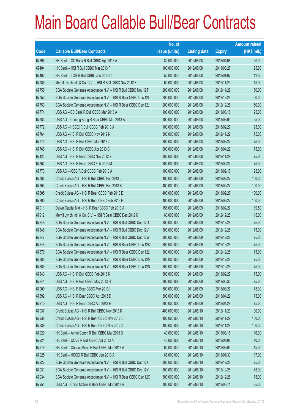|       |                                                                | No. of        |                     |               | <b>Amount raised</b> |
|-------|----------------------------------------------------------------|---------------|---------------------|---------------|----------------------|
| Code  | <b>Callable Bull/Bear Contracts</b>                            | issue (units) | <b>Listing date</b> | <b>Expiry</b> | (HK\$ mil.)          |
| 67395 | HK Bank - CC Bank R Bull CBBC Apr 2013 A                       | 80,000,000    | 2012/08/08          | 2013/04/08    | 20.00                |
| 67404 | HK Bank - HSI R Bull CBBC Mar 2013 F                           | 100,000,000   | 2012/08/08          | 2013/03/27    | 25.00                |
| 67402 | HK Bank - TCH R Bull CBBC Jan 2013 C                           | 50,000,000    | 2012/08/08          | 2013/01/07    | 12.50                |
| 67786 | Merrill Lynch Int'l & Co. C.V. - HSI R Bull CBBC Nov 2012 F    | 60,000,000    | 2012/08/08          | 2012/11/29    | 15.00                |
| 67750 | SGA Societe Generale Acceptance N.V. - HSI R Bull CBBC Nov 12T | 200,000,000   | 2012/08/08          | 2012/11/29    | 50.00                |
| 67752 | SGA Societe Generale Acceptance N.V. - HSI R Bear CBBC Dec 121 | 200,000,000   | 2012/08/08          | 2012/12/28    | 50.00                |
| 67753 | SGA Societe Generale Acceptance N.V. - HSI R Bear CBBC Dec 12J | 200,000,000   | 2012/08/08          | 2012/12/28    | 50.00                |
| 67774 | UBS AG - CC Bank R Bull CBBC Mar 2013 A                        | 100,000,000   | 2012/08/08          | 2013/03/18    | 25.00                |
| 67783 | UBS AG - Cheung Kong R Bear CBBC Mar 2013 A                    | 100,000,000   | 2012/08/08          | 2013/03/04    | 25.00                |
| 67772 | UBS AG - HSCEI R Bull CBBC Feb 2013 A                          | 100,000,000   | 2012/08/08          | 2013/02/27    | 25.00                |
| 67764 | UBS AG - HSI R Bull CBBC Nov 2012 N                            | 300,000,000   | 2012/08/08          | 2012/11/29    | 75.00                |
| 67770 | UBS AG - HSI R Bull CBBC Mar 2013 J                            | 300,000,000   | 2012/08/08          | 2013/03/27    | 75.00                |
| 67766 | UBS AG - HSI R Bull CBBC Apr 2013 C                            | 300,000,000   | 2012/08/08          | 2013/04/29    | 75.00                |
| 67423 | UBS AG - HSI R Bear CBBC Nov 2012 Z                            | 300,000,000   | 2012/08/08          | 2012/11/29    | 75.00                |
| 67762 | UBS AG - HSI R Bear CBBC Feb 2013 M                            | 300,000,000   | 2012/08/08          | 2013/02/27    | 75.00                |
| 67773 | UBS AG - ICBC R Bull CBBC Feb 2013 A                           | 100,000,000   | 2012/08/08          | 2013/02/18    | 25.00                |
| 67788 | Credit Suisse AG - HSI R Bull CBBC Feb 2013 J                  | 400,000,000   | 2012/08/09          | 2013/02/27    | 100.00               |
| 67804 | Credit Suisse AG - HSI R Bull CBBC Feb 2013 K                  | 400,000,000   | 2012/08/09          | 2013/02/27    | 100.00               |
| 67805 | Credit Suisse AG - HSI R Bear CBBC Feb 2013 E                  | 400,000,000   | 2012/08/09          | 2013/02/27    | 100.00               |
| 67890 | Credit Suisse AG - HSI R Bear CBBC Feb 2013 F                  | 400,000,000   | 2012/08/09          | 2013/02/27    | 100.00               |
| 67911 | Daiwa Capital Mkt - HSI R Bear CBBC Feb 2013 A                 | 158,000,000   | 2012/08/09          | 2013/02/27    | 39.50                |
| 67912 | Merrill Lynch Int'l & Co. C.V. - HSI R Bear CBBC Dec 2012 K    | 60,000,000    | 2012/08/09          | 2012/12/28    | 15.00                |
| 67845 | SGA Societe Generale Acceptance N.V. - HSI R Bull CBBC Dec 12U | 300,000,000   | 2012/08/09          | 2012/12/28    | 75.00                |
| 67846 | SGA Societe Generale Acceptance N.V. - HSI R Bull CBBC Dec 12V | 300,000,000   | 2012/08/09          | 2012/12/28    | 75.00                |
| 67847 | SGA Societe Generale Acceptance N.V. - HSI R Bull CBBC Dec 12W | 300,000,000   | 2012/08/09          | 2012/12/28    | 75.00                |
| 67848 | SGA Societe Generale Acceptance N.V. - HSI R Bear CBBC Dec 12K | 300,000,000   | 2012/08/09          | 2012/12/28    | 75.00                |
| 67879 | SGA Societe Generale Acceptance N.V. - HSI R Bear CBBC Dec 12L | 300,000,000   | 2012/08/09          | 2012/12/28    | 75.00                |
| 67880 | SGA Societe Generale Acceptance N.V. - HSI R Bear CBBC Dec 12M | 300,000,000   | 2012/08/09          | 2012/12/28    | 75.00                |
| 67886 | SGA Societe Generale Acceptance N.V. - HSI R Bear CBBC Dec 12N | 300,000,000   | 2012/08/09          | 2012/12/28    | 75.00                |
| 67843 | UBS AG - HSI R Bull CBBC Feb 2013 K                            | 300,000,000   | 2012/08/09          | 2013/02/27    | 75.00                |
| 67841 | UBS AG - HSI R Bull CBBC May 2013 H                            | 300,000,000   | 2012/08/09          | 2013/05/30    | 75.00                |
| 67909 | UBS AG - HSI R Bear CBBC Mar 2013 I                            | 300,000,000   | 2012/08/09          | 2013/03/27    | 75.00                |
| 67892 | UBS AG - HSI R Bear CBBC Apr 2013 D                            | 300,000,000   | 2012/08/09          | 2013/04/29    | 75.00                |
| 67910 | UBS AG - HSI R Bear CBBC Apr 2013 E                            | 300,000,000   | 2012/08/09          | 2013/04/29    | 75.00                |
| 67937 | Credit Suisse AG - HSI R Bull CBBC Nov 2012 K                  | 400,000,000   | 2012/08/10          | 2012/11/29    | 100.00               |
| 67938 | Credit Suisse AG - HSI R Bear CBBC Nov 2012 U                  | 400,000,000   | 2012/08/10          | 2012/11/29    | 100.00               |
| 67939 | Credit Suisse AG - HSI R Bear CBBC Nov 2012 Z                  | 400,000,000   | 2012/08/10          | 2012/11/29    | 100.00               |
| 67920 | HK Bank - Anhui Conch R Bull CBBC Mar 2013 B                   | 40,000,000    | 2012/08/10          | 2013/03/18    | 16.00                |
| 67921 | HK Bank - COVS R Bull CBBC Apr 2013 A                          | 40,000,000    | 2012/08/10          | 2013/04/08    | 10.00                |
| 67919 | HK Bank - Cheung Kong R Bull CBBC Mar 2013 A                   | 60,000,000    | 2012/08/10          | 2013/03/04    | 15.00                |
| 67925 | HK Bank - HSCEI R Bull CBBC Jan 2013 A                         | 68,000,000    | 2012/08/10          | 2013/01/30    | 17.00                |
| 67927 | SGA Societe Generale Acceptance N.V. - HSI R Bull CBBC Dec 12X | 300,000,000   | 2012/08/10          | 2012/12/28    | 75.00                |
| 67931 | SGA Societe Generale Acceptance N.V. - HSI R Bull CBBC Dec 12Y | 300,000,000   | 2012/08/10          | 2012/12/28    | 75.00                |
| 67934 | SGA Societe Generale Acceptance N.V. - HSI R Bear CBBC Dec 120 | 300,000,000   | 2012/08/10          | 2012/12/28    | 75.00                |
| 67954 | UBS AG - China Mobile R Bear CBBC Mar 2013 A                   | 100,000,000   | 2012/08/10          | 2013/03/11    | 25.00                |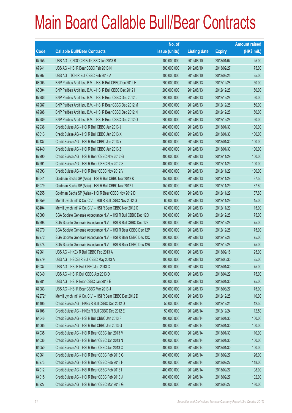|        |                                                                | No. of        |                     |               | <b>Amount raised</b> |
|--------|----------------------------------------------------------------|---------------|---------------------|---------------|----------------------|
| Code   | <b>Callable Bull/Bear Contracts</b>                            | issue (units) | <b>Listing date</b> | <b>Expiry</b> | $(HK$$ mil.)         |
| 67955  | UBS AG - CNOOC R Bull CBBC Jan 2013 B                          | 100,000,000   | 2012/08/10          | 2013/01/07    | 25.00                |
| 67941  | UBS AG - HSI R Bear CBBC Feb 2013 N                            | 300,000,000   | 2012/08/10          | 2013/02/27    | 75.00                |
| 67967  | UBS AG - TCH R Bull CBBC Feb 2013 A                            | 100,000,000   | 2012/08/10          | 2013/02/25    | 25.00                |
| 68003  | BNP Paribas Arbit Issu B.V. - HSI R Bull CBBC Dec 2012 H       | 200,000,000   | 2012/08/13          | 2012/12/28    | 50.00                |
| 68004  | BNP Paribas Arbit Issu B.V. - HSI R Bull CBBC Dec 2012 I       | 200,000,000   | 2012/08/13          | 2012/12/28    | 50.00                |
| 67986  | BNP Paribas Arbit Issu B.V. - HSI R Bear CBBC Dec 2012 L       | 200,000,000   | 2012/08/13          | 2012/12/28    | 50.00                |
| 67987  | BNP Paribas Arbit Issu B.V. - HSI R Bear CBBC Dec 2012 M       | 200,000,000   | 2012/08/13          | 2012/12/28    | 50.00                |
| 67988  | BNP Paribas Arbit Issu B.V. - HSI R Bear CBBC Dec 2012 N       | 200,000,000   | 2012/08/13          | 2012/12/28    | 50.00                |
| 67989  | BNP Paribas Arbit Issu B.V. - HSI R Bear CBBC Dec 2012 O       | 200,000,000   | 2012/08/13          | 2012/12/28    | 50.00                |
| 62936  | Credit Suisse AG - HSI R Bull CBBC Jan 2013 J                  | 400,000,000   | 2012/08/13          | 2013/01/30    | 100.00               |
| 68013  | Credit Suisse AG - HSI R Bull CBBC Jan 2013 X                  | 400,000,000   | 2012/08/13          | 2013/01/30    | 100.00               |
| 62137  | Credit Suisse AG - HSI R Bull CBBC Jan 2013 Y                  | 400,000,000   | 2012/08/13          | 2013/01/30    | 100.00               |
| 62440  | Credit Suisse AG - HSI R Bull CBBC Jan 2013 Z                  | 400,000,000   | 2012/08/13          | 2013/01/30    | 100.00               |
| 67990  | Credit Suisse AG - HSI R Bear CBBC Nov 2012 G                  | 400,000,000   | 2012/08/13          | 2012/11/29    | 100.00               |
| 67991  | Credit Suisse AG - HSI R Bear CBBC Nov 2012 S                  | 400,000,000   | 2012/08/13          | 2012/11/29    | 100.00               |
| 67993  | Credit Suisse AG - HSI R Bear CBBC Nov 2012 V                  | 400,000,000   | 2012/08/13          | 2012/11/29    | 100.00               |
| 63041  | Goldman Sachs SP (Asia) - HSI R Bull CBBC Nov 2012 K           | 150,000,000   | 2012/08/13          | 2012/11/29    | 37.50                |
| 63079  | Goldman Sachs SP (Asia) - HSI R Bull CBBC Nov 2012 L           | 150,000,000   | 2012/08/13          | 2012/11/29    | 37.80                |
| 63255  | Goldman Sachs SP (Asia) - HSI R Bear CBBC Nov 2012 D           | 150,000,000   | 2012/08/13          | 2012/11/29    | 37.80                |
| 63359  | Merrill Lynch Int'l & Co. C.V. - HSI R Bull CBBC Nov 2012 G    | 60,000,000    | 2012/08/13          | 2012/11/29    | 15.00                |
| 63404  | Merrill Lynch Int'l & Co. C.V. - HSI R Bear CBBC Nov 2012 C    | 60,000,000    | 2012/08/13          | 2012/11/29    | 15.00                |
| 68000  | SGA Societe Generale Acceptance N.V. - HSI R Bull CBBC Dec 120 | 300,000,000   | 2012/08/13          | 2012/12/28    | 75.00                |
| 67998  | SGA Societe Generale Acceptance N.V. - HSI R Bull CBBC Dec 12Z | 300,000,000   | 2012/08/13          | 2012/12/28    | 75.00                |
| 67970  | SGA Societe Generale Acceptance N.V. - HSI R Bear CBBC Dec 12P | 300,000,000   | 2012/08/13          | 2012/12/28    | 75.00                |
| 67972  | SGA Societe Generale Acceptance N.V. - HSI R Bear CBBC Dec 12Q | 300,000,000   | 2012/08/13          | 2012/12/28    | 75.00                |
| 67978  | SGA Societe Generale Acceptance N.V. - HSI R Bear CBBC Dec 12R | 300,000,000   | 2012/08/13          | 2012/12/28    | 75.00                |
| 62961  | UBS AG - HKEx R Bull CBBC Feb 2013 A                           | 100,000,000   | 2012/08/13          | 2013/02/18    | 25.00                |
| 67979  | UBS AG - HSCEI R Bull CBBC May 2013 A                          | 100,000,000   | 2012/08/13          | 2013/05/30    | 25.00                |
| 63037  | UBS AG - HSI R Bull CBBC Jan 2013 C                            | 300,000,000   | 2012/08/13          | 2013/01/30    | 75.00                |
| 63040  | UBS AG - HSI R Bull CBBC Apr 2013 D                            | 300,000,000   | 2012/08/13          | 2013/04/29    | 75.00                |
| 67981  | UBS AG - HSI R Bear CBBC Jan 2013 E                            | 300,000,000   | 2012/08/13          | 2013/01/30    | 75.00                |
| 67983  | UBS AG - HSI R Bear CBBC Mar 2013 J                            | 300,000,000   | 2012/08/13          | 2013/03/27    | 75.00                |
| 62272# | Merrill Lynch Int'l & Co. C.V. - HSI R Bear CBBC Dec 2012 D    | 200,000,000   | 2012/08/13          | 2012/12/28    | 10.00                |
| 64105  | Credit Suisse AG - HKEx R Bull CBBC Dec 2012 D                 | 50,000,000    | 2012/08/14          | 2012/12/24    | 12.50                |
| 64106  | Credit Suisse AG - HKEx R Bull CBBC Dec 2012 E                 | 50,000,000    | 2012/08/14          | 2012/12/24    | 12.50                |
| 64046  | Credit Suisse AG - HSI R Bull CBBC Jan 2013 F                  | 400,000,000   | 2012/08/14          | 2013/01/30    | 100.00               |
| 64065  | Credit Suisse AG - HSI R Bull CBBC Jan 2013 G                  | 400,000,000   | 2012/08/14          | 2013/01/30    | 100.00               |
| 64035  | Credit Suisse AG - HSI R Bear CBBC Jan 2013 M                  | 400,000,000   | 2012/08/14          | 2013/01/30    | 110.00               |
| 64036  | Credit Suisse AG - HSI R Bear CBBC Jan 2013 N                  | 400,000,000   | 2012/08/14          | 2013/01/30    | 100.00               |
| 64050  | Credit Suisse AG - HSI R Bear CBBC Jan 2013 O                  | 400,000,000   | 2012/08/14          | 2013/01/30    | 100.00               |
| 63961  | Credit Suisse AG - HSI R Bear CBBC Feb 2013 G                  | 400,000,000   | 2012/08/14          | 2013/02/27    | 126.00               |
| 63973  | Credit Suisse AG - HSI R Bear CBBC Feb 2013 H                  | 400,000,000   | 2012/08/14          | 2013/02/27    | 118.00               |
| 64012  | Credit Suisse AG - HSI R Bear CBBC Feb 2013 I                  | 400,000,000   | 2012/08/14          | 2013/02/27    | 108.00               |
| 64015  | Credit Suisse AG - HSI R Bear CBBC Feb 2013 J                  | 400,000,000   | 2012/08/14          | 2013/02/27    | 102.00               |
| 63927  | Credit Suisse AG - HSI R Bear CBBC Mar 2013 G                  | 400,000,000   | 2012/08/14          | 2013/03/27    | 130.00               |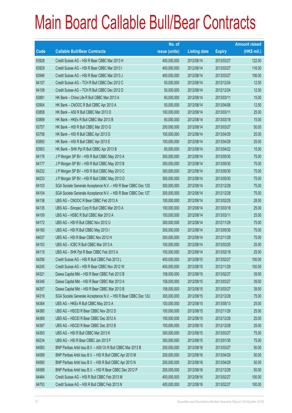|       |                                                                | No. of        |                     |               | <b>Amount raised</b> |
|-------|----------------------------------------------------------------|---------------|---------------------|---------------|----------------------|
| Code  | <b>Callable Bull/Bear Contracts</b>                            | issue (units) | <b>Listing date</b> | <b>Expiry</b> | $(HK$$ mil.)         |
| 63928 | Credit Suisse AG - HSI R Bear CBBC Mar 2013 H                  | 400,000,000   | 2012/08/14          | 2013/03/27    | 122.00               |
| 63929 | Credit Suisse AG - HSI R Bear CBBC Mar 2013 I                  | 400,000,000   | 2012/08/14          | 2013/03/27    | 116.00               |
| 63946 | Credit Suisse AG - HSI R Bear CBBC Mar 2013 J                  | 400,000,000   | 2012/08/14          | 2013/03/27    | 106.00               |
| 64107 | Credit Suisse AG - TCH R Bull CBBC Dec 2012 C                  | 50,000,000    | 2012/08/14          | 2012/12/24    | 12.50                |
| 64108 | Credit Suisse AG - TCH R Bull CBBC Dec 2012 D                  | 50,000,000    | 2012/08/14          | 2012/12/24    | 12.50                |
| 63881 | HK Bank - China Life R Bull CBBC Mar 2013 A                    | 60,000,000    | 2012/08/14          | 2013/03/11    | 15.00                |
| 63904 | HK Bank - CNOOC R Bull CBBC Apr 2013 A                         | 50,000,000    | 2012/08/14          | 2013/04/08    | 12.50                |
| 63858 | HK Bank - A50 R Bull CBBC Mar 2013 D                           | 100,000,000   | 2012/08/14          | 2013/03/11    | 25.00                |
| 63889 | HK Bank - HKEx R Bull CBBC Mar 2013 B                          | 60,000,000    | 2012/08/14          | 2013/03/18    | 15.00                |
| 63757 | HK Bank - HSI R Bull CBBC Mar 2013 G                           | 200,000,000   | 2012/08/14          | 2013/03/27    | 50.00                |
| 63758 | HK Bank - HSI R Bull CBBC Apr 2013 D                           | 100,000,000   | 2012/08/14          | 2013/04/29    | 25.00                |
| 63850 | HK Bank - HSI R Bull CBBC Apr 2013 E                           | 100,000,000   | 2012/08/14          | 2013/04/29    | 25.00                |
| 63903 | HK Bank - SHK Ppt R Bull CBBC Apr 2013 B                       | 60,000,000    | 2012/08/14          | 2013/04/22    | 15.00                |
| 64176 | J P Morgan SP BV - HSI R Bull CBBC May 2013 A                  | 300,000,000   | 2012/08/14          | 2013/05/30    | 75.00                |
| 64177 | J P Morgan SP BV - HSI R Bull CBBC May 2013 B                  | 300,000,000   | 2012/08/14          | 2013/05/30    | 75.00                |
| 64232 | J P Morgan SP BV - HSI R Bull CBBC May 2013 C                  | 300,000,000   | 2012/08/14          | 2013/05/30    | 75.00                |
| 64233 | J P Morgan SP BV - HSI R Bull CBBC May 2013 D                  | 300,000,000   | 2012/08/14          | 2013/05/30    | 75.00                |
| 64103 | SGA Societe Generale Acceptance N.V. - HSI R Bear CBBC Dec 12S | 300,000,000   | 2012/08/14          | 2012/12/28    | 75.00                |
| 64104 | SGA Societe Generale Acceptance N.V. - HSI R Bear CBBC Dec 12T | 300,000,000   | 2012/08/14          | 2012/12/28    | 75.00                |
| 64136 | UBS AG - CNOOC R Bear CBBC Feb 2013 A                          | 100,000,000   | 2012/08/14          | 2013/02/25    | 28.50                |
| 64135 | UBS AG - Sinopec Corp R Bull CBBC Mar 2013 A                   | 100,000,000   | 2012/08/14          | 2013/03/18    | 25.00                |
| 64109 | UBS AG - HSBC R Bull CBBC Mar 2013 A                           | 100,000,000   | 2012/08/14          | 2013/03/11    | 25.00                |
| 64172 | UBS AG - HSI R Bull CBBC Nov 2012 U                            | 300,000,000   | 2012/08/14          | 2012/11/29    | 75.00                |
| 64160 | UBS AG - HSI R Bull CBBC May 2013 I                            | 300,000,000   | 2012/08/14          | 2013/05/30    | 75.00                |
| 64037 | UBS AG - HSI R Bear CBBC Nov 2012 H                            | 300,000,000   | 2012/08/14          | 2012/11/29    | 75.00                |
| 64153 | UBS AG - ICBC R Bull CBBC Mar 2013 A                           | 100,000,000   | 2012/08/14          | 2013/03/25    | 25.00                |
| 64110 | UBS AG - SHK Ppt R Bear CBBC Feb 2013 A                        | 100,000,000   | 2012/08/14          | 2013/02/18    | 25.00                |
| 64256 | Credit Suisse AG - HSI R Bull CBBC Feb 2013 L                  | 400,000,000   | 2012/08/15          | 2013/02/27    | 100.00               |
| 64245 | Credit Suisse AG - HSI R Bear CBBC Nov 2012 W                  | 400,000,000   | 2012/08/15          | 2012/11/29    | 100.00               |
| 64321 | Daiwa Capital Mkt - HSI R Bear CBBC Feb 2013 B                 | 158,000,000   | 2012/08/15          | 2013/02/27    | 39.50                |
| 64346 | Daiwa Capital Mkt - HSI R Bear CBBC Mar 2013 A                 | 158,000,000   | 2012/08/15          | 2013/03/27    | 39.50                |
| 64357 | Daiwa Capital Mkt - HSI R Bear CBBC Mar 2013 B                 | 158,000,000   | 2012/08/15          | 2013/03/27    | 39.50                |
| 64316 | SGA Societe Generale Acceptance N.V. - HSI R Bear CBBC Dec 12U | 300,000,000   | 2012/08/15          | 2012/12/28    | 75.00                |
| 64364 | UBS AG - HKEx R Bull CBBC May 2013 A                           | 100,000,000   | 2012/08/15          | 2013/05/13    | 25.00                |
| 64380 | UBS AG - HSCEI R Bear CBBC Nov 2012 D                          | 100,000,000   | 2012/08/15          | 2012/11/29    | 25.00                |
| 64369 | UBS AG - HSCEI R Bear CBBC Dec 2012 A                          | 100,000,000   | 2012/08/15          | 2012/12/28    | 25.00                |
| 64387 | UBS AG - HSCEI R Bear CBBC Dec 2012 B                          | 100,000,000   | 2012/08/15          | 2012/12/28    | 25.00                |
| 64393 | UBS AG - HSI R Bull CBBC Mar 2013 K                            | 300,000,000   | 2012/08/15          | 2013/03/27    | 75.00                |
| 64234 | UBS AG - HSI R Bear CBBC Jan 2013 F                            | 300,000,000   | 2012/08/15          | 2013/01/30    | 75.00                |
| 64583 | BNP Paribas Arbit Issu B.V. - A50 Ch R Bull CBBC Mar 2013 B    | 200,000,000   | 2012/08/16          | 2013/03/27    | 50.00                |
| 64589 | BNP Paribas Arbit Issu B.V. - HSI R Bull CBBC Apr 2013 M       | 200,000,000   | 2012/08/16          | 2013/04/29    | 50.00                |
| 64590 | BNP Paribas Arbit Issu B.V. - HSI R Bull CBBC Apr 2013 N       | 200,000,000   | 2012/08/16          | 2013/04/29    | 50.00                |
| 64588 | BNP Paribas Arbit Issu B.V. - HSI R Bear CBBC Dec 2012 P       | 200,000,000   | 2012/08/16          | 2012/12/28    | 50.00                |
| 64484 | Credit Suisse AG - HSI R Bull CBBC Feb 2013 M                  | 400,000,000   | 2012/08/16          | 2013/02/27    | 100.00               |
| 64753 | Credit Suisse AG - HSI R Bull CBBC Feb 2013 N                  | 400,000,000   | 2012/08/16          | 2013/02/27    | 100.00               |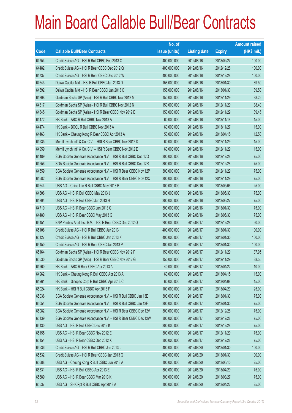|       |                                                                | No. of        |                     |               | <b>Amount raised</b> |
|-------|----------------------------------------------------------------|---------------|---------------------|---------------|----------------------|
| Code  | <b>Callable Bull/Bear Contracts</b>                            | issue (units) | <b>Listing date</b> | <b>Expiry</b> | $(HK$$ mil.)         |
| 64754 | Credit Suisse AG - HSI R Bull CBBC Feb 2013 O                  | 400,000,000   | 2012/08/16          | 2013/02/27    | 100.00               |
| 64482 | Credit Suisse AG - HSI R Bear CBBC Dec 2012 Q                  | 400,000,000   | 2012/08/16          | 2012/12/28    | 100.00               |
| 64737 | Credit Suisse AG - HSI R Bear CBBC Dec 2012 W                  | 400,000,000   | 2012/08/16          | 2012/12/28    | 100.00               |
| 64643 | Daiwa Capital Mkt - HSI R Bull CBBC Jan 2013 D                 | 158,000,000   | 2012/08/16          | 2013/01/30    | 39.50                |
| 64592 | Daiwa Capital Mkt - HSI R Bear CBBC Jan 2013 C                 | 158,000,000   | 2012/08/16          | 2013/01/30    | 39.50                |
| 64808 | Goldman Sachs SP (Asia) - HSI R Bull CBBC Nov 2012 M           | 150,000,000   | 2012/08/16          | 2012/11/29    | 38.25                |
| 64817 | Goldman Sachs SP (Asia) - HSI R Bull CBBC Nov 2012 N           | 150,000,000   | 2012/08/16          | 2012/11/29    | 38.40                |
| 64845 | Goldman Sachs SP (Asia) - HSI R Bear CBBC Nov 2012 E           | 150,000,000   | 2012/08/16          | 2012/11/29    | 39.45                |
| 64472 | HK Bank - ABC R Bull CBBC Nov 2013 A                           | 60,000,000    | 2012/08/16          | 2013/11/18    | 15.00                |
| 64474 | HK Bank - BOCL R Bull CBBC Nov 2013 A                          | 60,000,000    | 2012/08/16          | 2013/11/27    | 15.00                |
| 64463 | HK Bank - Cheung Kong R Bear CBBC Apr 2013 A                   | 50,000,000    | 2012/08/16          | 2013/04/15    | 12.50                |
| 64935 | Merrill Lynch Int'l & Co. C.V. - HSI R Bear CBBC Nov 2012 D    | 60,000,000    | 2012/08/16          | 2012/11/29    | 15.00                |
| 64959 | Merrill Lynch Int'l & Co. C.V. - HSI R Bear CBBC Nov 2012 E    | 60,000,000    | 2012/08/16          | 2012/11/29    | 15.00                |
| 64489 | SGA Societe Generale Acceptance N.V. - HSI R Bull CBBC Dec 12Q | 300,000,000   | 2012/08/16          | 2012/12/28    | 75.00                |
| 64556 | SGA Societe Generale Acceptance N.V. - HSI R Bull CBBC Dec 12R | 300,000,000   | 2012/08/16          | 2012/12/28    | 75.00                |
| 64559 | SGA Societe Generale Acceptance N.V. - HSI R Bear CBBC Nov 12P | 300,000,000   | 2012/08/16          | 2012/11/29    | 75.00                |
| 64582 | SGA Societe Generale Acceptance N.V. - HSI R Bear CBBC Nov 12Q | 300,000,000   | 2012/08/16          | 2012/11/29    | 75.00                |
| 64644 | UBS AG - China Life R Bull CBBC May 2013 B                     | 100,000,000   | 2012/08/16          | 2013/05/06    | 25.00                |
| 64806 | UBS AG - HSI R Bull CBBC May 2013 J                            | 300,000,000   | 2012/08/16          | 2013/05/30    | 75.00                |
| 64804 | UBS AG - HSI R Bull CBBC Jun 2013 H                            | 300,000,000   | 2012/08/16          | 2013/06/27    | 75.00                |
| 64710 | UBS AG - HSI R Bear CBBC Jan 2013 G                            | 300,000,000   | 2012/08/16          | 2013/01/30    | 75.00                |
| 64480 | UBS AG - HSI R Bear CBBC May 2013 G                            | 300,000,000   | 2012/08/16          | 2013/05/30    | 75.00                |
| 65151 | BNP Paribas Arbit Issu B.V. - HSI R Bear CBBC Dec 2012 Q       | 200,000,000   | 2012/08/17          | 2012/12/28    | 50.00                |
| 65108 | Credit Suisse AG - HSI R Bull CBBC Jan 2013 I                  | 400,000,000   | 2012/08/17          | 2013/01/30    | 100.00               |
| 65127 | Credit Suisse AG - HSI R Bull CBBC Jan 2013 K                  | 400,000,000   | 2012/08/17          | 2013/01/30    | 100.00               |
| 65150 | Credit Suisse AG - HSI R Bear CBBC Jan 2013 P                  | 400,000,000   | 2012/08/17          | 2013/01/30    | 100.00               |
| 65164 | Goldman Sachs SP (Asia) - HSI R Bear CBBC Nov 2012 F           | 150,000,000   | 2012/08/17          | 2012/11/29    | 37.95                |
| 65530 | Goldman Sachs SP (Asia) - HSI R Bear CBBC Nov 2012 G           | 150,000,000   | 2012/08/17          | 2012/11/29    | 38.55                |
| 64960 | HK Bank - ABC R Bear CBBC Apr 2013 A                           | 40,000,000    | 2012/08/17          | 2013/04/22    | 10.00                |
| 64962 | HK Bank - Cheung Kong R Bull CBBC Apr 2013 A                   | 60,000,000    | 2012/08/17          | 2013/04/15    | 15.00                |
| 64961 | HK Bank - Sinopec Corp R Bull CBBC Apr 2013 C                  | 60,000,000    | 2012/08/17          | 2013/04/08    | 15.00                |
| 65024 | HK Bank - HSI R Bull CBBC Apr 2013 F                           | 100,000,000   | 2012/08/17          | 2013/04/29    | 25.00                |
| 65036 | SGA Societe Generale Acceptance N.V. - HSI R Bull CBBC Jan 13E | 300,000,000   | 2012/08/17          | 2013/01/30    | 75.00                |
| 65054 | SGA Societe Generale Acceptance N.V. - HSI R Bull CBBC Jan 13F | 300,000,000   | 2012/08/17          | 2013/01/30    | 75.00                |
| 65082 | SGA Societe Generale Acceptance N.V. - HSI R Bear CBBC Dec 12V | 300,000,000   | 2012/08/17          | 2012/12/28    | 75.00                |
| 65139 | SGA Societe Generale Acceptance N.V. - HSI R Bear CBBC Dec 12W | 300,000,000   | 2012/08/17          | 2012/12/28    | 75.00                |
| 65130 | UBS AG - HSI R Bull CBBC Dec 2012 K                            | 300,000,000   | 2012/08/17          | 2012/12/28    | 75.00                |
| 65155 | UBS AG - HSI R Bear CBBC Nov 2012 E                            | 300,000,000   | 2012/08/17          | 2012/11/29    | 75.00                |
| 65154 | UBS AG - HSI R Bear CBBC Dec 2012 X                            | 300,000,000   | 2012/08/17          | 2012/12/28    | 75.00                |
| 65536 | Credit Suisse AG - HSI R Bull CBBC Jan 2013 L                  | 400,000,000   | 2012/08/20          | 2013/01/30    | 100.00               |
| 65532 | Credit Suisse AG - HSI R Bear CBBC Jan 2013 Q                  | 400,000,000   | 2012/08/20          | 2013/01/30    | 100.00               |
| 65688 | UBS AG - Cheung Kong R Bull CBBC Jun 2013 A                    | 100,000,000   | 2012/08/20          | 2013/06/10    | 25.00                |
| 65531 | UBS AG - HSI R Bull CBBC Apr 2013 E                            | 300,000,000   | 2012/08/20          | 2013/04/29    | 75.00                |
| 65689 | UBS AG - HSI R Bear CBBC Mar 2013 K                            | 300,000,000   | 2012/08/20          | 2013/03/27    | 75.00                |
| 65537 | UBS AG - SHK Ppt R Bull CBBC Apr 2013 A                        | 100,000,000   | 2012/08/20          | 2013/04/22    | 25.00                |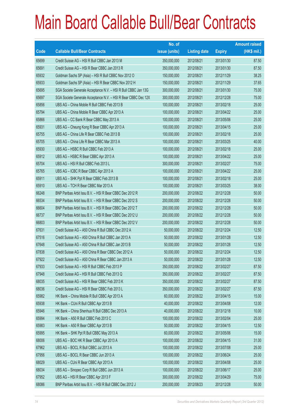|       |                                                                | No. of        |                     |               | <b>Amount raised</b> |
|-------|----------------------------------------------------------------|---------------|---------------------|---------------|----------------------|
| Code  | <b>Callable Bull/Bear Contracts</b>                            | issue (units) | <b>Listing date</b> | <b>Expiry</b> | (HK\$ mil.)          |
| 65699 | Credit Suisse AG - HSI R Bull CBBC Jan 2013 M                  | 350,000,000   | 2012/08/21          | 2013/01/30    | 87.50                |
| 65691 | Credit Suisse AG - HSI R Bear CBBC Jan 2013 R                  | 350,000,000   | 2012/08/21          | 2013/01/30    | 87.50                |
| 65932 | Goldman Sachs SP (Asia) - HSI R Bull CBBC Nov 2012 O           | 150,000,000   | 2012/08/21          | 2012/11/29    | 38.25                |
| 65933 | Goldman Sachs SP (Asia) - HSI R Bear CBBC Nov 2012 H           | 150,000,000   | 2012/08/21          | 2012/11/29    | 37.65                |
| 65695 | SGA Societe Generale Acceptance N.V. - HSI R Bull CBBC Jan 13G | 300,000,000   | 2012/08/21          | 2013/01/30    | 75.00                |
| 65697 | SGA Societe Generale Acceptance N.V. - HSI R Bear CBBC Dec 12X | 300,000,000   | 2012/08/21          | 2012/12/28    | 75.00                |
| 65856 | UBS AG - China Mobile R Bull CBBC Feb 2013 B                   | 100,000,000   | 2012/08/21          | 2013/02/18    | 25.00                |
| 65794 | UBS AG - China Mobile R Bear CBBC Apr 2013 A                   | 100,000,000   | 2012/08/21          | 2013/04/22    | 25.00                |
| 65866 | UBS AG - CC Bank R Bear CBBC May 2013 A                        | 100,000,000   | 2012/08/21          | 2013/05/06    | 25.00                |
| 65931 | UBS AG - Cheung Kong R Bear CBBC Apr 2013 A                    | 100,000,000   | 2012/08/21          | 2013/04/15    | 25.00                |
| 65755 | UBS AG - China Life R Bear CBBC Feb 2013 B                     | 100,000,000   | 2012/08/21          | 2013/02/18    | 25.00                |
| 65705 | UBS AG - China Life R Bear CBBC Mar 2013 A                     | 100,000,000   | 2012/08/21          | 2013/03/25    | 40.00                |
| 65930 | UBS AG - HSBC R Bull CBBC Feb 2013 A                           | 100,000,000   | 2012/08/21          | 2013/02/18    | 25.00                |
| 65912 | UBS AG - HSBC R Bear CBBC Apr 2013 A                           | 100,000,000   | 2012/08/21          | 2013/04/22    | 25.00                |
| 65704 | UBS AG - HSI R Bull CBBC Feb 2013 L                            | 300,000,000   | 2012/08/21          | 2013/02/27    | 75.00                |
| 65765 | UBS AG - ICBC R Bear CBBC Apr 2013 A                           | 100,000,000   | 2012/08/21          | 2013/04/22    | 25.00                |
| 65911 | UBS AG - SHK Ppt R Bear CBBC Feb 2013 B                        | 100,000,000   | 2012/08/21          | 2013/02/18    | 25.00                |
| 65910 | UBS AG - TCH R Bear CBBC Mar 2013 A                            | 100,000,000   | 2012/08/21          | 2013/03/25    | 38.00                |
| 66248 | BNP Paribas Arbit Issu B.V. - HSI R Bear CBBC Dec 2012 R       | 200,000,000   | 2012/08/22          | 2012/12/28    | 50.00                |
| 66534 | BNP Paribas Arbit Issu B.V. - HSI R Bear CBBC Dec 2012 S       | 200,000,000   | 2012/08/22          | 2012/12/28    | 50.00                |
| 66604 | BNP Paribas Arbit Issu B.V. - HSI R Bear CBBC Dec 2012 T       | 200,000,000   | 2012/08/22          | 2012/12/28    | 50.00                |
| 66737 | BNP Paribas Arbit Issu B.V. - HSI R Bear CBBC Dec 2012 U       | 200,000,000   | 2012/08/22          | 2012/12/28    | 50.00                |
| 66803 | BNP Paribas Arbit Issu B.V. - HSI R Bear CBBC Dec 2012 V       | 200,000,000   | 2012/08/22          | 2012/12/28    | 50.00                |
| 67631 | Credit Suisse AG - A50 China R Bull CBBC Dec 2012 A            | 50,000,000    | 2012/08/22          | 2012/12/24    | 12.50                |
| 67516 | Credit Suisse AG - A50 China R Bull CBBC Jan 2013 A            | 50,000,000    | 2012/08/22          | 2013/01/28    | 12.50                |
| 67648 | Credit Suisse AG - A50 China R Bull CBBC Jan 2013 B            | 50,000,000    | 2012/08/22          | 2013/01/28    | 12.50                |
| 67838 | Credit Suisse AG - A50 China R Bear CBBC Dec 2012 A            | 50,000,000    | 2012/08/22          | 2012/12/24    | 12.50                |
| 67922 | Credit Suisse AG - A50 China R Bear CBBC Jan 2013 A            | 50,000,000    | 2012/08/22          | 2013/01/28    | 12.50                |
| 67933 | Credit Suisse AG - HSI R Bull CBBC Feb 2013 P                  | 350,000,000   | 2012/08/22          | 2013/02/27    | 87.50                |
| 67948 | Credit Suisse AG - HSI R Bull CBBC Feb 2013 Q                  | 350,000,000   | 2012/08/22          | 2013/02/27    | 87.50                |
| 68035 | Credit Suisse AG - HSI R Bear CBBC Feb 2013 K                  | 350,000,000   | 2012/08/22          | 2013/02/27    | 87.50                |
| 68036 | Credit Suisse AG - HSI R Bear CBBC Feb 2013 L                  | 350,000,000   | 2012/08/22          | 2013/02/27    | 87.50                |
| 65982 | HK Bank - China Mobile R Bull CBBC Apr 2013 A                  | 60,000,000    | 2012/08/22          | 2013/04/15    | 15.00                |
| 65938 | HK Bank - CUni R Bull CBBC Apr 2013 B                          | 40,000,000    | 2012/08/22          | 2013/04/08    | 12.00                |
| 65946 | HK Bank - China Shenhua R Bull CBBC Dec 2013 A                 | 40,000,000    | 2012/08/22          | 2013/12/18    | 10.00                |
| 65994 | HK Bank - A50 R Bull CBBC Feb 2013 C                           | 100,000,000   | 2012/08/22          | 2013/02/04    | 25.00                |
| 65983 | HK Bank - A50 R Bear CBBC Apr 2013 B                           | 50,000,000    | 2012/08/22          | 2013/04/15    | 12.50                |
| 65995 | HK Bank - SHK Ppt R Bull CBBC May 2013 A                       | 60,000,000    | 2012/08/22          | 2013/05/06    | 15.00                |
| 68006 | UBS AG - BOC HK R Bear CBBC Apr 2013 A                         | 100,000,000   | 2012/08/22          | 2013/04/15    | 31.00                |
| 67962 | UBS AG - BOCL R Bull CBBC Jul 2013 A                           | 100,000,000   | 2012/08/22          | 2013/07/08    | 25.00                |
| 67956 | UBS AG - BOCL R Bear CBBC Jun 2013 A                           | 100,000,000   | 2012/08/22          | 2013/06/24    | 25.00                |
| 68029 | UBS AG - CUni R Bear CBBC Apr 2013 A                           | 100,000,000   | 2012/08/22          | 2013/04/08    | 25.00                |
| 68034 | UBS AG - Sinopec Corp R Bull CBBC Jun 2013 A                   | 100,000,000   | 2012/08/22          | 2013/06/17    | 25.00                |
| 67952 | UBS AG - HSI R Bear CBBC Apr 2013 F                            | 300,000,000   | 2012/08/22          | 2013/04/29    | 75.00                |
| 68086 | BNP Paribas Arbit Issu B.V. - HSI R Bull CBBC Dec 2012 J       | 200,000,000   | 2012/08/23          | 2012/12/28    | 50.00                |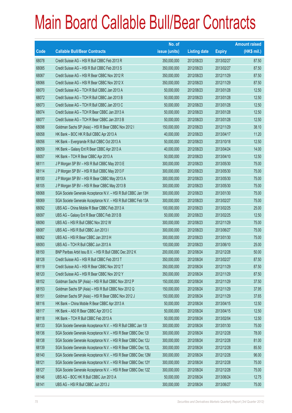|       |                                                                | No. of        |                     |               | <b>Amount raised</b> |
|-------|----------------------------------------------------------------|---------------|---------------------|---------------|----------------------|
| Code  | <b>Callable Bull/Bear Contracts</b>                            | issue (units) | <b>Listing date</b> | <b>Expiry</b> | $(HK$$ mil.)         |
| 68078 | Credit Suisse AG - HSI R Bull CBBC Feb 2013 R                  | 350,000,000   | 2012/08/23          | 2013/02/27    | 87.50                |
| 68085 | Credit Suisse AG - HSI R Bull CBBC Feb 2013 S                  | 350,000,000   | 2012/08/23          | 2013/02/27    | 87.50                |
| 68067 | Credit Suisse AG - HSI R Bear CBBC Nov 2012 R                  | 350,000,000   | 2012/08/23          | 2012/11/29    | 87.50                |
| 68066 | Credit Suisse AG - HSI R Bear CBBC Nov 2012 X                  | 350,000,000   | 2012/08/23          | 2012/11/29    | 87.50                |
| 68070 | Credit Suisse AG - TCH R Bull CBBC Jan 2013 A                  | 50,000,000    | 2012/08/23          | 2013/01/28    | 12.50                |
| 68072 | Credit Suisse AG - TCH R Bull CBBC Jan 2013 B                  | 50,000,000    | 2012/08/23          | 2013/01/28    | 12.50                |
| 68073 | Credit Suisse AG - TCH R Bull CBBC Jan 2013 C                  | 50,000,000    | 2012/08/23          | 2013/01/28    | 12.50                |
| 68074 | Credit Suisse AG - TCH R Bear CBBC Jan 2013 A                  | 50,000,000    | 2012/08/23          | 2013/01/28    | 12.50                |
| 68077 | Credit Suisse AG - TCH R Bear CBBC Jan 2013 B                  | 50,000,000    | 2012/08/23          | 2013/01/28    | 12.50                |
| 68098 | Goldman Sachs SP (Asia) - HSI R Bear CBBC Nov 2012 I           | 150,000,000   | 2012/08/23          | 2012/11/29    | 38.10                |
| 68058 | HK Bank - BOC HK R Bull CBBC Apr 2013 A                        | 40,000,000    | 2012/08/23          | 2013/04/17    | 11.20                |
| 68056 | HK Bank - Evergrande R Bull CBBC Oct 2013 A                    | 50,000,000    | 2012/08/23          | 2013/10/18    | 12.50                |
| 68059 | HK Bank - Galaxy Ent R Bear CBBC Apr 2013 A                    | 40,000,000    | 2012/08/23          | 2013/04/24    | 14.00                |
| 68057 | HK Bank - TCH R Bear CBBC Apr 2013 A                           | 50,000,000    | 2012/08/23          | 2013/04/10    | 12.50                |
| 68111 | J P Morgan SP BV - HSI R Bull CBBC May 2013 E                  | 300,000,000   | 2012/08/23          | 2013/05/30    | 75.00                |
| 68114 | J P Morgan SP BV - HSI R Bull CBBC May 2013 F                  | 300,000,000   | 2012/08/23          | 2013/05/30    | 75.00                |
| 68100 | J P Morgan SP BV - HSI R Bear CBBC May 2013 A                  | 300,000,000   | 2012/08/23          | 2013/05/30    | 75.00                |
| 68105 | J P Morgan SP BV - HSI R Bear CBBC May 2013 B                  | 300,000,000   | 2012/08/23          | 2013/05/30    | 75.00                |
| 68068 | SGA Societe Generale Acceptance N.V. - HSI R Bull CBBC Jan 13H | 300,000,000   | 2012/08/23          | 2013/01/30    | 75.00                |
| 68069 | SGA Societe Generale Acceptance N.V. - HSI R Bull CBBC Feb 13A | 300,000,000   | 2012/08/23          | 2013/02/27    | 75.00                |
| 68092 | UBS AG - China Mobile R Bear CBBC Feb 2013 A                   | 100,000,000   | 2012/08/23          | 2013/02/25    | 25.00                |
| 68097 | UBS AG - Galaxy Ent R Bear CBBC Feb 2013 B                     | 50,000,000    | 2012/08/23          | 2013/02/25    | 12.50                |
| 68090 | UBS AG - HSI R Bull CBBC Nov 2012 W                            | 300,000,000   | 2012/08/23          | 2012/11/29    | 75.00                |
| 68087 | UBS AG - HSI R Bull CBBC Jun 2013 I                            | 300,000,000   | 2012/08/23          | 2013/06/27    | 75.00                |
| 68062 | UBS AG - HSI R Bear CBBC Jan 2013 H                            | 300,000,000   | 2012/08/23          | 2013/01/30    | 75.00                |
| 68093 | UBS AG - TCH R Bull CBBC Jun 2013 A                            | 100,000,000   | 2012/08/23          | 2013/06/10    | 25.00                |
| 68150 | BNP Paribas Arbit Issu B.V. - HSI R Bull CBBC Dec 2012 K       | 200,000,000   | 2012/08/24          | 2012/12/28    | 50.00                |
| 68128 | Credit Suisse AG - HSI R Bull CBBC Feb 2013 T                  | 350,000,000   | 2012/08/24          | 2013/02/27    | 87.50                |
| 68119 | Credit Suisse AG - HSI R Bear CBBC Nov 2012 T                  | 350,000,000   | 2012/08/24          | 2012/11/29    | 87.50                |
| 68120 | Credit Suisse AG - HSI R Bear CBBC Nov 2012 Y                  | 350,000,000   | 2012/08/24          | 2012/11/29    | 87.50                |
| 68152 | Goldman Sachs SP (Asia) - HSI R Bull CBBC Nov 2012 P           | 150,000,000   | 2012/08/24          | 2012/11/29    | 37.50                |
| 68153 | Goldman Sachs SP (Asia) - HSI R Bull CBBC Nov 2012 Q           | 150,000,000   | 2012/08/24          | 2012/11/29    | 37.95                |
| 68151 | Goldman Sachs SP (Asia) - HSI R Bear CBBC Nov 2012 J           | 150,000,000   | 2012/08/24          | 2012/11/29    | 37.65                |
| 68116 | HK Bank - China Mobile R Bear CBBC Apr 2013 A                  | 50,000,000    | 2012/08/24          | 2013/04/15    | 12.50                |
| 68117 | HK Bank - A50 R Bear CBBC Apr 2013 C                           | 50,000,000    | 2012/08/24          | 2013/04/15    | 12.50                |
| 68118 | HK Bank - TCH R Bull CBBC Feb 2013 A                           | 50,000,000    | 2012/08/24          | 2013/02/04    | 12.50                |
| 68133 | SGA Societe Generale Acceptance N.V. - HSI R Bull CBBC Jan 13I | 300,000,000   | 2012/08/24          | 2013/01/30    | 75.00                |
| 68136 | SGA Societe Generale Acceptance N.V. - HSI R Bear CBBC Dec 121 | 300,000,000   | 2012/08/24          | 2012/12/28    | 78.00                |
| 68138 | SGA Societe Generale Acceptance N.V. - HSI R Bear CBBC Dec 12J | 300,000,000   | 2012/08/24          | 2012/12/28    | 81.00                |
| 68139 | SGA Societe Generale Acceptance N.V. - HSI R Bear CBBC Dec 12L | 300,000,000   | 2012/08/24          | 2012/12/28    | 85.50                |
| 68140 | SGA Societe Generale Acceptance N.V. - HSI R Bear CBBC Dec 12M | 300,000,000   | 2012/08/24          | 2012/12/28    | 96.00                |
| 68121 | SGA Societe Generale Acceptance N.V. - HSI R Bear CBBC Dec 12Y | 300,000,000   | 2012/08/24          | 2012/12/28    | 75.00                |
| 68127 | SGA Societe Generale Acceptance N.V. - HSI R Bear CBBC Dec 12Z | 300,000,000   | 2012/08/24          | 2012/12/28    | 75.00                |
| 68146 | UBS AG - BOC HK R Bull CBBC Jun 2013 A                         | 50,000,000    | 2012/08/24          | 2013/06/24    | 12.75                |
| 68141 | UBS AG - HSI R Bull CBBC Jun 2013 J                            | 300,000,000   | 2012/08/24          | 2013/06/27    | 75.00                |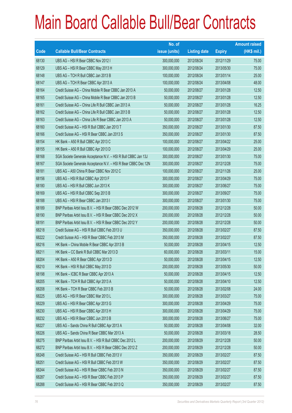|       |                                                                | No. of        |                     |               | <b>Amount raised</b> |
|-------|----------------------------------------------------------------|---------------|---------------------|---------------|----------------------|
| Code  | <b>Callable Bull/Bear Contracts</b>                            | issue (units) | <b>Listing date</b> | <b>Expiry</b> | $(HK$$ mil.)         |
| 68130 | UBS AG - HSI R Bear CBBC Nov 2012 I                            | 300,000,000   | 2012/08/24          | 2012/11/29    | 75.00                |
| 68129 | UBS AG - HSI R Bear CBBC May 2013 H                            | 300,000,000   | 2012/08/24          | 2013/05/30    | 75.00                |
| 68148 | UBS AG - TCH R Bull CBBC Jan 2013 B                            | 100,000,000   | 2012/08/24          | 2013/01/14    | 25.00                |
| 68147 | UBS AG - TCH R Bear CBBC Apr 2013 A                            | 100,000,000   | 2012/08/24          | 2013/04/08    | 48.00                |
| 68164 | Credit Suisse AG - China Mobile R Bear CBBC Jan 2013 A         | 50,000,000    | 2012/08/27          | 2013/01/28    | 12.50                |
| 68165 | Credit Suisse AG - China Mobile R Bear CBBC Jan 2013 B         | 50,000,000    | 2012/08/27          | 2013/01/28    | 12.50                |
| 68161 | Credit Suisse AG - China Life R Bull CBBC Jan 2013 A           | 50,000,000    | 2012/08/27          | 2013/01/28    | 16.25                |
| 68162 | Credit Suisse AG - China Life R Bull CBBC Jan 2013 B           | 50,000,000    | 2012/08/27          | 2013/01/28    | 12.50                |
| 68163 | Credit Suisse AG - China Life R Bear CBBC Jan 2013 A           | 50,000,000    | 2012/08/27          | 2013/01/28    | 12.50                |
| 68160 | Credit Suisse AG - HSI R Bull CBBC Jan 2013 T                  | 350,000,000   | 2012/08/27          | 2013/01/30    | 87.50                |
| 68166 | Credit Suisse AG - HSI R Bear CBBC Jan 2013 S                  | 350,000,000   | 2012/08/27          | 2013/01/30    | 87.50                |
| 68154 | HK Bank - A50 R Bull CBBC Apr 2013 C                           | 100,000,000   | 2012/08/27          | 2013/04/22    | 25.00                |
| 68155 | HK Bank - A50 R Bull CBBC Apr 2013 D                           | 100,000,000   | 2012/08/27          | 2013/04/29    | 25.00                |
| 68168 | SGA Societe Generale Acceptance N.V. - HSI R Bull CBBC Jan 13J | 300,000,000   | 2012/08/27          | 2013/01/30    | 75.00                |
| 68167 | SGA Societe Generale Acceptance N.V. - HSI R Bear CBBC Dec 12N | 300,000,000   | 2012/08/27          | 2012/12/28    | 75.00                |
| 68181 | UBS AG - A50 China R Bear CBBC Nov 2012 C                      | 100,000,000   | 2012/08/27          | 2012/11/26    | 25.00                |
| 68156 | UBS AG - HSI R Bull CBBC Apr 2013 F                            | 300,000,000   | 2012/08/27          | 2013/04/29    | 75.00                |
| 68180 | UBS AG - HSI R Bull CBBC Jun 2013 K                            | 300,000,000   | 2012/08/27          | 2013/06/27    | 75.00                |
| 68169 | UBS AG - HSI R Bull CBBC Sep 2013 B                            | 300,000,000   | 2012/08/27          | 2013/09/27    | 75.00                |
| 68188 | UBS AG - HSI R Bear CBBC Jan 2013 I                            | 300,000,000   | 2012/08/27          | 2013/01/30    | 75.00                |
| 68189 | BNP Paribas Arbit Issu B.V. - HSI R Bear CBBC Dec 2012 W       | 200,000,000   | 2012/08/28          | 2012/12/28    | 50.00                |
| 68190 | BNP Paribas Arbit Issu B.V. - HSI R Bear CBBC Dec 2012 X       | 200,000,000   | 2012/08/28          | 2012/12/28    | 50.00                |
| 68191 | BNP Paribas Arbit Issu B.V. - HSI R Bear CBBC Dec 2012 Y       | 200,000,000   | 2012/08/28          | 2012/12/28    | 50.00                |
| 68218 | Credit Suisse AG - HSI R Bull CBBC Feb 2013 U                  | 350,000,000   | 2012/08/28          | 2013/02/27    | 87.50                |
| 68222 | Credit Suisse AG - HSI R Bear CBBC Feb 2013 M                  | 350,000,000   | 2012/08/28          | 2013/02/27    | 87.50                |
| 68216 | HK Bank - China Mobile R Bear CBBC Apr 2013 B                  | 50,000,000    | 2012/08/28          | 2013/04/15    | 12.50                |
| 68211 | HK Bank - CC Bank R Bull CBBC Mar 2013 D                       | 60,000,000    | 2012/08/28          | 2013/03/11    | 15.00                |
| 68204 | HK Bank - A50 R Bear CBBC Apr 2013 D                           | 50,000,000    | 2012/08/28          | 2013/04/15    | 12.50                |
| 68210 | HK Bank - HSI R Bull CBBC May 2013 D                           | 200,000,000   | 2012/08/28          | 2013/05/30    | 50.00                |
| 68198 | HK Bank - ICBC R Bear CBBC Apr 2013 A                          | 50,000,000    | 2012/08/28          | 2013/04/15    | 12.50                |
| 68205 | HK Bank - TCH R Bull CBBC Apr 2013 A                           | 50,000,000    | 2012/08/28          | 2013/04/10    | 12.50                |
| 68208 | HK Bank - TCH R Bear CBBC Feb 2013 B                           | 50,000,000    | 2012/08/28          | 2013/02/08    | 24.00                |
| 68225 | UBS AG - HSI R Bear CBBC Mar 2013 L                            | 300,000,000   | 2012/08/28          | 2013/03/27    | 75.00                |
| 68229 | UBS AG - HSI R Bear CBBC Apr 2013 G                            | 300,000,000   | 2012/08/28          | 2013/04/29    | 75.00                |
| 68230 | UBS AG - HSI R Bear CBBC Apr 2013 H                            | 300,000,000   | 2012/08/28          | 2013/04/29    | 75.00                |
| 68232 | UBS AG - HSI R Bear CBBC Jun 2013 B                            | 300,000,000   | 2012/08/28          | 2013/06/27    | 75.00                |
| 68227 | UBS AG - Sands China R Bull CBBC Apr 2013 A                    | 50,000,000    | 2012/08/28          | 2013/04/08    | 32.00                |
| 68226 | UBS AG - Sands China R Bear CBBC Mar 2013 A                    | 50,000,000    | 2012/08/28          | 2013/03/18    | 28.50                |
| 68275 | BNP Paribas Arbit Issu B.V. - HSI R Bull CBBC Dec 2012 L       | 200,000,000   | 2012/08/29          | 2012/12/28    | 50.00                |
| 68272 | BNP Paribas Arbit Issu B.V. - HSI R Bear CBBC Dec 2012 Z       | 200,000,000   | 2012/08/29          | 2012/12/28    | 50.00                |
| 68248 | Credit Suisse AG - HSI R Bull CBBC Feb 2013 V                  | 350,000,000   | 2012/08/29          | 2013/02/27    | 87.50                |
| 68251 | Credit Suisse AG - HSI R Bull CBBC Feb 2013 W                  | 350,000,000   | 2012/08/29          | 2013/02/27    | 87.50                |
| 68244 | Credit Suisse AG - HSI R Bear CBBC Feb 2013 N                  | 350,000,000   | 2012/08/29          | 2013/02/27    | 87.50                |
| 68287 | Credit Suisse AG - HSI R Bear CBBC Feb 2013 P                  | 350,000,000   | 2012/08/29          | 2013/02/27    | 87.50                |
| 68288 | Credit Suisse AG - HSI R Bear CBBC Feb 2013 Q                  | 350,000,000   | 2012/08/29          | 2013/02/27    | 87.50                |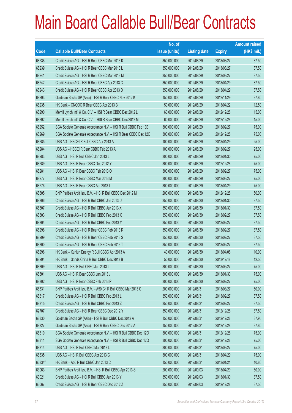|        |                                                                | No. of        |                     |               | <b>Amount raised</b> |
|--------|----------------------------------------------------------------|---------------|---------------------|---------------|----------------------|
| Code   | <b>Callable Bull/Bear Contracts</b>                            | issue (units) | <b>Listing date</b> | <b>Expiry</b> | (HK\$ mil.)          |
| 68238  | Credit Suisse AG - HSI R Bear CBBC Mar 2013 K                  | 350,000,000   | 2012/08/29          | 2013/03/27    | 87.50                |
| 68239  | Credit Suisse AG - HSI R Bear CBBC Mar 2013 L                  | 350,000,000   | 2012/08/29          | 2013/03/27    | 87.50                |
| 68241  | Credit Suisse AG - HSI R Bear CBBC Mar 2013 M                  | 350,000,000   | 2012/08/29          | 2013/03/27    | 87.50                |
| 68242  | Credit Suisse AG - HSI R Bear CBBC Apr 2013 C                  | 350,000,000   | 2012/08/29          | 2013/04/29    | 87.50                |
| 68243  | Credit Suisse AG - HSI R Bear CBBC Apr 2013 D                  | 350,000,000   | 2012/08/29          | 2013/04/29    | 87.50                |
| 68293  | Goldman Sachs SP (Asia) - HSI R Bear CBBC Nov 2012 K           | 150,000,000   | 2012/08/29          | 2012/11/29    | 37.80                |
| 68235  | HK Bank - CNOOC R Bear CBBC Apr 2013 B                         | 50,000,000    | 2012/08/29          | 2013/04/22    | 12.50                |
| 68290  | Merrill Lynch Int'l & Co. C.V. - HSI R Bear CBBC Dec 2012 L    | 60,000,000    | 2012/08/29          | 2012/12/28    | 15.00                |
| 68292  | Merrill Lynch Int'l & Co. C.V. - HSI R Bear CBBC Dec 2012 M    | 60,000,000    | 2012/08/29          | 2012/12/28    | 15.00                |
| 68252  | SGA Societe Generale Acceptance N.V. - HSI R Bull CBBC Feb 13B | 300,000,000   | 2012/08/29          | 2013/02/27    | 75.00                |
| 68269  | SGA Societe Generale Acceptance N.V. - HSI R Bear CBBC Dec 120 | 300,000,000   | 2012/08/29          | 2012/12/28    | 75.00                |
| 68285  | UBS AG - HSCEI R Bull CBBC Apr 2013 A                          | 100,000,000   | 2012/08/29          | 2013/04/29    | 25.00                |
| 68284  | UBS AG - HSCEI R Bear CBBC Feb 2013 A                          | 100,000,000   | 2012/08/29          | 2013/02/27    | 25.00                |
| 68283  | UBS AG - HSI R Bull CBBC Jan 2013 L                            | 300,000,000   | 2012/08/29          | 2013/01/30    | 75.00                |
| 68289  | UBS AG - HSI R Bear CBBC Dec 2012 Y                            | 300,000,000   | 2012/08/29          | 2012/12/28    | 75.00                |
| 68281  | UBS AG - HSI R Bear CBBC Feb 2013 O                            | 300,000,000   | 2012/08/29          | 2013/02/27    | 75.00                |
| 68277  | UBS AG - HSI R Bear CBBC Mar 2013 M                            | 300,000,000   | 2012/08/29          | 2013/03/27    | 75.00                |
| 68276  | UBS AG - HSI R Bear CBBC Apr 2013 I                            | 300,000,000   | 2012/08/29          | 2013/04/29    | 75.00                |
| 68305  | BNP Paribas Arbit Issu B.V. - HSI R Bull CBBC Dec 2012 M       | 200,000,000   | 2012/08/30          | 2012/12/28    | 50.00                |
| 68306  | Credit Suisse AG - HSI R Bull CBBC Jan 2013 U                  | 350,000,000   | 2012/08/30          | 2013/01/30    | 87.50                |
| 68307  | Credit Suisse AG - HSI R Bull CBBC Jan 2013 X                  | 350,000,000   | 2012/08/30          | 2013/01/30    | 87.50                |
| 68303  | Credit Suisse AG - HSI R Bull CBBC Feb 2013 X                  | 350,000,000   | 2012/08/30          | 2013/02/27    | 87.50                |
| 68304  | Credit Suisse AG - HSI R Bull CBBC Feb 2013 Y                  | 350,000,000   | 2012/08/30          | 2013/02/27    | 87.50                |
| 68298  | Credit Suisse AG - HSI R Bear CBBC Feb 2013 R                  | 350,000,000   | 2012/08/30          | 2013/02/27    | 87.50                |
| 68299  | Credit Suisse AG - HSI R Bear CBBC Feb 2013 S                  | 350,000,000   | 2012/08/30          | 2013/02/27    | 87.50                |
| 68300  | Credit Suisse AG - HSI R Bear CBBC Feb 2013 T                  | 350,000,000   | 2012/08/30          | 2013/02/27    | 87.50                |
| 68296  | HK Bank - Kunlun Energy R Bull CBBC Apr 2013 A                 | 40,000,000    | 2012/08/30          | 2013/04/08    | 10.00                |
| 68294  | HK Bank – Sands China R Bull CBBC Dec 2013 B                   | 50,000,000    | 2012/08/30          | 2013/12/18    | 12.50                |
| 68309  | UBS AG - HSI R Bull CBBC Jun 2013 L                            | 300,000,000   | 2012/08/30          | 2013/06/27    | 75.00                |
| 68301  | UBS AG - HSI R Bear CBBC Jan 2013 J                            | 300,000,000   | 2012/08/30          | 2013/01/30    | 75.00                |
| 68302  | UBS AG - HSI R Bear CBBC Feb 2013 P                            | 300,000,000   | 2012/08/30          | 2013/02/27    | 75.00                |
| 68331  | BNP Paribas Arbit Issu B.V. - A50 Ch R Bull CBBC Mar 2013 C    | 200,000,000   | 2012/08/31          | 2013/03/27    | 50.00                |
| 68317  | Credit Suisse AG - HSI R Bull CBBC Feb 2013 L                  | 350,000,000   | 2012/08/31          | 2013/02/27    | 87.50                |
| 68315  | Credit Suisse AG - HSI R Bull CBBC Feb 2013 Z                  | 350,000,000   | 2012/08/31          | 2013/02/27    | 87.50                |
| 62707  | Credit Suisse AG - HSI R Bear CBBC Dec 2012 Y                  | 350,000,000   | 2012/08/31          | 2012/12/28    | 87.50                |
| 68330  | Goldman Sachs SP (Asia) - HSI R Bull CBBC Dec 2012 A           | 150,000,000   | 2012/08/31          | 2012/12/28    | 37.95                |
| 68327  | Goldman Sachs SP (Asia) - HSI R Bear CBBC Dec 2012 A           | 150,000,000   | 2012/08/31          | 2012/12/28    | 37.80                |
| 68310  | SGA Societe Generale Acceptance N.V. - HSI R Bull CBBC Dec 120 | 300,000,000   | 2012/08/31          | 2012/12/28    | 75.00                |
| 68311  | SGA Societe Generale Acceptance N.V. - HSI R Bull CBBC Dec 12Q | 300,000,000   | 2012/08/31          | 2012/12/28    | 75.00                |
| 68314  | UBS AG - HSI R Bull CBBC Mar 2013 L                            | 300,000,000   | 2012/08/31          | 2013/03/27    | 75.00                |
| 68335  | UBS AG - HSI R Bull CBBC Apr 2013 G                            | 300,000,000   | 2012/08/31          | 2013/04/29    | 75.00                |
| 66834# | HK Bank - A50 R Bull CBBC Jan 2013 C                           | 150,000,000   | 2012/08/31          | 2013/01/21    | 10.80                |
| 63063  | BNP Paribas Arbit Issu B.V. - HSI R Bull CBBC Apr 2013 S       | 200,000,000   | 2012/09/03          | 2013/04/29    | 50.00                |
| 63021  | Credit Suisse AG - HSI R Bull CBBC Jan 2013 Y                  | 350,000,000   | 2012/09/03          | 2013/01/30    | 87.50                |
| 63067  | Credit Suisse AG - HSI R Bear CBBC Dec 2012 Z                  | 350,000,000   | 2012/09/03          | 2012/12/28    | 87.50                |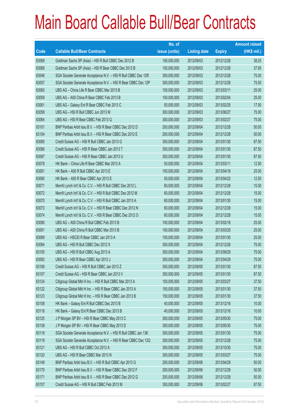|       |                                                                | No. of        |                     |               | <b>Amount raised</b> |
|-------|----------------------------------------------------------------|---------------|---------------------|---------------|----------------------|
| Code  | <b>Callable Bull/Bear Contracts</b>                            | issue (units) | <b>Listing date</b> | <b>Expiry</b> | (HK\$ mil.)          |
| 63069 | Goldman Sachs SP (Asia) - HSI R Bull CBBC Dec 2012 B           | 150,000,000   | 2012/09/03          | 2012/12/28    | 38.25                |
| 63068 | Goldman Sachs SP (Asia) - HSI R Bear CBBC Dec 2012 B           | 150,000,000   | 2012/09/03          | 2012/12/28    | 37.95                |
| 63046 | SGA Societe Generale Acceptance N.V. - HSI R Bull CBBC Dec 12R | 300,000,000   | 2012/09/03          | 2012/12/28    | 75.00                |
| 63057 | SGA Societe Generale Acceptance N.V. - HSI R Bear CBBC Dec 12P | 300,000,000   | 2012/09/03          | 2012/12/28    | 75.00                |
| 63060 | UBS AG - China Life R Bear CBBC Mar 2013 B                     | 100,000,000   | 2012/09/03          | 2013/03/11    | 25.00                |
| 63059 | UBS AG - A50 China R Bear CBBC Feb 2013 B                      | 100,000,000   | 2012/09/03          | 2013/02/04    | 25.00                |
| 63061 | UBS AG - Galaxy Ent R Bear CBBC Feb 2013 C                     | 50,000,000    | 2012/09/03          | 2013/02/25    | 17.00                |
| 63058 | UBS AG - HSI R Bull CBBC Jun 2013 M                            | 300,000,000   | 2012/09/03          | 2013/06/27    | 75.00                |
| 63064 | UBS AG - HSI R Bear CBBC Feb 2013 Q                            | 300,000,000   | 2012/09/03          | 2013/02/27    | 75.00                |
| 63101 | BNP Paribas Arbit Issu B.V. - HSI R Bear CBBC Dec 2012 D       | 200,000,000   | 2012/09/04          | 2012/12/28    | 50.00                |
| 63104 | BNP Paribas Arbit Issu B.V. - HSI R Bear CBBC Dec 2012 E       | 200,000,000   | 2012/09/04          | 2012/12/28    | 50.00                |
| 63085 | Credit Suisse AG - HSI R Bull CBBC Jan 2013 G                  | 350,000,000   | 2012/09/04          | 2013/01/30    | 87.50                |
| 63086 | Credit Suisse AG - HSI R Bear CBBC Jan 2013 T                  | 350,000,000   | 2012/09/04          | 2013/01/30    | 87.50                |
| 63087 | Credit Suisse AG - HSI R Bear CBBC Jan 2013 U                  | 350,000,000   | 2012/09/04          | 2013/01/30    | 87.50                |
| 63078 | HK Bank – China Life R Bear CBBC Mar 2013 A                    | 50,000,000    | 2012/09/04          | 2013/03/11    | 12.50                |
| 63081 | HK Bank - A50 R Bull CBBC Apr 2013 E                           | 100,000,000   | 2012/09/04          | 2013/04/18    | 25.00                |
| 63080 | HK Bank - A50 R Bear CBBC Apr 2013 E                           | 50,000,000    | 2012/09/04          | 2013/04/22    | 12.50                |
| 63071 | Merrill Lynch Int'l & Co. C.V. - HSI R Bull CBBC Dec 2012 L    | 60,000,000    | 2012/09/04          | 2012/12/28    | 15.00                |
| 63072 | Merrill Lynch Int'l & Co. C.V. - HSI R Bull CBBC Dec 2012 M    | 60,000,000    | 2012/09/04          | 2012/12/28    | 15.00                |
| 63070 | Merrill Lynch Int'l & Co. C.V. - HSI R Bull CBBC Jan 2013 A    | 60,000,000    | 2012/09/04          | 2013/01/30    | 15.00                |
| 63073 | Merrill Lynch Int'l & Co. C.V. - HSI R Bear CBBC Dec 2012 N    | 60,000,000    | 2012/09/04          | 2012/12/28    | 15.00                |
| 63074 | Merrill Lynch Int'l & Co. C.V. - HSI R Bear CBBC Dec 2012 O    | 60,000,000    | 2012/09/04          | 2012/12/28    | 15.00                |
| 63090 | UBS AG - A50 China R Bull CBBC Feb 2013 B                      | 100,000,000   | 2012/09/04          | 2013/02/18    | 25.00                |
| 63091 | UBS AG - A50 China R Bull CBBC Mar 2013 B                      | 100,000,000   | 2012/09/04          | 2013/03/25    | 25.00                |
| 63089 | UBS AG - HSCEI R Bear CBBC Jan 2013 A                          | 100,000,000   | 2012/09/04          | 2013/01/30    | 25.00                |
| 63084 | UBS AG - HSI R Bull CBBC Dec 2012 X                            | 300,000,000   | 2012/09/04          | 2012/12/28    | 75.00                |
| 63105 | UBS AG - HSI R Bull CBBC Aug 2013 A                            | 300,000,000   | 2012/09/04          | 2013/08/29    | 75.00                |
| 63092 | UBS AG - HSI R Bear CBBC Apr 2013 J                            | 300,000,000   | 2012/09/04          | 2013/04/29    | 75.00                |
| 63106 | Credit Suisse AG - HSI R Bull CBBC Jan 2013 Z                  | 350,000,000   | 2012/09/05          | 2013/01/30    | 87.50                |
| 63107 | Credit Suisse AG - HSI R Bear CBBC Jan 2013 V                  | 350,000,000   | 2012/09/05          | 2013/01/30    | 87.50                |
| 63124 | Citigroup Global Mkt H Inc. - HSI R Bull CBBC Mar 2013 A       | 150,000,000   | 2012/09/05          | 2013/03/27    | 37.50                |
| 63122 | Citigroup Global Mkt H Inc. - HSI R Bear CBBC Jan 2013 A       | 150,000,000   | 2012/09/05          | 2013/01/30    | 37.50                |
| 63123 | Citigroup Global Mkt H Inc. - HSI R Bear CBBC Jan 2013 B       | 150,000,000   | 2012/09/05          | 2013/01/30    | 37.50                |
| 63108 | HK Bank - Galaxy Ent R Bull CBBC Dec 2013 B                    | 40,000,000    | 2012/09/05          | 2013/12/16    | 10.00                |
| 63116 | HK Bank - Galaxy Ent R Bear CBBC Dec 2013 B                    | 40,000,000    | 2012/09/05          | 2013/12/16    | 10.00                |
| 63125 | J P Morgan SP BV - HSI R Bear CBBC May 2013 C                  | 300,000,000   | 2012/09/05          | 2013/05/30    | 75.00                |
| 63138 | J P Morgan SP BV - HSI R Bear CBBC May 2013 D                  | 300,000,000   | 2012/09/05          | 2013/05/30    | 75.00                |
| 63118 | SGA Societe Generale Acceptance N.V. - HSI R Bull CBBC Jan 13K | 300,000,000   | 2012/09/05          | 2013/01/30    | 75.00                |
| 63119 | SGA Societe Generale Acceptance N.V. - HSI R Bear CBBC Dec 12Q | 300,000,000   | 2012/09/05          | 2012/12/28    | 75.00                |
| 63121 | UBS AG - HSI R Bull CBBC Oct 2013 A                            | 300,000,000   | 2012/09/05          | 2013/10/30    | 75.00                |
| 63120 | UBS AG - HSI R Bear CBBC Mar 2013 N                            | 300,000,000   | 2012/09/05          | 2013/03/27    | 75.00                |
| 63149 | BNP Paribas Arbit Issu B.V. - HSI R Bull CBBC Apr 2013 G       | 200,000,000   | 2012/09/06          | 2013/04/29    | 50.00                |
| 63170 | BNP Paribas Arbit Issu B.V. - HSI R Bear CBBC Dec 2012 F       | 200,000,000   | 2012/09/06          | 2012/12/28    | 50.00                |
| 63171 | BNP Paribas Arbit Issu B.V. - HSI R Bear CBBC Dec 2012 G       | 200,000,000   | 2012/09/06          | 2012/12/28    | 50.00                |
| 63157 | Credit Suisse AG - HSI R Bull CBBC Feb 2013 M                  | 350,000,000   | 2012/09/06          | 2013/02/27    | 87.50                |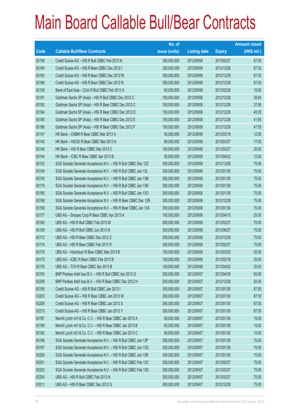|       |                                                                | No. of        |                     |               | <b>Amount raised</b> |
|-------|----------------------------------------------------------------|---------------|---------------------|---------------|----------------------|
| Code  | <b>Callable Bull/Bear Contracts</b>                            | issue (units) | <b>Listing date</b> | <b>Expiry</b> | (HK\$ mil.)          |
| 63158 | Credit Suisse AG - HSI R Bull CBBC Feb 2013 N                  | 350,000,000   | 2012/09/06          | 2013/02/27    | 87.50                |
| 63164 | Credit Suisse AG - HSI R Bear CBBC Dec 2012 I                  | 350,000,000   | 2012/09/06          | 2012/12/28    | 87.50                |
| 63165 | Credit Suisse AG - HSI R Bear CBBC Dec 2012 M                  | 350,000,000   | 2012/09/06          | 2012/12/28    | 87.50                |
| 63166 | Credit Suisse AG - HSI R Bear CBBC Dec 2012 N                  | 350,000,000   | 2012/09/06          | 2012/12/28    | 87.50                |
| 63156 | Bank of East Asia - CUni R Bull CBBC Feb 2013 A                | 60,000,000    | 2012/09/06          | 2013/02/26    | 15.00                |
| 63181 | Goldman Sachs SP (Asia) - HSI R Bull CBBC Dec 2012 C           | 150,000,000   | 2012/09/06          | 2012/12/28    | 39.60                |
| 63182 | Goldman Sachs SP (Asia) - HSI R Bear CBBC Dec 2012 C           | 150,000,000   | 2012/09/06          | 2012/12/28    | 37.95                |
| 63184 | Goldman Sachs SP (Asia) - HSI R Bear CBBC Dec 2012 D           | 150,000,000   | 2012/09/06          | 2012/12/28    | 40.05                |
| 63185 | Goldman Sachs SP (Asia) - HSI R Bear CBBC Dec 2012 E           | 150,000,000   | 2012/09/06          | 2012/12/28    | 41.85                |
| 63186 | Goldman Sachs SP (Asia) - HSI R Bear CBBC Dec 2012 F           | 150,000,000   | 2012/09/06          | 2012/12/28    | 47.55                |
| 63147 | HK Bank - CNBM R Bear CBBC Mar 2013 A                          | 50,000,000    | 2012/09/06          | 2013/03/18    | 12.50                |
| 63140 | HK Bank - HSCEI R Bear CBBC Mar 2013 A                         | 68,000,000    | 2012/09/06          | 2013/03/27    | 17.00                |
| 63148 | HK Bank - HSI R Bear CBBC Mar 2013 C                           | 100,000,000   | 2012/09/06          | 2013/03/27    | 25.00                |
| 63144 | HK Bank - ICBC R Bear CBBC Apr 2013 B                          | 50,000,000    | 2012/09/06          | 2013/04/22    | 12.50                |
| 63152 | SGA Societe Generale Acceptance N.V. - HSI R Bull CBBC Dec 12Z | 300,000,000   | 2012/09/06          | 2012/12/28    | 75.00                |
| 63154 | SGA Societe Generale Acceptance N.V. - HSI R Bull CBBC Jan 13L | 300,000,000   | 2012/09/06          | 2013/01/30    | 75.00                |
| 63155 | SGA Societe Generale Acceptance N.V. - HSI R Bull CBBC Jan 13M | 300,000,000   | 2012/09/06          | 2013/01/30    | 75.00                |
| 63179 | SGA Societe Generale Acceptance N.V. - HSI R Bull CBBC Jan 13N | 300,000,000   | 2012/09/06          | 2013/01/30    | 75.00                |
| 63180 | SGA Societe Generale Acceptance N.V. - HSI R Bull CBBC Jan 130 | 300,000,000   | 2012/09/06          | 2013/01/30    | 75.00                |
| 63168 | SGA Societe Generale Acceptance N.V. - HSI R Bear CBBC Dec 12R | 300,000,000   | 2012/09/06          | 2012/12/28    | 75.00                |
| 63169 | SGA Societe Generale Acceptance N.V. - HSI R Bear CBBC Jan 13A | 300,000,000   | 2012/09/06          | 2013/01/30    | 75.00                |
| 63177 | UBS AG - Sinopec Corp R Bear CBBC Apr 2013 A                   | 100,000,000   | 2012/09/06          | 2013/04/15    | 25.00                |
| 63160 | UBS AG - HSI R Bull CBBC Feb 2013 M                            | 300,000,000   | 2012/09/06          | 2013/02/27    | 75.00                |
| 63159 | UBS AG - HSI R Bull CBBC Jun 2013 N                            | 300,000,000   | 2012/09/06          | 2013/06/27    | 75.00                |
| 63172 | UBS AG - HSI R Bear CBBC Dec 2012 Z                            | 300,000,000   | 2012/09/06          | 2012/12/28    | 75.00                |
| 63174 | UBS AG - HSI R Bear CBBC Feb 2013 R                            | 300,000,000   | 2012/09/06          | 2013/02/27    | 75.00                |
| 63178 | UBS AG - Hutchison R Bear CBBC Mar 2013 B                      | 100,000,000   | 2012/09/06          | 2013/03/25    | 25.00                |
| 63175 | UBS AG - ICBC R Bear CBBC Feb 2013 B                           | 100,000,000   | 2012/09/06          | 2013/02/18    | 25.00                |
| 63176 | UBS AG - TCH R Bear CBBC Apr 2013 B                            | 100,000,000   | 2012/09/06          | 2013/04/22    | 25.00                |
| 63193 | BNP Paribas Arbit Issu B.V. - HSI R Bull CBBC Apr 2013 Q       | 200,000,000   | 2012/09/07          | 2013/04/29    | 50.00                |
| 63208 | BNP Paribas Arbit Issu B.V. - HSI R Bear CBBC Dec 2012 H       | 200,000,000   | 2012/09/07          | 2012/12/28    | 50.00                |
| 63195 | Credit Suisse AG - HSI R Bull CBBC Jan 2013 I                  | 350,000,000   | 2012/09/07          | 2013/01/30    | 87.50                |
| 63203 | Credit Suisse AG - HSI R Bear CBBC Jan 2013 W                  | 350,000,000   | 2012/09/07          | 2013/01/30    | 87.50                |
| 63209 | Credit Suisse AG - HSI R Bear CBBC Jan 2013 X                  | 350,000,000   | 2012/09/07          | 2013/01/30    | 87.50                |
| 63210 | Credit Suisse AG - HSI R Bear CBBC Jan 2013 Y                  | 350,000,000   | 2012/09/07          | 2013/01/30    | 87.50                |
| 63187 | Merrill Lynch Int'l & Co. C.V. - HSI R Bear CBBC Jan 2013 A    | 60,000,000    | 2012/09/07          | 2013/01/30    | 15.00                |
| 63189 | Merrill Lynch Int'l & Co. C.V. - HSI R Bear CBBC Jan 2013 B    | 60,000,000    | 2012/09/07          | 2013/01/30    | 15.00                |
| 63192 | Merrill Lynch Int'l & Co. C.V. - HSI R Bear CBBC Jan 2013 C    | 60,000,000    | 2012/09/07          | 2013/01/30    | 15.00                |
| 63196 | SGA Societe Generale Acceptance N.V. - HSI R Bull CBBC Jan 13P | 300,000,000   | 2012/09/07          | 2013/01/30    | 75.00                |
| 63197 | SGA Societe Generale Acceptance N.V. - HSI R Bull CBBC Jan 13Q | 300,000,000   | 2012/09/07          | 2013/01/30    | 75.00                |
| 63200 | SGA Societe Generale Acceptance N.V. - HSI R Bull CBBC Jan 13R | 300,000,000   | 2012/09/07          | 2013/01/30    | 75.00                |
| 63201 | SGA Societe Generale Acceptance N.V. - HSI R Bull CBBC Feb 13C | 300,000,000   | 2012/09/07          | 2013/02/27    | 75.00                |
| 63202 | SGA Societe Generale Acceptance N.V. - HSI R Bull CBBC Feb 13D | 300,000,000   | 2012/09/07          | 2013/02/27    | 75.00                |
| 63204 | UBS AG - HSI R Bull CBBC Feb 2013 N                            | 300,000,000   | 2012/09/07          | 2013/02/27    | 75.00                |
| 63211 | UBS AG - HSI R Bear CBBC Dec 2012 G                            | 300,000,000   | 2012/09/07          | 2012/12/28    | 75.00                |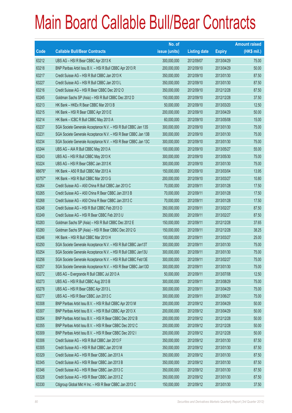|        |                                                                | No. of        |                     |               | <b>Amount raised</b> |
|--------|----------------------------------------------------------------|---------------|---------------------|---------------|----------------------|
| Code   | <b>Callable Bull/Bear Contracts</b>                            | issue (units) | <b>Listing date</b> | <b>Expiry</b> | (HK\$ mil.)          |
| 63212  | UBS AG - HSI R Bear CBBC Apr 2013 K                            | 300,000,000   | 2012/09/07          | 2013/04/29    | 75.00                |
| 63218  | BNP Paribas Arbit Issu B.V. - HSI R Bull CBBC Apr 2013 R       | 200,000,000   | 2012/09/10          | 2013/04/29    | 50.00                |
| 63217  | Credit Suisse AG - HSI R Bull CBBC Jan 2013 K                  | 350,000,000   | 2012/09/10          | 2013/01/30    | 87.50                |
| 63227  | Credit Suisse AG - HSI R Bull CBBC Jan 2013 L                  | 350,000,000   | 2012/09/10          | 2013/01/30    | 87.50                |
| 63216  | Credit Suisse AG - HSI R Bear CBBC Dec 2012 O                  | 350,000,000   | 2012/09/10          | 2012/12/28    | 87.50                |
| 63245  | Goldman Sachs SP (Asia) - HSI R Bull CBBC Dec 2012 D           | 150,000,000   | 2012/09/10          | 2012/12/28    | 37.50                |
| 63213  | HK Bank - HKEx R Bear CBBC Mar 2013 B                          | 50,000,000    | 2012/09/10          | 2013/03/20    | 12.50                |
| 63215  | HK Bank - HSI R Bear CBBC Apr 2013 E                           | 200,000,000   | 2012/09/10          | 2013/04/29    | 50.00                |
| 63214  | HK Bank - ICBC R Bull CBBC May 2013 A                          | 60,000,000    | 2012/09/10          | 2013/05/08    | 15.00                |
| 63237  | SGA Societe Generale Acceptance N.V. - HSI R Bull CBBC Jan 13S | 300,000,000   | 2012/09/10          | 2013/01/30    | 75.00                |
| 63231  | SGA Societe Generale Acceptance N.V. - HSI R Bear CBBC Jan 13B | 300,000,000   | 2012/09/10          | 2013/01/30    | 75.00                |
| 63234  | SGA Societe Generale Acceptance N.V. - HSI R Bear CBBC Jan 13C | 300,000,000   | 2012/09/10          | 2013/01/30    | 75.00                |
| 63244  | UBS AG - AIA R Bull CBBC May 2013 A                            | 100,000,000   | 2012/09/10          | 2013/05/27    | 55.00                |
| 63243  | UBS AG - HSI R Bull CBBC May 2013 K                            | 300,000,000   | 2012/09/10          | 2013/05/30    | 75.00                |
| 63224  | UBS AG - HSI R Bear CBBC Jan 2013 K                            | 300,000,000   | 2012/09/10          | 2013/01/30    | 75.00                |
| 66676* | HK Bank - A50 R Bull CBBC Mar 2013 A                           | 150,000,000   | 2012/09/10          | 2013/03/04    | 13.95                |
| 63757* | HK Bank - HSI R Bull CBBC Mar 2013 G                           | 200,000,000   | 2012/09/10          | 2013/03/27    | 10.80                |
| 63264  | Credit Suisse AG - A50 China R Bull CBBC Jan 2013 C            | 70,000,000    | 2012/09/11          | 2013/01/28    | 17.50                |
| 63265  | Credit Suisse AG - A50 China R Bear CBBC Jan 2013 B            | 70,000,000    | 2012/09/11          | 2013/01/28    | 17.50                |
| 63268  | Credit Suisse AG - A50 China R Bear CBBC Jan 2013 C            | 70,000,000    | 2012/09/11          | 2013/01/28    | 17.50                |
| 63248  | Credit Suisse AG - HSI R Bull CBBC Feb 2013 O                  | 350,000,000   | 2012/09/11          | 2013/02/27    | 87.50                |
| 63249  | Credit Suisse AG - HSI R Bear CBBC Feb 2013 U                  | 350,000,000   | 2012/09/11          | 2013/02/27    | 87.50                |
| 63283  | Goldman Sachs SP (Asia) - HSI R Bull CBBC Dec 2012 E           | 150,000,000   | 2012/09/11          | 2012/12/28    | 37.65                |
| 63280  | Goldman Sachs SP (Asia) - HSI R Bear CBBC Dec 2012 G           | 150,000,000   | 2012/09/11          | 2012/12/28    | 38.25                |
| 63246  | HK Bank - HSI R Bull CBBC Mar 2013 H                           | 100,000,000   | 2012/09/11          | 2013/03/27    | 25.00                |
| 63250  | SGA Societe Generale Acceptance N.V. - HSI R Bull CBBC Jan13T  | 300,000,000   | 2012/09/11          | 2013/01/30    | 75.00                |
| 63254  | SGA Societe Generale Acceptance N.V. - HSI R Bull CBBC Jan13U  | 300,000,000   | 2012/09/11          | 2013/01/30    | 75.00                |
| 63256  | SGA Societe Generale Acceptance N.V. - HSI R Bull CBBC Feb13E  | 300,000,000   | 2012/09/11          | 2013/02/27    | 75.00                |
| 63257  | SGA Societe Generale Acceptance N.V. - HSI R Bear CBBC Jan13D  | 300,000,000   | 2012/09/11          | 2013/01/30    | 75.00                |
| 63272  | UBS AG - Evergrande R Bull CBBC Jul 2013 A                     | 50,000,000    | 2012/09/11          | 2013/07/08    | 12.50                |
| 63273  | UBS AG - HSI R Bull CBBC Aug 2013 B                            | 300,000,000   | 2012/09/11          | 2013/08/29    | 75.00                |
| 63278  | UBS AG - HSI R Bear CBBC Apr 2013 L                            | 300,000,000   | 2012/09/11          | 2013/04/29    | 75.00                |
| 63277  | UBS AG - HSI R Bear CBBC Jun 2013 C                            | 300,000,000   | 2012/09/11          | 2013/06/27    | 75.00                |
| 63308  | BNP Paribas Arbit Issu B.V. - HSI R Bull CBBC Apr 2013 M       | 200,000,000   | 2012/09/12          | 2013/04/29    | 50.00                |
| 63307  | BNP Paribas Arbit Issu B.V. - HSI R Bull CBBC Apr 2013 X       | 200,000,000   | 2012/09/12          | 2013/04/29    | 50.00                |
| 63354  | BNP Paribas Arbit Issu B.V. - HSI R Bear CBBC Dec 2012 B       | 200,000,000   | 2012/09/12          | 2012/12/28    | 50.00                |
| 63355  | BNP Paribas Arbit Issu B.V. - HSI R Bear CBBC Dec 2012 C       | 200,000,000   | 2012/09/12          | 2012/12/28    | 50.00                |
| 63309  | BNP Paribas Arbit Issu B.V. - HSI R Bear CBBC Dec 2012 I       | 200,000,000   | 2012/09/12          | 2012/12/28    | 50.00                |
| 63306  | Credit Suisse AG - HSI R Bull CBBC Jan 2013 F                  | 350,000,000   | 2012/09/12          | 2013/01/30    | 87.50                |
| 63305  | Credit Suisse AG - HSI R Bull CBBC Jan 2013 M                  | 350,000,000   | 2012/09/12          | 2013/01/30    | 87.50                |
| 63329  | Credit Suisse AG - HSI R Bear CBBC Jan 2013 A                  | 350,000,000   | 2012/09/12          | 2013/01/30    | 87.50                |
| 63345  | Credit Suisse AG - HSI R Bear CBBC Jan 2013 B                  | 350,000,000   | 2012/09/12          | 2013/01/30    | 87.50                |
| 63346  | Credit Suisse AG - HSI R Bear CBBC Jan 2013 C                  | 350,000,000   | 2012/09/12          | 2013/01/30    | 87.50                |
| 63328  | Credit Suisse AG - HSI R Bear CBBC Jan 2013 Z                  | 350,000,000   | 2012/09/12          | 2013/01/30    | 87.50                |
| 63330  | Citigroup Global Mkt H Inc. - HSI R Bear CBBC Jan 2013 C       | 150,000,000   | 2012/09/12          | 2013/01/30    | 37.50                |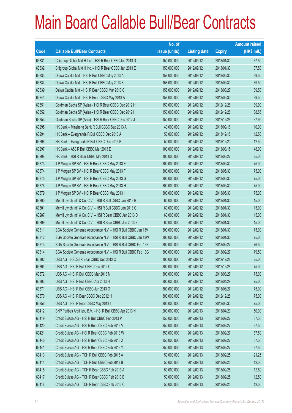|       |                                                                | No. of        |                     |               | <b>Amount raised</b> |
|-------|----------------------------------------------------------------|---------------|---------------------|---------------|----------------------|
| Code  | <b>Callable Bull/Bear Contracts</b>                            | issue (units) | <b>Listing date</b> | <b>Expiry</b> | $(HK$$ mil.)         |
| 63331 | Citigroup Global Mkt H Inc. - HSI R Bear CBBC Jan 2013 D       | 150,000,000   | 2012/09/12          | 2013/01/30    | 37.50                |
| 63332 | Citigroup Global Mkt H Inc. - HSI R Bear CBBC Jan 2013 E       | 150,000,000   | 2012/09/12          | 2013/01/30    | 37.50                |
| 63333 | Daiwa Capital Mkt - HSI R Bull CBBC May 2013 A                 | 158,000,000   | 2012/09/12          | 2013/05/30    | 39.50                |
| 63334 | Daiwa Capital Mkt - HSI R Bull CBBC May 2013 B                 | 158,000,000   | 2012/09/12          | 2013/05/30    | 39.50                |
| 63339 | Daiwa Capital Mkt - HSI R Bear CBBC Mar 2013 C                 | 158,000,000   | 2012/09/12          | 2013/03/27    | 39.50                |
| 63344 | Daiwa Capital Mkt - HSI R Bear CBBC May 2013 A                 | 158,000,000   | 2012/09/12          | 2013/05/30    | 39.50                |
| 63351 | Goldman Sachs SP (Asia) - HSI R Bear CBBC Dec 2012 H           | 150,000,000   | 2012/09/12          | 2012/12/28    | 39.90                |
| 63352 | Goldman Sachs SP (Asia) - HSI R Bear CBBC Dec 2012 I           | 150,000,000   | 2012/09/12          | 2012/12/28    | 38.55                |
| 63353 | Goldman Sachs SP (Asia) - HSI R Bear CBBC Dec 2012 J           | 150,000,000   | 2012/09/12          | 2012/12/28    | 37.95                |
| 63295 | HK Bank - Minsheng Bank R Bull CBBC Sep 2013 A                 | 40,000,000    | 2012/09/12          | 2013/09/18    | 10.00                |
| 63294 | HK Bank - Evergrande R Bull CBBC Dec 2013 A                    | 50,000,000    | 2012/09/12          | 2013/12/18    | 12.50                |
| 63296 | HK Bank - Evergrande R Bull CBBC Dec 2013 B                    | 50,000,000    | 2012/09/12          | 2013/12/20    | 12.50                |
| 63297 | HK Bank - A50 R Bull CBBC Mar 2013 E                           | 100,000,000   | 2012/09/12          | 2013/03/15    | 48.00                |
| 63298 | HK Bank - HSI R Bear CBBC Mar 2013 D                           | 100,000,000   | 2012/09/12          | 2013/03/27    | 25.00                |
| 63373 | J P Morgan SP BV - HSI R Bear CBBC May 2013 E                  | 300,000,000   | 2012/09/12          | 2013/05/30    | 75.00                |
| 63374 | J P Morgan SP BV - HSI R Bear CBBC May 2013 F                  | 300,000,000   | 2012/09/12          | 2013/05/30    | 75.00                |
| 63375 | J P Morgan SP BV - HSI R Bear CBBC May 2013 G                  | 300,000,000   | 2012/09/12          | 2013/05/30    | 75.00                |
| 63376 | J P Morgan SP BV - HSI R Bear CBBC May 2013 H                  | 300,000,000   | 2012/09/12          | 2013/05/30    | 75.00                |
| 63379 | JP Morgan SP BV - HSI R Bear CBBC May 2013 I                   | 300,000,000   | 2012/09/12          | 2013/05/30    | 75.00                |
| 63300 | Merrill Lynch Int'l & Co. C.V. - HSI R Bull CBBC Jan 2013 B    | 60,000,000    | 2012/09/12          | 2013/01/30    | 15.00                |
| 63301 | Merrill Lynch Int'l & Co. C.V. - HSI R Bull CBBC Jan 2013 C    | 60,000,000    | 2012/09/12          | 2013/01/30    | 15.00                |
| 63287 | Merrill Lynch Int'l & Co. C.V. - HSI R Bear CBBC Jan 2013 D    | 60,000,000    | 2012/09/12          | 2013/01/30    | 15.00                |
| 63299 | Merrill Lynch Int'l & Co. C.V. - HSI R Bear CBBC Jan 2013 E    | 60,000,000    | 2012/09/12          | 2013/01/30    | 15.00                |
| 63311 | SGA Societe Generale Acceptance N.V. - HSI R Bull CBBC Jan 13V | 300,000,000   | 2012/09/12          | 2013/01/30    | 75.00                |
| 63312 | SGA Societe Generale Acceptance N.V. - HSI R Bull CBBC Jan 13W | 300,000,000   | 2012/09/12          | 2013/01/30    | 75.00                |
| 63313 | SGA Societe Generale Acceptance N.V. - HSI R Bull CBBC Feb 13F | 300,000,000   | 2012/09/12          | 2013/02/27    | 76.50                |
| 63314 | SGA Societe Generale Acceptance N.V. - HSI R Bull CBBC Feb 13G | 300,000,000   | 2012/09/12          | 2013/02/27    | 79.50                |
| 63302 | UBS AG - HSCEI R Bear CBBC Dec 2012 C                          | 100,000,000   | 2012/09/12          | 2012/12/28    | 25.00                |
| 63304 | UBS AG - HSI R Bull CBBC Dec 2012 C                            | 300,000,000   | 2012/09/12          | 2012/12/28    | 75.00                |
| 63372 | UBS AG - HSI R Bull CBBC Mar 2013 M                            | 300,000,000   | 2012/09/12          | 2013/03/27    | 75.00                |
| 63303 | UBS AG - HSI R Bull CBBC Apr 2013 H                            | 300,000,000   | 2012/09/12          | 2013/04/29    | 75.00                |
| 63371 | UBS AG - HSI R Bull CBBC Jun 2013 O                            | 300,000,000   | 2012/09/12          | 2013/06/27    | 75.00                |
| 63370 | UBS AG - HSI R Bear CBBC Dec 2012 H                            | 300,000,000   | 2012/09/12          | 2012/12/28    | 75.00                |
| 63356 | UBS AG - HSI R Bear CBBC May 2013 I                            | 300,000,000   | 2012/09/12          | 2013/05/30    | 75.00                |
| 63412 | BNP Paribas Arbit Issu B.V. - HSI R Bull CBBC Apr 2013 N       | 200,000,000   | 2012/09/13          | 2013/04/29    | 50.00                |
| 63419 | Credit Suisse AG - HSI R Bull CBBC Feb 2013 P                  | 350,000,000   | 2012/09/13          | 2013/02/27    | 87.50                |
| 63420 | Credit Suisse AG - HSI R Bear CBBC Feb 2013 V                  | 350,000,000   | 2012/09/13          | 2013/02/27    | 87.50                |
| 63421 | Credit Suisse AG - HSI R Bear CBBC Feb 2013 W                  | 350,000,000   | 2012/09/13          | 2013/02/27    | 87.50                |
| 63440 | Credit Suisse AG - HSI R Bear CBBC Feb 2013 X                  | 350,000,000   | 2012/09/13          | 2013/02/27    | 87.50                |
| 63441 | Credit Suisse AG - HSI R Bear CBBC Feb 2013 Y                  | 350,000,000   | 2012/09/13          | 2013/02/27    | 87.50                |
| 63413 | Credit Suisse AG - TCH R Bull CBBC Feb 2013 A                  | 50,000,000    | 2012/09/13          | 2013/02/25    | 21.25                |
| 63414 | Credit Suisse AG - TCH R Bull CBBC Feb 2013 B                  | 50,000,000    | 2012/09/13          | 2013/02/25    | 12.50                |
| 63415 | Credit Suisse AG - TCH R Bear CBBC Feb 2013 A                  | 50,000,000    | 2012/09/13          | 2013/02/25    | 12.50                |
| 63417 | Credit Suisse AG - TCH R Bear CBBC Feb 2013 B                  | 50,000,000    | 2012/09/13          | 2013/02/25    | 12.50                |
| 63418 | Credit Suisse AG - TCH R Bear CBBC Feb 2013 C                  | 50,000,000    | 2012/09/13          | 2013/02/25    | 12.50                |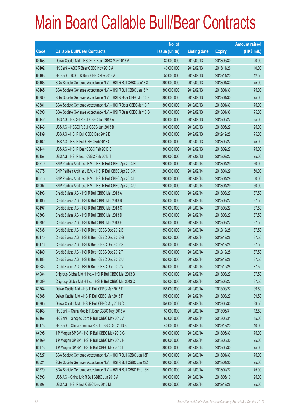|       |                                                                | No. of        |                     |               | <b>Amount raised</b> |
|-------|----------------------------------------------------------------|---------------|---------------------|---------------|----------------------|
| Code  | <b>Callable Bull/Bear Contracts</b>                            | issue (units) | <b>Listing date</b> | <b>Expiry</b> | $(HK$$ mil.)         |
| 63458 | Daiwa Capital Mkt - HSCEI R Bear CBBC May 2013 A               | 80,000,000    | 2012/09/13          | 2013/05/30    | 20.00                |
| 63402 | HK Bank - ABC R Bear CBBC Nov 2013 A                           | 40,000,000    | 2012/09/13          | 2013/11/26    | 10.00                |
| 63403 | HK Bank - BOCL R Bear CBBC Nov 2013 A                          | 50,000,000    | 2012/09/13          | 2013/11/20    | 12.50                |
| 63463 | SGA Societe Generale Acceptance N.V. - HSI R Bull CBBC Jan13 X | 300,000,000   | 2012/09/13          | 2013/01/30    | 75.00                |
| 63465 | SGA Societe Generale Acceptance N.V. - HSI R Bull CBBC Jan13 Y | 300,000,000   | 2012/09/13          | 2013/01/30    | 75.00                |
| 63380 | SGA Societe Generale Acceptance N.V. - HSI R Bear CBBC Jan13 E | 300,000,000   | 2012/09/13          | 2013/01/30    | 75.00                |
| 63381 | SGA Societe Generale Acceptance N.V. - HSI R Bear CBBC Jan13 F | 300,000,000   | 2012/09/13          | 2013/01/30    | 75.00                |
| 63390 | SGA Societe Generale Acceptance N.V. - HSI R Bear CBBC Jan13 G | 300,000,000   | 2012/09/13          | 2013/01/30    | 75.00                |
| 63442 | UBS AG - HSCEI R Bull CBBC Jun 2013 A                          | 100,000,000   | 2012/09/13          | 2013/06/27    | 25.00                |
| 63443 | UBS AG - HSCEI R Bull CBBC Jun 2013 B                          | 100,000,000   | 2012/09/13          | 2013/06/27    | 25.00                |
| 63439 | UBS AG - HSI R Bull CBBC Dec 2012 D                            | 300,000,000   | 2012/09/13          | 2012/12/28    | 75.00                |
| 63462 | UBS AG - HSI R Bull CBBC Feb 2013 O                            | 300,000,000   | 2012/09/13          | 2013/02/27    | 75.00                |
| 63444 | UBS AG - HSI R Bear CBBC Feb 2013 S                            | 300,000,000   | 2012/09/13          | 2013/02/27    | 75.00                |
| 63457 | UBS AG - HSI R Bear CBBC Feb 2013 T                            | 300,000,000   | 2012/09/13          | 2013/02/27    | 75.00                |
| 63519 | BNP Paribas Arbit Issu B.V. - HSI R Bull CBBC Apr 2013 H       | 200,000,000   | 2012/09/14          | 2013/04/29    | 50.00                |
| 63975 | BNP Paribas Arbit Issu B.V. - HSI R Bull CBBC Apr 2013 K       | 200,000,000   | 2012/09/14          | 2013/04/29    | 50.00                |
| 63515 | BNP Paribas Arbit Issu B.V. - HSI R Bull CBBC Apr 2013 L       | 200,000,000   | 2012/09/14          | 2013/04/29    | 50.00                |
| 64007 | BNP Paribas Arbit Issu B.V. - HSI R Bull CBBC Apr 2013 U       | 200,000,000   | 2012/09/14          | 2013/04/29    | 50.00                |
| 63493 | Credit Suisse AG - HSI R Bull CBBC Mar 2013 A                  | 350,000,000   | 2012/09/14          | 2013/03/27    | 87.50                |
| 63495 | Credit Suisse AG - HSI R Bull CBBC Mar 2013 B                  | 350,000,000   | 2012/09/14          | 2013/03/27    | 87.50                |
| 63497 | Credit Suisse AG - HSI R Bull CBBC Mar 2013 C                  | 350,000,000   | 2012/09/14          | 2013/03/27    | 87.50                |
| 63803 | Credit Suisse AG - HSI R Bull CBBC Mar 2013 D                  | 350,000,000   | 2012/09/14          | 2013/03/27    | 87.50                |
| 63892 | Credit Suisse AG - HSI R Bull CBBC Mar 2013 F                  | 350,000,000   | 2012/09/14          | 2013/03/27    | 87.50                |
| 63536 | Credit Suisse AG - HSI R Bear CBBC Dec 2012 B                  | 350,000,000   | 2012/09/14          | 2012/12/28    | 87.50                |
| 63475 | Credit Suisse AG - HSI R Bear CBBC Dec 2012 G                  | 350,000,000   | 2012/09/14          | 2012/12/28    | 87.50                |
| 63476 | Credit Suisse AG - HSI R Bear CBBC Dec 2012 S                  | 350,000,000   | 2012/09/14          | 2012/12/28    | 87.50                |
| 63480 | Credit Suisse AG - HSI R Bear CBBC Dec 2012 T                  | 350,000,000   | 2012/09/14          | 2012/12/28    | 87.50                |
| 63483 | Credit Suisse AG - HSI R Bear CBBC Dec 2012 U                  | 350,000,000   | 2012/09/14          | 2012/12/28    | 87.50                |
| 63535 | Credit Suisse AG - HSI R Bear CBBC Dec 2012 V                  | 350,000,000   | 2012/09/14          | 2012/12/28    | 87.50                |
| 64084 | Citigroup Global Mkt H Inc. - HSI R Bull CBBC Mar 2013 B       | 150,000,000   | 2012/09/14          | 2013/03/27    | 37.50                |
| 64089 | Citigroup Global Mkt H Inc. - HSI R Bull CBBC Mar 2013 C       | 150,000,000   | 2012/09/14          | 2013/03/27    | 37.50                |
| 63864 | Daiwa Capital Mkt - HSI R Bull CBBC Mar 2013 E                 | 158,000,000   | 2012/09/14          | 2013/03/27    | 39.50                |
| 63885 | Daiwa Capital Mkt - HSI R Bull CBBC Mar 2013 F                 | 158,000,000   | 2012/09/14          | 2013/03/27    | 39.50                |
| 63805 | Daiwa Capital Mkt - HSI R Bull CBBC May 2013 C                 | 158,000,000   | 2012/09/14          | 2013/05/30    | 39.50                |
| 63468 | HK Bank - China Mobile R Bear CBBC May 2013 A                  | 50,000,000    | 2012/09/14          | 2013/05/31    | 12.50                |
| 63467 | HK Bank - Sinopec Corp R Bull CBBC May 2013 A                  | 60,000,000    | 2012/09/14          | 2013/05/31    | 15.00                |
| 63473 | HK Bank - China Shenhua R Bull CBBC Dec 2013 B                 | 40,000,000    | 2012/09/14          | 2013/12/20    | 10.00                |
| 64095 | J P Morgan SP BV - HSI R Bull CBBC May 2013 G                  | 300,000,000   | 2012/09/14          | 2013/05/30    | 75.00                |
| 64169 | J P Morgan SP BV - HSI R Bull CBBC May 2013 H                  | 300,000,000   | 2012/09/14          | 2013/05/30    | 75.00                |
| 64173 | J P Morgan SP BV - HSI R Bull CBBC May 2013 I                  | 300,000,000   | 2012/09/14          | 2013/05/30    | 75.00                |
| 63527 | SGA Societe Generale Acceptance N.V. - HSI R Bull CBBC Jan 13F | 300,000,000   | 2012/09/14          | 2013/01/30    | 75.00                |
| 63524 | SGA Societe Generale Acceptance N.V. - HSI R Bull CBBC Jan 13Z | 300,000,000   | 2012/09/14          | 2013/01/30    | 75.00                |
| 63529 | SGA Societe Generale Acceptance N.V. - HSI R Bull CBBC Feb 13H | 300,000,000   | 2012/09/14          | 2013/02/27    | 75.00                |
| 63893 | UBS AG - China Life R Bull CBBC Jun 2013 A                     | 100,000,000   | 2012/09/14          | 2013/06/10    | 25.00                |
| 63897 | UBS AG - HSI R Bull CBBC Dec 2012 M                            | 300,000,000   | 2012/09/14          | 2012/12/28    | 75.00                |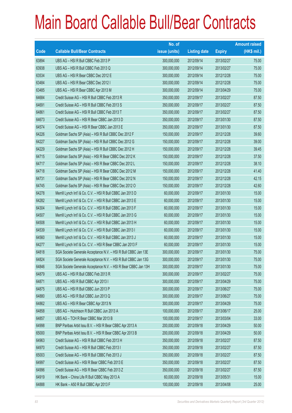|       |                                                                | No. of        |                     |               | <b>Amount raised</b> |
|-------|----------------------------------------------------------------|---------------|---------------------|---------------|----------------------|
| Code  | <b>Callable Bull/Bear Contracts</b>                            | issue (units) | <b>Listing date</b> | <b>Expiry</b> | $(HK$$ mil.)         |
| 63894 | UBS AG - HSI R Bull CBBC Feb 2013 P                            | 300,000,000   | 2012/09/14          | 2013/02/27    | 75.00                |
| 63938 | UBS AG - HSI R Bull CBBC Feb 2013 Q                            | 300,000,000   | 2012/09/14          | 2013/02/27    | 75.00                |
| 63534 | UBS AG - HSI R Bear CBBC Dec 2012 E                            | 300,000,000   | 2012/09/14          | 2012/12/28    | 75.00                |
| 63484 | UBS AG - HSI R Bear CBBC Dec 2012 I                            | 300,000,000   | 2012/09/14          | 2012/12/28    | 75.00                |
| 63485 | UBS AG - HSI R Bear CBBC Apr 2013 M                            | 300,000,000   | 2012/09/14          | 2013/04/29    | 75.00                |
| 64684 | Credit Suisse AG - HSI R Bull CBBC Feb 2013 R                  | 350,000,000   | 2012/09/17          | 2013/02/27    | 87.50                |
| 64691 | Credit Suisse AG - HSI R Bull CBBC Feb 2013 S                  | 350,000,000   | 2012/09/17          | 2013/02/27    | 87.50                |
| 64861 | Credit Suisse AG - HSI R Bull CBBC Feb 2013 T                  | 350,000,000   | 2012/09/17          | 2013/02/27    | 87.50                |
| 64673 | Credit Suisse AG - HSI R Bear CBBC Jan 2013 D                  | 350,000,000   | 2012/09/17          | 2013/01/30    | 87.50                |
| 64574 | Credit Suisse AG - HSI R Bear CBBC Jan 2013 E                  | 350,000,000   | 2012/09/17          | 2013/01/30    | 87.50                |
| 64226 | Goldman Sachs SP (Asia) - HSI R Bull CBBC Dec 2012 F           | 150,000,000   | 2012/09/17          | 2012/12/28    | 39.60                |
| 64227 | Goldman Sachs SP (Asia) - HSI R Bull CBBC Dec 2012 G           | 150,000,000   | 2012/09/17          | 2012/12/28    | 39.00                |
| 64229 | Goldman Sachs SP (Asia) - HSI R Bull CBBC Dec 2012 H           | 150,000,000   | 2012/09/17          | 2012/12/28    | 39.45                |
| 64715 | Goldman Sachs SP (Asia) - HSI R Bear CBBC Dec 2012 K           | 150,000,000   | 2012/09/17          | 2012/12/28    | 37.50                |
| 64717 | Goldman Sachs SP (Asia) - HSI R Bear CBBC Dec 2012 L           | 150,000,000   | 2012/09/17          | 2012/12/28    | 38.10                |
| 64718 | Goldman Sachs SP (Asia) - HSI R Bear CBBC Dec 2012 M           | 150,000,000   | 2012/09/17          | 2012/12/28    | 41.40                |
| 64731 | Goldman Sachs SP (Asia) - HSI R Bear CBBC Dec 2012 N           | 150,000,000   | 2012/09/17          | 2012/12/28    | 42.15                |
| 64745 | Goldman Sachs SP (Asia) - HSI R Bear CBBC Dec 2012 O           | 150,000,000   | 2012/09/17          | 2012/12/28    | 42.60                |
| 64278 | Merrill Lynch Int'l & Co. C.V. - HSI R Bull CBBC Jan 2013 D    | 60,000,000    | 2012/09/17          | 2013/01/30    | 15.00                |
| 64282 | Merrill Lynch Int'l & Co. C.V. - HSI R Bull CBBC Jan 2013 E    | 60,000,000    | 2012/09/17          | 2013/01/30    | 15.00                |
| 64304 | Merrill Lynch Int'l & Co. C.V. - HSI R Bull CBBC Jan 2013 F    | 60,000,000    | 2012/09/17          | 2013/01/30    | 15.00                |
| 64507 | Merrill Lynch Int'l & Co. C.V. - HSI R Bull CBBC Jan 2013 G    | 60,000,000    | 2012/09/17          | 2013/01/30    | 15.00                |
| 64508 | Merrill Lynch Int'l & Co. C.V. - HSI R Bull CBBC Jan 2013 H    | 60,000,000    | 2012/09/17          | 2013/01/30    | 15.00                |
| 64539 | Merrill Lynch Int'l & Co. C.V. - HSI R Bull CBBC Jan 2013 I    | 60,000,000    | 2012/09/17          | 2013/01/30    | 15.00                |
| 64560 | Merrill Lynch Int'l & Co. C.V. - HSI R Bull CBBC Jan 2013 J    | 60,000,000    | 2012/09/17          | 2013/01/30    | 15.00                |
| 64277 | Merrill Lynch Int'l & Co. C.V. - HSI R Bear CBBC Jan 2013 F    | 60,000,000    | 2012/09/17          | 2013/01/30    | 15.00                |
| 64818 | SGA Societe Generale Acceptance N.V. - HSI R Bull CBBC Jan 13E | 300,000,000   | 2012/09/17          | 2013/01/30    | 75.00                |
| 64824 | SGA Societe Generale Acceptance N.V. - HSI R Bull CBBC Jan 13G | 300,000,000   | 2012/09/17          | 2013/01/30    | 75.00                |
| 64846 | SGA Societe Generale Acceptance N.V. - HSI R Bear CBBC Jan 13H | 300,000,000   | 2012/09/17          | 2013/01/30    | 75.00                |
| 64879 | UBS AG - HSI R Bull CBBC Feb 2013 R                            | 300,000,000   | 2012/09/17          | 2013/02/27    | 75.00                |
| 64871 | UBS AG - HSI R Bull CBBC Apr 2013 I                            | 300,000,000   | 2012/09/17          | 2013/04/29    | 75.00                |
| 64875 | UBS AG - HSI R Bull CBBC Jun 2013 P                            | 300,000,000   | 2012/09/17          | 2013/06/27    | 75.00                |
| 64880 | UBS AG - HSI R Bull CBBC Jun 2013 Q                            | 300,000,000   | 2012/09/17          | 2013/06/27    | 75.00                |
| 64862 | UBS AG - HSI R Bear CBBC Apr 2013 N                            | 300,000,000   | 2012/09/17          | 2013/04/29    | 75.00                |
| 64858 | UBS AG - Hutchison R Bull CBBC Jun 2013 A                      | 100,000,000   | 2012/09/17          | 2013/06/17    | 25.00                |
| 64857 | UBS AG - TCH R Bear CBBC Mar 2013 B                            | 100,000,000   | 2012/09/17          | 2013/03/04    | 33.00                |
| 64998 | BNP Paribas Arbit Issu B.V. - HSI R Bear CBBC Apr 2013 A       | 200,000,000   | 2012/09/18          | 2013/04/29    | 50.00                |
| 65000 | BNP Paribas Arbit Issu B.V. - HSI R Bear CBBC Apr 2013 B       | 200,000,000   | 2012/09/18          | 2013/04/29    | 50.00                |
| 64963 | Credit Suisse AG - HSI R Bull CBBC Feb 2013 H                  | 350,000,000   | 2012/09/18          | 2013/02/27    | 87.50                |
| 64970 | Credit Suisse AG - HSI R Bull CBBC Feb 2013 I                  | 350,000,000   | 2012/09/18          | 2013/02/27    | 87.50                |
| 65003 | Credit Suisse AG - HSI R Bull CBBC Feb 2013 J                  | 350,000,000   | 2012/09/18          | 2013/02/27    | 87.50                |
| 64997 | Credit Suisse AG - HSI R Bear CBBC Feb 2013 E                  | 350,000,000   | 2012/09/18          | 2013/02/27    | 87.50                |
| 64996 | Credit Suisse AG - HSI R Bear CBBC Feb 2013 Z                  | 350,000,000   | 2012/09/18          | 2013/02/27    | 87.50                |
| 64919 | HK Bank - China Life R Bull CBBC May 2013 A                    | 60,000,000    | 2012/09/18          | 2013/05/31    | 15.00                |
| 64888 | HK Bank - A50 R Bull CBBC Apr 2013 F                           | 100,000,000   | 2012/09/18          | 2013/04/08    | 25.00                |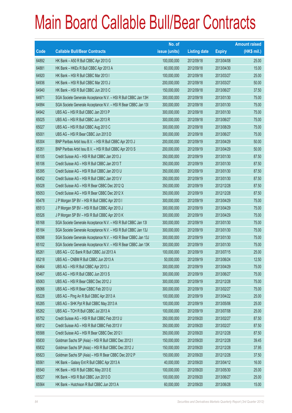|             |                                                                | No. of        |                     |               | <b>Amount raised</b> |
|-------------|----------------------------------------------------------------|---------------|---------------------|---------------|----------------------|
| <b>Code</b> | <b>Callable Bull/Bear Contracts</b>                            | issue (units) | <b>Listing date</b> | <b>Expiry</b> | $(HK$$ mil.)         |
| 64892       | HK Bank - A50 R Bull CBBC Apr 2013 G                           | 100,000,000   | 2012/09/18          | 2013/04/08    | 25.00                |
| 64881       | HK Bank - HKEx R Bull CBBC Apr 2013 A                          | 60,000,000    | 2012/09/18          | 2013/04/30    | 15.00                |
| 64920       | HK Bank - HSI R Bull CBBC Mar 2013 I                           | 100,000,000   | 2012/09/18          | 2013/03/27    | 25.00                |
| 64936       | HK Bank - HSI R Bull CBBC Mar 2013 J                           | 200,000,000   | 2012/09/18          | 2013/03/27    | 50.00                |
| 64940       | HK Bank - HSI R Bull CBBC Jun 2013 C                           | 150,000,000   | 2012/09/18          | 2013/06/27    | 37.50                |
| 64971       | SGA Societe Generale Acceptance N.V. - HSI R Bull CBBC Jan 13H | 300,000,000   | 2012/09/18          | 2013/01/30    | 75.00                |
| 64994       | SGA Societe Generale Acceptance N.V. - HSI R Bear CBBC Jan 13I | 300,000,000   | 2012/09/18          | 2013/01/30    | 75.00                |
| 64942       | UBS AG - HSI R Bull CBBC Jan 2013 P                            | 300,000,000   | 2012/09/18          | 2013/01/30    | 75.00                |
| 65025       | UBS AG - HSI R Bull CBBC Jun 2013 R                            | 300,000,000   | 2012/09/18          | 2013/06/27    | 75.00                |
| 65027       | UBS AG - HSI R Bull CBBC Aug 2013 C                            | 300,000,000   | 2012/09/18          | 2013/08/29    | 75.00                |
| 65001       | UBS AG - HSI R Bear CBBC Jun 2013 D                            | 300,000,000   | 2012/09/18          | 2013/06/27    | 75.00                |
| 65304       | BNP Paribas Arbit Issu B.V. - HSI R Bull CBBC Apr 2013 J       | 200,000,000   | 2012/09/19          | 2013/04/29    | 50.00                |
| 65351       | BNP Paribas Arbit Issu B.V. - HSI R Bull CBBC Apr 2013 S       | 200,000,000   | 2012/09/19          | 2013/04/29    | 50.00                |
| 65105       | Credit Suisse AG - HSI R Bull CBBC Jan 2013 J                  | 350,000,000   | 2012/09/19          | 2013/01/30    | 87.50                |
| 65106       | Credit Suisse AG - HSI R Bull CBBC Jan 2013 T                  | 350,000,000   | 2012/09/19          | 2013/01/30    | 87.50                |
| 65395       | Credit Suisse AG - HSI R Bull CBBC Jan 2013 U                  | 350,000,000   | 2012/09/19          | 2013/01/30    | 87.50                |
| 65452       | Credit Suisse AG - HSI R Bull CBBC Jan 2013 V                  | 350,000,000   | 2012/09/19          | 2013/01/30    | 87.50                |
| 65028       | Credit Suisse AG - HSI R Bear CBBC Dec 2012 Q                  | 350,000,000   | 2012/09/19          | 2012/12/28    | 87.50                |
| 65053       | Credit Suisse AG - HSI R Bear CBBC Dec 2012 X                  | 350,000,000   | 2012/09/19          | 2012/12/28    | 87.50                |
| 65478       | J P Morgan SP BV - HSI R Bull CBBC Apr 2013 I                  | 300,000,000   | 2012/09/19          | 2013/04/29    | 75.00                |
| 65513       | J P Morgan SP BV - HSI R Bull CBBC Apr 2013 J                  | 300,000,000   | 2012/09/19          | 2013/04/29    | 75.00                |
| 65526       | J P Morgan SP BV - HSI R Bull CBBC Apr 2013 K                  | 300,000,000   | 2012/09/19          | 2013/04/29    | 75.00                |
| 65168       | SGA Societe Generale Acceptance N.V. - HSI R Bull CBBC Jan 131 | 300,000,000   | 2012/09/19          | 2013/01/30    | 75.00                |
| 65184       | SGA Societe Generale Acceptance N.V. - HSI R Bull CBBC Jan 13J | 300,000,000   | 2012/09/19          | 2013/01/30    | 75.00                |
| 65098       | SGA Societe Generale Acceptance N.V. - HSI R Bear CBBC Jan 13J | 300,000,000   | 2012/09/19          | 2013/01/30    | 75.00                |
| 65102       | SGA Societe Generale Acceptance N.V. - HSI R Bear CBBC Jan 13K | 300,000,000   | 2012/09/19          | 2013/01/30    | 75.00                |
| 65261       | UBS AG - CC Bank R Bull CBBC Jul 2013 A                        | 100,000,000   | 2012/09/19          | 2013/07/15    | 25.00                |
| 65218       | UBS AG - CNBM R Bull CBBC Jun 2013 A                           | 50,000,000    | 2012/09/19          | 2013/06/24    | 12.50                |
| 65464       | UBS AG - HSI R Bull CBBC Apr 2013 J                            | 300,000,000   | 2012/09/19          | 2013/04/29    | 75.00                |
| 65467       | UBS AG - HSI R Bull CBBC Jun 2013 S                            | 300,000,000   | 2012/09/19          | 2013/06/27    | 75.00                |
| 65063       | UBS AG - HSI R Bear CBBC Dec 2012 J                            | 300,000,000   | 2012/09/19          | 2012/12/28    | 75.00                |
| 65066       | UBS AG - HSI R Bear CBBC Feb 2013 U                            | 300,000,000   | 2012/09/19          | 2013/02/27    | 75.00                |
| 65228       | UBS AG - Ping An R Bull CBBC Apr 2013 A                        | 100,000,000   | 2012/09/19          | 2013/04/22    | 25.00                |
| 65285       | UBS AG - SHK Ppt R Bull CBBC May 2013 A                        | 100,000,000   | 2012/09/19          | 2013/05/06    | 25.00                |
| 65262       | UBS AG - TCH R Bull CBBC Jul 2013 A                            | 100,000,000   | 2012/09/19          | 2013/07/08    | 25.00                |
| 65752       | Credit Suisse AG - HSI R Bull CBBC Feb 2013 U                  | 350,000,000   | 2012/09/20          | 2013/02/27    | 87.50                |
| 65812       | Credit Suisse AG - HSI R Bull CBBC Feb 2013 V                  | 350,000,000   | 2012/09/20          | 2013/02/27    | 87.50                |
| 65588       | Credit Suisse AG - HSI R Bear CBBC Dec 2012 I                  | 350,000,000   | 2012/09/20          | 2012/12/28    | 87.50                |
| 65830       | Goldman Sachs SP (Asia) - HSI R Bull CBBC Dec 2012 I           | 150,000,000   | 2012/09/20          | 2012/12/28    | 39.45                |
| 65832       | Goldman Sachs SP (Asia) - HSI R Bull CBBC Dec 2012 J           | 150,000,000   | 2012/09/20          | 2012/12/28    | 37.95                |
| 65823       | Goldman Sachs SP (Asia) - HSI R Bear CBBC Dec 2012 P           | 150,000,000   | 2012/09/20          | 2012/12/28    | 37.50                |
| 65561       | HK Bank - Galaxy Ent R Bull CBBC Apr 2013 A                    | 40,000,000    | 2012/09/20          | 2013/04/12    | 16.00                |
| 65540       | HK Bank - HSI R Bull CBBC May 2013 E                           | 100,000,000   | 2012/09/20          | 2013/05/30    | 25.00                |
| 65527       | HK Bank - HSI R Bull CBBC Jun 2013 D                           | 100,000,000   | 2012/09/20          | 2013/06/27    | 25.00                |
| 65564       | HK Bank - Hutchison R Bull CBBC Jun 2013 A                     | 60,000,000    | 2012/09/20          | 2013/06/28    | 15.00                |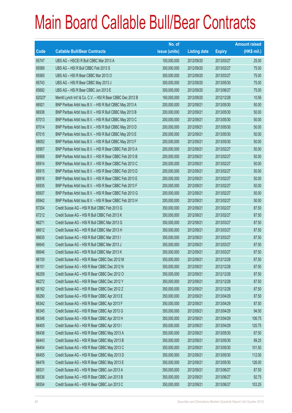|        |                                                             | No. of        |                     |               | <b>Amount raised</b> |
|--------|-------------------------------------------------------------|---------------|---------------------|---------------|----------------------|
| Code   | <b>Callable Bull/Bear Contracts</b>                         | issue (units) | <b>Listing date</b> | <b>Expiry</b> | $(HK$$ mil.)         |
| 65747  | UBS AG - HSCEI R Bull CBBC Mar 2013 A                       | 100,000,000   | 2012/09/20          | 2013/03/27    | 25.00                |
| 65589  | UBS AG - HSI R Bull CBBC Feb 2013 S                         | 300,000,000   | 2012/09/20          | 2013/02/27    | 75.00                |
| 65565  | UBS AG - HSI R Bear CBBC Mar 2013 O                         | 300,000,000   | 2012/09/20          | 2013/03/27    | 75.00                |
| 65743  | UBS AG - HSI R Bear CBBC May 2013 J                         | 300,000,000   | 2012/09/20          | 2013/05/30    | 75.00                |
| 65692  | UBS AG - HSI R Bear CBBC Jun 2013 E                         | 300,000,000   | 2012/09/20          | 2013/06/27    | 75.00                |
| 62023# | Merrill Lynch Int'l & Co. C.V. - HSI R Bear CBBC Dec 2012 B | 160,000,000   | 2012/09/20          | 2012/12/28    | 10.56                |
| 66921  | BNP Paribas Arbit Issu B.V. - HSI R Bull CBBC May 2013 A    | 200,000,000   | 2012/09/21          | 2013/05/30    | 50.00                |
| 66938  | BNP Paribas Arbit Issu B.V. - HSI R Bull CBBC May 2013 B    | 200,000,000   | 2012/09/21          | 2013/05/30    | 50.00                |
| 67013  | BNP Paribas Arbit Issu B.V. - HSI R Bull CBBC May 2013 C    | 200,000,000   | 2012/09/21          | 2013/05/30    | 50.00                |
| 67014  | BNP Paribas Arbit Issu B.V. - HSI R Bull CBBC May 2013 D    | 200,000,000   | 2012/09/21          | 2013/05/30    | 50.00                |
| 67015  | BNP Paribas Arbit Issu B.V. - HSI R Bull CBBC May 2013 E    | 200,000,000   | 2012/09/21          | 2013/05/30    | 50.00                |
| 68052  | BNP Paribas Arbit Issu B.V. - HSI R Bull CBBC May 2013 F    | 200,000,000   | 2012/09/21          | 2013/05/30    | 50.00                |
| 65907  | BNP Paribas Arbit Issu B.V. - HSI R Bear CBBC Feb 2013 A    | 200,000,000   | 2012/09/21          | 2013/02/27    | 50.00                |
| 65908  | BNP Paribas Arbit Issu B.V. - HSI R Bear CBBC Feb 2013 B    | 200,000,000   | 2012/09/21          | 2013/02/27    | 50.00                |
| 65914  | BNP Paribas Arbit Issu B.V. - HSI R Bear CBBC Feb 2013 C    | 200,000,000   | 2012/09/21          | 2013/02/27    | 50.00                |
| 65915  | BNP Paribas Arbit Issu B.V. - HSI R Bear CBBC Feb 2013 D    | 200,000,000   | 2012/09/21          | 2013/02/27    | 50.00                |
| 65916  | BNP Paribas Arbit Issu B.V. - HSI R Bear CBBC Feb 2013 E    | 200,000,000   | 2012/09/21          | 2013/02/27    | 50.00                |
| 65935  | BNP Paribas Arbit Issu B.V. - HSI R Bear CBBC Feb 2013 F    | 200,000,000   | 2012/09/21          | 2013/02/27    | 50.00                |
| 65937  | BNP Paribas Arbit Issu B.V. - HSI R Bear CBBC Feb 2013 G    | 200,000,000   | 2012/09/21          | 2013/02/27    | 50.00                |
| 65942  | BNP Paribas Arbit Issu B.V. - HSI R Bear CBBC Feb 2013 H    | 200,000,000   | 2012/09/21          | 2013/02/27    | 50.00                |
| 67204  | Credit Suisse AG - HSI R Bull CBBC Feb 2013 G               | 350,000,000   | 2012/09/21          | 2013/02/27    | 87.50                |
| 67212  | Credit Suisse AG - HSI R Bull CBBC Feb 2013 K               | 350,000,000   | 2012/09/21          | 2013/02/27    | 87.50                |
| 66271  | Credit Suisse AG - HSI R Bull CBBC Mar 2013 G               | 350,000,000   | 2012/09/21          | 2013/03/27    | 87.50                |
| 66612  | Credit Suisse AG - HSI R Bull CBBC Mar 2013 H               | 350,000,000   | 2012/09/21          | 2013/03/27    | 87.50                |
| 66635  | Credit Suisse AG - HSI R Bull CBBC Mar 2013 I               | 350,000,000   | 2012/09/21          | 2013/03/27    | 87.50                |
| 66645  | Credit Suisse AG - HSI R Bull CBBC Mar 2013 J               | 350,000,000   | 2012/09/21          | 2013/03/27    | 87.50                |
| 66646  | Credit Suisse AG - HSI R Bull CBBC Mar 2013 K               | 350,000,000   | 2012/09/21          | 2013/03/27    | 87.50                |
| 66100  | Credit Suisse AG - HSI R Bear CBBC Dec 2012 M               | 350,000,000   | 2012/09/21          | 2012/12/28    | 87.50                |
| 66101  | Credit Suisse AG - HSI R Bear CBBC Dec 2012 N               | 350,000,000   | 2012/09/21          | 2012/12/28    | 87.50                |
| 66259  | Credit Suisse AG - HSI R Bear CBBC Dec 2012 O               | 350,000,000   | 2012/09/21          | 2012/12/28    | 87.50                |
| 66272  | Credit Suisse AG - HSI R Bear CBBC Dec 2012 Y               | 350,000,000   | 2012/09/21          | 2012/12/28    | 87.50                |
| 66162  | Credit Suisse AG - HSI R Bear CBBC Dec 2012 Z               | 350,000,000   | 2012/09/21          | 2012/12/28    | 87.50                |
| 66290  | Credit Suisse AG - HSI R Bear CBBC Apr 2013 E               | 350,000,000   | 2012/09/21          | 2013/04/29    | 87.50                |
| 66342  | Credit Suisse AG - HSI R Bear CBBC Apr 2013 F               | 350,000,000   | 2012/09/21          | 2013/04/29    | 87.50                |
| 66345  | Credit Suisse AG - HSI R Bear CBBC Apr 2013 G               | 350,000,000   | 2012/09/21          | 2013/04/29    | 94.50                |
| 66348  | Credit Suisse AG - HSI R Bear CBBC Apr 2013 H               | 350,000,000   | 2012/09/21          | 2013/04/29    | 106.75               |
| 66405  | Credit Suisse AG - HSI R Bear CBBC Apr 2013 I               | 350,000,000   | 2012/09/21          | 2013/04/29    | 120.75               |
| 66436  | Credit Suisse AG - HSI R Bear CBBC May 2013 A               | 350,000,000   | 2012/09/21          | 2013/05/30    | 87.50                |
| 66443  | Credit Suisse AG - HSI R Bear CBBC May 2013 B               | 350,000,000   | 2012/09/21          | 2013/05/30    | 89.25                |
| 66454  | Credit Suisse AG - HSI R Bear CBBC May 2013 C               | 350,000,000   | 2012/09/21          | 2013/05/30    | 101.50               |
| 66455  | Credit Suisse AG - HSI R Bear CBBC May 2013 D               | 350,000,000   | 2012/09/21          | 2013/05/30    | 112.00               |
| 66476  | Credit Suisse AG - HSI R Bear CBBC May 2013 E               | 350,000,000   | 2012/09/21          | 2013/05/30    | 126.00               |
| 66531  | Credit Suisse AG - HSI R Bear CBBC Jun 2013 A               | 350,000,000   | 2012/09/21          | 2013/06/27    | 87.50                |
| 66536  | Credit Suisse AG - HSI R Bear CBBC Jun 2013 B               | 350,000,000   | 2012/09/21          | 2013/06/27    | 92.75                |
| 66554  | Credit Suisse AG - HSI R Bear CBBC Jun 2013 C               | 350,000,000   | 2012/09/21          | 2013/06/27    | 103.25               |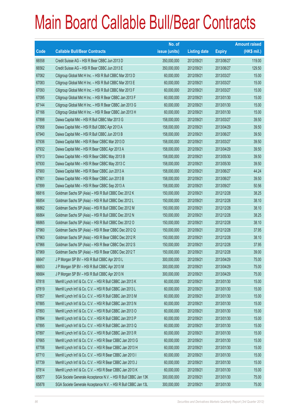|       |                                                                | No. of        |                     |               | <b>Amount raised</b> |
|-------|----------------------------------------------------------------|---------------|---------------------|---------------|----------------------|
| Code  | <b>Callable Bull/Bear Contracts</b>                            | issue (units) | <b>Listing date</b> | <b>Expiry</b> | $(HK$$ mil.)         |
| 66558 | Credit Suisse AG - HSI R Bear CBBC Jun 2013 D                  | 350,000,000   | 2012/09/21          | 2013/06/27    | 119.00               |
| 66562 | Credit Suisse AG - HSI R Bear CBBC Jun 2013 E                  | 350,000,000   | 2012/09/21          | 2013/06/27    | 129.50               |
| 67062 | Citigroup Global Mkt H Inc. - HSI R Bull CBBC Mar 2013 D       | 60,000,000    | 2012/09/21          | 2013/03/27    | 15.00                |
| 67083 | Citigroup Global Mkt H Inc. - HSI R Bull CBBC Mar 2013 E       | 60,000,000    | 2012/09/21          | 2013/03/27    | 15.00                |
| 67093 | Citigroup Global Mkt H Inc. - HSI R Bull CBBC Mar 2013 F       | 60,000,000    | 2012/09/21          | 2013/03/27    | 15.00                |
| 67095 | Citigroup Global Mkt H Inc. - HSI R Bear CBBC Jan 2013 F       | 60,000,000    | 2012/09/21          | 2013/01/30    | 15.00                |
| 67144 | Citigroup Global Mkt H Inc. - HSI R Bear CBBC Jan 2013 G       | 60,000,000    | 2012/09/21          | 2013/01/30    | 15.00                |
| 67166 | Citigroup Global Mkt H Inc. - HSI R Bear CBBC Jan 2013 H       | 60,000,000    | 2012/09/21          | 2013/01/30    | 15.00                |
| 67898 | Daiwa Capital Mkt - HSI R Bull CBBC Mar 2013 G                 | 158,000,000   | 2012/09/21          | 2013/03/27    | 39.50                |
| 67958 | Daiwa Capital Mkt - HSI R Bull CBBC Apr 2013 A                 | 158,000,000   | 2012/09/21          | 2013/04/29    | 39.50                |
| 67940 | Daiwa Capital Mkt - HSI R Bull CBBC Jun 2013 B                 | 158,000,000   | 2012/09/21          | 2013/06/27    | 39.50                |
| 67936 | Daiwa Capital Mkt - HSI R Bear CBBC Mar 2013 D                 | 158,000,000   | 2012/09/21          | 2013/03/27    | 39.50                |
| 67932 | Daiwa Capital Mkt - HSI R Bear CBBC Apr 2013 A                 | 158,000,000   | 2012/09/21          | 2013/04/29    | 39.50                |
| 67913 | Daiwa Capital Mkt - HSI R Bear CBBC May 2013 B                 | 158,000,000   | 2012/09/21          | 2013/05/30    | 39.50                |
| 67930 | Daiwa Capital Mkt - HSI R Bear CBBC May 2013 C                 | 158,000,000   | 2012/09/21          | 2013/05/30    | 39.50                |
| 67900 | Daiwa Capital Mkt - HSI R Bear CBBC Jun 2013 A                 | 158,000,000   | 2012/09/21          | 2013/06/27    | 44.24                |
| 67901 | Daiwa Capital Mkt - HSI R Bear CBBC Jun 2013 B                 | 158,000,000   | 2012/09/21          | 2013/06/27    | 39.50                |
| 67899 | Daiwa Capital Mkt - HSI R Bear CBBC Sep 2013 A                 | 158,000,000   | 2012/09/21          | 2013/09/27    | 50.56                |
| 66816 | Goldman Sachs SP (Asia) - HSI R Bull CBBC Dec 2012 K           | 150,000,000   | 2012/09/21          | 2012/12/28    | 38.25                |
| 66854 | Goldman Sachs SP (Asia) - HSI R Bull CBBC Dec 2012 L           | 150,000,000   | 2012/09/21          | 2012/12/28    | 38.10                |
| 66862 | Goldman Sachs SP (Asia) - HSI R Bull CBBC Dec 2012 M           | 150,000,000   | 2012/09/21          | 2012/12/28    | 38.10                |
| 66864 | Goldman Sachs SP (Asia) - HSI R Bull CBBC Dec 2012 N           | 150,000,000   | 2012/09/21          | 2012/12/28    | 38.25                |
| 66865 | Goldman Sachs SP (Asia) - HSI R Bull CBBC Dec 2012 O           | 150,000,000   | 2012/09/21          | 2012/12/28    | 38.10                |
| 67960 | Goldman Sachs SP (Asia) - HSI R Bear CBBC Dec 2012 Q           | 150,000,000   | 2012/09/21          | 2012/12/28    | 37.95                |
| 67963 | Goldman Sachs SP (Asia) - HSI R Bear CBBC Dec 2012 R           | 150,000,000   | 2012/09/21          | 2012/12/28    | 38.10                |
| 67966 | Goldman Sachs SP (Asia) - HSI R Bear CBBC Dec 2012 S           | 150,000,000   | 2012/09/21          | 2012/12/28    | 37.95                |
| 67969 | Goldman Sachs SP (Asia) - HSI R Bear CBBC Dec 2012 T           | 150,000,000   | 2012/09/21          | 2012/12/28    | 39.00                |
| 66647 | J P Morgan SP BV - HSI R Bull CBBC Apr 2013 L                  | 300,000,000   | 2012/09/21          | 2013/04/29    | 75.00                |
| 66653 | J P Morgan SP BV - HSI R Bull CBBC Apr 2013 M                  | 300,000,000   | 2012/09/21          | 2013/04/29    | 75.00                |
| 66684 | J P Morgan SP BV - HSI R Bull CBBC Apr 2013 N                  | 300,000,000   | 2012/09/21          | 2013/04/29    | 75.00                |
| 67818 | Merrill Lynch Int'l & Co. C.V. - HSI R Bull CBBC Jan 2013 K    | 60,000,000    | 2012/09/21          | 2013/01/30    | 15.00                |
| 67819 | Merrill Lynch Int'l & Co. C.V. - HSI R Bull CBBC Jan 2013 L    | 60,000,000    | 2012/09/21          | 2013/01/30    | 15.00                |
| 67857 | Merrill Lynch Int'l & Co. C.V. - HSI R Bull CBBC Jan 2013 M    | 60,000,000    | 2012/09/21          | 2013/01/30    | 15.00                |
| 67885 | Merrill Lynch Int'l & Co. C.V. - HSI R Bull CBBC Jan 2013 N    | 60,000,000    | 2012/09/21          | 2013/01/30    | 15.00                |
| 67893 | Merrill Lynch Int'l & Co. C.V. - HSI R Bull CBBC Jan 2013 O    | 60,000,000    | 2012/09/21          | 2013/01/30    | 15.00                |
| 67894 | Merrill Lynch Int'l & Co. C.V. - HSI R Bull CBBC Jan 2013 P    | 60,000,000    | 2012/09/21          | 2013/01/30    | 15.00                |
| 67895 | Merrill Lynch Int'l & Co. C.V. - HSI R Bull CBBC Jan 2013 Q    | 60,000,000    | 2012/09/21          | 2013/01/30    | 15.00                |
| 67897 | Merrill Lynch Int'l & Co. C.V. - HSI R Bull CBBC Jan 2013 R    | 60,000,000    | 2012/09/21          | 2013/01/30    | 15.00                |
| 67665 | Merrill Lynch Int'l & Co. C.V. - HSI R Bear CBBC Jan 2013 G    | 60,000,000    | 2012/09/21          | 2013/01/30    | 15.00                |
| 67706 | Merrill Lynch Int'l & Co. C.V. - HSI R Bear CBBC Jan 2013 H    | 60,000,000    | 2012/09/21          | 2013/01/30    | 15.00                |
| 67710 | Merrill Lynch Int'l & Co. C.V. - HSI R Bear CBBC Jan 2013 I    | 60,000,000    | 2012/09/21          | 2013/01/30    | 15.00                |
| 67739 | Merrill Lynch Int'l & Co. C.V. - HSI R Bear CBBC Jan 2013 J    | 60,000,000    | 2012/09/21          | 2013/01/30    | 15.00                |
| 67814 | Merrill Lynch Int'l & Co. C.V. - HSI R Bear CBBC Jan 2013 K    | 60,000,000    | 2012/09/21          | 2013/01/30    | 15.00                |
| 65877 | SGA Societe Generale Acceptance N.V. - HSI R Bull CBBC Jan 13K | 300,000,000   | 2012/09/21          | 2013/01/30    | 75.00                |
| 65878 | SGA Societe Generale Acceptance N.V. - HSI R Bull CBBC Jan 13L | 300,000,000   | 2012/09/21          | 2013/01/30    | 75.00                |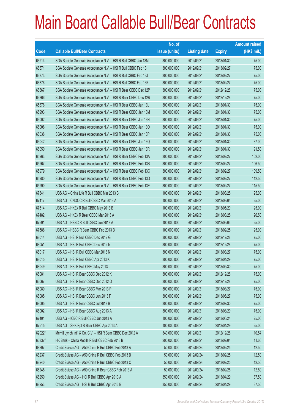|        |                                                                | No. of        |                     |               | <b>Amount raised</b> |
|--------|----------------------------------------------------------------|---------------|---------------------|---------------|----------------------|
| Code   | <b>Callable Bull/Bear Contracts</b>                            | issue (units) | <b>Listing date</b> | <b>Expiry</b> | (HK\$ mil.)          |
| 66914  | SGA Societe Generale Acceptance N.V. - HSI R Bull CBBC Jan 13M | 300,000,000   | 2012/09/21          | 2013/01/30    | 75.00                |
| 66871  | SGA Societe Generale Acceptance N.V. - HSI R Bull CBBC Feb 131 | 300,000,000   | 2012/09/21          | 2013/02/27    | 75.00                |
| 66873  | SGA Societe Generale Acceptance N.V. - HSI R Bull CBBC Feb 13J | 300,000,000   | 2012/09/21          | 2013/02/27    | 75.00                |
| 66876  | SGA Societe Generale Acceptance N.V. - HSI R Bull CBBC Feb 13K | 300,000,000   | 2012/09/21          | 2013/02/27    | 75.00                |
| 66867  | SGA Societe Generale Acceptance N.V. - HSI R Bear CBBC Dec 12P | 300,000,000   | 2012/09/21          | 2012/12/28    | 75.00                |
| 66866  | SGA Societe Generale Acceptance N.V. - HSI R Bear CBBC Dec 12R | 300,000,000   | 2012/09/21          | 2012/12/28    | 75.00                |
| 65876  | SGA Societe Generale Acceptance N.V. - HSI R Bear CBBC Jan 13L | 300,000,000   | 2012/09/21          | 2013/01/30    | 75.00                |
| 65993  | SGA Societe Generale Acceptance N.V. - HSI R Bear CBBC Jan 13M | 300,000,000   | 2012/09/21          | 2013/01/30    | 75.00                |
| 66002  | SGA Societe Generale Acceptance N.V. - HSI R Bear CBBC Jan 13N | 300,000,000   | 2012/09/21          | 2013/01/30    | 75.00                |
| 66006  | SGA Societe Generale Acceptance N.V. - HSI R Bear CBBC Jan 130 | 300,000,000   | 2012/09/21          | 2013/01/30    | 75.00                |
| 66038  | SGA Societe Generale Acceptance N.V. - HSI R Bear CBBC Jan 13P | 300,000,000   | 2012/09/21          | 2013/01/30    | 75.00                |
| 66042  | SGA Societe Generale Acceptance N.V. - HSI R Bear CBBC Jan 13Q | 300,000,000   | 2012/09/21          | 2013/01/30    | 87.00                |
| 66050  | SGA Societe Generale Acceptance N.V. - HSI R Bear CBBC Jan 13R | 300,000,000   | 2012/09/21          | 2013/01/30    | 91.50                |
| 65963  | SGA Societe Generale Acceptance N.V. - HSI R Bear CBBC Feb 13A | 300,000,000   | 2012/09/21          | 2013/02/27    | 102.00               |
| 65967  | SGA Societe Generale Acceptance N.V. - HSI R Bear CBBC Feb 13B | 300,000,000   | 2012/09/21          | 2013/02/27    | 106.50               |
| 65979  | SGA Societe Generale Acceptance N.V. - HSI R Bear CBBC Feb 13C | 300,000,000   | 2012/09/21          | 2013/02/27    | 109.50               |
| 65980  | SGA Societe Generale Acceptance N.V. - HSI R Bear CBBC Feb 13D | 300,000,000   | 2012/09/21          | 2013/02/27    | 112.50               |
| 65990  | SGA Societe Generale Acceptance N.V. - HSI R Bear CBBC Feb 13E | 300,000,000   | 2012/09/21          | 2013/02/27    | 115.50               |
| 67341  | UBS AG - China Life R Bull CBBC Mar 2013 B                     | 100,000,000   | 2012/09/21          | 2013/03/25    | 25.00                |
| 67417  | UBS AG - CNOOC R Bull CBBC Mar 2013 A                          | 100,000,000   | 2012/09/21          | 2013/03/04    | 25.00                |
| 67514  | UBS AG - HKEx R Bull CBBC May 2013 B                           | 100,000,000   | 2012/09/21          | 2013/05/20    | 25.00                |
| 67482  | UBS AG - HKEx R Bear CBBC Mar 2013 A                           | 100,000,000   | 2012/09/21          | 2013/03/25    | 26.50                |
| 67591  | UBS AG - HSBC R Bull CBBC Jun 2013 A                           | 100,000,000   | 2012/09/21          | 2013/06/03    | 25.00                |
| 67588  | UBS AG - HSBC R Bear CBBC Feb 2013 B                           | 100,000,000   | 2012/09/21          | 2013/02/25    | 25.00                |
| 68014  | UBS AG - HSI R Bull CBBC Dec 2012 G                            | 300,000,000   | 2012/09/21          | 2012/12/28    | 75.00                |
| 68051  | UBS AG - HSI R Bull CBBC Dec 2012 N                            | 300,000,000   | 2012/09/21          | 2012/12/28    | 75.00                |
| 68017  | UBS AG - HSI R Bull CBBC Mar 2013 N                            | 300,000,000   | 2012/09/21          | 2013/03/27    | 75.00                |
| 68015  | UBS AG - HSI R Bull CBBC Apr 2013 K                            | 300,000,000   | 2012/09/21          | 2013/04/29    | 75.00                |
| 68049  | UBS AG - HSI R Bull CBBC May 2013 L                            | 300,000,000   | 2012/09/21          | 2013/05/30    | 75.00                |
| 66081  | UBS AG - HSI R Bear CBBC Dec 2012 K                            | 300,000,000   | 2012/09/21          | 2012/12/28    | 75.00                |
| 66067  | UBS AG - HSI R Bear CBBC Dec 2012 O                            | 300,000,000   | 2012/09/21          | 2012/12/28    | 75.00                |
| 66080  | UBS AG - HSI R Bear CBBC Mar 2013 P                            | 300,000,000   | 2012/09/21          | 2013/03/27    | 75.00                |
| 66085  | UBS AG - HSI R Bear CBBC Jun 2013 F                            | 300,000,000   | 2012/09/21          | 2013/06/27    | 75.00                |
| 68005  | UBS AG - HSI R Bear CBBC Jul 2013 B                            | 300,000,000   | 2012/09/21          | 2013/07/30    | 75.00                |
| 68002  | UBS AG - HSI R Bear CBBC Aug 2013 A                            | 300,000,000   | 2012/09/21          | 2013/08/29    | 75.00                |
| 67401  | UBS AG - ICBC R Bull CBBC Jun 2013 A                           | 100,000,000   | 2012/09/21          | 2013/06/24    | 25.00                |
| 67515  | UBS AG - SHK Ppt R Bear CBBC Apr 2013 A                        | 100,000,000   | 2012/09/21          | 2013/04/29    | 25.00                |
| 62022# | Merrill Lynch Int'l & Co. C.V. - HSI R Bear CBBC Dec 2012 A    | 340,000,000   | 2012/09/21          | 2012/12/28    | 10.54                |
| 66837# | HK Bank - China Mobile R Bull CBBC Feb 2013 B                  | 200,000,000   | 2012/09/21          | 2013/02/04    | 11.60                |
| 68207  | Credit Suisse AG - A50 China R Bull CBBC Feb 2013 A            | 50,000,000    | 2012/09/24          | 2013/02/25    | 12.50                |
| 68237  | Credit Suisse AG - A50 China R Bull CBBC Feb 2013 B            | 50,000,000    | 2012/09/24          | 2013/02/25    | 12.50                |
| 68240  | Credit Suisse AG - A50 China R Bull CBBC Feb 2013 C            | 50,000,000    | 2012/09/24          | 2013/02/25    | 12.50                |
| 68245  | Credit Suisse AG - A50 China R Bear CBBC Feb 2013 A            | 50,000,000    | 2012/09/24          | 2013/02/25    | 12.50                |
| 68250  | Credit Suisse AG - HSI R Bull CBBC Apr 2013 A                  | 350,000,000   | 2012/09/24          | 2013/04/29    | 87.50                |
| 68253  | Credit Suisse AG - HSI R Bull CBBC Apr 2013 B                  | 350,000,000   | 2012/09/24          | 2013/04/29    | 87.50                |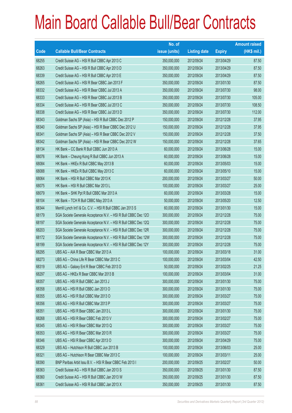|       |                                                                | No. of        |                     |               | <b>Amount raised</b> |
|-------|----------------------------------------------------------------|---------------|---------------------|---------------|----------------------|
| Code  | <b>Callable Bull/Bear Contracts</b>                            | issue (units) | <b>Listing date</b> | <b>Expiry</b> | (HK\$ mil.)          |
| 68255 | Credit Suisse AG - HSI R Bull CBBC Apr 2013 C                  | 350,000,000   | 2012/09/24          | 2013/04/29    | 87.50                |
| 68263 | Credit Suisse AG - HSI R Bull CBBC Apr 2013 D                  | 350,000,000   | 2012/09/24          | 2013/04/29    | 87.50                |
| 68339 | Credit Suisse AG - HSI R Bull CBBC Apr 2013 E                  | 350,000,000   | 2012/09/24          | 2013/04/29    | 87.50                |
| 68265 | Credit Suisse AG - HSI R Bear CBBC Jan 2013 F                  | 350,000,000   | 2012/09/24          | 2013/01/30    | 87.50                |
| 68332 | Credit Suisse AG - HSI R Bear CBBC Jul 2013 A                  | 350,000,000   | 2012/09/24          | 2013/07/30    | 98.00                |
| 68333 | Credit Suisse AG - HSI R Bear CBBC Jul 2013 B                  | 350,000,000   | 2012/09/24          | 2013/07/30    | 105.00               |
| 68334 | Credit Suisse AG - HSI R Bear CBBC Jul 2013 C                  | 350,000,000   | 2012/09/24          | 2013/07/30    | 108.50               |
| 68338 | Credit Suisse AG - HSI R Bear CBBC Jul 2013 D                  | 350,000,000   | 2012/09/24          | 2013/07/30    | 112.00               |
| 68343 | Goldman Sachs SP (Asia) - HSI R Bull CBBC Dec 2012 P           | 150,000,000   | 2012/09/24          | 2012/12/28    | 37.95                |
| 68340 | Goldman Sachs SP (Asia) - HSI R Bear CBBC Dec 2012 U           | 150,000,000   | 2012/09/24          | 2012/12/28    | 37.95                |
| 68341 | Goldman Sachs SP (Asia) - HSI R Bear CBBC Dec 2012 V           | 150,000,000   | 2012/09/24          | 2012/12/28    | 37.50                |
| 68342 | Goldman Sachs SP (Asia) - HSI R Bear CBBC Dec 2012 W           | 150,000,000   | 2012/09/24          | 2012/12/28    | 37.65                |
| 68134 | HK Bank - CC Bank R Bull CBBC Jun 2013 A                       | 60,000,000    | 2012/09/24          | 2013/06/28    | 15.00                |
| 68076 | HK Bank - Cheung Kong R Bull CBBC Jun 2013 A                   | 60,000,000    | 2012/09/24          | 2013/06/28    | 15.00                |
| 68084 | HK Bank - HKEx R Bull CBBC May 2013 B                          | 60,000,000    | 2012/09/24          | 2013/05/03    | 15.00                |
| 68088 | HK Bank - HKEx R Bull CBBC May 2013 C                          | 60,000,000    | 2012/09/24          | 2013/05/10    | 15.00                |
| 68064 | HK Bank - HSI R Bull CBBC Mar 2013 K                           | 200,000,000   | 2012/09/24          | 2013/03/27    | 50.00                |
| 68075 | HK Bank - HSI R Bull CBBC Mar 2013 L                           | 100,000,000   | 2012/09/24          | 2013/03/27    | 25.00                |
| 68079 | HK Bank - SHK Ppt R Bull CBBC Mar 2013 A                       | 60,000,000    | 2012/09/24          | 2013/03/28    | 15.00                |
| 68104 | HK Bank - TCH R Bull CBBC May 2013 A                           | 50,000,000    | 2012/09/24          | 2013/05/20    | 12.50                |
| 68344 | Merrill Lynch Int'l & Co. C.V. - HSI R Bull CBBC Jan 2013 S    | 60,000,000    | 2012/09/24          | 2013/01/30    | 15.00                |
| 68179 | SGA Societe Generale Acceptance N.V. - HSI R Bull CBBC Dec 120 | 300,000,000   | 2012/09/24          | 2012/12/28    | 75.00                |
| 68197 | SGA Societe Generale Acceptance N.V. - HSI R Bull CBBC Dec 12Q | 300,000,000   | 2012/09/24          | 2012/12/28    | 75.00                |
| 68203 | SGA Societe Generale Acceptance N.V. - HSI R Bull CBBC Dec 12R | 300,000,000   | 2012/09/24          | 2012/12/28    | 75.00                |
| 68172 | SGA Societe Generale Acceptance N.V. - HSI R Bull CBBC Dec 12W | 300,000,000   | 2012/09/24          | 2012/12/28    | 75.00                |
| 68199 | SGA Societe Generale Acceptance N.V. - HSI R Bull CBBC Dec 12Y | 300,000,000   | 2012/09/24          | 2012/12/28    | 75.00                |
| 68295 | UBS AG - AIA R Bear CBBC Mar 2013 A                            | 100,000,000   | 2012/09/24          | 2013/03/18    | 31.00                |
| 68273 | UBS AG - China Life R Bear CBBC Mar 2013 C                     | 100,000,000   | 2012/09/24          | 2013/03/04    | 42.50                |
| 68319 | UBS AG - Galaxy Ent R Bear CBBC Feb 2013 D                     | 50,000,000    | 2012/09/24          | 2013/02/25    | 21.25                |
| 68297 | UBS AG - HKEx R Bear CBBC Mar 2013 B                           | 100,000,000   | 2012/09/24          | 2013/03/04    | 31.00                |
| 68357 | UBS AG - HSI R Bull CBBC Jan 2013 J                            | 300,000,000   | 2012/09/24          | 2013/01/30    | 75.00                |
| 68358 | UBS AG - HSI R Bull CBBC Jan 2013 O                            | 300,000,000   | 2012/09/24          | 2013/01/30    | 75.00                |
| 68355 | UBS AG - HSI R Bull CBBC Mar 2013 O                            | 300,000,000   | 2012/09/24          | 2013/03/27    | 75.00                |
| 68356 | UBS AG - HSI R Bull CBBC Mar 2013 P                            | 300,000,000   | 2012/09/24          | 2013/03/27    | 75.00                |
| 68351 | UBS AG - HSI R Bear CBBC Jan 2013 L                            | 300,000,000   | 2012/09/24          | 2013/01/30    | 75.00                |
| 68268 | UBS AG - HSI R Bear CBBC Feb 2013 V                            | 300,000,000   | 2012/09/24          | 2013/02/27    | 75.00                |
| 68345 | UBS AG - HSI R Bear CBBC Mar 2013 Q                            | 300,000,000   | 2012/09/24          | 2013/03/27    | 75.00                |
| 68353 | UBS AG - HSI R Bear CBBC Mar 2013 R                            | 300,000,000   | 2012/09/24          | 2013/03/27    | 75.00                |
| 68346 | UBS AG - HSI R Bear CBBC Apr 2013 O                            | 300,000,000   | 2012/09/24          | 2013/04/29    | 75.00                |
| 68329 | UBS AG - Hutchison R Bull CBBC Jun 2013 B                      | 100,000,000   | 2012/09/24          | 2013/06/03    | 25.00                |
| 68321 | UBS AG - Hutchison R Bear CBBC Mar 2013 C                      | 100,000,000   | 2012/09/24          | 2013/03/11    | 25.00                |
| 68390 | BNP Paribas Arbit Issu B.V. - HSI R Bear CBBC Feb 2013 I       | 200,000,000   | 2012/09/25          | 2013/02/27    | 50.00                |
| 68363 | Credit Suisse AG - HSI R Bull CBBC Jan 2013 S                  | 350,000,000   | 2012/09/25          | 2013/01/30    | 87.50                |
| 68360 | Credit Suisse AG - HSI R Bull CBBC Jan 2013 W                  | 350,000,000   | 2012/09/25          | 2013/01/30    | 87.50                |
| 68361 | Credit Suisse AG - HSI R Bull CBBC Jan 2013 X                  | 350,000,000   | 2012/09/25          | 2013/01/30    | 87.50                |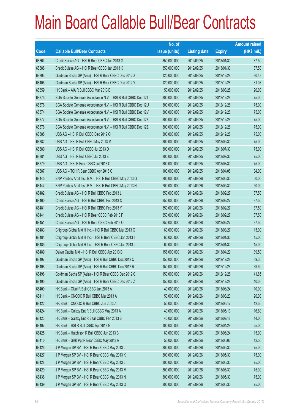|       |                                                                | No. of        |                     |               | <b>Amount raised</b> |
|-------|----------------------------------------------------------------|---------------|---------------------|---------------|----------------------|
| Code  | <b>Callable Bull/Bear Contracts</b>                            | issue (units) | <b>Listing date</b> | <b>Expiry</b> | $(HK$$ mil.)         |
| 68364 | Credit Suisse AG - HSI R Bear CBBC Jan 2013 G                  | 350,000,000   | 2012/09/25          | 2013/01/30    | 87.50                |
| 68388 | Credit Suisse AG - HSI R Bear CBBC Jan 2013 K                  | 350,000,000   | 2012/09/25          | 2013/01/30    | 87.50                |
| 68393 | Goldman Sachs SP (Asia) - HSI R Bear CBBC Dec 2012 X           | 120,000,000   | 2012/09/25          | 2012/12/28    | 30.48                |
| 68406 | Goldman Sachs SP (Asia) - HSI R Bear CBBC Dec 2012 Y           | 120,000,000   | 2012/09/25          | 2012/12/28    | 31.08                |
| 68359 | HK Bank - AIA R Bull CBBC Mar 2013 B                           | 50,000,000    | 2012/09/25          | 2013/03/25    | 20.00                |
| 68375 | SGA Societe Generale Acceptance N.V. - HSI R Bull CBBC Dec 12T | 300,000,000   | 2012/09/25          | 2012/12/28    | 75.00                |
| 68376 | SGA Societe Generale Acceptance N.V. - HSI R Bull CBBC Dec 12U | 300,000,000   | 2012/09/25          | 2012/12/28    | 75.00                |
| 68374 | SGA Societe Generale Acceptance N.V. - HSI R Bull CBBC Dec 12V | 300,000,000   | 2012/09/25          | 2012/12/28    | 75.00                |
| 68377 | SGA Societe Generale Acceptance N.V. - HSI R Bull CBBC Dec 12X | 300,000,000   | 2012/09/25          | 2012/12/28    | 75.00                |
| 68378 | SGA Societe Generale Acceptance N.V. - HSI R Bull CBBC Dec 12Z | 300,000,000   | 2012/09/25          | 2012/12/28    | 75.00                |
| 68385 | UBS AG - HSI R Bull CBBC Dec 2012 O                            | 300,000,000   | 2012/09/25          | 2012/12/28    | 75.00                |
| 68382 | UBS AG - HSI R Bull CBBC May 2013 M                            | 300,000,000   | 2012/09/25          | 2013/05/30    | 75.00                |
| 68380 | UBS AG - HSI R Bull CBBC Jul 2013 D                            | 300,000,000   | 2012/09/25          | 2013/07/30    | 75.00                |
| 68381 | UBS AG - HSI R Bull CBBC Jul 2013 E                            | 300,000,000   | 2012/09/25          | 2013/07/30    | 75.00                |
| 68379 | UBS AG - HSI R Bear CBBC Jul 2013 C                            | 300,000,000   | 2012/09/25          | 2013/07/30    | 75.00                |
| 68387 | UBS AG - TCH R Bear CBBC Apr 2013 C                            | 100,000,000   | 2012/09/25          | 2013/04/08    | 34.00                |
| 68445 | BNP Paribas Arbit Issu B.V. - HSI R Bull CBBC May 2013 G       | 200,000,000   | 2012/09/26          | 2013/05/30    | 50.00                |
| 68447 | BNP Paribas Arbit Issu B.V. - HSI R Bull CBBC May 2013 H       | 200,000,000   | 2012/09/26          | 2013/05/30    | 50.00                |
| 68482 | Credit Suisse AG - HSI R Bull CBBC Feb 2013 L                  | 350,000,000   | 2012/09/26          | 2013/02/27    | 87.50                |
| 68460 | Credit Suisse AG - HSI R Bull CBBC Feb 2013 X                  | 350,000,000   | 2012/09/26          | 2013/02/27    | 87.50                |
| 68481 | Credit Suisse AG - HSI R Bull CBBC Feb 2013 Y                  | 350,000,000   | 2012/09/26          | 2013/02/27    | 87.50                |
| 68441 | Credit Suisse AG - HSI R Bear CBBC Feb 2013 F                  | 350,000,000   | 2012/09/26          | 2013/02/27    | 87.50                |
| 68451 | Credit Suisse AG - HSI R Bear CBBC Feb 2013 O                  | 350,000,000   | 2012/09/26          | 2013/02/27    | 87.50                |
| 68483 | Citigroup Global Mkt H Inc. - HSI R Bull CBBC Mar 2013 G       | 60,000,000    | 2012/09/26          | 2013/03/27    | 15.00                |
| 68484 | Citigroup Global Mkt H Inc. - HSI R Bear CBBC Jan 2013 I       | 60,000,000    | 2012/09/26          | 2013/01/30    | 15.00                |
| 68485 | Citigroup Global Mkt H Inc. - HSI R Bear CBBC Jan 2013 J       | 60,000,000    | 2012/09/26          | 2013/01/30    | 15.00                |
| 68489 | Daiwa Capital Mkt - HSI R Bull CBBC Apr 2013 B                 | 158,000,000   | 2012/09/26          | 2013/04/29    | 39.50                |
| 68497 | Goldman Sachs SP (Asia) - HSI R Bull CBBC Dec 2012 Q           | 150,000,000   | 2012/09/26          | 2012/12/28    | 39.30                |
| 68498 | Goldman Sachs SP (Asia) - HSI R Bull CBBC Dec 2012 R           | 150,000,000   | 2012/09/26          | 2012/12/28    | 39.60                |
| 68496 | Goldman Sachs SP (Asia) - HSI R Bear CBBC Dec 2012 C           | 150,000,000   | 2012/09/26          | 2012/12/28    | 41.85                |
| 68495 | Goldman Sachs SP (Asia) - HSI R Bear CBBC Dec 2012 Z           | 150,000,000   | 2012/09/26          | 2012/12/28    | 40.05                |
| 68409 | HK Bank - CUni R Bull CBBC Jun 2013 A                          | 40,000,000    | 2012/09/26          | 2013/06/24    | 10.00                |
| 68411 | HK Bank - CNOOC R Bull CBBC Mar 2013 A                         | 50,000,000    | 2012/09/26          | 2013/03/20    | 20.00                |
| 68422 | HK Bank - CNOOC R Bull CBBC Jun 2013 A                         | 50,000,000    | 2012/09/26          | 2013/06/17    | 12.50                |
| 68424 | HK Bank - Galaxy Ent R Bull CBBC May 2013 A                    | 40,000,000    | 2012/09/26          | 2013/05/13    | 16.80                |
| 68423 | HK Bank - Galaxy Ent R Bear CBBC Feb 2013 B                    | 40,000,000    | 2012/09/26          | 2013/02/18    | 14.00                |
| 68407 | HK Bank - HSI R Bull CBBC Apr 2013 G                           | 100,000,000   | 2012/09/26          | 2013/04/29    | 25.00                |
| 68425 | HK Bank - Hutchison R Bull CBBC Jun 2013 B                     | 60,000,000    | 2012/09/26          | 2013/06/24    | 15.00                |
| 68410 | HK Bank - SHK Ppt R Bear CBBC May 2013 A                       | 50,000,000    | 2012/09/26          | 2013/05/06    | 12.50                |
| 68426 | J P Morgan SP BV - HSI R Bear CBBC May 2013 J                  | 300,000,000   | 2012/09/26          | 2013/05/30    | 75.00                |
| 68427 | J P Morgan SP BV - HSI R Bear CBBC May 2013 K                  | 300,000,000   | 2012/09/26          | 2013/05/30    | 75.00                |
| 68428 | J P Morgan SP BV - HSI R Bear CBBC May 2013 L                  | 300,000,000   | 2012/09/26          | 2013/05/30    | 75.00                |
| 68429 | J P Morgan SP BV - HSI R Bear CBBC May 2013 M                  | 300,000,000   | 2012/09/26          | 2013/05/30    | 75.00                |
| 68438 | J P Morgan SP BV - HSI R Bear CBBC May 2013 N                  | 300,000,000   | 2012/09/26          | 2013/05/30    | 75.00                |
| 68439 | J P Morgan SP BV - HSI R Bear CBBC May 2013 O                  | 300,000,000   | 2012/09/26          | 2013/05/30    | 75.00                |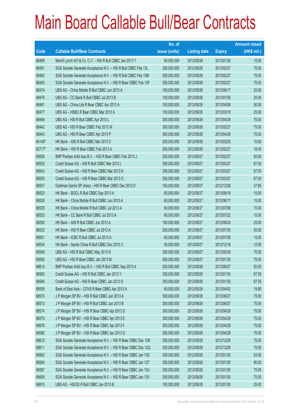|        |                                                                | No. of        |                     |               | <b>Amount raised</b> |
|--------|----------------------------------------------------------------|---------------|---------------------|---------------|----------------------|
| Code   | <b>Callable Bull/Bear Contracts</b>                            | issue (units) | <b>Listing date</b> | <b>Expiry</b> | (HK\$ mil.)          |
| 68499  | Merrill Lynch Int'l & Co. C.V. - HSI R Bull CBBC Jan 2013 T    | 60,000,000    | 2012/09/26          | 2013/01/30    | 15.00                |
| 68491  | SGA Societe Generale Acceptance N.V. - HSI R Bull CBBC Feb 13L | 300,000,000   | 2012/09/26          | 2013/02/27    | 75.00                |
| 68492  | SGA Societe Generale Acceptance N.V. - HSI R Bull CBBC Feb 13M | 300,000,000   | 2012/09/26          | 2013/02/27    | 75.00                |
| 68493  | SGA Societe Generale Acceptance N.V. - HSI R Bear CBBC Feb 13F | 300,000,000   | 2012/09/26          | 2013/02/27    | 75.00                |
| 68474  | UBS AG - China Mobile R Bull CBBC Jun 2013 A                   | 100,000,000   | 2012/09/26          | 2013/06/17    | 25.00                |
| 68476  | UBS AG - CC Bank R Bull CBBC Jul 2013 B                        | 100,000,000   | 2012/09/26          | 2013/07/29    | 25.00                |
| 68461  | UBS AG - China Life R Bear CBBC Apr 2013 A                     | 100,000,000   | 2012/09/26          | 2013/04/08    | 50.00                |
| 68477  | UBS AG - HSBC R Bear CBBC Mar 2013 A                           | 100,000,000   | 2012/09/26          | 2013/03/18    | 25.00                |
| 68494  | UBS AG - HSI R Bull CBBC Apr 2013 L                            | 300,000,000   | 2012/09/26          | 2013/04/29    | 75.00                |
| 68442  | UBS AG - HSI R Bear CBBC Feb 2013 W                            | 300,000,000   | 2012/09/26          | 2013/02/27    | 75.00                |
| 68443  | UBS AG - HSI R Bear CBBC Apr 2013 P                            | 300,000,000   | 2012/09/26          | 2013/04/29    | 75.00                |
| 64140# | HK Bank - A50 R Bull CBBC Mar 2013 C                           | 200,000,000   | 2012/09/26          | 2013/03/25    | 10.60                |
| 62717# | HK Bank - HSI R Bear CBBC Feb 2013 A                           | 200,000,000   | 2012/09/26          | 2013/02/27    | 18.40                |
| 68558  | BNP Paribas Arbit Issu B.V. - HSI R Bear CBBC Feb 2013 J       | 200,000,000   | 2012/09/27          | 2013/02/27    | 50.00                |
| 68535  | Credit Suisse AG - HSI R Bull CBBC Mar 2013 L                  | 350,000,000   | 2012/09/27          | 2013/03/27    | 87.50                |
| 68543  | Credit Suisse AG - HSI R Bear CBBC Mar 2013 N                  | 350,000,000   | 2012/09/27          | 2013/03/27    | 87.50                |
| 68555  | Credit Suisse AG - HSI R Bear CBBC Mar 2013 O                  | 350,000,000   | 2012/09/27          | 2013/03/27    | 87.50                |
| 68557  | Goldman Sachs SP (Asia) - HSI R Bear CBBC Dec 2012 D           | 150,000,000   | 2012/09/27          | 2012/12/28    | 37.80                |
| 68523  | HK Bank - BOCL R Bull CBBC Sep 2013 A                          | 60,000,000    | 2012/09/27          | 2013/09/18    | 15.00                |
| 68526  | HK Bank - China Mobile R Bull CBBC Jun 2013 A                  | 60,000,000    | 2012/09/27          | 2013/06/17    | 15.00                |
| 68529  | HK Bank - China Mobile R Bull CBBC Jul 2013 A                  | 60,000,000    | 2012/09/27          | 2013/07/08    | 15.00                |
| 68525  | HK Bank - CC Bank R Bull CBBC Jul 2013 A                       | 60,000,000    | 2012/09/27          | 2013/07/22    | 15.00                |
| 68500  | HK Bank - A50 R Bull CBBC Jun 2013 A                           | 100,000,000   | 2012/09/27          | 2013/06/24    | 25.00                |
| 68532  | HK Bank - HSI R Bear CBBC Jul 2013 A                           | 200,000,000   | 2012/09/27          | 2013/07/30    | 50.00                |
| 68501  | HK Bank - ICBC R Bull CBBC Jul 2013 A                          | 60,000,000    | 2012/09/27          | 2013/07/08    | 15.00                |
| 68534  | HK Bank - Sands China R Bull CBBC Dec 2013 C                   | 50,000,000    | 2012/09/27          | 2013/12/18    | 12.50                |
| 68548  | UBS AG - HSI R Bull CBBC May 2013 N                            | 300,000,000   | 2012/09/27          | 2013/05/30    | 75.00                |
| 68556  | UBS AG - HSI R Bear CBBC Jan 2013 M                            | 300,000,000   | 2012/09/27          | 2013/01/30    | 75.00                |
| 68614  | BNP Paribas Arbit Issu B.V. - HSI R Bull CBBC Sep 2013 A       | 200,000,000   | 2012/09/28          | 2013/09/27    | 50.00                |
| 68563  | Credit Suisse AG - HSI R Bull CBBC Jan 2013 Y                  | 350,000,000   | 2012/09/28          | 2013/01/30    | 87.50                |
| 68564  | Credit Suisse AG - HSI R Bear CBBC Jan 2013 O                  | 350,000,000   | 2012/09/28          | 2013/01/30    | 87.50                |
| 68559  | Bank of East Asia - COVS R Bear CBBC Apr 2013 A                | 60,000,000    | 2012/09/28          | 2013/04/02    | 19.80                |
| 68570  | J P Morgan SP BV - HSI R Bull CBBC Jun 2013 A                  | 300,000,000   | 2012/09/28          | 2013/06/27    | 75.00                |
| 68572  | J P Morgan SP BV - HSI R Bull CBBC Jun 2013 B                  | 300,000,000   | 2012/09/28          | 2013/06/27    | 75.00                |
| 68574  | J P Morgan SP BV - HSI R Bear CBBC Apr 2013 D                  | 300,000,000   | 2012/09/28          | 2013/04/29    | 75.00                |
| 68575  | J P Morgan SP BV - HSI R Bear CBBC Apr 2013 E                  | 300,000,000   | 2012/09/28          | 2013/04/29    | 75.00                |
| 68576  | J P Morgan SP BV - HSI R Bear CBBC Apr 2013 F                  | 300,000,000   | 2012/09/28          | 2013/04/29    | 75.00                |
| 68580  | J P Morgan SP BV - HSI R Bear CBBC Apr 2013 G                  | 300,000,000   | 2012/09/28          | 2013/04/29    | 75.00                |
| 68612  | SGA Societe Generale Acceptance N.V. - HSI R Bear CBBC Dec 12N | 300,000,000   | 2012/09/28          | 2012/12/28    | 75.00                |
| 68611  | SGA Societe Generale Acceptance N.V. - HSI R Bear CBBC Dec 12Q | 300,000,000   | 2012/09/28          | 2012/12/28    | 75.00                |
| 68583  | SGA Societe Generale Acceptance N.V. - HSI R Bear CBBC Jan 13S | 300,000,000   | 2012/09/28          | 2013/01/30    | 93.00                |
| 68584  | SGA Societe Generale Acceptance N.V. - HSI R Bear CBBC Jan 13T | 300,000,000   | 2012/09/28          | 2013/01/30    | 90.00                |
| 68587  | SGA Societe Generale Acceptance N.V. - HSI R Bear CBBC Jan 13U | 300,000,000   | 2012/09/28          | 2013/01/30    | 75.00                |
| 68609  | SGA Societe Generale Acceptance N.V. - HSI R Bear CBBC Jan 13V | 300,000,000   | 2012/09/28          | 2013/01/30    | 75.00                |
| 68615  | UBS AG - HSCEI R Bull CBBC Jan 2013 B                          | 100,000,000   | 2012/09/28          | 2013/01/30    | 25.00                |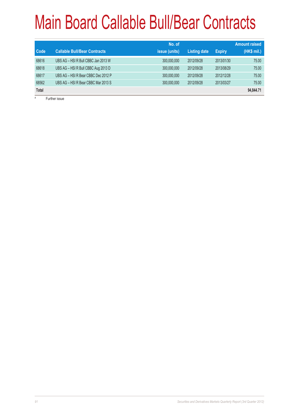| <b>Code</b>  | <b>Callable Bull/Bear Contracts</b> | No. of<br><i>issue (units)</i> | <b>Listing date</b> | <b>Expiry</b> | <b>Amount raised</b><br>(HK\$ mil.) |
|--------------|-------------------------------------|--------------------------------|---------------------|---------------|-------------------------------------|
| 68616        | UBS AG - HSI R Bull CBBC Jan 2013 W | 300,000,000                    | 2012/09/28          | 2013/01/30    | 75.00                               |
| 68618        | UBS AG - HSI R Bull CBBC Aug 2013 D | 300,000,000                    | 2012/09/28          | 2013/08/29    | 75.00                               |
| 68617        | UBS AG - HSI R Bear CBBC Dec 2012 P | 300,000,000                    | 2012/09/28          | 2012/12/28    | 75.00                               |
| 68562        | UBS AG - HSI R Bear CBBC Mar 2013 S | 300,000,000                    | 2012/09/28          | 2013/03/27    | 75.00                               |
| <b>Total</b> |                                     |                                |                     |               | 94,844.71                           |
| #            | Further issue                       |                                |                     |               |                                     |

Further issue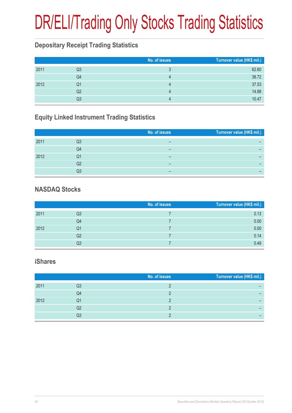# DR/ELI/Trading Only Stocks Trading Statistics

#### **Depositary Receipt Trading Statistics**

|      |                | No. of issues | Turnover value (HK\$ mil.) |
|------|----------------|---------------|----------------------------|
| 2011 | Q3             |               | 62.60                      |
|      | Q4             |               | 38.72                      |
| 2012 | Q1             |               | 37.53                      |
|      | Q <sub>2</sub> | 4             | 14.88                      |
|      | Q3             |               | 10.47                      |

#### **Equity Linked Instrument Trading Statistics**

|      |    | No. of issues | Turnover value (HK\$ mil.) |
|------|----|---------------|----------------------------|
| 2011 | Q3 |               |                            |
|      | Q4 | -             |                            |
| 2012 | Q1 | -             |                            |
|      | Q2 | -             |                            |
|      | Q3 | -             |                            |

#### **NASDAQ Stocks**

|      |    | No. of issues | Turnover value (HK\$ mil.) |
|------|----|---------------|----------------------------|
| 2011 | Q3 |               | 0.13                       |
|      | Q4 |               | 0.00                       |
| 2012 | Q1 |               | 0.00                       |
|      | Q2 |               | 0.14                       |
|      | Q3 |               | 0.49                       |

#### **iShares**

|      |    | No. of issues | Turnover value (HK\$ mil.) |
|------|----|---------------|----------------------------|
| 2011 | Q3 |               |                            |
|      | Q4 |               |                            |
| 2012 | Q1 |               |                            |
|      | Q2 |               |                            |
|      | Q3 |               |                            |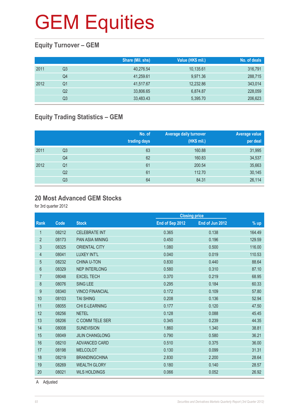#### **Equity Turnover – GEM**

|      |    | Share (Mil. shs) | Value (HK\$ mil.) | No. of deals |
|------|----|------------------|-------------------|--------------|
| 2011 | Q3 | 40,276.54        | 10,135.61         | 316,791      |
|      | Q4 | 41,259.61        | 9,971.36          | 288,715      |
| 2012 | Q1 | 41,517.67        | 12,232.86         | 343,014      |
|      | Q2 | 33,806.65        | 6.874.87          | 228,059      |
|      | Q3 | 33,483.43        | 5,395.70          | 206,623      |

#### **Equity Trading Statistics – GEM**

|      |                | No. of<br>trading days | <b>Average daily turnover</b><br>(HK\$ mil.) | Average value<br>per deal |
|------|----------------|------------------------|----------------------------------------------|---------------------------|
| 2011 | Q <sub>3</sub> | 63                     | 160.88                                       | 31,995                    |
|      | Q4             | 62                     | 160.83                                       | 34,537                    |
| 2012 | Q <sub>1</sub> | 61                     | 200.54                                       | 35,663                    |
|      | Q <sub>2</sub> | 61                     | 112.70                                       | 30,145                    |
|      | Q3             | 64                     | 84.31                                        | 26,114                    |

#### **20 Most Advanced GEM Stocks**

for 3rd quarter 2012

|                |       |                        | <b>Closing price</b> |                 |        |
|----------------|-------|------------------------|----------------------|-----------------|--------|
| <b>Rank</b>    | Code  | <b>Stock</b>           | End of Sep 2012      | End of Jun 2012 | % up   |
| 1              | 08212 | <b>CELEBRATE INT</b>   | 0.365                | 0.138           | 164.49 |
| $\overline{2}$ | 08173 | <b>PAN ASIA MINING</b> | 0.450                | 0.196           | 129.59 |
| 3              | 08325 | <b>ORIENTAL CITY</b>   | 1.080                | 0.500           | 116.00 |
| 4              | 08041 | LUXEY INT'L            | 0.040                | 0.019           | 110.53 |
| 5              | 08232 | <b>CHINA U-TON</b>     | 0.830                | 0.440           | 88.64  |
| 6              | 08329 | <b>NEP INTERLONG</b>   | 0.580                | 0.310           | 87.10  |
| $\overline{7}$ | 08048 | <b>EXCEL TECH</b>      | 0.370                | 0.219           | 68.95  |
| 8              | 08076 | <b>SING LEE</b>        | 0.295                | 0.184           | 60.33  |
| 9              | 08340 | <b>VINCO FINANCIAL</b> | 0.172                | 0.109           | 57.80  |
| 10             | 08103 | <b>TAI SHING</b>       | 0.208                | 0.136           | 52.94  |
| 11             | 08055 | <b>CHI E-LEARNING</b>  | 0.177                | 0.120           | 47.50  |
| 12             | 08256 | <b>NETEL</b>           | 0.128                | 0.088           | 45.45  |
| 13             | 08206 | C COMM TELE SER        | 0.345                | 0.239           | 44.35  |
| 14             | 08008 | <b>SUNEVISION</b>      | 1.860                | 1.340           | 38.81  |
| 15             | 08049 | <b>JILIN CHANGLONG</b> | 0.790                | 0.580           | 36.21  |
| 16             | 08210 | <b>ADVANCED CARD</b>   | 0.510                | 0.375           | 36.00  |
| 17             | 08198 | <b>MELCOLOT</b>        | 0.130                | 0.099           | 31.31  |
| 18             | 08219 | <b>BRANDINGCHINA</b>   | 2.830                | 2.200           | 28.64  |
| 19             | 08269 | <b>WEALTH GLORY</b>    | 0.180                | 0.140           | 28.57  |
| 20             | 08021 | <b>WLS HOLDINGS</b>    | 0.066                | 0.052           | 26.92  |
|                |       |                        |                      |                 |        |

A Adjusted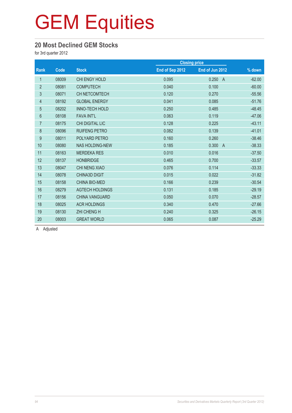#### **20 Most Declined GEM Stocks**

for 3rd quarter 2012

| Code  | <b>Stock</b>           | End of Sep 2012 | End of Jun 2012         | $\frac{9}{6}$ down   |
|-------|------------------------|-----------------|-------------------------|----------------------|
| 08009 | CHI ENGY HOLD          | 0.095           | 0.250<br>$\overline{A}$ | $-62.00$             |
| 08081 | <b>COMPUTECH</b>       | 0.040           | 0.100                   | $-60.00$             |
| 08071 | <b>CH NETCOMTECH</b>   | 0.120           | 0.270                   | $-55.56$             |
| 08192 | <b>GLOBAL ENERGY</b>   | 0.041           | 0.085                   | $-51.76$             |
| 08202 | INNO-TECH HOLD         | 0.250           | 0.485                   | $-48.45$             |
| 08108 | <b>FAVA INT'L</b>      | 0.063           | 0.119                   | $-47.06$             |
| 08175 | CHI DIGITAL LIC        | 0.128           | 0.225                   | $-43.11$             |
| 08096 | <b>RUIFENG PETRO</b>   | 0.082           | 0.139                   | $-41.01$             |
| 08011 | POLYARD PETRO          | 0.160           | 0.260                   | $-38.46$             |
| 08080 | <b>NAS HOLDING-NEW</b> | 0.185           | 0.300<br>$\overline{A}$ | $-38.33$             |
| 08163 | <b>MERDEKA RES</b>     | 0.010           | 0.016                   | $-37.50$             |
| 08137 | <b>HONBRIDGE</b>       | 0.465           | 0.700                   | $-33.57$             |
| 08047 | <b>CHI NENG XIAO</b>   | 0.076           | 0.114                   | $-33.33$             |
| 08078 | <b>CHINA3D DIGIT</b>   | 0.015           | 0.022                   | $-31.82$             |
| 08158 | <b>CHINA BIO-MED</b>   | 0.166           | 0.239                   | $-30.54$             |
| 08279 | <b>AGTECH HOLDINGS</b> | 0.131           | 0.185                   | $-29.19$             |
| 08156 | <b>CHINA VANGUARD</b>  | 0.050           | 0.070                   | $-28.57$             |
| 08025 | <b>ACR HOLDINGS</b>    | 0.340           | 0.470                   | $-27.66$             |
| 08130 | <b>ZHI CHENG H</b>     | 0.240           | 0.325                   | $-26.15$             |
| 08003 | <b>GREAT WORLD</b>     | 0.065           | 0.087                   | $-25.29$             |
|       |                        |                 |                         | <b>Closing price</b> |

A Adjusted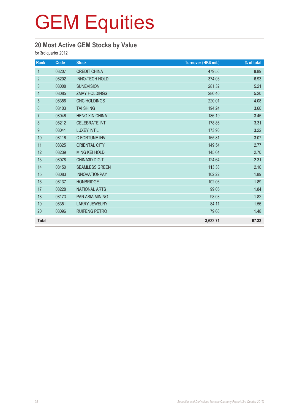#### **20 Most Active GEM Stocks by Value**

for 3rd quarter 2012

| Rank             | Code  | <b>Stock</b>           | Turnover (HK\$ mil.) | % of total |
|------------------|-------|------------------------|----------------------|------------|
| $\mathbf{1}$     | 08207 | <b>CREDIT CHINA</b>    | 479.56               | 8.89       |
| $\overline{2}$   | 08202 | <b>INNO-TECH HOLD</b>  | 374.03               | 6.93       |
| $\sqrt{3}$       | 08008 | <b>SUNEVISION</b>      | 281.32               | 5.21       |
| 4                | 08085 | <b>ZMAY HOLDINGS</b>   | 280.40               | 5.20       |
| 5                | 08356 | <b>CNC HOLDINGS</b>    | 220.01               | 4.08       |
| $6\phantom{1}$   | 08103 | <b>TAI SHING</b>       | 194.24               | 3.60       |
| $\overline{7}$   | 08046 | <b>HENG XIN CHINA</b>  | 186.19               | 3.45       |
| $\,8\,$          | 08212 | <b>CELEBRATE INT</b>   | 178.86               | 3.31       |
| $\boldsymbol{9}$ | 08041 | LUXEY INT'L            | 173.90               | 3.22       |
| 10               | 08116 | C FORTUNE INV          | 165.81               | 3.07       |
| 11               | 08325 | <b>ORIENTAL CITY</b>   | 149.54               | 2.77       |
| 12               | 08239 | <b>MING KEI HOLD</b>   | 145.64               | 2.70       |
| 13               | 08078 | <b>CHINA3D DIGIT</b>   | 124.64               | 2.31       |
| 14               | 08150 | <b>SEAMLESS GREEN</b>  | 113.38               | 2.10       |
| 15               | 08083 | <b>INNOVATIONPAY</b>   | 102.22               | 1.89       |
| 16               | 08137 | <b>HONBRIDGE</b>       | 102.06               | 1.89       |
| 17               | 08228 | <b>NATIONAL ARTS</b>   | 99.05                | 1.84       |
| 18               | 08173 | <b>PAN ASIA MINING</b> | 98.08                | 1.82       |
| 19               | 08351 | <b>LARRY JEWELRY</b>   | 84.11                | 1.56       |
| 20               | 08096 | <b>RUIFENG PETRO</b>   | 79.66                | 1.48       |
| <b>Total</b>     |       |                        | 3,632.71             | 67.33      |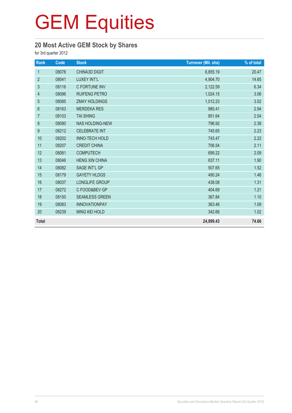#### **20 Most Active GEM Stock by Shares**

for 3rd quarter 2012

| Rank             | Code  | <b>Stock</b>           | <b>Turnover (Mil. shs)</b> | % of total |
|------------------|-------|------------------------|----------------------------|------------|
| $\mathbf{1}$     | 08078 | <b>CHINA3D DIGIT</b>   | 6,855.19                   | 20.47      |
| $\overline{2}$   | 08041 | LUXEY INT'L            | 4,904.70                   | 14.65      |
| 3                | 08116 | C FORTUNE INV          | 2,122.59                   | 6.34       |
| 4                | 08096 | <b>RUIFENG PETRO</b>   | 1,024.15                   | 3.06       |
| 5                | 08085 | <b>ZMAY HOLDINGS</b>   | 1,012.23                   | 3.02       |
| $6\,$            | 08163 | <b>MERDEKA RES</b>     | 985.41                     | 2.94       |
| $\overline{7}$   | 08103 | <b>TAI SHING</b>       | 851.64                     | 2.54       |
| $\,8\,$          | 08080 | <b>NAS HOLDING-NEW</b> | 796.92                     | 2.38       |
| $\boldsymbol{9}$ | 08212 | <b>CELEBRATE INT</b>   | 745.65                     | 2.23       |
| 10               | 08202 | INNO-TECH HOLD         | 743.47                     | 2.22       |
| 11               | 08207 | <b>CREDIT CHINA</b>    | 706.54                     | 2.11       |
| 12               | 08081 | <b>COMPUTECH</b>       | 699.22                     | 2.09       |
| 13               | 08046 | <b>HENG XIN CHINA</b>  | 637.11                     | 1.90       |
| 14               | 08082 | SAGE INT'L GP          | 507.65                     | 1.52       |
| 15               | 08179 | <b>GAYETY HLDGS</b>    | 490.24                     | 1.46       |
| 16               | 08037 | LONGLIFE GROUP         | 438.08                     | 1.31       |
| 17               | 08272 | C FOOD&BEV GP          | 404.69                     | 1.21       |
| 18               | 08150 | <b>SEAMLESS GREEN</b>  | 367.84                     | 1.10       |
| 19               | 08083 | <b>INNOVATIONPAY</b>   | 363.46                     | 1.09       |
| 20               | 08239 | MING KEI HOLD          | 342.66                     | 1.02       |
| <b>Total</b>     |       |                        | 24,999.43                  | 74.66      |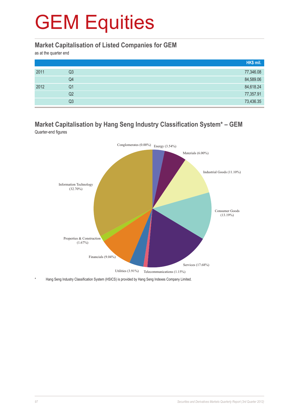#### **Market Capitalisation of Listed Companies for GEM**

as at the quarter end

|      |    | HK\$ mil. |
|------|----|-----------|
| 2011 | Q3 | 77,346.08 |
|      | Q4 | 84,589.06 |
| 2012 | Q1 | 84,618.24 |
|      | Q2 | 77,357.91 |
|      | Q3 | 73,436.35 |

#### **Market Capitalisation by Hang Seng Industry Classification System\* – GEM** Quarter-end figures



Hang Seng Industry Classification System (HSICS) is provided by Hang Seng Indexes Company Limited.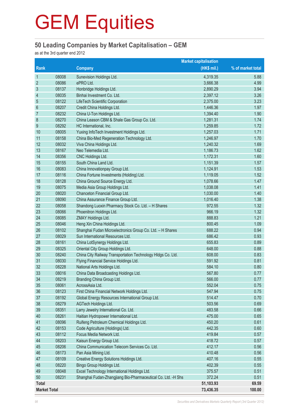#### **50 Leading Companies by Market Capitalisation – GEM**

as at the 3rd quarter end 2012

|                         |       |                                                              | <b>Market capitalisation</b> |                   |
|-------------------------|-------|--------------------------------------------------------------|------------------------------|-------------------|
| Rank                    |       | <b>Company</b>                                               | (HK\$ mil.)                  | % of market total |
| 1                       | 08008 | Sunevision Holdings Ltd.                                     | 4,319.35                     | 5.88              |
| $\overline{2}$          | 08086 | ePRO Ltd.                                                    | 3,666.38                     | 4.99              |
| $\mathfrak{S}$          | 08137 | Honbridge Holdings Ltd.                                      | 2,890.29                     | 3.94              |
| $\overline{\mathbf{r}}$ | 08035 | Binhai Investment Co. Ltd.                                   | 2,397.12                     | 3.26              |
| 5                       | 08122 | LifeTech Scientific Corporation                              | 2,375.00                     | 3.23              |
| $6\phantom{a}$          | 08207 | Credit China Holdings Ltd.                                   | 1,446.36                     | 1.97              |
| $\overline{7}$          | 08232 | China U-Ton Holdings Ltd.                                    | 1,394.40                     | 1.90              |
| 8                       | 08270 | China Leason CBM & Shale Gas Group Co. Ltd.                  | 1,281.31                     | 1.74              |
| 9                       | 08292 | HC International, Inc.                                       | 1,259.85                     | 1.72              |
| 10                      | 08005 | Yuxing InfoTech Investment Holdings Ltd.                     | 1,257.03                     | 1.71              |
| 11                      | 08158 | China Bio-Med Regeneration Technology Ltd.                   | 1,246.97                     | 1.70              |
| 12                      | 08032 | Viva China Holdings Ltd.                                     | 1,240.32                     | 1.69              |
| 13                      | 08167 | Neo Telemedia Ltd.                                           | 1,186.73                     | 1.62              |
| 14                      | 08356 | CNC Holdings Ltd.                                            | 1,172.31                     | 1.60              |
| 15                      | 08155 | South China Land Ltd.                                        | 1,151.39                     | 1.57              |
| 16                      | 08083 | China Innovationpay Group Ltd.                               | 1,124.91                     | 1.53              |
| 17                      | 08116 | China Fortune Investments (Holding) Ltd.                     | 1,119.05                     | 1.52              |
| 18                      | 08128 | China Ground Source Energy Ltd.                              | 1,078.66                     | 1.47              |
| 19                      | 08075 | Media Asia Group Holdings Ltd.                               | 1,038.08                     | 1.41              |
| 20                      | 08020 | Chanceton Financial Group Ltd.                               | 1,030.00                     | 1.40              |
| 21                      | 08090 | China Assurance Finance Group Ltd.                           | 1,016.40                     | 1.38              |
| 22                      | 08058 | Shandong Luoxin Pharmacy Stock Co. Ltd. - H Shares           | 972.55                       | 1.32              |
| 23                      | 08066 | Phoenitron Holdings Ltd.                                     | 966.19                       | 1.32              |
| 24                      | 08085 | ZMAY Holdings Ltd.                                           | 888.83                       | 1.21              |
| 25                      | 08046 | Heng Xin China Holdings Ltd.                                 | 800.45                       | 1.09              |
| 26                      | 08102 | Shanghai Fudan Microelectronics Group Co. Ltd. - H Shares    | 688.22                       | 0.94              |
| 27                      | 08029 | Sun International Resources Ltd.                             | 686.42                       | 0.93              |
| 28                      | 08161 | China LotSynergy Holdings Ltd.                               | 655.83                       | 0.89              |
| 29                      | 08325 | Oriental City Group Holdings Ltd.                            | 648.00                       | 0.88              |
| 30                      | 08240 | China City Railway Transportation Technology Hldgs Co. Ltd.  | 608.00                       | 0.83              |
| 31                      | 08030 | Flying Financial Service Holdings Ltd.                       | 591.92                       | 0.81              |
| 32                      | 08228 | National Arts Holdings Ltd.                                  | 584.10                       | 0.80              |
| 33                      | 08016 | China Data Broadcasting Holdings Ltd.                        | 567.80                       | 0.77              |
| 34                      | 08219 | Branding China Group Ltd.                                    | 566.00                       | 0.77              |
| 35                      | 08061 | AcrossAsia Ltd.                                              | 552.04                       | 0.75              |
| 36                      | 08123 | First China Financial Network Holdings Ltd.                  | 547.94                       | 0.75              |
| 37                      | 08192 | Global Energy Resources International Group Ltd.             | 514.47                       | 0.70              |
| 38                      | 08279 | AGTech Holdings Ltd.                                         | 503.56                       | 0.69              |
| 39                      | 08351 | Larry Jewelry International Co. Ltd.                         | 483.58                       | 0.66              |
| 40                      | 08261 | Haitian Hydropower International Ltd.                        | 475.00                       | 0.65              |
| 41                      | 08096 | Ruifeng Petroleum Chemical Holdings Ltd.                     | 450.20                       | 0.61              |
| 42                      | 08153 | Code Agriculture (Holdings) Ltd.                             | 442.35                       | 0.60              |
| 43                      | 08112 | Focus Media Network Ltd.                                     | 419.84                       | 0.57              |
| 44                      | 08203 | Kaisun Energy Group Ltd.                                     | 418.72                       | 0.57              |
| 45                      | 08206 | China Communication Telecom Services Co. Ltd.                | 412.17                       | 0.56              |
| 46                      | 08173 | Pan Asia Mining Ltd.                                         | 410.48                       | 0.56              |
| 47                      | 08109 | Creative Energy Solutions Holdings Ltd.                      | 407.16                       | 0.55              |
| 48                      | 08220 | Bingo Group Holdings Ltd.                                    | 402.39                       | 0.55              |
| 49                      | 08048 | Excel Technology International Holdings Ltd.                 | 375.57                       | 0.51              |
| 50                      | 08231 | Shanghai Fudan-Zhangjiang Bio-Pharmaceutical Co. Ltd. -H Shs | 372.24                       | 0.51              |
| <b>Total</b>            |       |                                                              | 51,103.93                    | 69.59             |
| <b>Market Total</b>     |       |                                                              | 73,436.35                    | 100.00            |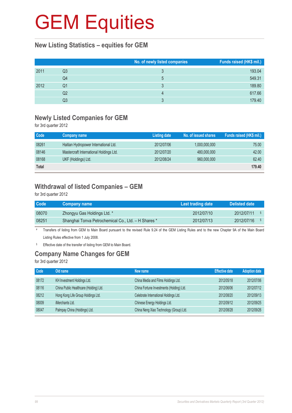#### **New Listing Statistics – equities for GEM**

|      |                | No. of newly listed companies | Funds raised (HK\$ mil.) |
|------|----------------|-------------------------------|--------------------------|
| 2011 | Q3             |                               | 193.04                   |
|      | Q4             | 5                             | 549.31                   |
| 2012 | Q1             |                               | 189.80                   |
|      | Q <sub>2</sub> |                               | 617.66                   |
|      | Q3             |                               | 179.40                   |

#### **Newly Listed Companies for GEM**

for 3rd quarter 2012

| Code         | Company name                            | <b>Listing date</b> | No. of issued shares | Funds raised (HK\$ mil.) |
|--------------|-----------------------------------------|---------------------|----------------------|--------------------------|
| 08261        | Haitian Hydropower International Ltd.   | 2012/07/06          | 1,000,000,000        | 75.00                    |
| 08146        | Mastercraft International Holdings Ltd. | 2012/07/20          | 480,000,000          | 42.00                    |
| 08168        | UKF (Holdings) Ltd.                     | 2012/08/24          | 960,000,000          | 62.40                    |
| <b>Total</b> |                                         |                     |                      | 179.40                   |

#### **Withdrawal of listed Companies – GEM**

for 3rd quarter 2012

| Code  | <b>Company name</b>                                 | Last trading date | Delisted date |
|-------|-----------------------------------------------------|-------------------|---------------|
| 08070 | Zhongyu Gas Holdings Ltd. *                         | 2012/07/10        | 2012/07/11    |
| 08251 | Shanghai Tonva Petrochemical Co., Ltd. - H Shares * | 2012/07/13        | 2012/07/16    |

# Transfers of listing from GEM to Main Board pursuant to the revised Rule 9.24 of the GEM Listing Rules and to the new Chapter 9A of the Main Board Listing Rules effective from 1 July 2008.

§ Effective date of the transfer of listing from GEM to Main Board.

#### **Company Name Changes for GEM**

for 3rd quarter 2012

| Code  | Old name                               | New name                                 | <b>Effective date</b> | <b>Adoption date</b> |
|-------|----------------------------------------|------------------------------------------|-----------------------|----------------------|
| 08172 | KH Investment Holdings Ltd.            | China Media and Films Holdings Ltd.      | 2012/05/18            | 2012/07/06           |
| 08116 | China Public Healthcare (Holding) Ltd. | China Fortune Investments (Holding) Ltd. | 2012/06/06            | 2012/07/12           |
| 08212 | Hong Kong Life Group Holdings Ltd.     | Celebrate International Holdings Ltd.    | 2012/08/20            | 2012/09/13           |
| 08009 | iMerchants Ltd.                        | Chinese Energy Holdings Ltd.             | 2012/09/12            | 2012/09/25           |
| 08047 | Palmpay China (Holdings) Ltd.          | China Neng Xiao Technology (Group) Ltd.  | 2012/08/28            | 2012/09/26           |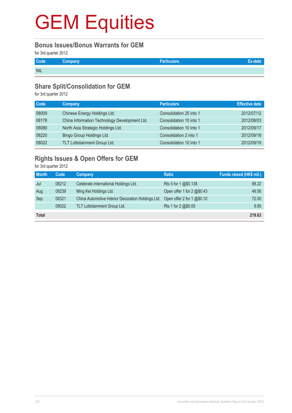#### **Bonus Issues/Bonus Warrants for GEM**

for 3rd quarter 2012

| Code       | Company | <b>Particulars</b> |  |
|------------|---------|--------------------|--|
| <b>NIL</b> |         |                    |  |

#### **Share Split/Consolidation for GEM**

for 3rd quarter 2012

| Code  | Company                                       | <b>Particulars</b>      | <b>Effective date</b> |
|-------|-----------------------------------------------|-------------------------|-----------------------|
| 08009 | Chinese Energy Holdings Ltd.                  | Consolidation 25 into 1 | 2012/07/12            |
| 08178 | China Information Technology Development Ltd. | Consolidation 10 into 1 | 2012/08/03            |
| 08080 | North Asia Strategic Holdings Ltd.            | Consolidation 10 into 1 | 2012/09/17            |
| 08220 | Bingo Group Holdings Ltd.                     | Consolidation 2 into 1  | 2012/09/18            |
| 08022 | TLT Lottotainment Group Ltd.                  | Consolidation 10 into 1 | 2012/09/19            |

#### **Rights Issues & Open Offers for GEM**

for 3rd quarter 2012

| <b>Month</b> | Code  | Company                                            | <b>Ratio</b>               | Funds raised (HK\$ mil.) |
|--------------|-------|----------------------------------------------------|----------------------------|--------------------------|
| Jul          | 08212 | Celebrate International Holdings Ltd.              | Rts 5 for 1 @\$0.138       | 88.22                    |
| Aug          | 08239 | Ming Kei Holdings Ltd.                             | Open offer 1 for 2 @\$0.43 | 49.56                    |
| Sep          | 08321 | China Automotive Interior Decoration Holdings Ltd. | Open offer 2 for 1 @\$0.10 | 72.00                    |
|              | 08022 | TLT Lottotainment Group Ltd.                       | Rts 1 for 2 @\$0.05        | 9.85                     |
| Total        |       |                                                    |                            | 219.63                   |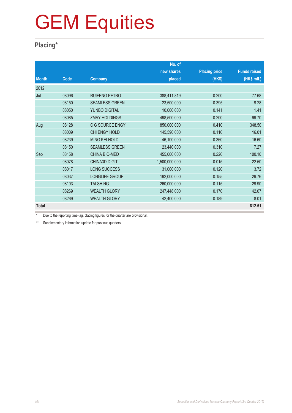#### **Placing\***

|              |       |                       | No. of        |                      |                     |
|--------------|-------|-----------------------|---------------|----------------------|---------------------|
|              |       |                       | new shares    | <b>Placing price</b> | <b>Funds raised</b> |
| <b>Month</b> | Code  | <b>Company</b>        | placed        | (HK\$)               | (HK\$ mil.)         |
| 2012         |       |                       |               |                      |                     |
| Jul          | 08096 | <b>RUIFENG PETRO</b>  | 388,411,819   | 0.200                | 77.68               |
|              | 08150 | <b>SEAMLESS GREEN</b> | 23,500,000    | 0.395                | 9.28                |
|              | 08050 | YUNBO DIGITAL         | 10,000,000    | 0.141                | 1.41                |
|              | 08085 | <b>ZMAY HOLDINGS</b>  | 498,500,000   | 0.200                | 99.70               |
| Aug          | 08128 | C G SOURCE ENGY       | 850,000,000   | 0.410                | 348.50              |
|              | 08009 | CHI ENGY HOLD         | 145,590,000   | 0.110                | 16.01               |
|              | 08239 | <b>MING KEI HOLD</b>  | 46,100,000    | 0.360                | 16.60               |
|              | 08150 | <b>SEAMLESS GREEN</b> | 23,440,000    | 0.310                | 7.27                |
| Sep          | 08158 | <b>CHINA BIO-MED</b>  | 455,000,000   | 0.220                | 100.10              |
|              | 08078 | <b>CHINA3D DIGIT</b>  | 1,500,000,000 | 0.015                | 22.50               |
|              | 08017 | <b>LONG SUCCESS</b>   | 31,000,000    | 0.120                | 3.72                |
|              | 08037 | LONGLIFE GROUP        | 192,000,000   | 0.155                | 29.76               |
|              | 08103 | <b>TAI SHING</b>      | 260,000,000   | 0.115                | 29.90               |
|              | 08269 | <b>WEALTH GLORY</b>   | 247,448,000   | 0.170                | 42.07               |
|              | 08269 | <b>WEALTH GLORY</b>   | 42,400,000    | 0.189                | 8.01                |
| <b>Total</b> |       |                       |               |                      | 812.51              |

\* Due to the reporting time-lag, placing figures for the quarter are provisional.

\*\* Supplementary information update for previous quarters.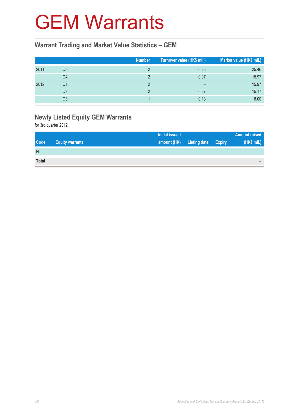#### GEM Warrants

#### **Warrant Trading and Market Value Statistics – GEM**

|      |    | <b>Number</b> | Turnover value (HK\$ mil.) | Market value (HK\$ mil.) |
|------|----|---------------|----------------------------|--------------------------|
| 2011 | Q3 |               | 0.23                       | 25.46                    |
|      | Q4 |               | 0.07                       | 15.97                    |
| 2012 | Q1 |               | $\overline{\phantom{0}}$   | 15.97                    |
|      | Q2 |               | 0.27                       | 15.17                    |
|      | Q3 |               | 0.13                       | 8.00                     |

#### **Newly Listed Equity GEM Warrants**

for 3rd quarter 2012

| <b>Initial issued</b>                                |                     |               | <b>Amount raised</b> |
|------------------------------------------------------|---------------------|---------------|----------------------|
| <b>Code</b><br>amount (HK)<br><b>Equity warrants</b> | <b>Listing date</b> | <b>Expiry</b> | (HK\$ mil.)          |
| Nil                                                  |                     |               |                      |
| <b>Total</b>                                         |                     |               | $\sim$               |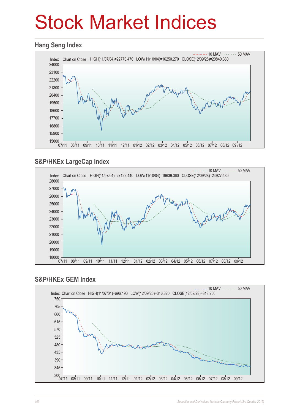# Stock Market Indices

#### **Hang Seng Index**



#### **S&P/HKEx LargeCap Index**



#### **S&P/HKEx GEM Index**

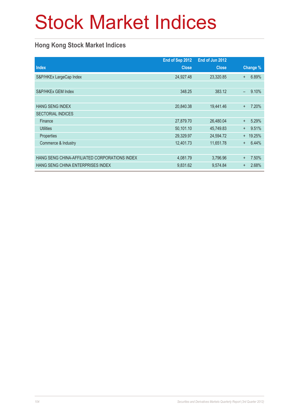# Stock Market Indices

#### **Hong Kong Stock Market Indices**

|                                               | End of Sep 2012 | End of Jun 2012 |           |          |
|-----------------------------------------------|-----------------|-----------------|-----------|----------|
| <b>Index</b>                                  | <b>Close</b>    | <b>Close</b>    |           | Change % |
| S&P/HKEx LargeCap Index                       | 24,927.48       | 23,320.85       | $+$       | 6.89%    |
|                                               |                 |                 |           |          |
| S&P/HKEx GEM Index                            | 348.25          | 383.12          | $\equiv$  | 9.10%    |
|                                               |                 |                 |           |          |
| <b>HANG SENG INDEX</b>                        | 20,840.38       | 19,441.46       | $\ddot{}$ | 7.20%    |
| <b>SECTORIAL INDICES</b>                      |                 |                 |           |          |
| Finance                                       | 27,879.70       | 26,480.04       | $+$       | 5.29%    |
| <b>Utilities</b>                              | 50,101.10       | 45,749.83       | $\ddot{}$ | 9.51%    |
| Properties                                    | 29,329.97       | 24,594.72       | $+$       | 19.25%   |
| Commerce & Industry                           | 12,401.73       | 11,651.78       | $\ddot{}$ | 6.44%    |
|                                               |                 |                 |           |          |
| HANG SENG CHINA-AFFILIATED CORPORATIONS INDEX | 4,081.79        | 3,796.96        | $\ddot{}$ | 7.50%    |
| HANG SENG CHINA ENTERPRISES INDEX             | 9,831.62        | 9,574.84        | $\ddot{}$ | 2.68%    |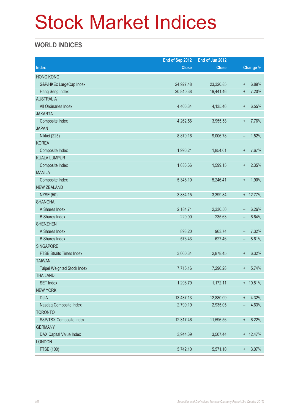# Stock Market Indices

#### **WORLD INDICES**

|                                 | End of Sep 2012 | End of Jun 2012 |                          |          |
|---------------------------------|-----------------|-----------------|--------------------------|----------|
| <b>Index</b>                    | <b>Close</b>    | <b>Close</b>    |                          | Change % |
| <b>HONG KONG</b>                |                 |                 |                          |          |
| S&P/HKEx LargeCap Index         | 24,927.48       | 23,320.85       | $\ddot{}$                | 6.89%    |
| Hang Seng Index                 | 20,840.38       | 19,441.46       | $\ddot{}$                | 7.20%    |
| <b>AUSTRALIA</b>                |                 |                 |                          |          |
| All Ordinaries Index            | 4,406.34        | 4,135.46        | $^{\mathrm{+}}$          | 6.55%    |
| <b>JAKARTA</b>                  |                 |                 |                          |          |
| Composite Index                 | 4,262.56        | 3,955.58        | $\ddot{}$                | 7.76%    |
| <b>JAPAN</b>                    |                 |                 |                          |          |
| Nikkei (225)                    | 8,870.16        | 9,006.78        | -                        | 1.52%    |
| <b>KOREA</b>                    |                 |                 |                          |          |
| Composite Index                 | 1,996.21        | 1,854.01        | $\ddot{}$                | 7.67%    |
| <b>KUALA LUMPUR</b>             |                 |                 |                          |          |
| Composite Index                 | 1,636.66        | 1,599.15        | $\ddot{}$                | 2.35%    |
| <b>MANILA</b>                   |                 |                 |                          |          |
| Composite Index                 | 5,346.10        | 5,246.41        | $\boldsymbol{+}$         | 1.90%    |
| <b>NEW ZEALAND</b>              |                 |                 |                          |          |
| <b>NZSE (50)</b>                | 3,834.15        | 3,399.84        |                          | + 12.77% |
| <b>SHANGHAI</b>                 |                 |                 |                          |          |
| A Shares Index                  | 2,184.71        | 2,330.50        | -                        | 6.26%    |
| <b>B</b> Shares Index           | 220.00          | 235.63          | -                        | 6.64%    |
| <b>SHENZHEN</b>                 |                 |                 |                          |          |
| A Shares Index                  | 893.20          | 963.74          | $\overline{\phantom{m}}$ | 7.32%    |
| <b>B</b> Shares Index           | 573.43          | 627.46          | -                        | 8.61%    |
| SINGAPORE                       |                 |                 |                          |          |
| <b>FTSE Straits Times Index</b> | 3,060.34        | 2,878.45        | $\ddot{}$                | 6.32%    |
| <b>TAIWAN</b>                   |                 |                 |                          |          |
| Taipei Weighted Stock Index     | 7,715.16        | 7,296.28        | $\ddot{}$                | 5.74%    |
| <b>THAILAND</b>                 |                 |                 |                          |          |
| <b>SET Index</b>                | 1,298.79        | 1,172.11        |                          | + 10.81% |
| <b>NEW YORK</b>                 |                 |                 |                          |          |
| <b>DJIA</b>                     | 13,437.13       | 12,880.09       | $\ddagger$               | 4.32%    |
| Nasdaq Composite Index          | 2,799.19        | 2,935.05        | $\qquad \qquad -$        | 4.63%    |
| <b>TORONTO</b>                  |                 |                 |                          |          |
| S&P/TSX Composite Index         | 12,317.46       | 11,596.56       | $\boldsymbol{+}$         | 6.22%    |
| <b>GERMANY</b>                  |                 |                 |                          |          |
| DAX Capital Value Index         | 3,944.69        | 3,507.44        |                          | + 12.47% |
| <b>LONDON</b>                   |                 |                 |                          |          |
| FTSE (100)                      | 5,742.10        | 5,571.10        | $\boldsymbol{+}$         | 3.07%    |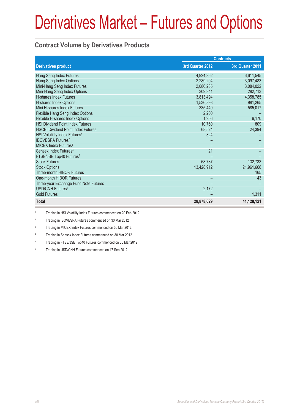# Derivatives Market – Futures and Options

#### **Contract Volume by Derivatives Products**

|                                           | <b>Contracts</b> |                  |
|-------------------------------------------|------------------|------------------|
| <b>Derivatives product</b>                | 3rd Quarter 2012 | 3rd Quarter 2011 |
| Hang Seng Index Futures                   | 4,924,352        | 6,611,545        |
| Hang Seng Index Options                   | 2,289,204        | 3,097,483        |
| Mini-Hang Seng Index Futures              | 2,086,235        | 3,084,022        |
| Mini-Hang Seng Index Options              | 309,341          | 282,713          |
| <b>H-shares Index Futures</b>             | 3,813,494        | 4,358,785        |
| H-shares Index Options                    | 1,536,898        | 981,265          |
| Mini H-shares Index Futures               | 335,449          | 585,017          |
| Flexible Hang Seng Index Options          | 2,200            |                  |
| Flexible H-shares Index Options           | 1,956            | 6,170            |
| <b>HSI Dividend Point Index Futures</b>   | 10,760           | 809              |
| <b>HSCEI Dividend Point Index Futures</b> | 68,524           | 24,394           |
| HSI Volatility Index Futures <sup>1</sup> | 324              |                  |
| <b>IBOVESPA Futures<sup>2</sup></b>       |                  |                  |
| MICEX Index Futures <sup>3</sup>          |                  |                  |
| Sensex Index Futures <sup>4</sup>         | 21               |                  |
| FTSE/JSE Top40 Futures <sup>5</sup>       |                  |                  |
| <b>Stock Futures</b>                      | 68,787           | 132,733          |
| <b>Stock Options</b>                      | 13,428,912       | 21,961,666       |
| Three-month HIBOR Futures                 |                  | 165              |
| One-month HIBOR Futures                   |                  | 43               |
| Three-year Exchange Fund Note Futures     |                  |                  |
| USD/CNH Futures <sup>6</sup>              | 2,172            |                  |
| <b>Gold Futures</b>                       |                  | 1,311            |
| <b>Total</b>                              | 28,878,629       | 41,128,121       |

1 Trading in HSI Volatility Index Futures commenced on 20 Feb 2012

2 Trading in IBOVESPA Futures commenced on 30 Mar 2012

 $\overline{3}$ Trading in MICEX Index Futures commenced on 30 Mar 2012

4 Trading in Sensex Index Futures commenced on 30 Mar 2012

5 Trading in FTSE/JSE Top40 Futures commenced on 30 Mar 2012

6 Trading in USD/CNH Futures commenced on 17 Sep 2012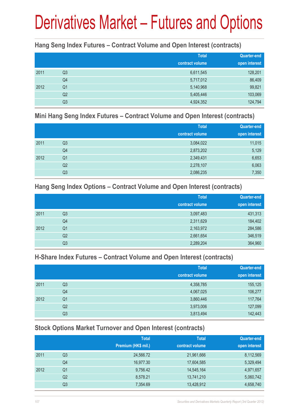# Derivatives Market – Futures and Options

#### **Hang Seng Index Futures – Contract Volume and Open Interest (contracts)**

|      |                | <b>Total</b><br>contract volume | <b>Quarter-end</b><br>open interest |
|------|----------------|---------------------------------|-------------------------------------|
| 2011 | Q <sub>3</sub> | 6,611,545                       | 128,201                             |
|      | Q4             | 5,717,012                       | 86,409                              |
| 2012 | Q <sub>1</sub> | 5,140,968                       | 99,821                              |
|      | Q <sub>2</sub> | 5,405,446                       | 103,069                             |
|      | Q3             | 4,924,352                       | 124,794                             |

#### **Mini Hang Seng Index Futures – Contract Volume and Open Interest (contracts)**

|      |                | <b>Total</b><br>contract volume | <b>Quarter-end</b><br>open interest |
|------|----------------|---------------------------------|-------------------------------------|
| 2011 | Q <sub>3</sub> | 3,084,022                       | 11,015                              |
|      | Q4             | 2,873,202                       | 5,129                               |
| 2012 | Q <sub>1</sub> | 2,349,431                       | 6,653                               |
|      | Q <sub>2</sub> | 2,278,107                       | 6,063                               |
|      | Q3             | 2,086,235                       | 7,350                               |

#### **Hang Seng Index Options – Contract Volume and Open Interest (contracts)**

|      |                | <b>Total</b>    | Quarter-end   |
|------|----------------|-----------------|---------------|
|      |                | contract volume | open interest |
| 2011 | Q3             | 3,097,483       | 431,313       |
|      | Q4             | 2,311,629       | 184,402       |
| 2012 | Q <sub>1</sub> | 2,163,972       | 284,586       |
|      | Q <sub>2</sub> | 2,661,654       | 346,519       |
|      | Q3             | 2,289,204       | 364,960       |

#### **H-Share Index Futures – Contract Volume and Open Interest (contracts)**

|      |                | <b>Total</b>    | <b>Quarter-end</b> |
|------|----------------|-----------------|--------------------|
|      |                | contract volume | open interest      |
| 2011 | Q3             | 4,358,785       | 155,125            |
|      | Q4             | 4,067,025       | 106,277            |
| 2012 | Q1             | 3,860,446       | 117,764            |
|      | Q <sub>2</sub> | 3,973,006       | 127,099            |
|      | Q3             | 3,813,494       | 142,443            |

#### **Stock Options Market Turnover and Open Interest (contracts)**

|      |    | <b>Total</b>        | <b>Total</b>    | Quarter-end   |
|------|----|---------------------|-----------------|---------------|
|      |    | Premium (HK\$ mil.) | contract volume | open interest |
| 2011 | Q3 | 24,566.72           | 21,961,666      | 8,112,569     |
|      | Q4 | 16,977.30           | 17,604,585      | 5,329,494     |
| 2012 | Q1 | 9,756.42            | 14,545,164      | 4,971,657     |
|      | Q2 | 8,578.21            | 13,741,210      | 5,060,742     |
|      | Q3 | 7,354.69            | 13,428,912      | 4,658,740     |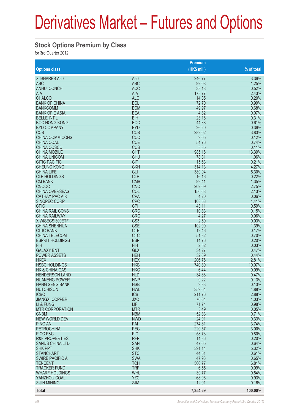## Derivatives Market – Futures and Options

#### **Stock Options Premium by Class**

for 3rd Quarter 2012

|                                            |                          | Premium          |                |
|--------------------------------------------|--------------------------|------------------|----------------|
| <b>Options class</b>                       |                          | $(HK$$ mil.)     | % of total     |
| X ISHARES A50                              | A50                      | 246.77           | 3.36%          |
| <b>ABC</b>                                 | <b>ABC</b>               | 92.08            | 1.25%          |
| <b>ANHUI CONCH</b>                         | <b>ACC</b>               | 38.18            | 0.52%          |
| <b>AIA</b>                                 | <b>AIA</b>               | 178.77           | 2.43%          |
| <b>CHALCO</b>                              | <b>ALC</b>               | 14.35            | 0.20%          |
| <b>BANK OF CHINA</b>                       | <b>BCL</b>               | 72.70            | 0.99%          |
| <b>BANKCOMM</b>                            | <b>BCM</b>               | 49.97            | 0.68%          |
| <b>BANK OF E ASIA</b>                      | <b>BEA</b>               | 4.82             | 0.07%          |
| <b>BELLE INT'L</b><br><b>BOC HONG KONG</b> | <b>BIH</b><br><b>BOC</b> | 23.16<br>44.88   | 0.31%<br>0.61% |
| <b>BYD COMPANY</b>                         | <b>BYD</b>               | 26.20            | 0.36%          |
| <b>CCB</b>                                 | <b>CCB</b>               | 282.02           | 3.83%          |
| <b>CHINA COMM CONS</b>                     | CCC                      | 9.05             | 0.12%          |
| <b>CHINA COAL</b>                          | <b>CCE</b>               | 54.76            | 0.74%          |
| <b>CHINA COSCO</b>                         | <b>CCS</b>               | 8.35             | 0.11%          |
| <b>CHINA MOBILE</b>                        | <b>CHT</b>               | 985.16           | 13.39%         |
| <b>CHINA UNICOM</b>                        | <b>CHU</b>               | 78.31            | 1.06%          |
| <b>CITIC PACIFIC</b>                       | <b>CIT</b>               | 15.63            | 0.21%          |
| <b>CHEUNG KONG</b>                         | <b>CKH</b>               | 314.13           | 4.27%          |
| <b>CHINA LIFE</b>                          | <b>CLI</b>               | 389.94           | 5.30%          |
| <b>CLP HOLDINGS</b>                        | <b>CLP</b>               | 16.16            | 0.22%          |
| <b>CM BANK</b>                             | <b>CMB</b>               | 99.41            | 1.35%          |
| <b>CNOOC</b><br><b>CHINA OVERSEAS</b>      | <b>CNC</b><br>COL        | 202.09<br>156.68 | 2.75%<br>2.13% |
| <b>CATHAY PAC AIR</b>                      | <b>CPA</b>               | 4.20             | 0.06%          |
| SINOPEC CORP                               | <b>CPC</b>               | 103.58           | 1.41%          |
| <b>CPIC</b>                                | <b>CPI</b>               | 43.11            | 0.59%          |
| <b>CHINA RAIL CONS</b>                     | <b>CRC</b>               | 10.83            | 0.15%          |
| <b>CHINA RAILWAY</b>                       | <b>CRG</b>               | 4.27             | 0.06%          |
| X WISECSI300ETF                            | CS <sub>3</sub>          | 2.50             | 0.03%          |
| <b>CHINA SHENHUA</b>                       | <b>CSE</b>               | 102.00           | 1.39%          |
| <b>CITIC BANK</b>                          | <b>CTB</b>               | 12.46            | 0.17%          |
| <b>CHINA TELECOM</b>                       | <b>CTC</b>               | 51.32            | 0.70%          |
| <b>ESPRIT HOLDINGS</b>                     | <b>ESP</b>               | 14.76            | 0.20%          |
| <b>FIH</b>                                 | <b>FIH</b>               | 2.52             | 0.03%          |
| <b>GALAXY ENT</b>                          | <b>GLX</b><br><b>HEH</b> | 34.27            | 0.47%          |
| <b>POWER ASSETS</b><br><b>HKEX</b>         | <b>HEX</b>               | 32.69<br>206.76  | 0.44%<br>2.81% |
| <b>HSBC HOLDINGS</b>                       | <b>HKB</b>               | 740.80           | 10.07%         |
| <b>HK &amp; CHINA GAS</b>                  | <b>HKG</b>               | 6.44             | 0.09%          |
| <b>HENDERSON LAND</b>                      | <b>HLD</b>               | 34.88            | 0.47%          |
| <b>HUANENG POWER</b>                       | <b>HNP</b>               | 9.22             | 0.13%          |
| <b>HANG SENG BANK</b>                      | <b>HSB</b>               | 9.83             | 0.13%          |
| <b>HUTCHISON</b>                           | <b>HWL</b>               | 359.04           | 4.88%          |
| <b>ICBC</b>                                | <b>ICB</b>               | 211.76           | 2.88%          |
| <b>JIANGXI COPPER</b>                      | <b>JXC</b>               | 76.04            | 1.03%          |
| LI & FUNG                                  | LIF                      | 71.74            | 0.98%          |
| <b>MTR CORPORATION</b>                     | <b>MTR</b>               | 3.49             | 0.05%          |
| <b>CNBM</b><br><b>NEW WORLD DEV</b>        | <b>NBM</b>               | 52.33<br>24.01   | 0.71%          |
| <b>PING AN</b>                             | <b>NWD</b><br>PAI        | 274.81           | 0.33%<br>3.74% |
| <b>PETROCHINA</b>                          | PEC                      | 220.57           | 3.00%          |
| PICC P&C                                   | <b>PIC</b>               | 58.73            | 0.80%          |
| <b>R&amp;F PROPERTIES</b>                  | <b>RFP</b>               | 14.36            | 0.20%          |
| <b>SANDS CHINA LTD</b>                     | <b>SAN</b>               | 47.05            | 0.64%          |
| <b>SHK PPT</b>                             | <b>SHK</b>               | 391.14           | 5.32%          |
| <b>STANCHART</b>                           | <b>STC</b>               | 44.51            | 0.61%          |
| <b>SWIRE PACIFIC A</b>                     | <b>SWA</b>               | 47.93            | 0.65%          |
| <b>TENCENT</b>                             | <b>TCH</b>               | 500.77           | 6.81%          |
| <b>TRACKER FUND</b>                        | <b>TRF</b>               | 6.55             | 0.09%          |
| <b>WHARF HOLDINGS</b>                      | <b>WHL</b>               | 39.77            | 0.54%          |
| YANZHOU COAL                               | <b>YZC</b>               | 68.06            | 0.93%          |
| <b>ZIJIN MINING</b>                        | <b>ZJM</b>               | 12.01            | 0.16%          |
| <b>Total</b>                               |                          | 7,354.69         | 100.00%        |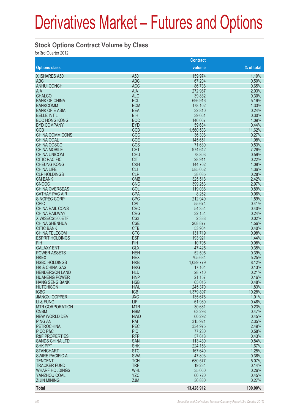## Derivatives Market – Futures and Options

#### **Stock Options Contract Volume by Class**

for 3rd Quarter 2012

|                           |                 | <b>Contract</b> |            |
|---------------------------|-----------------|-----------------|------------|
| <b>Options class</b>      |                 | volume          | % of total |
| X ISHARES A50             | A <sub>50</sub> | 159,974         | 1.19%      |
| <b>ABC</b>                | <b>ABC</b>      | 67,204          | 0.50%      |
| <b>ANHUI CONCH</b>        | <b>ACC</b>      | 86,738          | 0.65%      |
| <b>AIA</b>                | <b>AIA</b>      | 272,987         | 2.03%      |
| <b>CHALCO</b>             | <b>ALC</b>      | 39,832          | 0.30%      |
| <b>BANK OF CHINA</b>      | <b>BCL</b>      | 696,916         | 5.19%      |
| <b>BANKCOMM</b>           | <b>BCM</b>      | 178,102         | 1.33%      |
| <b>BANK OF E ASIA</b>     | <b>BEA</b>      | 32,810          | 0.24%      |
| <b>BELLE INT'L</b>        | <b>BIH</b>      | 39,661          | 0.30%      |
| <b>BOC HONG KONG</b>      | <b>BOC</b>      | 146,067         | 1.09%      |
| <b>BYD COMPANY</b>        | <b>BYD</b>      | 59,684          | 0.44%      |
| <b>CCB</b>                | <b>CCB</b>      | 1,560,533       | 11.62%     |
| <b>CHINA COMM CONS</b>    | CCC             | 36,308          | 0.27%      |
| <b>CHINA COAL</b>         | <b>CCE</b>      | 145,651         | 1.08%      |
| <b>CHINA COSCO</b>        | <b>CCS</b>      | 71,630          | 0.53%      |
| <b>CHINA MOBILE</b>       | <b>CHT</b>      | 974,642         | 7.26%      |
| <b>CHINA UNICOM</b>       | <b>CHU</b>      | 78,803          | 0.59%      |
| <b>CITIC PACIFIC</b>      | <b>CIT</b>      | 28,911          | 0.22%      |
| <b>CHEUNG KONG</b>        | <b>CKH</b>      | 144,702         | 1.08%      |
| <b>CHINA LIFE</b>         | <b>CLI</b>      | 585,052         | 4.36%      |
| <b>CLP HOLDINGS</b>       | <b>CLP</b>      | 38,035          | 0.28%      |
| <b>CM BANK</b>            | <b>CMB</b>      | 325,518         | 2.42%      |
| <b>CNOOC</b>              | <b>CNC</b>      | 399,263         | 2.97%      |
| <b>CHINA OVERSEAS</b>     | COL             | 119,038         | 0.89%      |
|                           |                 |                 |            |
| <b>CATHAY PAC AIR</b>     | <b>CPA</b>      | 8,262           | 0.06%      |
| <b>SINOPEC CORP</b>       | <b>CPC</b>      | 212,949         | 1.59%      |
| <b>CPIC</b>               | <b>CPI</b>      | 55,674          | 0.41%      |
| <b>CHINA RAIL CONS</b>    | <b>CRC</b>      | 54,354          | 0.40%      |
| <b>CHINA RAILWAY</b>      | <b>CRG</b>      | 32,154          | 0.24%      |
| X WISECSI300ETF           | CS <sub>3</sub> | 2,388           | 0.02%      |
| <b>CHINA SHENHUA</b>      | <b>CSE</b>      | 208,877         | 1.56%      |
| <b>CITIC BANK</b>         | <b>CTB</b>      | 53,904          | 0.40%      |
| <b>CHINA TELECOM</b>      | <b>CTC</b>      | 131,719         | 0.98%      |
| <b>ESPRIT HOLDINGS</b>    | <b>ESP</b>      | 193,921         | 1.44%      |
| <b>FIH</b>                | <b>FIH</b>      | 10,795          | 0.08%      |
| <b>GALAXY ENT</b>         | <b>GLX</b>      | 47,425          | 0.35%      |
| <b>POWER ASSETS</b>       | <b>HEH</b>      | 52,595          | 0.39%      |
| <b>HKEX</b>               | <b>HEX</b>      | 705,634         | 5.25%      |
| <b>HSBC HOLDINGS</b>      | <b>HKB</b>      | 1,089,779       | 8.12%      |
| <b>HK &amp; CHINA GAS</b> | <b>HKG</b>      | 17,104          | 0.13%      |
| <b>HENDERSON LAND</b>     | <b>HLD</b>      | 28,710          | 0.21%      |
| <b>HUANENG POWER</b>      | <b>HNP</b>      | 21,157          | 0.16%      |
| <b>HANG SENG BANK</b>     | <b>HSB</b>      | 65,015          | 0.48%      |
| <b>HUTCHISON</b>          | <b>HWL</b>      | 245,370         | 1.83%      |
| <b>ICBC</b>               | <b>ICB</b>      | 1,379,897       | 10.28%     |
| <b>JIANGXI COPPER</b>     | <b>JXC</b>      | 135,676         | 1.01%      |
| LI & FUNG                 | LIF             | 61,980          | 0.46%      |
| <b>MTR CORPORATION</b>    | <b>MTR</b>      | 30,681          | 0.23%      |
| <b>CNBM</b>               | <b>NBM</b>      | 63,298          | 0.47%      |
| <b>NEW WORLD DEV</b>      | <b>NWD</b>      | 60,292          | 0.45%      |
| <b>PING AN</b>            | PAI             | 315,921         | 2.35%      |
| <b>PETROCHINA</b>         | PEC             | 334,975         | 2.49%      |
| PICC P&C                  | <b>PIC</b>      | 77,230          | 0.58%      |
| <b>R&amp;F PROPERTIES</b> | <b>RFP</b>      | 57,618          | 0.43%      |
| <b>SANDS CHINA LTD</b>    | <b>SAN</b>      | 113,430         | 0.84%      |
| <b>SHK PPT</b>            | <b>SHK</b>      | 224,153         | 1.67%      |
| <b>STANCHART</b>          | <b>STC</b>      | 167,640         | 1.25%      |
| <b>SWIRE PACIFIC A</b>    | <b>SWA</b>      | 47,803          | 0.36%      |
| <b>TENCENT</b>            | <b>TCH</b>      | 680,577         | 5.07%      |
| <b>TRACKER FUND</b>       | <b>TRF</b>      | 19,234          | 0.14%      |
| <b>WHARF HOLDINGS</b>     | <b>WHL</b>      | 35,060          | 0.26%      |
| YANZHOU COAL              | <b>YZC</b>      | 60,720          | 0.45%      |
| <b>ZIJIN MINING</b>       | <b>ZJM</b>      | 36,880          | 0.27%      |
|                           |                 |                 |            |
| <b>Total</b>              |                 | 13,428,912      | 100.00%    |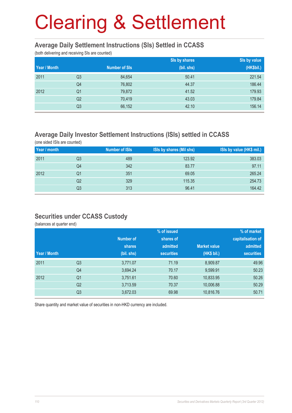#### **Average Daily Settlement Instructions (SIs) Settled in CCASS**

(both delivering and receiving SIs are counted)

|              |                |                      | Sis by shares | Sis by value |
|--------------|----------------|----------------------|---------------|--------------|
| Year / Month |                | <b>Number of SIs</b> | (bil. shs)    | (HK\$bil.)   |
| 2011         | Q <sub>3</sub> | 84,654               | 50.41         | 221.54       |
|              | Q4             | 76,802               | 44.37         | 186.44       |
| 2012         | Q1             | 79,872               | 41.52         | 179.93       |
|              | Q <sub>2</sub> | 70,419               | 43.03         | 179.84       |
|              | Q <sub>3</sub> | 66,152               | 42.10         | 156.14       |

#### **Average Daily Investor Settlement Instructions (ISIs) settled in CCASS**

(one sided ISIs are counted)

| Year / month |                | <b>Number of ISIs</b> | <b>ISIs by shares (Mil shs)</b> | ISIs by value (HK\$ mil.) |
|--------------|----------------|-----------------------|---------------------------------|---------------------------|
| 2011         | Q3             | 489                   | 123.92                          | 383.03                    |
|              | Q4             | 342                   | 83.77                           | 97.11                     |
| 2012         | Q1             | 351                   | 69.05                           | 265.24                    |
|              | Q <sub>2</sub> | 329                   | 115.35                          | 254.73                    |
|              | Q3             | 313                   | 96.41                           | 164.42                    |

#### **Securities under CCASS Custody**

(balances at quarter end)

|              |                |                  | % of issued       |                     | % of market       |
|--------------|----------------|------------------|-------------------|---------------------|-------------------|
|              |                | <b>Number of</b> | shares of         |                     | capitalisation of |
|              |                | <b>shares</b>    | admitted          | <b>Market value</b> | admitted          |
| Year / Month |                | (bil. shs)       | <b>securities</b> | (HK\$ bil.)         | <b>securities</b> |
| 2011         | Q <sub>3</sub> | 3,771.07         | 71.19             | 8,909.87            | 49.96             |
|              | Q4             | 3,694.24         | 70.17             | 9,599.91            | 50.23             |
| 2012         | Q <sub>1</sub> | 3,751.61         | 70.60             | 10,833.95           | 50.26             |
|              | Q <sub>2</sub> | 3,713.59         | 70.37             | 10,006.88           | 50.29             |
|              | Q <sub>3</sub> | 3,672.03         | 69.98             | 10,816.76           | 50.71             |

Share quantity and market value of securities in non-HKD currency are included.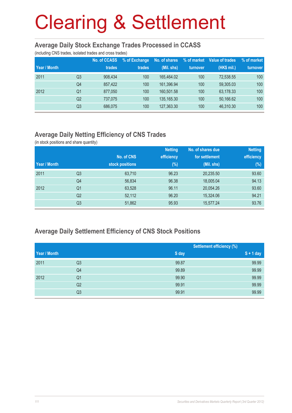#### **Average Daily Stock Exchange Trades Processed in CCASS**

(including CNS trades, isolated trades and cross trades)

| Year / Month |    | <b>No. of CCASS</b><br>trades | % of Exchange<br>trades | No. of shares<br>(Mil. shs) | % of market<br>turnover | Value of trades<br>(HK\$ mil.) | % of market<br>turnover |
|--------------|----|-------------------------------|-------------------------|-----------------------------|-------------------------|--------------------------------|-------------------------|
| 2011         | Q3 | 908.434                       | 100                     | 165.464.02                  | 100                     | 72.538.55                      | 100                     |
|              | Q4 | 857.422                       | 100                     | 161,396.94                  | 100                     | 59,305.03                      | 100                     |
| 2012         | Q1 | 877,050                       | 100                     | 160.501.58                  | 100                     | 63,178.33                      | 100                     |
|              | Q2 | 737.075                       | 100                     | 135,165.30                  | 100                     | 50,166.62                      | 100                     |
|              | Q3 | 686.075                       | 100                     | 127,363.30                  | 100                     | 46,310.30                      | 100                     |

#### **Average Daily Netting Efficiency of CNS Trades**

(in stock positions and share quantity)

|              |                |                 | <b>Netting</b> | No. of shares due | <b>Netting</b> |
|--------------|----------------|-----------------|----------------|-------------------|----------------|
|              |                | No. of CNS      | efficiency     | for settlement    | efficiency     |
| Year / Month |                | stock positions | $(\%)$         | (Mil. shs)        | (%)            |
| 2011         | Q <sub>3</sub> | 63,710          | 96.23          | 20,235.50         | 93.60          |
|              | Q <sub>4</sub> | 56,834          | 96.38          | 18,005.04         | 94.13          |
| 2012         | Q1             | 63,528          | 96.11          | 20,054.26         | 93.60          |
|              | Q <sub>2</sub> | 52,112          | 96.20          | 15,324.06         | 94.21          |
|              | Q <sub>3</sub> | 51,862          | 95.93          | 15,577.24         | 93.76          |

#### **Average Daily Settlement Efficiency of CNS Stock Positions**

|              |                |       | <b>Settlement efficiency (%)</b> |
|--------------|----------------|-------|----------------------------------|
| Year / Month |                | S day | $S + 1$ day                      |
| 2011         | Q3             | 99.87 | 99.99                            |
|              | Q4             | 99.89 | 99.99                            |
| 2012         | Q <sub>1</sub> | 99.90 | 99.99                            |
|              | Q2             | 99.91 | 99.99                            |
|              | Q3             | 99.91 | 99.99                            |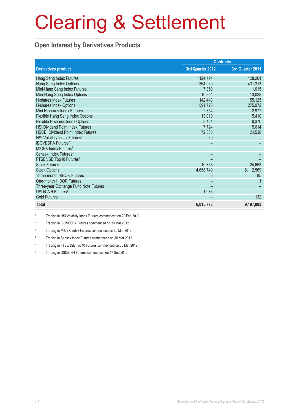#### **Open Interest by Derivatives Products**

|                                           | <b>Contracts</b> |                  |
|-------------------------------------------|------------------|------------------|
| <b>Derivatives product</b>                | 3rd Quarter 2012 | 3rd Quarter 2011 |
| Hang Seng Index Futures                   | 124,794          | 128,201          |
| Hang Seng Index Options                   | 364.960          | 431,313          |
| Mini-Hang Seng Index Futures              | 7,350            | 11,015           |
| Mini-Hang Seng Index Options              | 10,384           | 13,028           |
| <b>H-shares Index Futures</b>             | 142,443          | 155,125          |
| H-shares Index Options                    | 591,725          | 275,972          |
| Mini H-shares Index Futures               | 2,354            | 2,977            |
| Flexible Hang Seng Index Options          | 13,010           | 5,410            |
| Flexible H-shares Index Options           | 8,431            | 6,370            |
| <b>HSI Dividend Point Index Futures</b>   | 7,724            | 5,614            |
| <b>HSCEI Dividend Point Index Futures</b> | 72,355           | 24,538           |
| HSI Volatility Index Futures <sup>1</sup> | 69               |                  |
| <b>IBOVESPA Futures<sup>2</sup></b>       |                  |                  |
| MICEX Index Futures <sup>3</sup>          |                  |                  |
| Sensex Index Futures <sup>4</sup>         |                  |                  |
| FTSE/JSE Top40 Futures <sup>5</sup>       |                  |                  |
| <b>Stock Futures</b>                      | 10,353           | 24,653           |
| <b>Stock Options</b>                      | 4,658,740        | 8,112,569        |
| <b>Three-month HIBOR Futures</b>          | 5                | 85               |
| One-month HIBOR Futures                   |                  |                  |
| Three-year Exchange Fund Note Futures     |                  |                  |
| USD/CNH Futures <sup>6</sup>              | 1,076            |                  |
| <b>Gold Futures</b>                       |                  | 132              |
| <b>Total</b>                              | 6,015,773        | 9,197,003        |

1 Trading in HSI Volatility Index Futures commenced on 20 Feb 2012

2 Trading in IBOVESPA Futures commenced on 30 Mar 2012

3 Trading in MICEX Index Futures commenced on 30 Mar 2012

4 Trading in Sensex Index Futures commenced on 30 Mar 2012

5 Trading in FTSE/JSE Top40 Futures commenced on 30 Mar 2012

6 Trading in USD/CNH Futures commenced on 17 Sep 2012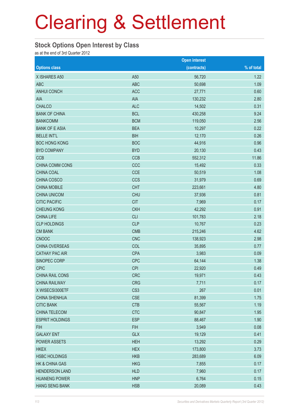#### **Stock Options Open Interest by Class**

as at the end of 3rd Quarter 2012

|                        |                 | <b>Open interest</b> |            |
|------------------------|-----------------|----------------------|------------|
| <b>Options class</b>   |                 | (contracts)          | % of total |
| X ISHARES A50          | A50             | 56,720               | 1.22       |
| <b>ABC</b>             | <b>ABC</b>      | 50,698               | 1.09       |
| <b>ANHUI CONCH</b>     | <b>ACC</b>      | 27,771               | 0.60       |
| AIA                    | <b>AIA</b>      | 130,232              | 2.80       |
| <b>CHALCO</b>          | <b>ALC</b>      | 14,502               | 0.31       |
| <b>BANK OF CHINA</b>   | <b>BCL</b>      | 430,258              | 9.24       |
| <b>BANKCOMM</b>        | <b>BCM</b>      | 119,050              | 2.56       |
| <b>BANK OF E ASIA</b>  | <b>BEA</b>      | 10,297               | 0.22       |
| <b>BELLE INT'L</b>     | <b>BIH</b>      | 12,170               | 0.26       |
| <b>BOC HONG KONG</b>   | <b>BOC</b>      | 44,916               | 0.96       |
| <b>BYD COMPANY</b>     | <b>BYD</b>      | 20,130               | 0.43       |
| <b>CCB</b>             | <b>CCB</b>      | 552,312              | 11.86      |
| CHINA COMM CONS        | CCC             | 15,492               | 0.33       |
| CHINA COAL             | <b>CCE</b>      | 50,519               | 1.08       |
| CHINA COSCO            | <b>CCS</b>      | 31,979               | 0.69       |
| <b>CHINA MOBILE</b>    | <b>CHT</b>      | 223,661              | 4.80       |
| <b>CHINA UNICOM</b>    | <b>CHU</b>      | 37,936               | 0.81       |
| <b>CITIC PACIFIC</b>   | <b>CIT</b>      | 7,969                | 0.17       |
| <b>CHEUNG KONG</b>     | <b>CKH</b>      | 42,292               | 0.91       |
| <b>CHINA LIFE</b>      | <b>CLI</b>      | 101,783              | 2.18       |
| <b>CLP HOLDINGS</b>    | <b>CLP</b>      | 10,767               | 0.23       |
| <b>CM BANK</b>         | <b>CMB</b>      | 215,246              | 4.62       |
| <b>CNOOC</b>           | <b>CNC</b>      | 138,923              | 2.98       |
| CHINA OVERSEAS         | COL             | 35,895               | 0.77       |
| <b>CATHAY PAC AIR</b>  | <b>CPA</b>      | 3,983                | 0.09       |
| SINOPEC CORP           | <b>CPC</b>      | 64,144               | 1.38       |
| <b>CPIC</b>            | <b>CPI</b>      | 22,920               | 0.49       |
| CHINA RAIL CONS        | <b>CRC</b>      | 19,971               | 0.43       |
| <b>CHINA RAILWAY</b>   | <b>CRG</b>      | 7,711                | 0.17       |
| X WISECSI300ETF        | CS <sub>3</sub> | 267                  | 0.01       |
| <b>CHINA SHENHUA</b>   | <b>CSE</b>      | 81,399               | 1.75       |
| <b>CITIC BANK</b>      | <b>CTB</b>      | 55,567               | 1.19       |
| CHINA TELECOM          | <b>CTC</b>      | 90,847               | 1.95       |
| <b>ESPRIT HOLDINGS</b> | <b>ESP</b>      | 88,467               | 1.90       |
| <b>FIH</b>             | <b>FIH</b>      | 3,949                | 0.08       |
| <b>GALAXY ENT</b>      | <b>GLX</b>      | 19,129               | 0.41       |
| POWER ASSETS           | <b>HEH</b>      | 13,292               | 0.29       |
| <b>HKEX</b>            | <b>HEX</b>      | 173,800              | 3.73       |
| <b>HSBC HOLDINGS</b>   | <b>HKB</b>      | 283,689              | 6.09       |
| HK & CHINA GAS         | <b>HKG</b>      | 7,855                | 0.17       |
| <b>HENDERSON LAND</b>  | <b>HLD</b>      | 7,960                | 0.17       |
| <b>HUANENG POWER</b>   | <b>HNP</b>      | 6,764                | 0.15       |
| <b>HANG SENG BANK</b>  | <b>HSB</b>      | 20,089               | 0.43       |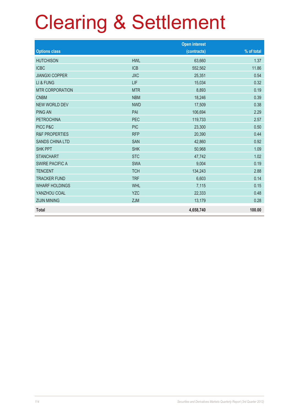|                           |            | <b>Open interest</b> |            |
|---------------------------|------------|----------------------|------------|
| <b>Options class</b>      |            | (contracts)          | % of total |
| <b>HUTCHISON</b>          | <b>HWL</b> | 63,660               | 1.37       |
| <b>ICBC</b>               | <b>ICB</b> | 552,562              | 11.86      |
| <b>JIANGXI COPPER</b>     | <b>JXC</b> | 25,351               | 0.54       |
| LI & FUNG                 | LIF        | 15,034               | 0.32       |
| <b>MTR CORPORATION</b>    | <b>MTR</b> | 8,893                | 0.19       |
| <b>CNBM</b>               | <b>NBM</b> | 18,246               | 0.39       |
| <b>NEW WORLD DEV</b>      | <b>NWD</b> | 17,509               | 0.38       |
| <b>PING AN</b>            | PAI        | 106,694              | 2.29       |
| <b>PETROCHINA</b>         | <b>PEC</b> | 119,733              | 2.57       |
| PICC P&C                  | <b>PIC</b> | 23,300               | 0.50       |
| <b>R&amp;F PROPERTIES</b> | <b>RFP</b> | 20,390               | 0.44       |
| <b>SANDS CHINA LTD</b>    | <b>SAN</b> | 42,860               | 0.92       |
| <b>SHK PPT</b>            | <b>SHK</b> | 50,968               | 1.09       |
| <b>STANCHART</b>          | <b>STC</b> | 47,742               | 1.02       |
| <b>SWIRE PACIFIC A</b>    | <b>SWA</b> | 9,004                | 0.19       |
| <b>TENCENT</b>            | <b>TCH</b> | 134,243              | 2.88       |
| <b>TRACKER FUND</b>       | <b>TRF</b> | 6,603                | 0.14       |
| <b>WHARF HOLDINGS</b>     | <b>WHL</b> | 7,115                | 0.15       |
| YANZHOU COAL              | <b>YZC</b> | 22,333               | 0.48       |
| <b>ZIJIN MINING</b>       | <b>ZJM</b> | 13,179               | 0.28       |
| <b>Total</b>              |            | 4,658,740            | 100.00     |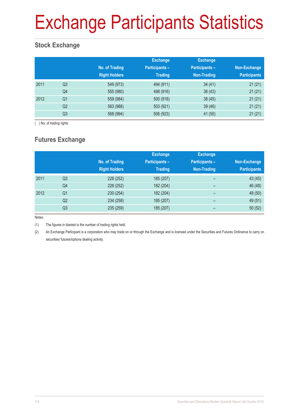# Exchange Participants Statistics

### **Stock Exchange**

|      |                | No. of Trading<br><b>Right Holders</b> | <b>Exchange</b><br><b>Participants -</b><br><b>Trading</b> | <b>Exchange</b><br><b>Participants -</b><br>Non-Trading | Non-Exchange<br><b>Participants</b> |
|------|----------------|----------------------------------------|------------------------------------------------------------|---------------------------------------------------------|-------------------------------------|
| 2011 | Q <sub>3</sub> | 549 (973)                              | 494 (911)                                                  | 34(41)                                                  | 21(21)                              |
|      | Q4             | 555 (980)                              | 498 (916)                                                  | 36(43)                                                  | 21(21)                              |
| 2012 | Q <sub>1</sub> | 559 (984)                              | 500 (918)                                                  | 38(45)                                                  | 21(21)                              |
|      | Q <sub>2</sub> | 563 (988)                              | 503 (921)                                                  | 39 (46)                                                 | 21(21)                              |
|      | Q <sub>3</sub> | 568 (994)                              | 506 (923)                                                  | 41 (50)                                                 | 21(21)                              |

( ) No. of trading rights

### **Futures Exchange**

|      |                | No. of Trading<br><b>Right Holders</b> | <b>Exchange</b><br><b>Participants -</b><br><b>Trading</b> | <b>Exchange</b><br><b>Participants -</b><br><b>Non-Trading</b> | Non-Exchange<br><b>Participants</b> |
|------|----------------|----------------------------------------|------------------------------------------------------------|----------------------------------------------------------------|-------------------------------------|
| 2011 | Q3             | 228 (252)                              | 185 (207)                                                  | -                                                              | 43 (45)                             |
|      | Q4             | 228 (252)                              | 182 (204)                                                  | -                                                              | 46 (48)                             |
| 2012 | Q <sub>1</sub> | 230 (254)                              | 182 (204)                                                  | $\qquad \qquad$                                                | 48 (50)                             |
|      | Q2             | 234 (258)                              | 185 (207)                                                  | $\overline{\phantom{0}}$                                       | 49 (51)                             |
|      | Q3             | 235 (259)                              | 185 (207)                                                  | -                                                              | 50(52)                              |

Notes:

(1) The figures in blanket is the number of trading rights held.

(2) An Exchange Participant is a corporation who may trade on or through the Exchange and is licensed under the Securities and Futures Ordinance to carry on securities/ futures/options dealing activity.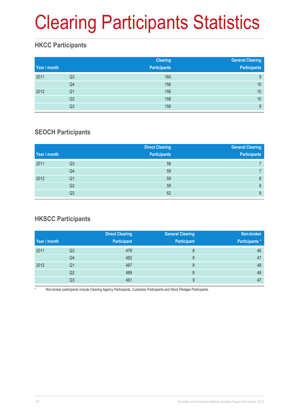# Clearing Participants Statistics

### **HKCC Participants**

| Year / month |                | <b>Clearing</b><br><b>Participants</b> | <b>General Clearing</b><br><b>Participants</b> |
|--------------|----------------|----------------------------------------|------------------------------------------------|
| 2011         | Q <sub>3</sub> | 160                                    | 9                                              |
|              | Q <sub>4</sub> | 156                                    | 10                                             |
| 2012         | Q <sub>1</sub> | 156                                    | 10                                             |
|              | Q <sub>2</sub> | 158                                    | 10                                             |
|              | Q3             | 158                                    | 9                                              |

### **SEOCH Participants**

| Year / month |                | <b>Direct Clearing</b><br><b>Participants</b> | <b>General Clearing</b><br><b>Participants</b> |
|--------------|----------------|-----------------------------------------------|------------------------------------------------|
| 2011         | Q3             | 58                                            |                                                |
|              | Q4             | 59                                            |                                                |
| 2012         | Q <sub>1</sub> | 59                                            | 8                                              |
|              | Q <sub>2</sub> | 59                                            | 8                                              |
|              | Q3             | 62                                            | 8                                              |

### **HKSCC Participants**

|              |                | <b>Direct Clearing</b> | <b>General Clearing</b> | Non-broker            |
|--------------|----------------|------------------------|-------------------------|-----------------------|
| Year / month |                | <b>Participant</b>     | <b>Participant</b>      | <b>Participants</b> * |
| 2011         | Q3             | 478                    |                         | 46                    |
|              | Q4             | 482                    | 8                       | 47                    |
| 2012         | Q1             | 487                    | 8                       | 48                    |
|              | Q <sub>2</sub> | 489                    |                         | 48                    |
|              | Q3             | 491                    | 9                       | 47                    |

Non-broker participants include Clearing Agency Participants, Custodian Participants and Stock Pledgee Participants.